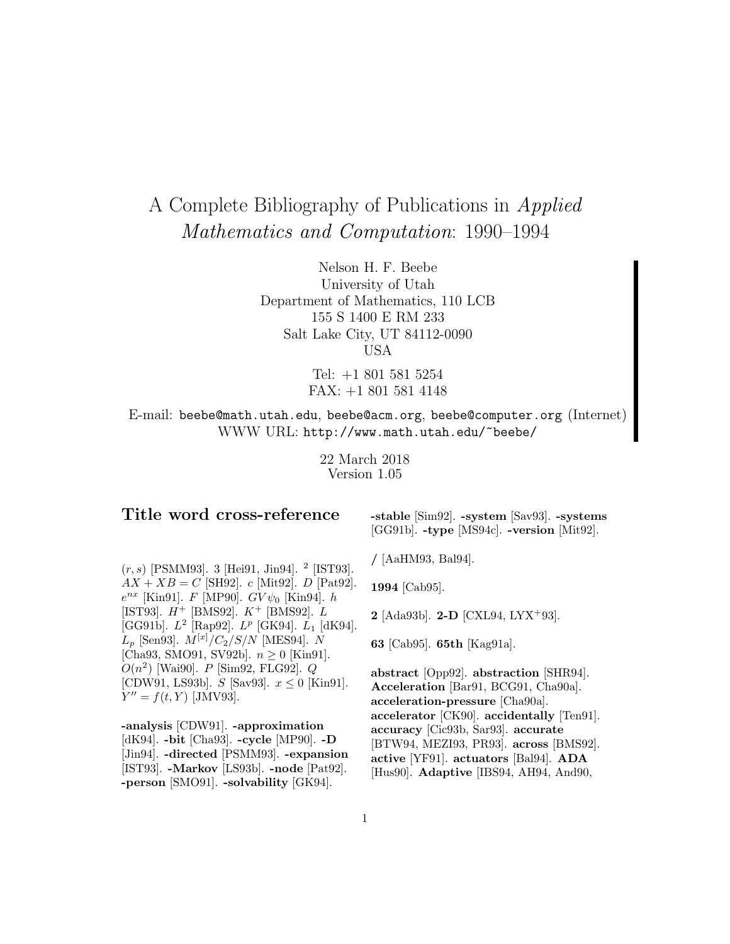# A Complete Bibliography of Publications in Applied Mathematics and Computation: 1990–1994

Nelson H. F. Beebe University of Utah Department of Mathematics, 110 LCB 155 S 1400 E RM 233 Salt Lake City, UT 84112-0090 USA

> Tel: +1 801 581 5254 FAX: +1 801 581 4148

E-mail: beebe@math.utah.edu, beebe@acm.org, beebe@computer.org (Internet) WWW URL: http://www.math.utah.edu/~beebe/

> 22 March 2018 Version 1.05

# **Title word cross-reference**

**-stable** [Sim92]. **-system** [Sav93]. **-systems** [GG91b]. **-type** [MS94c]. **-version** [Mit92].

 $(r, s)$  [PSMM93]. 3 [Hei91, Jin94]. <sup>2</sup> [IST93].  $AX + XB = C$  [SH92]. c [Mit92]. D [Pat92].  $e^{nx}$  [Kin91]. F [MP90].  $GV\psi_0$  [Kin94]. h [IST93].  $H^+$  [BMS92].  $K^+$  [BMS92].  $L$ [GG91b].  $L^2$  [Rap92].  $L^p$  [GK94].  $L_1$  [dK94].  $L_p$  [Sen93].  $M^{[x]}/C_2/S/N$  [MES94]. N [Cha93, SMO91, SV92b].  $n \ge 0$  [Kin91].  $O(n^2)$  [Wai90]. P [Sim92, FLG92]. Q [CDW91, LS93b].  $S$  [Sav93].  $x \le 0$  [Kin91].  $Y'' = f(t, Y)$  [JMV93].

**-analysis** [CDW91]. **-approximation** [dK94]. **-bit** [Cha93]. **-cycle** [MP90]. **-D** [Jin94]. **-directed** [PSMM93]. **-expansion** [IST93]. **-Markov** [LS93b]. **-node** [Pat92]. **-person** [SMO91]. **-solvability** [GK94].

**/** [AaHM93, Bal94].

**1994** [Cab95].

**2** [Ada93b]. **2-D** [CXL94, LYX<sup>+</sup>93].

**63** [Cab95]. **65th** [Kag91a].

**abstract** [Opp92]. **abstraction** [SHR94]. **Acceleration** [Bar91, BCG91, Cha90a]. **acceleration-pressure** [Cha90a]. **accelerator** [CK90]. **accidentally** [Ten91]. **accuracy** [Cic93b, Sar93]. **accurate** [BTW94, MEZI93, PR93]. **across** [BMS92]. **active** [YF91]. **actuators** [Bal94]. **ADA** [Hus90]. **Adaptive** [IBS94, AH94, And90,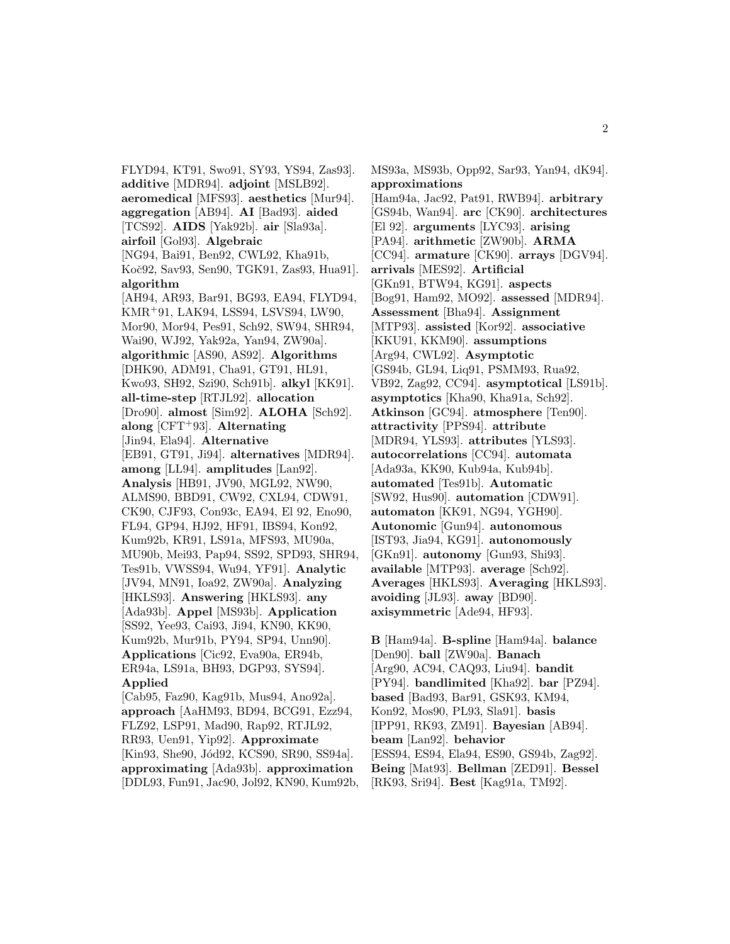FLYD94, KT91, Swo91, SY93, YS94, Zas93]. **additive** [MDR94]. **adjoint** [MSLB92]. **aeromedical** [MFS93]. **aesthetics** [Mur94]. **aggregation** [AB94]. **AI** [Bad93]. **aided** [TCS92]. **AIDS** [Yak92b]. **air** [Sla93a]. **airfoil** [Gol93]. **Algebraic** [NG94, Bai91, Ben92, CWL92, Kha91b, Koˇc92, Sav93, Sen90, TGK91, Zas93, Hua91]. **algorithm** [AH94, AR93, Bar91, BG93, EA94, FLYD94, KMR<sup>+</sup>91, LAK94, LSS94, LSVS94, LW90, Mor90, Mor94, Pes91, Sch92, SW94, SHR94, Wai90, WJ92, Yak92a, Yan94, ZW90a]. **algorithmic** [AS90, AS92]. **Algorithms** [DHK90, ADM91, Cha91, GT91, HL91, Kwo93, SH92, Szi90, Sch91b]. **alkyl** [KK91]. **all-time-step** [RTJL92]. **allocation** [Dro90]. **almost** [Sim92]. **ALOHA** [Sch92]. **along** [CFT<sup>+</sup>93]. **Alternating** [Jin94, Ela94]. **Alternative** [EB91, GT91, Ji94]. **alternatives** [MDR94]. **among** [LL94]. **amplitudes** [Lan92]. **Analysis** [HB91, JV90, MGL92, NW90, ALMS90, BBD91, CW92, CXL94, CDW91, CK90, CJF93, Con93c, EA94, El 92, Eno90, FL94, GP94, HJ92, HF91, IBS94, Kon92, Kum92b, KR91, LS91a, MFS93, MU90a, MU90b, Mei93, Pap94, SS92, SPD93, SHR94, Tes91b, VWSS94, Wu94, YF91]. **Analytic** [JV94, MN91, Ioa92, ZW90a]. **Analyzing** [HKLS93]. **Answering** [HKLS93]. **any** [Ada93b]. **Appel** [MS93b]. **Application** [SS92, Yee93, Cai93, Ji94, KN90, KK90, Kum92b, Mur91b, PY94, SP94, Unn90]. **Applications** [Cic92, Eva90a, ER94b, ER94a, LS91a, BH93, DGP93, SYS94]. **Applied** [Cab95, Faz90, Kag91b, Mus94, Ano92a].

**approach** [AaHM93, BD94, BCG91, Ezz94, FLZ92, LSP91, Mad90, Rap92, RTJL92, RR93, Uen91, Yip92]. **Approximate** [Kin93, She90, Jód92, KCS90, SR90, SS94a]. **approximating** [Ada93b]. **approximation** [DDL93, Fun91, Jac90, Jol92, KN90, Kum92b,

MS93a, MS93b, Opp92, Sar93, Yan94, dK94]. **approximations** [Ham94a, Jac92, Pat91, RWB94]. **arbitrary** [GS94b, Wan94]. **arc** [CK90]. **architectures** [El 92]. **arguments** [LYC93]. **arising** [PA94]. **arithmetic** [ZW90b]. **ARMA** [CC94]. **armature** [CK90]. **arrays** [DGV94]. **arrivals** [MES92]. **Artificial** [GKn91, BTW94, KG91]. **aspects** [Bog91, Ham92, MO92]. **assessed** [MDR94]. **Assessment** [Bha94]. **Assignment** [MTP93]. **assisted** [Kor92]. **associative** [KKU91, KKM90]. **assumptions** [Arg94, CWL92]. **Asymptotic** [GS94b, GL94, Liq91, PSMM93, Rua92, VB92, Zag92, CC94]. **asymptotical** [LS91b]. **asymptotics** [Kha90, Kha91a, Sch92]. **Atkinson** [GC94]. **atmosphere** [Ten90]. **attractivity** [PPS94]. **attribute** [MDR94, YLS93]. **attributes** [YLS93]. **autocorrelations** [CC94]. **automata** [Ada93a, KK90, Kub94a, Kub94b]. **automated** [Tes91b]. **Automatic** [SW92, Hus90]. **automation** [CDW91]. **automaton** [KK91, NG94, YGH90]. **Autonomic** [Gun94]. **autonomous** [IST93, Jia94, KG91]. **autonomously** [GKn91]. **autonomy** [Gun93, Shi93]. **available** [MTP93]. **average** [Sch92]. **Averages** [HKLS93]. **Averaging** [HKLS93]. **avoiding** [JL93]. **away** [BD90]. **axisymmetric** [Ade94, HF93].

**B** [Ham94a]. **B-spline** [Ham94a]. **balance** [Den90]. **ball** [ZW90a]. **Banach** [Arg90, AC94, CAQ93, Liu94]. **bandit** [PY94]. **bandlimited** [Kha92]. **bar** [PZ94]. **based** [Bad93, Bar91, GSK93, KM94, Kon92, Mos90, PL93, Sla91]. **basis** [IPP91, RK93, ZM91]. **Bayesian** [AB94]. **beam** [Lan92]. **behavior** [ESS94, ES94, Ela94, ES90, GS94b, Zag92]. **Being** [Mat93]. **Bellman** [ZED91]. **Bessel** [RK93, Sri94]. **Best** [Kag91a, TM92].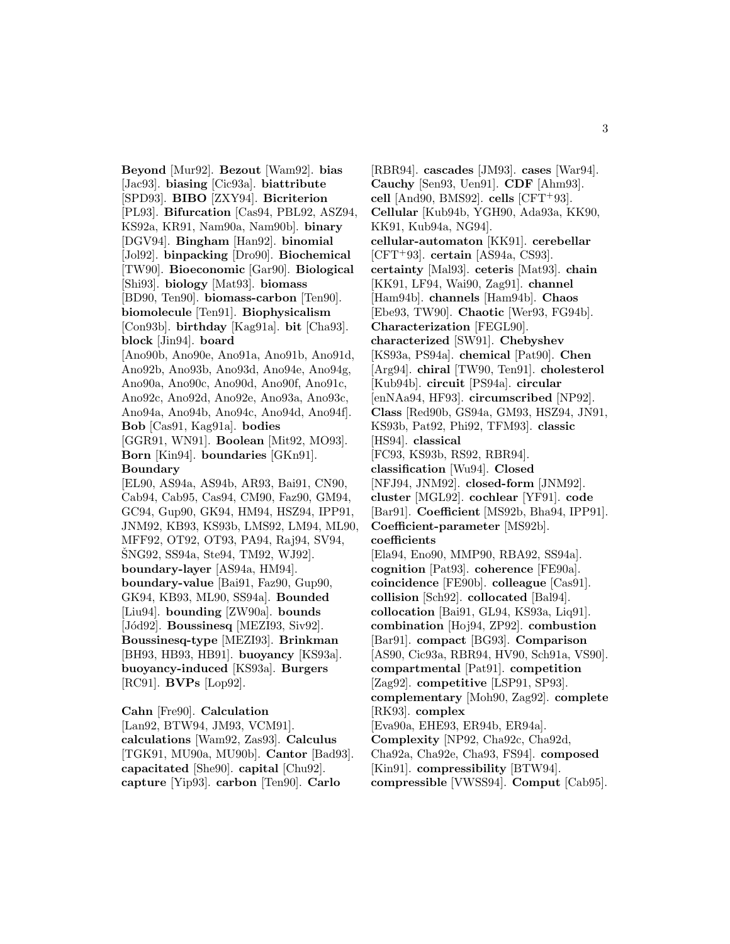**Beyond** [Mur92]. **Bezout** [Wam92]. **bias** [Jac93]. **biasing** [Cic93a]. **biattribute** [SPD93]. **BIBO** [ZXY94]. **Bicriterion** [PL93]. **Bifurcation** [Cas94, PBL92, ASZ94, KS92a, KR91, Nam90a, Nam90b]. **binary** [DGV94]. **Bingham** [Han92]. **binomial** [Jol92]. **binpacking** [Dro90]. **Biochemical** [TW90]. **Bioeconomic** [Gar90]. **Biological** [Shi93]. **biology** [Mat93]. **biomass** [BD90, Ten90]. **biomass-carbon** [Ten90]. **biomolecule** [Ten91]. **Biophysicalism** [Con93b]. **birthday** [Kag91a]. **bit** [Cha93]. **block** [Jin94]. **board** [Ano90b, Ano90e, Ano91a, Ano91b, Ano91d, Ano92b, Ano93b, Ano93d, Ano94e, Ano94g, Ano90a, Ano90c, Ano90d, Ano90f, Ano91c, Ano92c, Ano92d, Ano92e, Ano93a, Ano93c, Ano94a, Ano94b, Ano94c, Ano94d, Ano94f]. **Bob** [Cas91, Kag91a]. **bodies** [GGR91, WN91]. **Boolean** [Mit92, MO93]. **Born** [Kin94]. **boundaries** [GKn91]. **Boundary** [EL90, AS94a, AS94b, AR93, Bai91, CN90, Cab94, Cab95, Cas94, CM90, Faz90, GM94, GC94, Gup90, GK94, HM94, HSZ94, IPP91, JNM92, KB93, KS93b, LMS92, LM94, ML90, MFF92, OT92, OT93, PA94, Raj94, SV94, SNG92, SS94a, Ste94, TM92, WJ92. **boundary-layer** [AS94a, HM94]. **boundary-value** [Bai91, Faz90, Gup90, GK94, KB93, ML90, SS94a]. **Bounded** [Liu94]. **bounding** [ZW90a]. **bounds** [J´od92]. **Boussinesq** [MEZI93, Siv92]. **Boussinesq-type** [MEZI93]. **Brinkman** [BH93, HB93, HB91]. **buoyancy** [KS93a]. **buoyancy-induced** [KS93a]. **Burgers** [RC91]. **BVPs** [Lop92].

**Cahn** [Fre90]. **Calculation** [Lan92, BTW94, JM93, VCM91]. **calculations** [Wam92, Zas93]. **Calculus** [TGK91, MU90a, MU90b]. **Cantor** [Bad93]. **capacitated** [She90]. **capital** [Chu92]. **capture** [Yip93]. **carbon** [Ten90]. **Carlo**

[RBR94]. **cascades** [JM93]. **cases** [War94]. **Cauchy** [Sen93, Uen91]. **CDF** [Ahm93]. **cell** [And90, BMS92]. **cells** [CFT<sup>+</sup>93]. **Cellular** [Kub94b, YGH90, Ada93a, KK90, KK91, Kub94a, NG94]. **cellular-automaton** [KK91]. **cerebellar** [CFT<sup>+</sup>93]. **certain** [AS94a, CS93]. **certainty** [Mal93]. **ceteris** [Mat93]. **chain** [KK91, LF94, Wai90, Zag91]. **channel** [Ham94b]. **channels** [Ham94b]. **Chaos** [Ebe93, TW90]. **Chaotic** [Wer93, FG94b]. **Characterization** [FEGL90]. **characterized** [SW91]. **Chebyshev** [KS93a, PS94a]. **chemical** [Pat90]. **Chen** [Arg94]. **chiral** [TW90, Ten91]. **cholesterol** [Kub94b]. **circuit** [PS94a]. **circular** [enNAa94, HF93]. **circumscribed** [NP92]. **Class** [Red90b, GS94a, GM93, HSZ94, JN91, KS93b, Pat92, Phi92, TFM93]. **classic** [HS94]. **classical** [FC93, KS93b, RS92, RBR94]. **classification** [Wu94]. **Closed** [NFJ94, JNM92]. **closed-form** [JNM92]. **cluster** [MGL92]. **cochlear** [YF91]. **code** [Bar91]. **Coefficient** [MS92b, Bha94, IPP91]. **Coefficient-parameter** [MS92b]. **coefficients** [Ela94, Eno90, MMP90, RBA92, SS94a]. **cognition** [Pat93]. **coherence** [FE90a]. **coincidence** [FE90b]. **colleague** [Cas91]. **collision** [Sch92]. **collocated** [Bal94]. **collocation** [Bai91, GL94, KS93a, Liq91]. **combination** [Hoj94, ZP92]. **combustion** [Bar91]. **compact** [BG93]. **Comparison** [AS90, Cic93a, RBR94, HV90, Sch91a, VS90]. **compartmental** [Pat91]. **competition** [Zag92]. **competitive** [LSP91, SP93]. **complementary** [Moh90, Zag92]. **complete** [RK93]. **complex** [Eva90a, EHE93, ER94b, ER94a]. **Complexity** [NP92, Cha92c, Cha92d, Cha92a, Cha92e, Cha93, FS94]. **composed** [Kin91]. **compressibility** [BTW94]. **compressible** [VWSS94]. **Comput** [Cab95].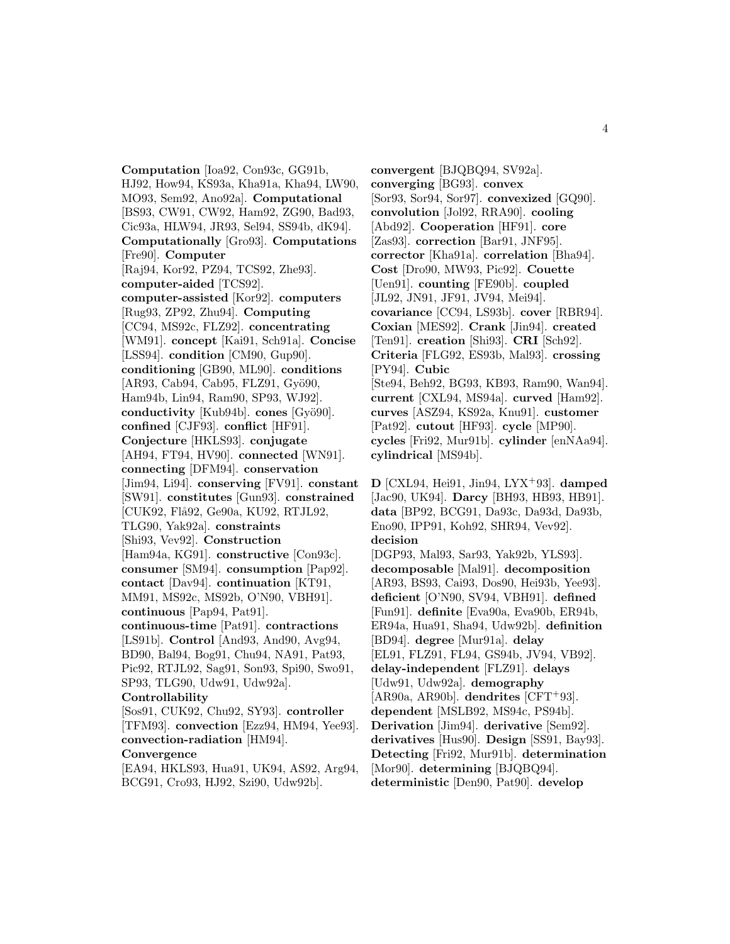**Computation** [Ioa92, Con93c, GG91b, HJ92, How94, KS93a, Kha91a, Kha94, LW90, MO93, Sem92, Ano92a]. **Computational** [BS93, CW91, CW92, Ham92, ZG90, Bad93, Cic93a, HLW94, JR93, Sel94, SS94b, dK94]. **Computationally** [Gro93]. **Computations** [Fre90]. **Computer** [Raj94, Kor92, PZ94, TCS92, Zhe93]. **computer-aided** [TCS92]. **computer-assisted** [Kor92]. **computers** [Rug93, ZP92, Zhu94]. **Computing** [CC94, MS92c, FLZ92]. **concentrating** [WM91]. **concept** [Kai91, Sch91a]. **Concise** [LSS94]. **condition** [CM90, Gup90]. **conditioning** [GB90, ML90]. **conditions** [AR93, Cab94, Cab95, FLZ91, Gyö90, Ham94b, Lin94, Ram90, SP93, WJ92]. **conductivity** [Kub94b]. **cones** [Gyö90]. **confined** [CJF93]. **conflict** [HF91]. **Conjecture** [HKLS93]. **conjugate** [AH94, FT94, HV90]. **connected** [WN91]. **connecting** [DFM94]. **conservation** [Jim94, Li94]. **conserving** [FV91]. **constant** [SW91]. **constitutes** [Gun93]. **constrained** [CUK92, Flå92, Ge90a, KU92, RTJL92, TLG90, Yak92a]. **constraints** [Shi93, Vev92]. **Construction** [Ham94a, KG91]. **constructive** [Con93c]. **consumer** [SM94]. **consumption** [Pap92]. **contact** [Dav94]. **continuation** [KT91, MM91, MS92c, MS92b, O'N90, VBH91]. **continuous** [Pap94, Pat91]. **continuous-time** [Pat91]. **contractions** [LS91b]. **Control** [And93, And90, Avg94, BD90, Bal94, Bog91, Chu94, NA91, Pat93, Pic92, RTJL92, Sag91, Son93, Spi90, Swo91, SP93, TLG90, Udw91, Udw92a]. **Controllability** [Sos91, CUK92, Chu92, SY93]. **controller** [TFM93]. **convection** [Ezz94, HM94, Yee93]. **convection-radiation** [HM94]. **Convergence** [EA94, HKLS93, Hua91, UK94, AS92, Arg94, BCG91, Cro93, HJ92, Szi90, Udw92b].

**convergent** [BJQBQ94, SV92a]. **converging** [BG93]. **convex** [Sor93, Sor94, Sor97]. **convexized** [GQ90]. **convolution** [Jol92, RRA90]. **cooling** [Abd92]. **Cooperation** [HF91]. **core** [Zas93]. **correction** [Bar91, JNF95]. **corrector** [Kha91a]. **correlation** [Bha94]. **Cost** [Dro90, MW93, Pic92]. **Couette** [Uen91]. **counting** [FE90b]. **coupled** [JL92, JN91, JF91, JV94, Mei94]. **covariance** [CC94, LS93b]. **cover** [RBR94]. **Coxian** [MES92]. **Crank** [Jin94]. **created** [Ten91]. **creation** [Shi93]. **CRI** [Sch92]. **Criteria** [FLG92, ES93b, Mal93]. **crossing** [PY94]. **Cubic** [Ste94, Beh92, BG93, KB93, Ram90, Wan94]. **current** [CXL94, MS94a]. **curved** [Ham92]. **curves** [ASZ94, KS92a, Knu91]. **customer** [Pat92]. **cutout** [HF93]. **cycle** [MP90]. **cycles** [Fri92, Mur91b]. **cylinder** [enNAa94]. **cylindrical** [MS94b].

**D** [CXL94, Hei91, Jin94, LYX<sup>+</sup>93]. **damped** [Jac90, UK94]. **Darcy** [BH93, HB93, HB91]. **data** [BP92, BCG91, Da93c, Da93d, Da93b, Eno90, IPP91, Koh92, SHR94, Vev92]. **decision** [DGP93, Mal93, Sar93, Yak92b, YLS93]. **decomposable** [Mal91]. **decomposition** [AR93, BS93, Cai93, Dos90, Hei93b, Yee93]. **deficient** [O'N90, SV94, VBH91]. **defined** [Fun91]. **definite** [Eva90a, Eva90b, ER94b, ER94a, Hua91, Sha94, Udw92b]. **definition** [BD94]. **degree** [Mur91a]. **delay** [EL91, FLZ91, FL94, GS94b, JV94, VB92]. **delay-independent** [FLZ91]. **delays** [Udw91, Udw92a]. **demography** [AR90a, AR90b]. **dendrites** [CFT<sup>+</sup>93]. **dependent** [MSLB92, MS94c, PS94b]. **Derivation** [Jim94]. **derivative** [Sem92]. **derivatives** [Hus90]. **Design** [SS91, Bay93]. **Detecting** [Fri92, Mur91b]. **determination** [Mor90]. **determining** [BJQBQ94]. **deterministic** [Den90, Pat90]. **develop**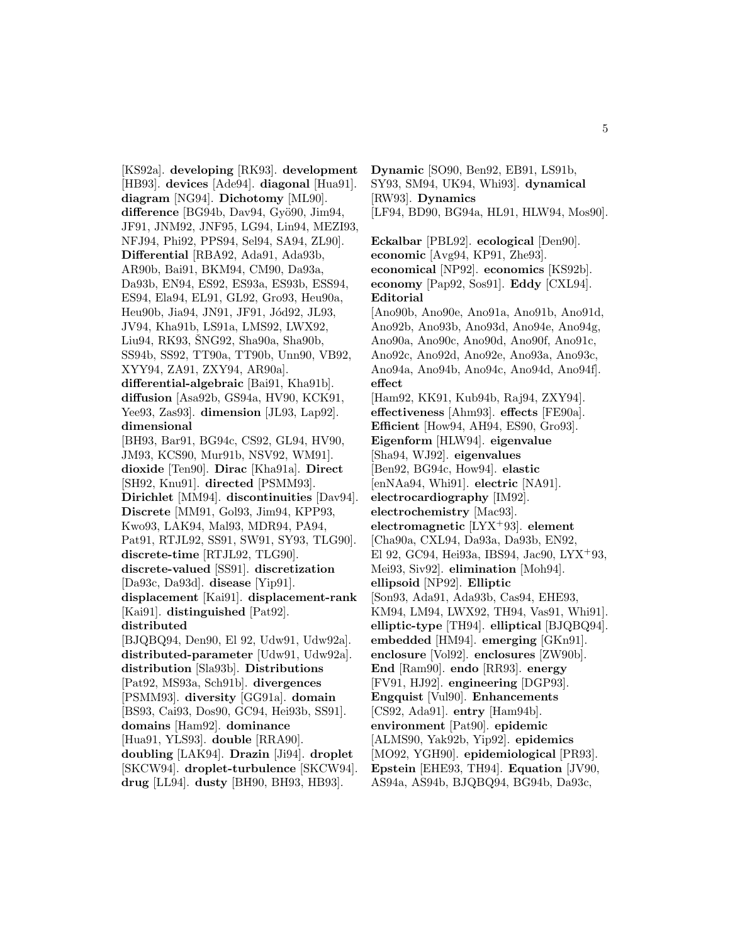[KS92a]. **developing** [RK93]. **development** [HB93]. **devices** [Ade94]. **diagonal** [Hua91]. **diagram** [NG94]. **Dichotomy** [ML90]. **difference** [BG94b, Dav94, Gyö90, Jim94, JF91, JNM92, JNF95, LG94, Lin94, MEZI93, NFJ94, Phi92, PPS94, Sel94, SA94, ZL90]. **Differential** [RBA92, Ada91, Ada93b, AR90b, Bai91, BKM94, CM90, Da93a, Da93b, EN94, ES92, ES93a, ES93b, ESS94, ES94, Ela94, EL91, GL92, Gro93, Heu90a, Heu90b, Jia94, JN91, JF91, Jód92, JL93, JV94, Kha91b, LS91a, LMS92, LWX92, Liu94, RK93, ŠNG92, Sha90a, Sha90b, SS94b, SS92, TT90a, TT90b, Unn90, VB92, XYY94, ZA91, ZXY94, AR90a]. **differential-algebraic** [Bai91, Kha91b]. **diffusion** [Asa92b, GS94a, HV90, KCK91, Yee93, Zas93]. **dimension** [JL93, Lap92]. **dimensional** [BH93, Bar91, BG94c, CS92, GL94, HV90, JM93, KCS90, Mur91b, NSV92, WM91]. **dioxide** [Ten90]. **Dirac** [Kha91a]. **Direct** [SH92, Knu91]. **directed** [PSMM93]. **Dirichlet** [MM94]. **discontinuities** [Dav94]. **Discrete** [MM91, Gol93, Jim94, KPP93, Kwo93, LAK94, Mal93, MDR94, PA94, Pat91, RTJL92, SS91, SW91, SY93, TLG90]. **discrete-time** [RTJL92, TLG90]. **discrete-valued** [SS91]. **discretization** [Da93c, Da93d]. **disease** [Yip91]. **displacement** [Kai91]. **displacement-rank** [Kai91]. **distinguished** [Pat92]. **distributed** [BJQBQ94, Den90, El 92, Udw91, Udw92a]. **distributed-parameter** [Udw91, Udw92a]. **distribution** [Sla93b]. **Distributions** [Pat92, MS93a, Sch91b]. **divergences** [PSMM93]. **diversity** [GG91a]. **domain** [BS93, Cai93, Dos90, GC94, Hei93b, SS91]. **domains** [Ham92]. **dominance** [Hua91, YLS93]. **double** [RRA90]. **doubling** [LAK94]. **Drazin** [Ji94]. **droplet** [SKCW94]. **droplet-turbulence** [SKCW94].

**drug** [LL94]. **dusty** [BH90, BH93, HB93].

SY93, SM94, UK94, Whi93]. **dynamical** [RW93]. **Dynamics** [LF94, BD90, BG94a, HL91, HLW94, Mos90]. **Eckalbar** [PBL92]. **ecological** [Den90]. **economic** [Avg94, KP91, Zhe93]. **economical** [NP92]. **economics** [KS92b]. **economy** [Pap92, Sos91]. **Eddy** [CXL94]. **Editorial** [Ano90b, Ano90e, Ano91a, Ano91b, Ano91d, Ano92b, Ano93b, Ano93d, Ano94e, Ano94g, Ano90a, Ano90c, Ano90d, Ano90f, Ano91c, Ano92c, Ano92d, Ano92e, Ano93a, Ano93c, Ano94a, Ano94b, Ano94c, Ano94d, Ano94f]. **effect** [Ham92, KK91, Kub94b, Raj94, ZXY94]. **effectiveness** [Ahm93]. **effects** [FE90a]. **Efficient** [How94, AH94, ES90, Gro93]. **Eigenform** [HLW94]. **eigenvalue** [Sha94, WJ92]. **eigenvalues** [Ben92, BG94c, How94]. **elastic** [enNAa94, Whi91]. **electric** [NA91]. **electrocardiography** [IM92]. **electrochemistry** [Mac93]. **electromagnetic** [LYX<sup>+</sup>93]. **element** [Cha90a, CXL94, Da93a, Da93b, EN92, El 92, GC94, Hei93a, IBS94, Jac90, LYX<sup>+</sup>93, Mei93, Siv92]. **elimination** [Moh94]. **ellipsoid** [NP92]. **Elliptic** [Son93, Ada91, Ada93b, Cas94, EHE93, KM94, LM94, LWX92, TH94, Vas91, Whi91]. **elliptic-type** [TH94]. **elliptical** [BJQBQ94]. **embedded** [HM94]. **emerging** [GKn91]. **enclosure** [Vol92]. **enclosures** [ZW90b]. **End** [Ram90]. **endo** [RR93]. **energy** [FV91, HJ92]. **engineering** [DGP93]. **Engquist** [Vul90]. **Enhancements** [CS92, Ada91]. **entry** [Ham94b]. **environment** [Pat90]. **epidemic** [ALMS90, Yak92b, Yip92]. **epidemics** [MO92, YGH90]. **epidemiological** [PR93]. **Epstein** [EHE93, TH94]. **Equation** [JV90, AS94a, AS94b, BJQBQ94, BG94b, Da93c,

**Dynamic** [SO90, Ben92, EB91, LS91b,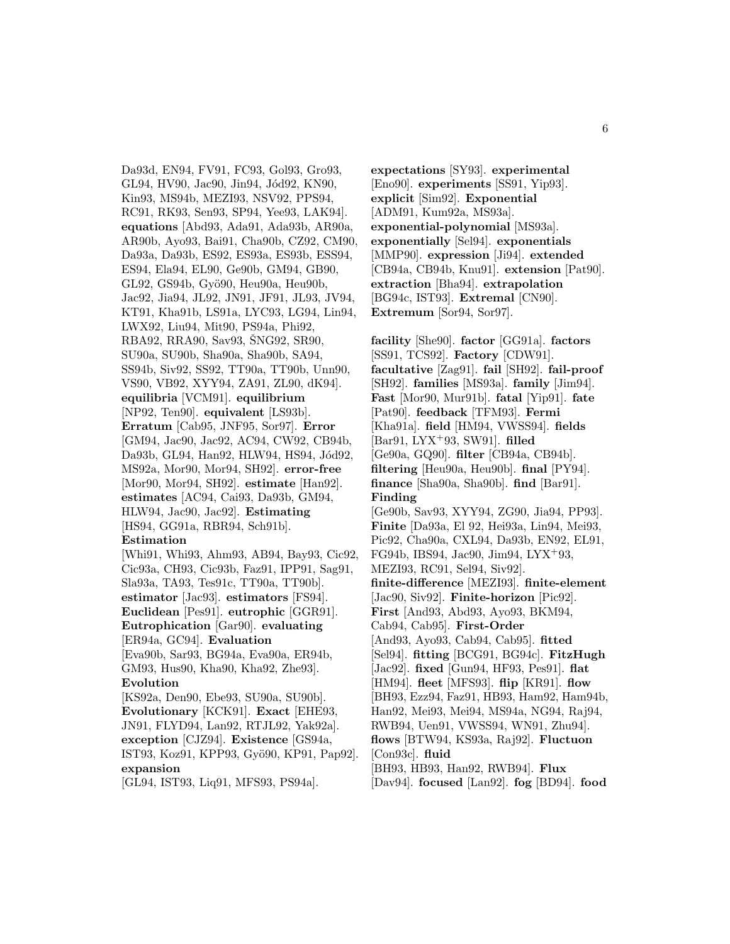Da93d, EN94, FV91, FC93, Gol93, Gro93, GL94, HV90, Jac90, Jin94, Jód92, KN90, Kin93, MS94b, MEZI93, NSV92, PPS94, RC91, RK93, Sen93, SP94, Yee93, LAK94]. **equations** [Abd93, Ada91, Ada93b, AR90a, AR90b, Ayo93, Bai91, Cha90b, CZ92, CM90, Da93a, Da93b, ES92, ES93a, ES93b, ESS94, ES94, Ela94, EL90, Ge90b, GM94, GB90, GL92, GS94b, Gyö90, Heu90a, Heu90b, Jac92, Jia94, JL92, JN91, JF91, JL93, JV94, KT91, Kha91b, LS91a, LYC93, LG94, Lin94, LWX92, Liu94, Mit90, PS94a, Phi92, RBA92, RRA90, Sav93, ŠNG92, SR90, SU90a, SU90b, Sha90a, Sha90b, SA94, SS94b, Siv92, SS92, TT90a, TT90b, Unn90, VS90, VB92, XYY94, ZA91, ZL90, dK94]. **equilibria** [VCM91]. **equilibrium** [NP92, Ten90]. **equivalent** [LS93b]. **Erratum** [Cab95, JNF95, Sor97]. **Error** [GM94, Jac90, Jac92, AC94, CW92, CB94b, Da93b, GL94, Han92, HLW94, HS94, Jód92, MS92a, Mor90, Mor94, SH92]. **error-free** [Mor90, Mor94, SH92]. **estimate** [Han92]. **estimates** [AC94, Cai93, Da93b, GM94, HLW94, Jac90, Jac92]. **Estimating** [HS94, GG91a, RBR94, Sch91b]. **Estimation** [Whi91, Whi93, Ahm93, AB94, Bay93, Cic92, Cic93a, CH93, Cic93b, Faz91, IPP91, Sag91, Sla93a, TA93, Tes91c, TT90a, TT90b]. **estimator** [Jac93]. **estimators** [FS94]. **Euclidean** [Pes91]. **eutrophic** [GGR91]. **Eutrophication** [Gar90]. **evaluating** [ER94a, GC94]. **Evaluation** [Eva90b, Sar93, BG94a, Eva90a, ER94b, GM93, Hus90, Kha90, Kha92, Zhe93]. **Evolution** [KS92a, Den90, Ebe93, SU90a, SU90b]. **Evolutionary** [KCK91]. **Exact** [EHE93, JN91, FLYD94, Lan92, RTJL92, Yak92a]. **exception** [CJZ94]. **Existence** [GS94a, IST93, Koz91, KPP93, Gyö90, KP91, Pap92].

# **expansion**

[GL94, IST93, Liq91, MFS93, PS94a].

**expectations** [SY93]. **experimental** [Eno90]. **experiments** [SS91, Yip93]. **explicit** [Sim92]. **Exponential** [ADM91, Kum92a, MS93a]. **exponential-polynomial** [MS93a]. **exponentially** [Sel94]. **exponentials** [MMP90]. **expression** [Ji94]. **extended** [CB94a, CB94b, Knu91]. **extension** [Pat90]. **extraction** [Bha94]. **extrapolation** [BG94c, IST93]. **Extremal** [CN90]. **Extremum** [Sor94, Sor97].

**facility** [She90]. **factor** [GG91a]. **factors** [SS91, TCS92]. **Factory** [CDW91]. **facultative** [Zag91]. **fail** [SH92]. **fail-proof** [SH92]. **families** [MS93a]. **family** [Jim94]. **Fast** [Mor90, Mur91b]. **fatal** [Yip91]. **fate** [Pat90]. **feedback** [TFM93]. **Fermi** [Kha91a]. **field** [HM94, VWSS94]. **fields** [Bar91, LYX<sup>+</sup>93, SW91]. **filled** [Ge90a, GQ90]. **filter** [CB94a, CB94b]. **filtering** [Heu90a, Heu90b]. **final** [PY94]. **finance** [Sha90a, Sha90b]. **find** [Bar91]. **Finding** [Ge90b, Sav93, XYY94, ZG90, Jia94, PP93]. **Finite** [Da93a, El 92, Hei93a, Lin94, Mei93, Pic92, Cha90a, CXL94, Da93b, EN92, EL91, FG94b, IBS94, Jac90, Jim94, LYX<sup>+</sup>93, MEZI93, RC91, Sel94, Siv92]. **finite-difference** [MEZI93]. **finite-element** [Jac90, Siv92]. **Finite-horizon** [Pic92]. **First** [And93, Abd93, Ayo93, BKM94, Cab94, Cab95]. **First-Order** [And93, Ayo93, Cab94, Cab95]. **fitted** [Sel94]. **fitting** [BCG91, BG94c]. **FitzHugh** [Jac92]. **fixed** [Gun94, HF93, Pes91]. **flat** [HM94]. **fleet** [MFS93]. **flip** [KR91]. **flow** [BH93, Ezz94, Faz91, HB93, Ham92, Ham94b, Han92, Mei93, Mei94, MS94a, NG94, Raj94, RWB94, Uen91, VWSS94, WN91, Zhu94]. **flows** [BTW94, KS93a, Raj92]. **Fluctuon** [Con93c]. **fluid** [BH93, HB93, Han92, RWB94]. **Flux** [Dav94]. **focused** [Lan92]. **fog** [BD94]. **food**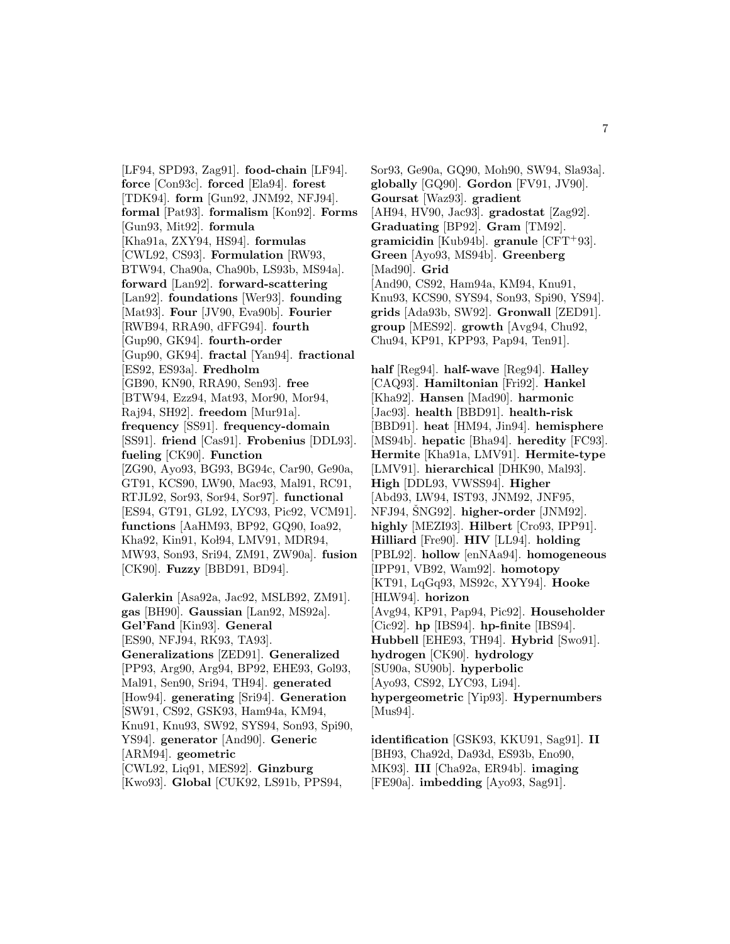[LF94, SPD93, Zag91]. **food-chain** [LF94]. **force** [Con93c]. **forced** [Ela94]. **forest** [TDK94]. **form** [Gun92, JNM92, NFJ94]. **formal** [Pat93]. **formalism** [Kon92]. **Forms** [Gun93, Mit92]. **formula** [Kha91a, ZXY94, HS94]. **formulas** [CWL92, CS93]. **Formulation** [RW93, BTW94, Cha90a, Cha90b, LS93b, MS94a]. **forward** [Lan92]. **forward-scattering** [Lan92]. **foundations** [Wer93]. **founding** [Mat93]. **Four** [JV90, Eva90b]. **Fourier** [RWB94, RRA90, dFFG94]. **fourth** [Gup90, GK94]. **fourth-order** [Gup90, GK94]. **fractal** [Yan94]. **fractional** [ES92, ES93a]. **Fredholm** [GB90, KN90, RRA90, Sen93]. **free** [BTW94, Ezz94, Mat93, Mor90, Mor94, Raj94, SH92]. **freedom** [Mur91a]. **frequency** [SS91]. **frequency-domain** [SS91]. **friend** [Cas91]. **Frobenius** [DDL93]. **fueling** [CK90]. **Function** [ZG90, Ayo93, BG93, BG94c, Car90, Ge90a, GT91, KCS90, LW90, Mac93, Mal91, RC91, RTJL92, Sor93, Sor94, Sor97]. **functional** [ES94, GT91, GL92, LYC93, Pic92, VCM91]. **functions** [AaHM93, BP92, GQ90, Ioa92, Kha92, Kin91, Koł94, LMV91, MDR94, MW93, Son93, Sri94, ZM91, ZW90a]. **fusion** [CK90]. **Fuzzy** [BBD91, BD94]. **Galerkin** [Asa92a, Jac92, MSLB92, ZM91]. **gas** [BH90]. **Gaussian** [Lan92, MS92a].

**Gel'Fand** [Kin93]. **General** [ES90, NFJ94, RK93, TA93]. **Generalizations** [ZED91]. **Generalized** [PP93, Arg90, Arg94, BP92, EHE93, Gol93, Mal91, Sen90, Sri94, TH94]. **generated** [How94]. **generating** [Sri94]. **Generation** [SW91, CS92, GSK93, Ham94a, KM94, Knu91, Knu93, SW92, SYS94, Son93, Spi90, YS94]. **generator** [And90]. **Generic** [ARM94]. **geometric** [CWL92, Liq91, MES92]. **Ginzburg** [Kwo93]. **Global** [CUK92, LS91b, PPS94,

Sor93, Ge90a, GQ90, Moh90, SW94, Sla93a]. **globally** [GQ90]. **Gordon** [FV91, JV90]. **Goursat** [Waz93]. **gradient** [AH94, HV90, Jac93]. **gradostat** [Zag92]. **Graduating** [BP92]. **Gram** [TM92]. **gramicidin** [Kub94b]. **granule** [CFT<sup>+</sup>93]. **Green** [Ayo93, MS94b]. **Greenberg** [Mad90]. **Grid** [And90, CS92, Ham94a, KM94, Knu91, Knu93, KCS90, SYS94, Son93, Spi90, YS94]. **grids** [Ada93b, SW92]. **Gronwall** [ZED91]. **group** [MES92]. **growth** [Avg94, Chu92, Chu94, KP91, KPP93, Pap94, Ten91].

**half** [Reg94]. **half-wave** [Reg94]. **Halley** [CAQ93]. **Hamiltonian** [Fri92]. **Hankel** [Kha92]. **Hansen** [Mad90]. **harmonic** [Jac93]. **health** [BBD91]. **health-risk** [BBD91]. **heat** [HM94, Jin94]. **hemisphere** [MS94b]. **hepatic** [Bha94]. **heredity** [FC93]. **Hermite** [Kha91a, LMV91]. **Hermite-type** [LMV91]. **hierarchical** [DHK90, Mal93]. **High** [DDL93, VWSS94]. **Higher** [Abd93, LW94, IST93, JNM92, JNF95, NFJ94, SNG92. higher-order [JNM92]. **highly** [MEZI93]. **Hilbert** [Cro93, IPP91]. **Hilliard** [Fre90]. **HIV** [LL94]. **holding** [PBL92]. **hollow** [enNAa94]. **homogeneous** [IPP91, VB92, Wam92]. **homotopy** [KT91, LqGq93, MS92c, XYY94]. **Hooke** [HLW94]. **horizon** [Avg94, KP91, Pap94, Pic92]. **Householder** [Cic92]. **hp** [IBS94]. **hp-finite** [IBS94]. **Hubbell** [EHE93, TH94]. **Hybrid** [Swo91]. **hydrogen** [CK90]. **hydrology** [SU90a, SU90b]. **hyperbolic** [Ayo93, CS92, LYC93, Li94]. **hypergeometric** [Yip93]. **Hypernumbers** [Mus94].

**identification** [GSK93, KKU91, Sag91]. **II** [BH93, Cha92d, Da93d, ES93b, Eno90, MK93]. **III** [Cha92a, ER94b]. **imaging** [FE90a]. **imbedding** [Ayo93, Sag91].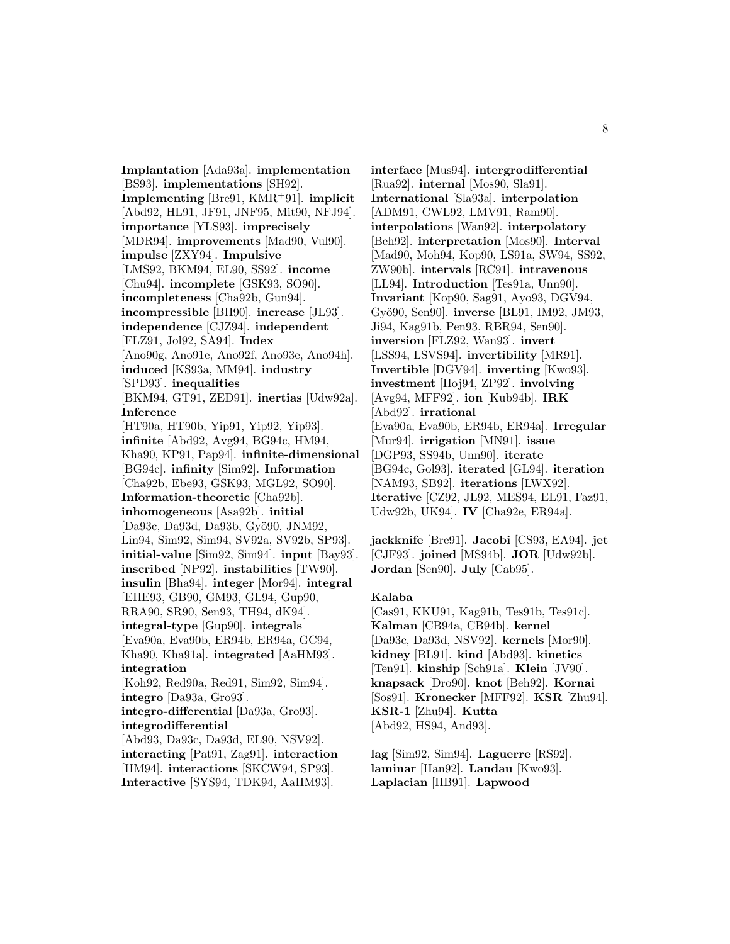**Implantation** [Ada93a]. **implementation** [BS93]. **implementations** [SH92]. **Implementing** [Bre91, KMR<sup>+</sup>91]. **implicit** [Abd92, HL91, JF91, JNF95, Mit90, NFJ94]. **importance** [YLS93]. **imprecisely** [MDR94]. **improvements** [Mad90, Vul90]. **impulse** [ZXY94]. **Impulsive** [LMS92, BKM94, EL90, SS92]. **income** [Chu94]. **incomplete** [GSK93, SO90]. **incompleteness** [Cha92b, Gun94]. **incompressible** [BH90]. **increase** [JL93]. **independence** [CJZ94]. **independent** [FLZ91, Jol92, SA94]. **Index** [Ano90g, Ano91e, Ano92f, Ano93e, Ano94h]. **induced** [KS93a, MM94]. **industry** [SPD93]. **inequalities** [BKM94, GT91, ZED91]. **inertias** [Udw92a]. **Inference** [HT90a, HT90b, Yip91, Yip92, Yip93]. **infinite** [Abd92, Avg94, BG94c, HM94, Kha90, KP91, Pap94]. **infinite-dimensional** [BG94c]. **infinity** [Sim92]. **Information** [Cha92b, Ebe93, GSK93, MGL92, SO90]. **Information-theoretic** [Cha92b]. **inhomogeneous** [Asa92b]. **initial** [Da93c, Da93d, Da93b, Gyö90, JNM92, Lin94, Sim92, Sim94, SV92a, SV92b, SP93]. **initial-value** [Sim92, Sim94]. **input** [Bay93]. **inscribed** [NP92]. **instabilities** [TW90]. **insulin** [Bha94]. **integer** [Mor94]. **integral** [EHE93, GB90, GM93, GL94, Gup90, RRA90, SR90, Sen93, TH94, dK94]. **integral-type** [Gup90]. **integrals** [Eva90a, Eva90b, ER94b, ER94a, GC94, Kha90, Kha91a]. **integrated** [AaHM93]. **integration** [Koh92, Red90a, Red91, Sim92, Sim94]. **integro** [Da93a, Gro93]. **integro-differential** [Da93a, Gro93]. **integrodifferential** [Abd93, Da93c, Da93d, EL90, NSV92]. **interacting** [Pat91, Zag91]. **interaction** [HM94]. **interactions** [SKCW94, SP93]. **Interactive** [SYS94, TDK94, AaHM93].

**interface** [Mus94]. **intergrodifferential** [Rua92]. **internal** [Mos90, Sla91]. **International** [Sla93a]. **interpolation** [ADM91, CWL92, LMV91, Ram90]. **interpolations** [Wan92]. **interpolatory** [Beh92]. **interpretation** [Mos90]. **Interval** [Mad90, Moh94, Kop90, LS91a, SW94, SS92, ZW90b]. **intervals** [RC91]. **intravenous** [LL94]. **Introduction** [Tes91a, Unn90]. **Invariant** [Kop90, Sag91, Ayo93, DGV94, Gy¨o90, Sen90]. **inverse** [BL91, IM92, JM93, Ji94, Kag91b, Pen93, RBR94, Sen90]. **inversion** [FLZ92, Wan93]. **invert** [LSS94, LSVS94]. **invertibility** [MR91]. **Invertible** [DGV94]. **inverting** [Kwo93]. **investment** [Hoj94, ZP92]. **involving** [Avg94, MFF92]. **ion** [Kub94b]. **IRK** [Abd92]. **irrational** [Eva90a, Eva90b, ER94b, ER94a]. **Irregular** [Mur94]. **irrigation** [MN91]. **issue** [DGP93, SS94b, Unn90]. **iterate** [BG94c, Gol93]. **iterated** [GL94]. **iteration** [NAM93, SB92]. **iterations** [LWX92]. **Iterative** [CZ92, JL92, MES94, EL91, Faz91, Udw92b, UK94]. **IV** [Cha92e, ER94a].

**jackknife** [Bre91]. **Jacobi** [CS93, EA94]. **jet** [CJF93]. **joined** [MS94b]. **JOR** [Udw92b]. **Jordan** [Sen90]. **July** [Cab95].

#### **Kalaba**

[Cas91, KKU91, Kag91b, Tes91b, Tes91c]. **Kalman** [CB94a, CB94b]. **kernel** [Da93c, Da93d, NSV92]. **kernels** [Mor90]. **kidney** [BL91]. **kind** [Abd93]. **kinetics** [Ten91]. **kinship** [Sch91a]. **Klein** [JV90]. **knapsack** [Dro90]. **knot** [Beh92]. **Kornai** [Sos91]. **Kronecker** [MFF92]. **KSR** [Zhu94]. **KSR-1** [Zhu94]. **Kutta** [Abd92, HS94, And93].

**lag** [Sim92, Sim94]. **Laguerre** [RS92]. **laminar** [Han92]. **Landau** [Kwo93]. **Laplacian** [HB91]. **Lapwood**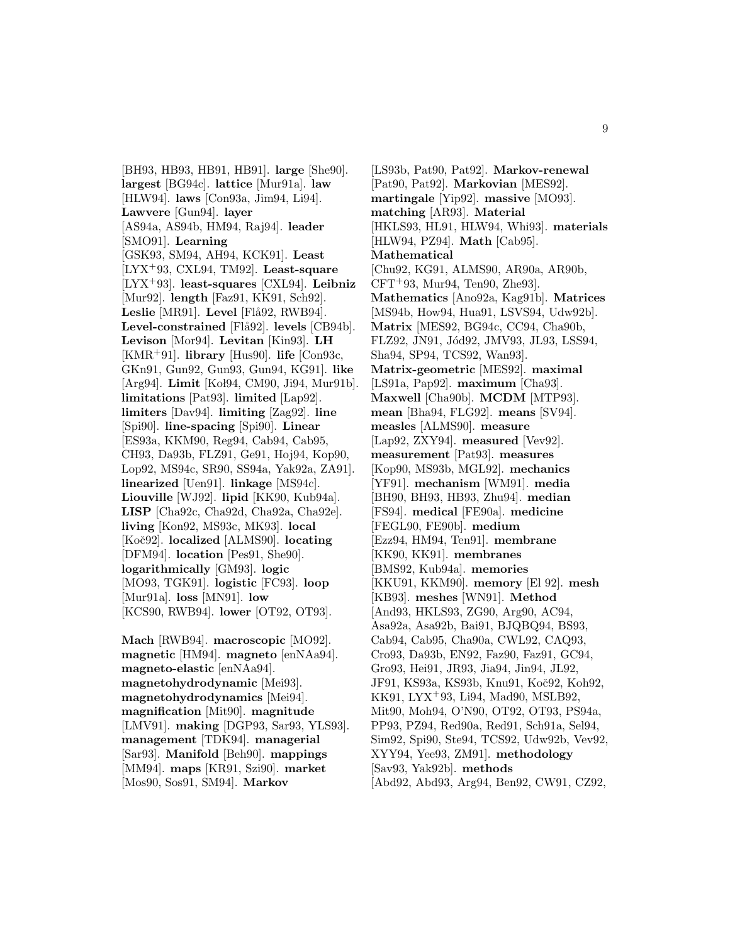[BH93, HB93, HB91, HB91]. **large** [She90]. **largest** [BG94c]. **lattice** [Mur91a]. **law** [HLW94]. **laws** [Con93a, Jim94, Li94]. **Lawvere** [Gun94]. **layer** [AS94a, AS94b, HM94, Raj94]. **leader** [SMO91]. **Learning** [GSK93, SM94, AH94, KCK91]. **Least** [LYX<sup>+</sup>93, CXL94, TM92]. **Least-square** [LYX<sup>+</sup>93]. **least-squares** [CXL94]. **Leibniz** [Mur92]. **length** [Faz91, KK91, Sch92]. Leslie [MR91]. Level [Flå92, RWB94]. Level-constrained [Flå92]. levels [CB94b]. **Levison** [Mor94]. **Levitan** [Kin93]. **LH** [KMR<sup>+</sup>91]. **library** [Hus90]. **life** [Con93c, GKn91, Gun92, Gun93, Gun94, KG91]. **like** [Arg94]. **Limit** [Kol94, CM90, Ji94, Mur91b]. **limitations** [Pat93]. **limited** [Lap92]. **limiters** [Dav94]. **limiting** [Zag92]. **line** [Spi90]. **line-spacing** [Spi90]. **Linear** [ES93a, KKM90, Reg94, Cab94, Cab95, CH93, Da93b, FLZ91, Ge91, Hoj94, Kop90, Lop92, MS94c, SR90, SS94a, Yak92a, ZA91]. **linearized** [Uen91]. **linkage** [MS94c]. **Liouville** [WJ92]. **lipid** [KK90, Kub94a]. **LISP** [Cha92c, Cha92d, Cha92a, Cha92e]. **living** [Kon92, MS93c, MK93]. **local** [Koˇc92]. **localized** [ALMS90]. **locating** [DFM94]. **location** [Pes91, She90]. **logarithmically** [GM93]. **logic** [MO93, TGK91]. **logistic** [FC93]. **loop** [Mur91a]. **loss** [MN91]. **low** [KCS90, RWB94]. **lower** [OT92, OT93].

**Mach** [RWB94]. **macroscopic** [MO92]. **magnetic** [HM94]. **magneto** [enNAa94]. **magneto-elastic** [enNAa94]. **magnetohydrodynamic** [Mei93]. **magnetohydrodynamics** [Mei94]. **magnification** [Mit90]. **magnitude** [LMV91]. **making** [DGP93, Sar93, YLS93]. **management** [TDK94]. **managerial** [Sar93]. **Manifold** [Beh90]. **mappings** [MM94]. **maps** [KR91, Szi90]. **market** [Mos90, Sos91, SM94]. **Markov**

[LS93b, Pat90, Pat92]. **Markov-renewal** [Pat90, Pat92]. **Markovian** [MES92]. **martingale** [Yip92]. **massive** [MO93]. **matching** [AR93]. **Material** [HKLS93, HL91, HLW94, Whi93]. **materials** [HLW94, PZ94]. **Math** [Cab95]. **Mathematical** [Chu92, KG91, ALMS90, AR90a, AR90b,  $CFT+93$ , Mur94, Ten90, Zhe93. **Mathematics** [Ano92a, Kag91b]. **Matrices** [MS94b, How94, Hua91, LSVS94, Udw92b]. **Matrix** [MES92, BG94c, CC94, Cha90b, FLZ92, JN91, Jód92, JMV93, JL93, LSS94, Sha94, SP94, TCS92, Wan93]. **Matrix-geometric** [MES92]. **maximal** [LS91a, Pap92]. **maximum** [Cha93]. **Maxwell** [Cha90b]. **MCDM** [MTP93]. **mean** [Bha94, FLG92]. **means** [SV94]. **measles** [ALMS90]. **measure** [Lap92, ZXY94]. **measured** [Vev92]. **measurement** [Pat93]. **measures** [Kop90, MS93b, MGL92]. **mechanics** [YF91]. **mechanism** [WM91]. **media** [BH90, BH93, HB93, Zhu94]. **median** [FS94]. **medical** [FE90a]. **medicine** [FEGL90, FE90b]. **medium** [Ezz94, HM94, Ten91]. **membrane** [KK90, KK91]. **membranes** [BMS92, Kub94a]. **memories** [KKU91, KKM90]. **memory** [El 92]. **mesh** [KB93]. **meshes** [WN91]. **Method** [And93, HKLS93, ZG90, Arg90, AC94, Asa92a, Asa92b, Bai91, BJQBQ94, BS93, Cab94, Cab95, Cha90a, CWL92, CAQ93, Cro93, Da93b, EN92, Faz90, Faz91, GC94, Gro93, Hei91, JR93, Jia94, Jin94, JL92, JF91, KS93a, KS93b, Knu91, Koč92, Koh92, KK91, LYX<sup>+</sup>93, Li94, Mad90, MSLB92, Mit90, Moh94, O'N90, OT92, OT93, PS94a, PP93, PZ94, Red90a, Red91, Sch91a, Sel94, Sim92, Spi90, Ste94, TCS92, Udw92b, Vev92, XYY94, Yee93, ZM91]. **methodology** [Sav93, Yak92b]. **methods** [Abd92, Abd93, Arg94, Ben92, CW91, CZ92,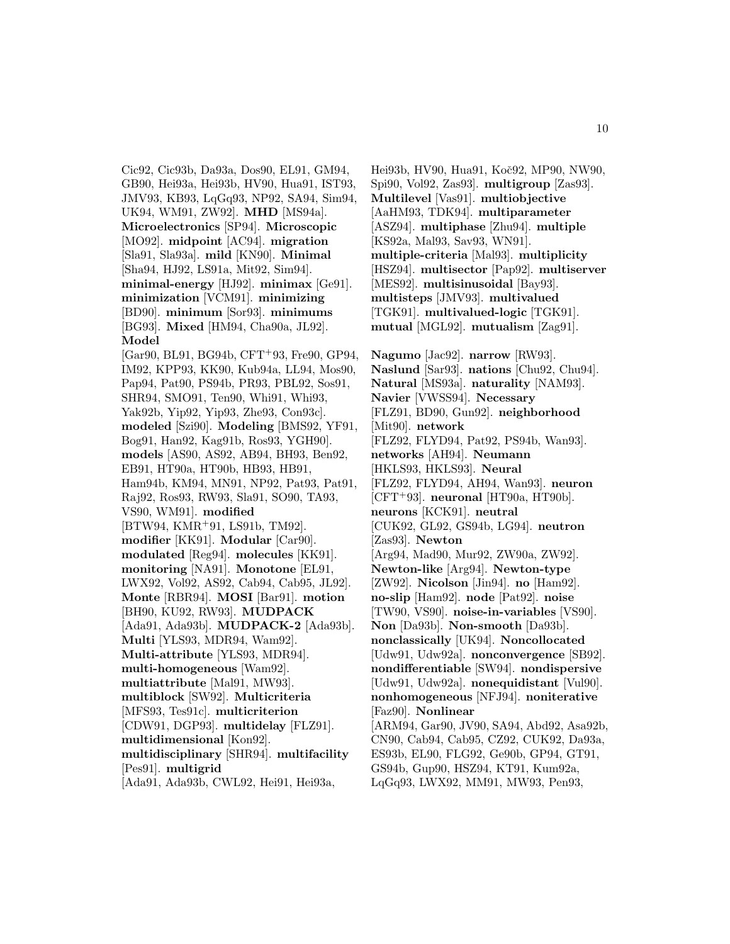Cic92, Cic93b, Da93a, Dos90, EL91, GM94, GB90, Hei93a, Hei93b, HV90, Hua91, IST93, JMV93, KB93, LqGq93, NP92, SA94, Sim94, UK94, WM91, ZW92]. **MHD** [MS94a]. **Microelectronics** [SP94]. **Microscopic** [MO92]. **midpoint** [AC94]. **migration** [Sla91, Sla93a]. **mild** [KN90]. **Minimal** [Sha94, HJ92, LS91a, Mit92, Sim94]. **minimal-energy** [HJ92]. **minimax** [Ge91]. **minimization** [VCM91]. **minimizing** [BD90]. **minimum** [Sor93]. **minimums** [BG93]. **Mixed** [HM94, Cha90a, JL92]. **Model** [Gar90, BL91, BG94b, CFT<sup>+</sup>93, Fre90, GP94, IM92, KPP93, KK90, Kub94a, LL94, Mos90, Pap94, Pat90, PS94b, PR93, PBL92, Sos91, SHR94, SMO91, Ten90, Whi91, Whi93,

Yak92b, Yip92, Yip93, Zhe93, Con93c]. **modeled** [Szi90]. **Modeling** [BMS92, YF91, Bog91, Han92, Kag91b, Ros93, YGH90]. **models** [AS90, AS92, AB94, BH93, Ben92, EB91, HT90a, HT90b, HB93, HB91, Ham94b, KM94, MN91, NP92, Pat93, Pat91, Raj92, Ros93, RW93, Sla91, SO90, TA93, VS90, WM91]. **modified** [BTW94, KMR<sup>+</sup>91, LS91b, TM92]. **modifier** [KK91]. **Modular** [Car90]. **modulated** [Reg94]. **molecules** [KK91]. **monitoring** [NA91]. **Monotone** [EL91, LWX92, Vol92, AS92, Cab94, Cab95, JL92]. **Monte** [RBR94]. **MOSI** [Bar91]. **motion** [BH90, KU92, RW93]. **MUDPACK** [Ada91, Ada93b]. **MUDPACK-2** [Ada93b]. **Multi** [YLS93, MDR94, Wam92]. **Multi-attribute** [YLS93, MDR94]. **multi-homogeneous** [Wam92].

**multiattribute** [Mal91, MW93]. **multiblock** [SW92]. **Multicriteria** [MFS93, Tes91c]. **multicriterion**

[CDW91, DGP93]. **multidelay** [FLZ91]. **multidimensional** [Kon92].

**multidisciplinary** [SHR94]. **multifacility** [Pes91]. **multigrid**

[Ada91, Ada93b, CWL92, Hei91, Hei93a,

Hei93b, HV90, Hua91, Koč92, MP90, NW90, Spi90, Vol92, Zas93]. **multigroup** [Zas93]. **Multilevel** [Vas91]. **multiobjective** [AaHM93, TDK94]. **multiparameter** [ASZ94]. **multiphase** [Zhu94]. **multiple** [KS92a, Mal93, Sav93, WN91]. **multiple-criteria** [Mal93]. **multiplicity** [HSZ94]. **multisector** [Pap92]. **multiserver** [MES92]. **multisinusoidal** [Bay93]. **multisteps** [JMV93]. **multivalued** [TGK91]. **multivalued-logic** [TGK91]. **mutual** [MGL92]. **mutualism** [Zag91].

**Nagumo** [Jac92]. **narrow** [RW93]. **Naslund** [Sar93]. **nations** [Chu92, Chu94]. **Natural** [MS93a]. **naturality** [NAM93]. **Navier** [VWSS94]. **Necessary** [FLZ91, BD90, Gun92]. **neighborhood** [Mit90]. **network** [FLZ92, FLYD94, Pat92, PS94b, Wan93]. **networks** [AH94]. **Neumann** [HKLS93, HKLS93]. **Neural** [FLZ92, FLYD94, AH94, Wan93]. **neuron** [CFT<sup>+</sup>93]. **neuronal** [HT90a, HT90b]. **neurons** [KCK91]. **neutral** [CUK92, GL92, GS94b, LG94]. **neutron** [Zas93]. **Newton** [Arg94, Mad90, Mur92, ZW90a, ZW92]. **Newton-like** [Arg94]. **Newton-type** [ZW92]. **Nicolson** [Jin94]. **no** [Ham92]. **no-slip** [Ham92]. **node** [Pat92]. **noise** [TW90, VS90]. **noise-in-variables** [VS90]. **Non** [Da93b]. **Non-smooth** [Da93b]. **nonclassically** [UK94]. **Noncollocated** [Udw91, Udw92a]. **nonconvergence** [SB92]. **nondifferentiable** [SW94]. **nondispersive** [Udw91, Udw92a]. **nonequidistant** [Vul90]. **nonhomogeneous** [NFJ94]. **noniterative** [Faz90]. **Nonlinear** [ARM94, Gar90, JV90, SA94, Abd92, Asa92b, CN90, Cab94, Cab95, CZ92, CUK92, Da93a, ES93b, EL90, FLG92, Ge90b, GP94, GT91, GS94b, Gup90, HSZ94, KT91, Kum92a, LqGq93, LWX92, MM91, MW93, Pen93,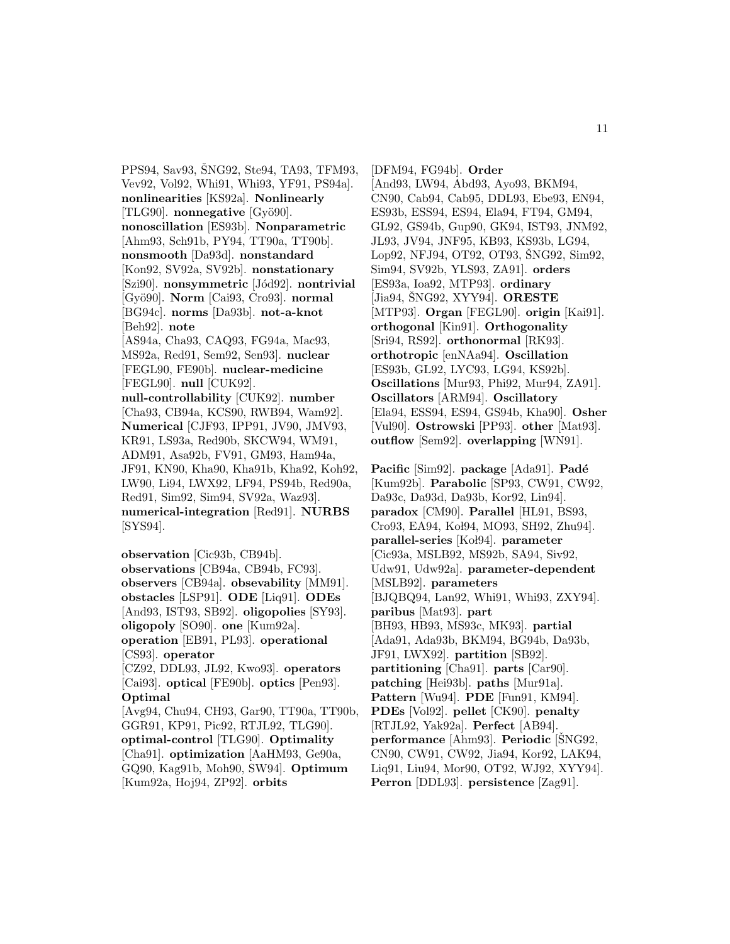PPS94, Sav93, ŠNG92, Ste94, TA93, TFM93, Vev92, Vol92, Whi91, Whi93, YF91, PS94a]. **nonlinearities** [KS92a]. **Nonlinearly** [TLG90]. **nonnegative** [Gyö90]. **nonoscillation** [ES93b]. **Nonparametric** [Ahm93, Sch91b, PY94, TT90a, TT90b]. **nonsmooth** [Da93d]. **nonstandard** [Kon92, SV92a, SV92b]. **nonstationary** [Szi90]. **nonsymmetric** [Jód92]. **nontrivial** [Gy¨o90]. **Norm** [Cai93, Cro93]. **normal** [BG94c]. **norms** [Da93b]. **not-a-knot** [Beh92]. **note** [AS94a, Cha93, CAQ93, FG94a, Mac93, MS92a, Red91, Sem92, Sen93]. **nuclear** [FEGL90, FE90b]. **nuclear-medicine** [FEGL90]. **null** [CUK92]. **null-controllability** [CUK92]. **number** [Cha93, CB94a, KCS90, RWB94, Wam92]. **Numerical** [CJF93, IPP91, JV90, JMV93, KR91, LS93a, Red90b, SKCW94, WM91, ADM91, Asa92b, FV91, GM93, Ham94a, JF91, KN90, Kha90, Kha91b, Kha92, Koh92, LW90, Li94, LWX92, LF94, PS94b, Red90a, Red91, Sim92, Sim94, SV92a, Waz93]. **numerical-integration** [Red91]. **NURBS** [SYS94].

**observation** [Cic93b, CB94b]. **observations** [CB94a, CB94b, FC93]. **observers** [CB94a]. **obsevability** [MM91]. **obstacles** [LSP91]. **ODE** [Liq91]. **ODEs** [And93, IST93, SB92]. **oligopolies** [SY93]. **oligopoly** [SO90]. **one** [Kum92a]. **operation** [EB91, PL93]. **operational** [CS93]. **operator** [CZ92, DDL93, JL92, Kwo93]. **operators** [Cai93]. **optical** [FE90b]. **optics** [Pen93]. **Optimal** [Avg94, Chu94, CH93, Gar90, TT90a, TT90b, GGR91, KP91, Pic92, RTJL92, TLG90]. **optimal-control** [TLG90]. **Optimality** [Cha91]. **optimization** [AaHM93, Ge90a, GQ90, Kag91b, Moh90, SW94]. **Optimum** [Kum92a, Hoj94, ZP92]. **orbits**

[DFM94, FG94b]. **Order** [And93, LW94, Abd93, Ayo93, BKM94, CN90, Cab94, Cab95, DDL93, Ebe93, EN94, ES93b, ESS94, ES94, Ela94, FT94, GM94, GL92, GS94b, Gup90, GK94, IST93, JNM92, JL93, JV94, JNF95, KB93, KS93b, LG94, Lop92, NFJ94, OT92, OT93, SNG92, Sim92, Sim94, SV92b, YLS93, ZA91]. **orders** [ES93a, Ioa92, MTP93]. **ordinary** [Jia94, SNG92, XYY94]. **ORESTE** [MTP93]. **Organ** [FEGL90]. **origin** [Kai91]. **orthogonal** [Kin91]. **Orthogonality** [Sri94, RS92]. **orthonormal** [RK93]. **orthotropic** [enNAa94]. **Oscillation** [ES93b, GL92, LYC93, LG94, KS92b]. **Oscillations** [Mur93, Phi92, Mur94, ZA91]. **Oscillators** [ARM94]. **Oscillatory** [Ela94, ESS94, ES94, GS94b, Kha90]. **Osher** [Vul90]. **Ostrowski** [PP93]. **other** [Mat93]. **outflow** [Sem92]. **overlapping** [WN91].

**Pacific** [Sim92]. **package** [Ada91]. **Padé** [Kum92b]. **Parabolic** [SP93, CW91, CW92, Da93c, Da93d, Da93b, Kor92, Lin94]. **paradox** [CM90]. **Parallel** [HL91, BS93, Cro93, EA94, Kol94, MO93, SH92, Zhu94]. **parallel-series** [Kol94]. **parameter** [Cic93a, MSLB92, MS92b, SA94, Siv92, Udw91, Udw92a]. **parameter-dependent** [MSLB92]. **parameters** [BJQBQ94, Lan92, Whi91, Whi93, ZXY94]. **paribus** [Mat93]. **part** [BH93, HB93, MS93c, MK93]. **partial** [Ada91, Ada93b, BKM94, BG94b, Da93b, JF91, LWX92]. **partition** [SB92]. **partitioning** [Cha91]. **parts** [Car90]. **patching** [Hei93b]. **paths** [Mur91a]. **Pattern** [Wu94]. **PDE** [Fun91, KM94]. **PDEs** [Vol92]. **pellet** [CK90]. **penalty** [RTJL92, Yak92a]. **Perfect** [AB94]. **performance** [Ahm93]. **Periodic** [SNG92, CN90, CW91, CW92, Jia94, Kor92, LAK94, Liq91, Liu94, Mor90, OT92, WJ92, XYY94]. **Perron** [DDL93]. **persistence** [Zag91].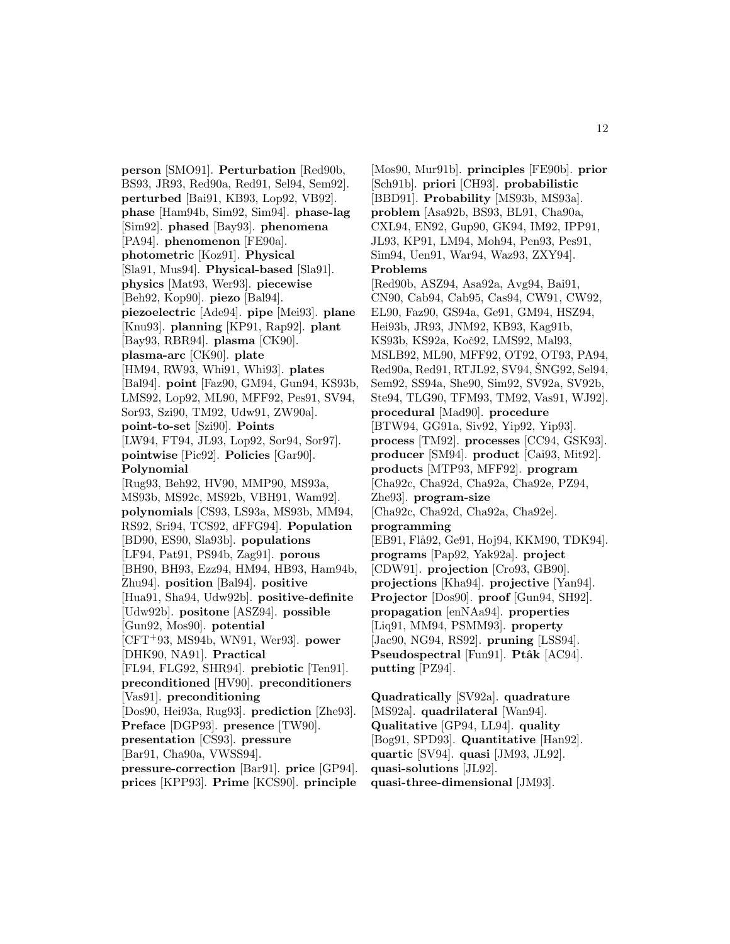**person** [SMO91]. **Perturbation** [Red90b, BS93, JR93, Red90a, Red91, Sel94, Sem92]. **perturbed** [Bai91, KB93, Lop92, VB92]. **phase** [Ham94b, Sim92, Sim94]. **phase-lag** [Sim92]. **phased** [Bay93]. **phenomena** [PA94]. **phenomenon** [FE90a]. **photometric** [Koz91]. **Physical** [Sla91, Mus94]. **Physical-based** [Sla91]. **physics** [Mat93, Wer93]. **piecewise** [Beh92, Kop90]. **piezo** [Bal94]. **piezoelectric** [Ade94]. **pipe** [Mei93]. **plane** [Knu93]. **planning** [KP91, Rap92]. **plant** [Bay93, RBR94]. **plasma** [CK90]. **plasma-arc** [CK90]. **plate** [HM94, RW93, Whi91, Whi93]. **plates** [Bal94]. **point** [Faz90, GM94, Gun94, KS93b, LMS92, Lop92, ML90, MFF92, Pes91, SV94, Sor93, Szi90, TM92, Udw91, ZW90a]. **point-to-set** [Szi90]. **Points** [LW94, FT94, JL93, Lop92, Sor94, Sor97]. **pointwise** [Pic92]. **Policies** [Gar90]. **Polynomial** [Rug93, Beh92, HV90, MMP90, MS93a, MS93b, MS92c, MS92b, VBH91, Wam92]. **polynomials** [CS93, LS93a, MS93b, MM94, RS92, Sri94, TCS92, dFFG94]. **Population** [BD90, ES90, Sla93b]. **populations** [LF94, Pat91, PS94b, Zag91]. **porous** [BH90, BH93, Ezz94, HM94, HB93, Ham94b, Zhu94]. **position** [Bal94]. **positive** [Hua91, Sha94, Udw92b]. **positive-definite** [Udw92b]. **positone** [ASZ94]. **possible** [Gun92, Mos90]. **potential** [CFT<sup>+</sup>93, MS94b, WN91, Wer93]. **power** [DHK90, NA91]. **Practical** [FL94, FLG92, SHR94]. **prebiotic** [Ten91]. **preconditioned** [HV90]. **preconditioners** [Vas91]. **preconditioning** [Dos90, Hei93a, Rug93]. **prediction** [Zhe93]. **Preface** [DGP93]. **presence** [TW90]. **presentation** [CS93]. **pressure** [Bar91, Cha90a, VWSS94]. **pressure-correction** [Bar91]. **price** [GP94]. **prices** [KPP93]. **Prime** [KCS90]. **principle**

[Mos90, Mur91b]. **principles** [FE90b]. **prior** [Sch91b]. **priori** [CH93]. **probabilistic** [BBD91]. **Probability** [MS93b, MS93a]. **problem** [Asa92b, BS93, BL91, Cha90a, CXL94, EN92, Gup90, GK94, IM92, IPP91, JL93, KP91, LM94, Moh94, Pen93, Pes91, Sim94, Uen91, War94, Waz93, ZXY94]. **Problems** [Red90b, ASZ94, Asa92a, Avg94, Bai91, CN90, Cab94, Cab95, Cas94, CW91, CW92, EL90, Faz90, GS94a, Ge91, GM94, HSZ94, Hei93b, JR93, JNM92, KB93, Kag91b, KS93b, KS92a, Koč92, LMS92, Mal93, MSLB92, ML90, MFF92, OT92, OT93, PA94, Red90a, Red91, RTJL92, SV94, SNG92, Sel94, Sem92, SS94a, She90, Sim92, SV92a, SV92b, Ste94, TLG90, TFM93, TM92, Vas91, WJ92]. **procedural** [Mad90]. **procedure** [BTW94, GG91a, Siv92, Yip92, Yip93]. **process** [TM92]. **processes** [CC94, GSK93]. **producer** [SM94]. **product** [Cai93, Mit92]. **products** [MTP93, MFF92]. **program** [Cha92c, Cha92d, Cha92a, Cha92e, PZ94, Zhe93]. **program-size** [Cha92c, Cha92d, Cha92a, Cha92e]. **programming** [EB91, Flå92, Ge91, Hoj94, KKM90, TDK94]. **programs** [Pap92, Yak92a]. **project** [CDW91]. **projection** [Cro93, GB90]. **projections** [Kha94]. **projective** [Yan94]. **Projector** [Dos90]. **proof** [Gun94, SH92]. **propagation** [enNAa94]. **properties** [Liq91, MM94, PSMM93]. **property** [Jac90, NG94, RS92]. **pruning** [LSS94]. **Pseudospectral** [Fun91]. **Ptâk** [AC94]. **putting** [PZ94].

**Quadratically** [SV92a]. **quadrature** [MS92a]. **quadrilateral** [Wan94]. **Qualitative** [GP94, LL94]. **quality** [Bog91, SPD93]. **Quantitative** [Han92]. **quartic** [SV94]. **quasi** [JM93, JL92]. **quasi-solutions** [JL92]. **quasi-three-dimensional** [JM93].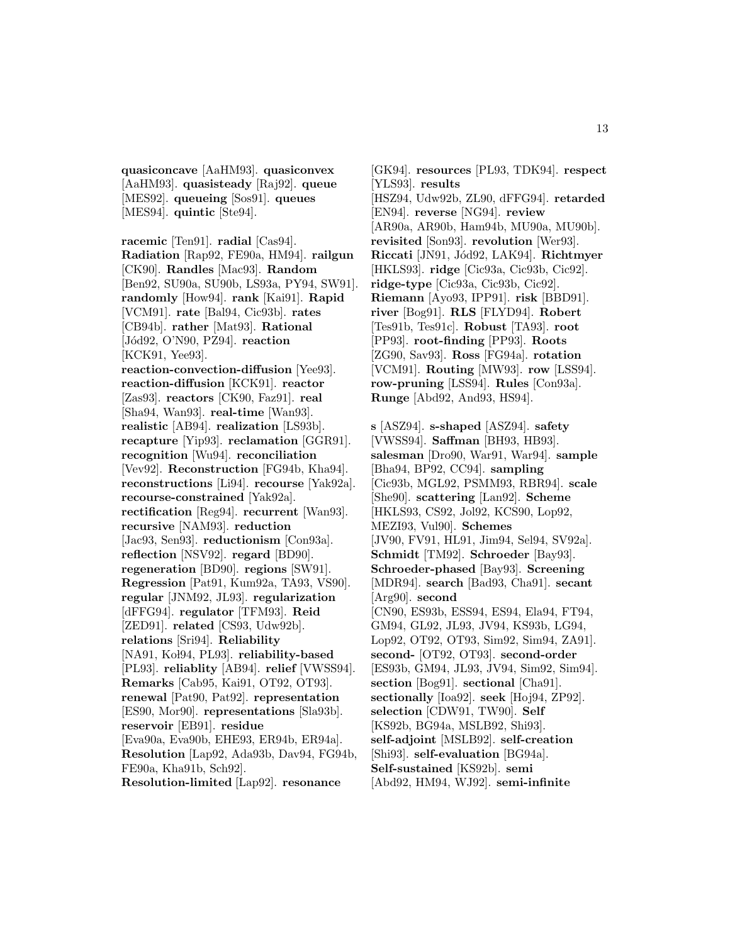**quasiconcave** [AaHM93]. **quasiconvex** [AaHM93]. **quasisteady** [Raj92]. **queue** [MES92]. **queueing** [Sos91]. **queues** [MES94]. **quintic** [Ste94].

**racemic** [Ten91]. **radial** [Cas94]. **Radiation** [Rap92, FE90a, HM94]. **railgun** [CK90]. **Randles** [Mac93]. **Random** [Ben92, SU90a, SU90b, LS93a, PY94, SW91]. **randomly** [How94]. **rank** [Kai91]. **Rapid** [VCM91]. **rate** [Bal94, Cic93b]. **rates** [CB94b]. **rather** [Mat93]. **Rational** [Jód92, O'N90, PZ94]. **reaction** [KCK91, Yee93].

**reaction-convection-diffusion** [Yee93]. **reaction-diffusion** [KCK91]. **reactor** [Zas93]. **reactors** [CK90, Faz91]. **real** [Sha94, Wan93]. **real-time** [Wan93]. **realistic** [AB94]. **realization** [LS93b]. **recapture** [Yip93]. **reclamation** [GGR91]. **recognition** [Wu94]. **reconciliation** [Vev92]. **Reconstruction** [FG94b, Kha94]. **reconstructions** [Li94]. **recourse** [Yak92a]. **recourse-constrained** [Yak92a]. **rectification** [Reg94]. **recurrent** [Wan93]. **recursive** [NAM93]. **reduction** [Jac93, Sen93]. **reductionism** [Con93a]. **reflection** [NSV92]. **regard** [BD90]. **regeneration** [BD90]. **regions** [SW91]. **Regression** [Pat91, Kum92a, TA93, VS90]. **regular** [JNM92, JL93]. **regularization** [dFFG94]. **regulator** [TFM93]. **Reid** [ZED91]. **related** [CS93, Udw92b]. **relations** [Sri94]. **Reliability** [NA91, Kol94, PL93]. **reliability-based** [PL93]. **reliablity** [AB94]. **relief** [VWSS94]. **Remarks** [Cab95, Kai91, OT92, OT93]. **renewal** [Pat90, Pat92]. **representation** [ES90, Mor90]. **representations** [Sla93b]. **reservoir** [EB91]. **residue** [Eva90a, Eva90b, EHE93, ER94b, ER94a]. **Resolution** [Lap92, Ada93b, Dav94, FG94b, FE90a, Kha91b, Sch92].

**Resolution-limited** [Lap92]. **resonance**

[GK94]. **resources** [PL93, TDK94]. **respect** [YLS93]. **results** [HSZ94, Udw92b, ZL90, dFFG94]. **retarded** [EN94]. **reverse** [NG94]. **review** [AR90a, AR90b, Ham94b, MU90a, MU90b]. **revisited** [Son93]. **revolution** [Wer93]. **Riccati** [JN91, J´od92, LAK94]. **Richtmyer** [HKLS93]. **ridge** [Cic93a, Cic93b, Cic92]. **ridge-type** [Cic93a, Cic93b, Cic92]. **Riemann** [Ayo93, IPP91]. **risk** [BBD91]. **river** [Bog91]. **RLS** [FLYD94]. **Robert** [Tes91b, Tes91c]. **Robust** [TA93]. **root** [PP93]. **root-finding** [PP93]. **Roots** [ZG90, Sav93]. **Ross** [FG94a]. **rotation** [VCM91]. **Routing** [MW93]. **row** [LSS94]. **row-pruning** [LSS94]. **Rules** [Con93a]. **Runge** [Abd92, And93, HS94].

**s** [ASZ94]. **s-shaped** [ASZ94]. **safety** [VWSS94]. **Saffman** [BH93, HB93]. **salesman** [Dro90, War91, War94]. **sample** [Bha94, BP92, CC94]. **sampling** [Cic93b, MGL92, PSMM93, RBR94]. **scale** [She90]. **scattering** [Lan92]. **Scheme** [HKLS93, CS92, Jol92, KCS90, Lop92, MEZI93, Vul90]. **Schemes** [JV90, FV91, HL91, Jim94, Sel94, SV92a]. **Schmidt** [TM92]. **Schroeder** [Bay93]. **Schroeder-phased** [Bay93]. **Screening** [MDR94]. **search** [Bad93, Cha91]. **secant** [Arg90]. **second** [CN90, ES93b, ESS94, ES94, Ela94, FT94, GM94, GL92, JL93, JV94, KS93b, LG94, Lop92, OT92, OT93, Sim92, Sim94, ZA91]. **second-** [OT92, OT93]. **second-order** [ES93b, GM94, JL93, JV94, Sim92, Sim94]. **section** [Bog91]. **sectional** [Cha91]. **sectionally** [Ioa92]. **seek** [Hoj94, ZP92]. **selection** [CDW91, TW90]. **Self** [KS92b, BG94a, MSLB92, Shi93]. **self-adjoint** [MSLB92]. **self-creation** [Shi93]. **self-evaluation** [BG94a]. **Self-sustained** [KS92b]. **semi** [Abd92, HM94, WJ92]. **semi-infinite**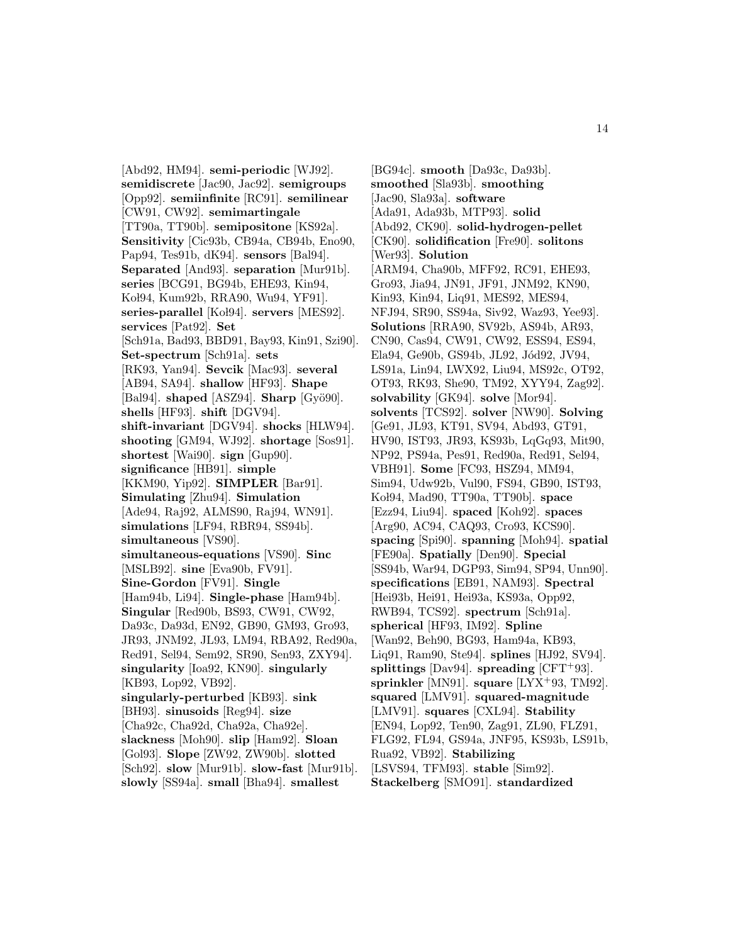[Abd92, HM94]. **semi-periodic** [WJ92]. **semidiscrete** [Jac90, Jac92]. **semigroups** [Opp92]. **semiinfinite** [RC91]. **semilinear** [CW91, CW92]. **semimartingale** [TT90a, TT90b]. **semipositone** [KS92a]. **Sensitivity** [Cic93b, CB94a, CB94b, Eno90, Pap94, Tes91b, dK94]. **sensors** [Bal94]. **Separated** [And93]. **separation** [Mur91b]. **series** [BCG91, BG94b, EHE93, Kin94, Koł94, Kum92b, RRA90, Wu94, YF91]. series-parallel<sup>[Kol94]</sup>. servers<sup>[MES92].</sup> **services** [Pat92]. **Set** [Sch91a, Bad93, BBD91, Bay93, Kin91, Szi90]. **Set-spectrum** [Sch91a]. **sets** [RK93, Yan94]. **Sevcik** [Mac93]. **several** [AB94, SA94]. **shallow** [HF93]. **Shape**  $[Bal94]$ . **shaped**  $[ASZ94]$ . **Sharp**  $[Gy\ddot{o}90]$ . **shells** [HF93]. **shift** [DGV94]. **shift-invariant** [DGV94]. **shocks** [HLW94]. **shooting** [GM94, WJ92]. **shortage** [Sos91]. **shortest** [Wai90]. **sign** [Gup90]. **significance** [HB91]. **simple** [KKM90, Yip92]. **SIMPLER** [Bar91]. **Simulating** [Zhu94]. **Simulation** [Ade94, Raj92, ALMS90, Raj94, WN91]. **simulations** [LF94, RBR94, SS94b]. **simultaneous** [VS90]. **simultaneous-equations** [VS90]. **Sinc** [MSLB92]. **sine** [Eva90b, FV91]. **Sine-Gordon** [FV91]. **Single** [Ham94b, Li94]. **Single-phase** [Ham94b]. **Singular** [Red90b, BS93, CW91, CW92, Da93c, Da93d, EN92, GB90, GM93, Gro93, JR93, JNM92, JL93, LM94, RBA92, Red90a, Red91, Sel94, Sem92, SR90, Sen93, ZXY94]. **singularity** [Ioa92, KN90]. **singularly** [KB93, Lop92, VB92]. **singularly-perturbed** [KB93]. **sink** [BH93]. **sinusoids** [Reg94]. **size** [Cha92c, Cha92d, Cha92a, Cha92e]. **slackness** [Moh90]. **slip** [Ham92]. **Sloan** [Gol93]. **Slope** [ZW92, ZW90b]. **slotted** [Sch92]. **slow** [Mur91b]. **slow-fast** [Mur91b]. **slowly** [SS94a]. **small** [Bha94]. **smallest**

[BG94c]. **smooth** [Da93c, Da93b]. **smoothed** [Sla93b]. **smoothing** [Jac90, Sla93a]. **software** [Ada91, Ada93b, MTP93]. **solid** [Abd92, CK90]. **solid-hydrogen-pellet** [CK90]. **solidification** [Fre90]. **solitons** [Wer93]. **Solution** [ARM94, Cha90b, MFF92, RC91, EHE93, Gro93, Jia94, JN91, JF91, JNM92, KN90, Kin93, Kin94, Liq91, MES92, MES94, NFJ94, SR90, SS94a, Siv92, Waz93, Yee93]. **Solutions** [RRA90, SV92b, AS94b, AR93, CN90, Cas94, CW91, CW92, ESS94, ES94, Ela94, Ge90b, GS94b, JL92, Jód92, JV94, LS91a, Lin94, LWX92, Liu94, MS92c, OT92, OT93, RK93, She90, TM92, XYY94, Zag92]. **solvability** [GK94]. **solve** [Mor94]. **solvents** [TCS92]. **solver** [NW90]. **Solving** [Ge91, JL93, KT91, SV94, Abd93, GT91, HV90, IST93, JR93, KS93b, LqGq93, Mit90, NP92, PS94a, Pes91, Red90a, Red91, Sel94, VBH91]. **Some** [FC93, HSZ94, MM94, Sim94, Udw92b, Vul90, FS94, GB90, IST93, Ko l94, Mad90, TT90a, TT90b]. **space** [Ezz94, Liu94]. **spaced** [Koh92]. **spaces** [Arg90, AC94, CAQ93, Cro93, KCS90]. **spacing** [Spi90]. **spanning** [Moh94]. **spatial** [FE90a]. **Spatially** [Den90]. **Special** [SS94b, War94, DGP93, Sim94, SP94, Unn90]. **specifications** [EB91, NAM93]. **Spectral** [Hei93b, Hei91, Hei93a, KS93a, Opp92, RWB94, TCS92]. **spectrum** [Sch91a]. **spherical** [HF93, IM92]. **Spline** [Wan92, Beh90, BG93, Ham94a, KB93, Liq91, Ram90, Ste94]. **splines** [HJ92, SV94]. **splittings** [Dav94]. **spreading** [CFT<sup>+</sup>93]. **sprinkler** [MN91]. **square** [LYX<sup>+</sup>93, TM92]. **squared** [LMV91]. **squared-magnitude** [LMV91]. **squares** [CXL94]. **Stability** [EN94, Lop92, Ten90, Zag91, ZL90, FLZ91, FLG92, FL94, GS94a, JNF95, KS93b, LS91b, Rua92, VB92]. **Stabilizing** [LSVS94, TFM93]. **stable** [Sim92]. **Stackelberg** [SMO91]. **standardized**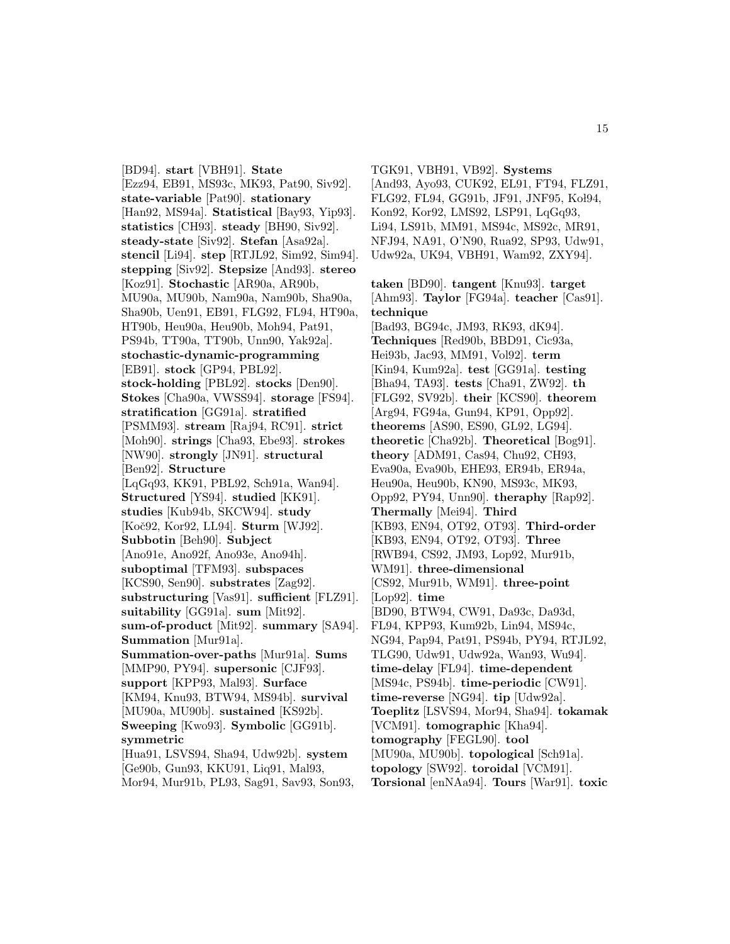[BD94]. **start** [VBH91]. **State** [Ezz94, EB91, MS93c, MK93, Pat90, Siv92]. **state-variable** [Pat90]. **stationary** [Han92, MS94a]. **Statistical** [Bay93, Yip93]. **statistics** [CH93]. **steady** [BH90, Siv92]. **steady-state** [Siv92]. **Stefan** [Asa92a]. **stencil** [Li94]. **step** [RTJL92, Sim92, Sim94]. **stepping** [Siv92]. **Stepsize** [And93]. **stereo** [Koz91]. **Stochastic** [AR90a, AR90b, MU90a, MU90b, Nam90a, Nam90b, Sha90a, Sha90b, Uen91, EB91, FLG92, FL94, HT90a, HT90b, Heu90a, Heu90b, Moh94, Pat91, PS94b, TT90a, TT90b, Unn90, Yak92a]. **stochastic-dynamic-programming** [EB91]. **stock** [GP94, PBL92]. **stock-holding** [PBL92]. **stocks** [Den90]. **Stokes** [Cha90a, VWSS94]. **storage** [FS94]. **stratification** [GG91a]. **stratified** [PSMM93]. **stream** [Raj94, RC91]. **strict** [Moh90]. **strings** [Cha93, Ebe93]. **strokes** [NW90]. **strongly** [JN91]. **structural** [Ben92]. **Structure** [LqGq93, KK91, PBL92, Sch91a, Wan94]. **Structured** [YS94]. **studied** [KK91]. **studies** [Kub94b, SKCW94]. **study** [Koˇc92, Kor92, LL94]. **Sturm** [WJ92]. **Subbotin** [Beh90]. **Subject** [Ano91e, Ano92f, Ano93e, Ano94h]. **suboptimal** [TFM93]. **subspaces** [KCS90, Sen90]. **substrates** [Zag92]. **substructuring** [Vas91]. **sufficient** [FLZ91]. **suitability** [GG91a]. **sum** [Mit92]. **sum-of-product** [Mit92]. **summary** [SA94]. **Summation** [Mur91a]. **Summation-over-paths** [Mur91a]. **Sums** [MMP90, PY94]. **supersonic** [CJF93]. **support** [KPP93, Mal93]. **Surface** [KM94, Knu93, BTW94, MS94b]. **survival** [MU90a, MU90b]. **sustained** [KS92b]. **Sweeping** [Kwo93]. **Symbolic** [GG91b]. **symmetric** [Hua91, LSVS94, Sha94, Udw92b]. **system** [Ge90b, Gun93, KKU91, Liq91, Mal93,

Mor94, Mur91b, PL93, Sag91, Sav93, Son93,

TGK91, VBH91, VB92]. **Systems** [And93, Ayo93, CUK92, EL91, FT94, FLZ91, FLG92, FL94, GG91b, JF91, JNF95, Kol94, Kon92, Kor92, LMS92, LSP91, LqGq93, Li94, LS91b, MM91, MS94c, MS92c, MR91, NFJ94, NA91, O'N90, Rua92, SP93, Udw91, Udw92a, UK94, VBH91, Wam92, ZXY94].

**taken** [BD90]. **tangent** [Knu93]. **target** [Ahm93]. **Taylor** [FG94a]. **teacher** [Cas91]. **technique** [Bad93, BG94c, JM93, RK93, dK94]. **Techniques** [Red90b, BBD91, Cic93a, Hei93b, Jac93, MM91, Vol92]. **term** [Kin94, Kum92a]. **test** [GG91a]. **testing** [Bha94, TA93]. **tests** [Cha91, ZW92]. **th** [FLG92, SV92b]. **their** [KCS90]. **theorem** [Arg94, FG94a, Gun94, KP91, Opp92]. **theorems** [AS90, ES90, GL92, LG94]. **theoretic** [Cha92b]. **Theoretical** [Bog91]. **theory** [ADM91, Cas94, Chu92, CH93, Eva90a, Eva90b, EHE93, ER94b, ER94a, Heu90a, Heu90b, KN90, MS93c, MK93, Opp92, PY94, Unn90]. **theraphy** [Rap92]. **Thermally** [Mei94]. **Third** [KB93, EN94, OT92, OT93]. **Third-order** [KB93, EN94, OT92, OT93]. **Three** [RWB94, CS92, JM93, Lop92, Mur91b, WM91]. **three-dimensional** [CS92, Mur91b, WM91]. **three-point** [Lop92]. **time** [BD90, BTW94, CW91, Da93c, Da93d, FL94, KPP93, Kum92b, Lin94, MS94c, NG94, Pap94, Pat91, PS94b, PY94, RTJL92, TLG90, Udw91, Udw92a, Wan93, Wu94]. **time-delay** [FL94]. **time-dependent** [MS94c, PS94b]. **time-periodic** [CW91]. **time-reverse** [NG94]. **tip** [Udw92a]. **Toeplitz** [LSVS94, Mor94, Sha94]. **tokamak** [VCM91]. **tomographic** [Kha94]. **tomography** [FEGL90]. **tool** [MU90a, MU90b]. **topological** [Sch91a]. **topology** [SW92]. **toroidal** [VCM91]. **Torsional** [enNAa94]. **Tours** [War91]. **toxic**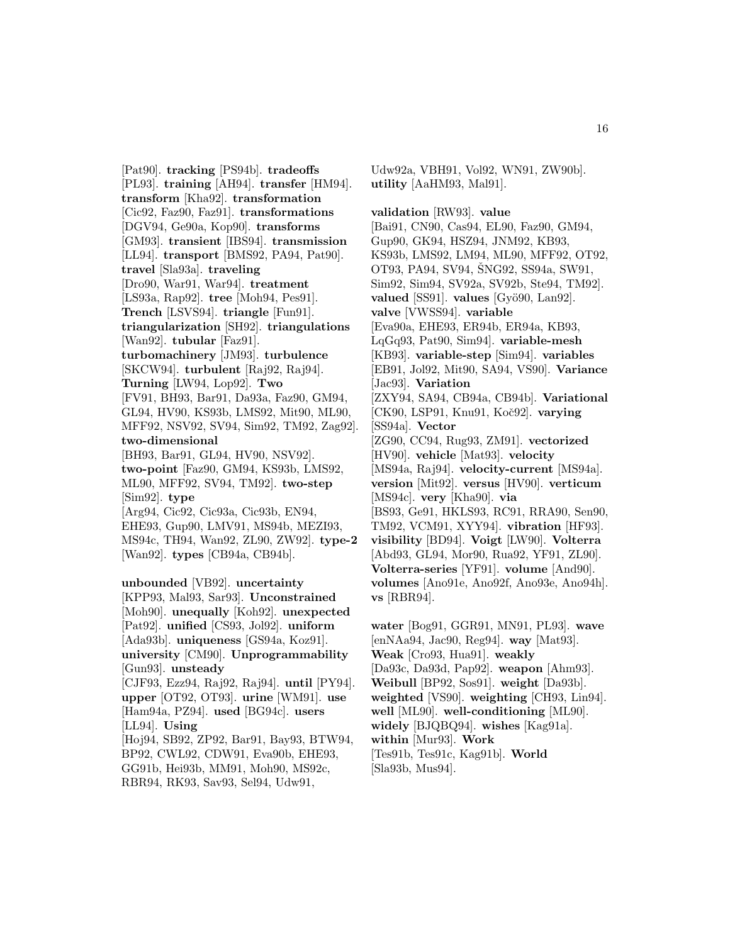[Pat90]. **tracking** [PS94b]. **tradeoffs** [PL93]. **training** [AH94]. **transfer** [HM94]. **transform** [Kha92]. **transformation** [Cic92, Faz90, Faz91]. **transformations** [DGV94, Ge90a, Kop90]. **transforms** [GM93]. **transient** [IBS94]. **transmission** [LL94]. **transport** [BMS92, PA94, Pat90]. **travel** [Sla93a]. **traveling** [Dro90, War91, War94]. **treatment** [LS93a, Rap92]. **tree** [Moh94, Pes91]. **Trench** [LSVS94]. **triangle** [Fun91]. **triangularization** [SH92]. **triangulations** [Wan92]. **tubular** [Faz91]. **turbomachinery** [JM93]. **turbulence** [SKCW94]. **turbulent** [Raj92, Raj94]. **Turning** [LW94, Lop92]. **Two** [FV91, BH93, Bar91, Da93a, Faz90, GM94, GL94, HV90, KS93b, LMS92, Mit90, ML90, MFF92, NSV92, SV94, Sim92, TM92, Zag92]. **two-dimensional** [BH93, Bar91, GL94, HV90, NSV92]. **two-point** [Faz90, GM94, KS93b, LMS92, ML90, MFF92, SV94, TM92]. **two-step** [Sim92]. **type** [Arg94, Cic92, Cic93a, Cic93b, EN94, EHE93, Gup90, LMV91, MS94b, MEZI93, MS94c, TH94, Wan92, ZL90, ZW92]. **type-2** [Wan92]. **types** [CB94a, CB94b]. **unbounded** [VB92]. **uncertainty** [KPP93, Mal93, Sar93]. **Unconstrained** [Moh90]. **unequally** [Koh92]. **unexpected** [Pat92]. **unified** [CS93, Jol92]. **uniform** [Ada93b]. **uniqueness** [GS94a, Koz91]. **university** [CM90]. **Unprogrammability** [Gun93]. **unsteady**

[CJF93, Ezz94, Raj92, Raj94]. **until** [PY94]. **upper** [OT92, OT93]. **urine** [WM91]. **use** [Ham94a, PZ94]. **used** [BG94c]. **users** [LL94]. **Using** [Hoj94, SB92, ZP92, Bar91, Bay93, BTW94,

BP92, CWL92, CDW91, Eva90b, EHE93, GG91b, Hei93b, MM91, Moh90, MS92c, RBR94, RK93, Sav93, Sel94, Udw91,

Udw92a, VBH91, Vol92, WN91, ZW90b]. **utility** [AaHM93, Mal91].

**validation** [RW93]. **value** [Bai91, CN90, Cas94, EL90, Faz90, GM94, Gup90, GK94, HSZ94, JNM92, KB93, KS93b, LMS92, LM94, ML90, MFF92, OT92, OT93, PA94, SV94, ŠNG92, SS94a, SW91, Sim92, Sim94, SV92a, SV92b, Ste94, TM92]. **valued** [SS91]. **values**  $[Gv\ddot{o}90, \text{Lan}92]$ . **valve** [VWSS94]. **variable** [Eva90a, EHE93, ER94b, ER94a, KB93, LqGq93, Pat90, Sim94]. **variable-mesh** [KB93]. **variable-step** [Sim94]. **variables** [EB91, Jol92, Mit90, SA94, VS90]. **Variance** [Jac93]. **Variation** [ZXY94, SA94, CB94a, CB94b]. **Variational** [CK90, LSP91, Knu91, Koˇc92]. **varying** [SS94a]. **Vector** [ZG90, CC94, Rug93, ZM91]. **vectorized** [HV90]. **vehicle** [Mat93]. **velocity** [MS94a, Raj94]. **velocity-current** [MS94a]. **version** [Mit92]. **versus** [HV90]. **verticum** [MS94c]. **very** [Kha90]. **via** [BS93, Ge91, HKLS93, RC91, RRA90, Sen90, TM92, VCM91, XYY94]. **vibration** [HF93]. **visibility** [BD94]. **Voigt** [LW90]. **Volterra** [Abd93, GL94, Mor90, Rua92, YF91, ZL90]. **Volterra-series** [YF91]. **volume** [And90]. **volumes** [Ano91e, Ano92f, Ano93e, Ano94h]. **vs** [RBR94].

**water** [Bog91, GGR91, MN91, PL93]. **wave** [enNAa94, Jac90, Reg94]. **way** [Mat93]. **Weak** [Cro93, Hua91]. **weakly** [Da93c, Da93d, Pap92]. **weapon** [Ahm93]. **Weibull** [BP92, Sos91]. **weight** [Da93b]. **weighted** [VS90]. **weighting** [CH93, Lin94]. **well** [ML90]. **well-conditioning** [ML90]. **widely** [BJQBQ94]. **wishes** [Kag91a]. **within** [Mur93]. **Work** [Tes91b, Tes91c, Kag91b]. **World** [Sla93b, Mus94].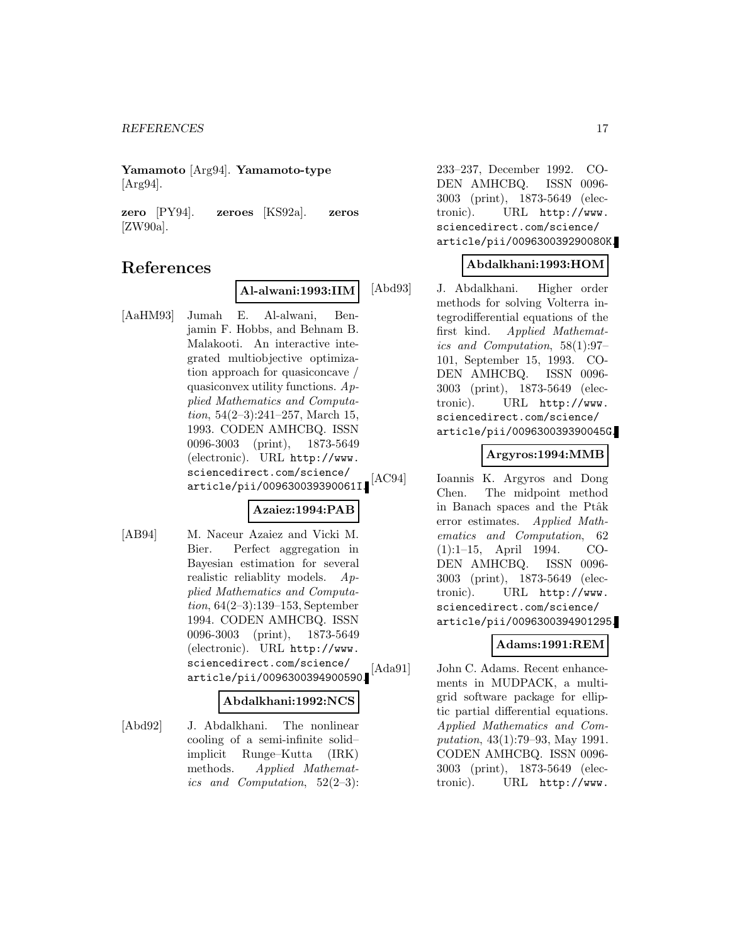**Yamamoto** [Arg94]. **Yamamoto-type** [Arg94].

**zero** [PY94]. **zeroes** [KS92a]. **zeros** [ZW90a].

# **References**

#### **Al-alwani:1993:IIM**

[AaHM93] Jumah E. Al-alwani, Benjamin F. Hobbs, and Behnam B. Malakooti. An interactive integrated multiobjective optimization approach for quasiconcave / quasiconvex utility functions.  $Ap$ plied Mathematics and Computation,  $54(2-3):241-257$ , March 15, 1993. CODEN AMHCBQ. ISSN 0096-3003 (print), 1873-5649 (electronic). URL http://www. sciencedirect.com/science/ article/pii/009630039390061I.

### **Azaiez:1994:PAB**

[AB94] M. Naceur Azaiez and Vicki M. Bier. Perfect aggregation in Bayesian estimation for several realistic reliablity models. Applied Mathematics and Computation, 64(2–3):139–153, September 1994. CODEN AMHCBQ. ISSN 0096-3003 (print), 1873-5649 (electronic). URL http://www. sciencedirect.com/science/ article/pii/0096300394900590.

#### **Abdalkhani:1992:NCS**

[Abd92] J. Abdalkhani. The nonlinear cooling of a semi-infinite solid– implicit Runge–Kutta (IRK) methods. Applied Mathematics and Computation,  $52(2-3)$ : 233–237, December 1992. CO-DEN AMHCBQ. ISSN 0096- 3003 (print), 1873-5649 (electronic). URL http://www. sciencedirect.com/science/ article/pii/009630039290080K.

#### **Abdalkhani:1993:HOM**

[Abd93] J. Abdalkhani. Higher order methods for solving Volterra integrodifferential equations of the first kind. Applied Mathematics and Computation, 58(1):97– 101, September 15, 1993. CO-DEN AMHCBQ. ISSN 0096- 3003 (print), 1873-5649 (electronic). URL http://www. sciencedirect.com/science/ article/pii/009630039390045G.

#### **Argyros:1994:MMB**

[AC94] Ioannis K. Argyros and Dong Chen. The midpoint method in Banach spaces and the Ptâk error estimates. Applied Mathematics and Computation, 62 (1):1–15, April 1994. CO-DEN AMHCBQ. ISSN 0096- 3003 (print), 1873-5649 (electronic). URL http://www. sciencedirect.com/science/ article/pii/0096300394901295.

### **Adams:1991:REM**

[Ada91] John C. Adams. Recent enhancements in MUDPACK, a multigrid software package for elliptic partial differential equations. Applied Mathematics and Computation, 43(1):79–93, May 1991. CODEN AMHCBQ. ISSN 0096- 3003 (print), 1873-5649 (electronic). URL http://www.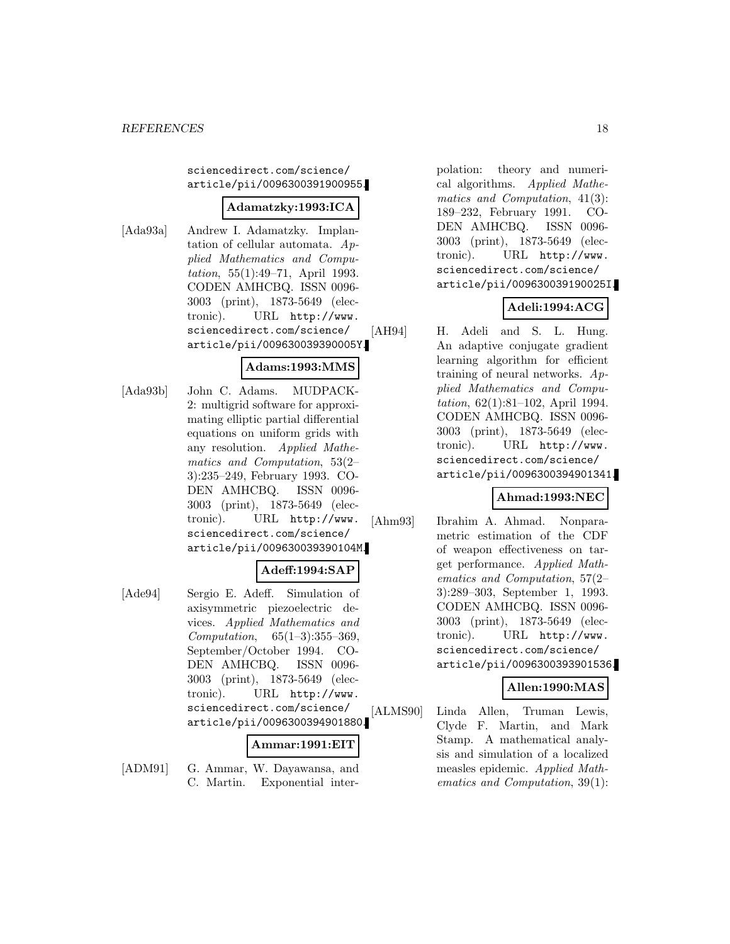sciencedirect.com/science/ article/pii/0096300391900955.

### **Adamatzky:1993:ICA**

[Ada93a] Andrew I. Adamatzky. Implantation of cellular automata. Applied Mathematics and Computation, 55(1):49–71, April 1993. CODEN AMHCBQ. ISSN 0096- 3003 (print), 1873-5649 (electronic). URL http://www. sciencedirect.com/science/ article/pii/009630039390005Y.

### **Adams:1993:MMS**

[Ada93b] John C. Adams. MUDPACK-2: multigrid software for approximating elliptic partial differential equations on uniform grids with any resolution. Applied Mathematics and Computation, 53(2– 3):235–249, February 1993. CO-DEN AMHCBQ. ISSN 0096- 3003 (print), 1873-5649 (electronic). URL http://www. sciencedirect.com/science/ article/pii/009630039390104M.

#### **Adeff:1994:SAP**

[Ade94] Sergio E. Adeff. Simulation of axisymmetric piezoelectric devices. Applied Mathematics and Computation, 65(1–3):355–369, September/October 1994. CO-DEN AMHCBQ. ISSN 0096- 3003 (print), 1873-5649 (electronic). URL http://www. sciencedirect.com/science/ article/pii/0096300394901880.

### **Ammar:1991:EIT**

[ADM91] G. Ammar, W. Dayawansa, and C. Martin. Exponential interpolation: theory and numerical algorithms. Applied Mathematics and Computation, 41(3): 189–232, February 1991. CO-DEN AMHCBQ. ISSN 0096- 3003 (print), 1873-5649 (electronic). URL http://www. sciencedirect.com/science/ article/pii/009630039190025I.

# **Adeli:1994:ACG**

[AH94] H. Adeli and S. L. Hung. An adaptive conjugate gradient learning algorithm for efficient training of neural networks. Applied Mathematics and Computation, 62(1):81–102, April 1994. CODEN AMHCBQ. ISSN 0096- 3003 (print), 1873-5649 (electronic). URL http://www. sciencedirect.com/science/ article/pii/0096300394901341.

### **Ahmad:1993:NEC**

[Ahm93] Ibrahim A. Ahmad. Nonparametric estimation of the CDF of weapon effectiveness on target performance. Applied Mathematics and Computation, 57(2– 3):289–303, September 1, 1993. CODEN AMHCBQ. ISSN 0096- 3003 (print), 1873-5649 (electronic). URL http://www. sciencedirect.com/science/ article/pii/0096300393901536.

### **Allen:1990:MAS**

[ALMS90] Linda Allen, Truman Lewis, Clyde F. Martin, and Mark Stamp. A mathematical analysis and simulation of a localized measles epidemic. Applied Mathematics and Computation, 39(1):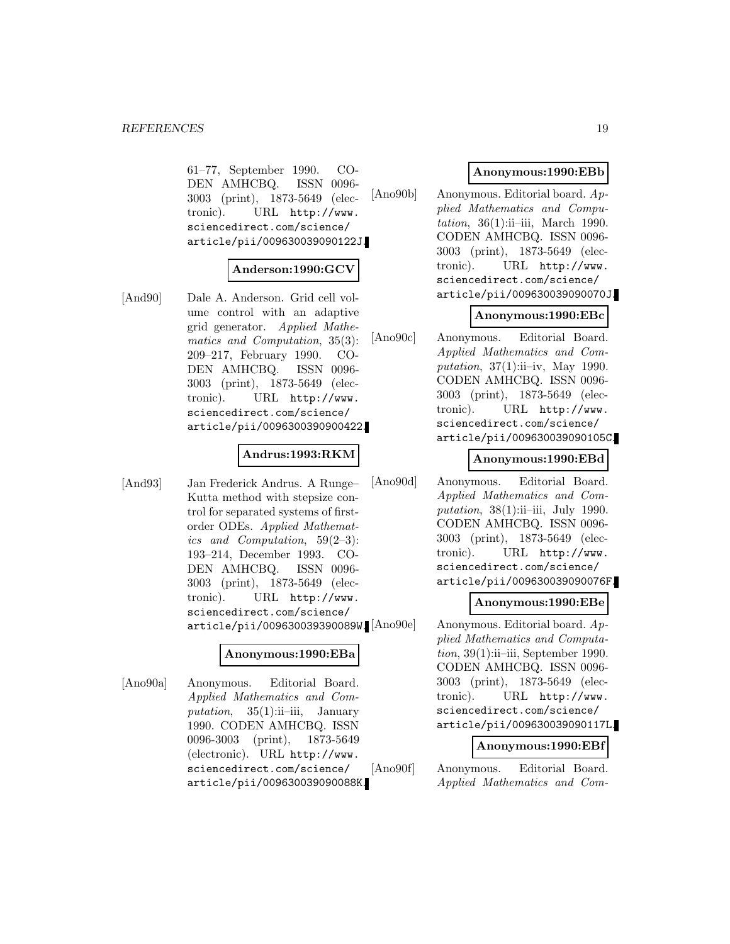61–77, September 1990. CO-DEN AMHCBQ. ISSN 0096- 3003 (print), 1873-5649 (electronic). URL http://www. sciencedirect.com/science/ article/pii/009630039090122J.

### **Anderson:1990:GCV**

[And90] Dale A. Anderson. Grid cell volume control with an adaptive grid generator. Applied Mathematics and Computation, 35(3): 209–217, February 1990. CO-DEN AMHCBQ. ISSN 0096- 3003 (print), 1873-5649 (electronic). URL http://www. sciencedirect.com/science/ article/pii/0096300390900422.

#### **Andrus:1993:RKM**

[And93] Jan Frederick Andrus. A Runge– Kutta method with stepsize control for separated systems of firstorder ODEs. Applied Mathematics and Computation, 59(2–3): 193–214, December 1993. CO-DEN AMHCBQ. ISSN 0096- 3003 (print), 1873-5649 (electronic). URL http://www. sciencedirect.com/science/ article/pii/009630039390089W.

#### **Anonymous:1990:EBa**

[Ano90a] Anonymous. Editorial Board. Applied Mathematics and Computation,  $35(1)$ :ii–iii, January 1990. CODEN AMHCBQ. ISSN 0096-3003 (print), 1873-5649 (electronic). URL http://www. sciencedirect.com/science/ article/pii/009630039090088K.

#### **Anonymous:1990:EBb**

[Ano90b] Anonymous. Editorial board. Applied Mathematics and Computation, 36(1):ii–iii, March 1990. CODEN AMHCBQ. ISSN 0096- 3003 (print), 1873-5649 (electronic). URL http://www. sciencedirect.com/science/ article/pii/009630039090070J.

#### **Anonymous:1990:EBc**

[Ano90c] Anonymous. Editorial Board. Applied Mathematics and Computation,  $37(1)$ :ii–iv, May 1990. CODEN AMHCBQ. ISSN 0096- 3003 (print), 1873-5649 (electronic). URL http://www. sciencedirect.com/science/ article/pii/009630039090105C.

#### **Anonymous:1990:EBd**

[Ano90d] Anonymous. Editorial Board. Applied Mathematics and Computation,  $38(1)$ :ii-iii, July 1990. CODEN AMHCBQ. ISSN 0096- 3003 (print), 1873-5649 (electronic). URL http://www. sciencedirect.com/science/ article/pii/009630039090076F.

### **Anonymous:1990:EBe**

Anonymous. Editorial board.  $Ap$ plied Mathematics and Computa $tion, 39(1):ii$ -iii, September 1990. CODEN AMHCBQ. ISSN 0096- 3003 (print), 1873-5649 (electronic). URL http://www. sciencedirect.com/science/ article/pii/009630039090117L.

#### **Anonymous:1990:EBf**

[Ano90f] Anonymous. Editorial Board. Applied Mathematics and Com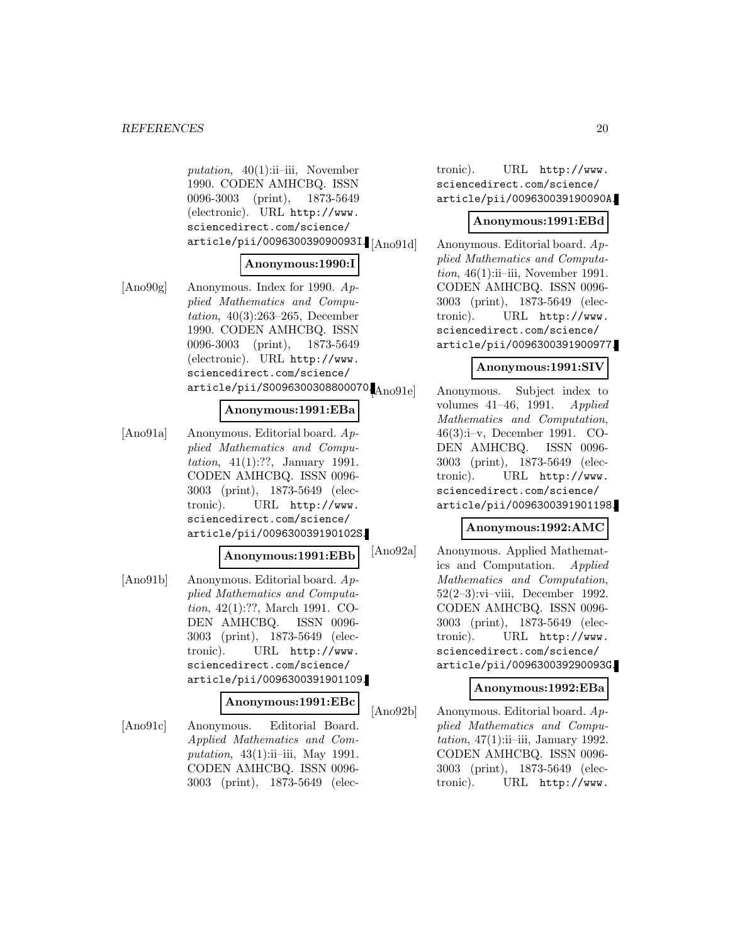putation,  $40(1)$ :ii–iii, November 1990. CODEN AMHCBQ. ISSN 0096-3003 (print), 1873-5649 (electronic). URL http://www. sciencedirect.com/science/ article/pii/009630039090093I. $\text{[Ano91d]}$ 

#### **Anonymous:1990:I**

[Ano90g] Anonymous. Index for 1990. Applied Mathematics and Computation, 40(3):263–265, December 1990. CODEN AMHCBQ. ISSN 0096-3003 (print), 1873-5649 (electronic). URL http://www. sciencedirect.com/science/  $\texttt{article/pii/}30096300308800070\textcolor{red}{\big\vert \text{Ano91e}}\textcolor{black}{]}$ 

### **Anonymous:1991:EBa**

[Ano91a] Anonymous. Editorial board. Applied Mathematics and Computation, 41(1):??, January 1991. CODEN AMHCBQ. ISSN 0096- 3003 (print), 1873-5649 (electronic). URL http://www. sciencedirect.com/science/ article/pii/009630039190102S.

#### **Anonymous:1991:EBb**

[Ano91b] Anonymous. Editorial board. Applied Mathematics and Computation, 42(1):??, March 1991. CO-DEN AMHCBQ. ISSN 0096- 3003 (print), 1873-5649 (electronic). URL http://www. sciencedirect.com/science/ article/pii/0096300391901109.

#### **Anonymous:1991:EBc**

[Ano91c] Anonymous. Editorial Board. Applied Mathematics and Computation,  $43(1)$ :ii-iii, May 1991. CODEN AMHCBQ. ISSN 0096- 3003 (print), 1873-5649 (electronic). URL http://www. sciencedirect.com/science/ article/pii/009630039190090A.

#### **Anonymous:1991:EBd**

Anonymous. Editorial board.  $Ap$ plied Mathematics and Computa $tion, 46(1)$ :ii–iii, November 1991. CODEN AMHCBQ. ISSN 0096- 3003 (print), 1873-5649 (electronic). URL http://www. sciencedirect.com/science/ article/pii/0096300391900977.

### **Anonymous:1991:SIV**

Anonymous. Subject index to volumes 41–46, 1991. Applied Mathematics and Computation, 46(3):i–v, December 1991. CO-DEN AMHCBQ. ISSN 0096- 3003 (print), 1873-5649 (electronic). URL http://www. sciencedirect.com/science/ article/pii/0096300391901198.

#### **Anonymous:1992:AMC**

[Ano92a] Anonymous. Applied Mathematics and Computation. Applied Mathematics and Computation, 52(2–3):vi–viii, December 1992. CODEN AMHCBQ. ISSN 0096- 3003 (print), 1873-5649 (electronic). URL http://www. sciencedirect.com/science/ article/pii/009630039290093G.

#### **Anonymous:1992:EBa**

[Ano92b] Anonymous. Editorial board. Applied Mathematics and Computation,  $47(1)$ :ii–iii, January 1992. CODEN AMHCBQ. ISSN 0096- 3003 (print), 1873-5649 (electronic). URL http://www.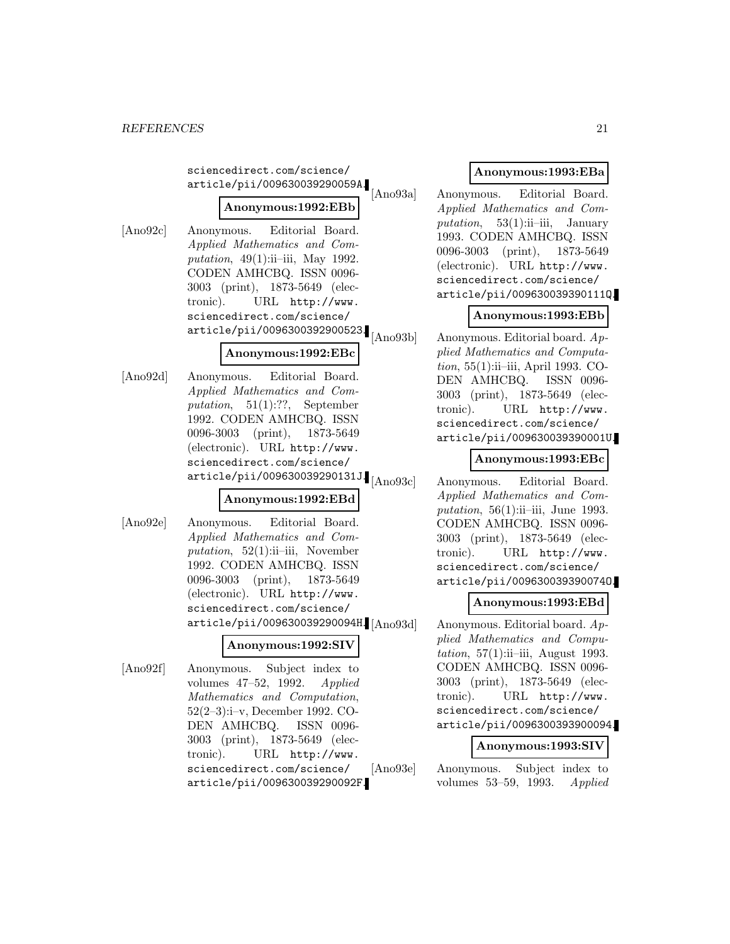sciencedirect.com/science/ article/pii/009630039290059A.

# **Anonymous:1992:EBb**

[Ano92c] Anonymous. Editorial Board. Applied Mathematics and Computation,  $49(1)$ :ii–iii, May 1992. CODEN AMHCBQ. ISSN 0096- 3003 (print), 1873-5649 (electronic). URL http://www. sciencedirect.com/science/ article/pii/0096300392900523.

### **Anonymous:1992:EBc**

[Ano92d] Anonymous. Editorial Board. Applied Mathematics and Computation, 51(1):??, September 1992. CODEN AMHCBQ. ISSN 0096-3003 (print), 1873-5649 (electronic). URL http://www. sciencedirect.com/science/  $\ar{ticle/pii/009630039290131J}_{[Ano93c]}$ 

### **Anonymous:1992:EBd**

[Ano92e] Anonymous. Editorial Board. Applied Mathematics and Computation,  $52(1)$ :ii-iii, November 1992. CODEN AMHCBQ. ISSN 0096-3003 (print), 1873-5649 (electronic). URL http://www. sciencedirect.com/science/ article/pii/009630039290094H.

#### **Anonymous:1992:SIV**

[Ano92f] Anonymous. Subject index to volumes 47–52, 1992. Applied Mathematics and Computation, 52(2–3):i–v, December 1992. CO-DEN AMHCBQ. ISSN 0096- 3003 (print), 1873-5649 (electronic). URL http://www. sciencedirect.com/science/ article/pii/009630039290092F.

### **Anonymous:1993:EBa**

[Ano93a] Anonymous. Editorial Board. Applied Mathematics and Computation,  $53(1)$ :ii–iii, January 1993. CODEN AMHCBQ. ISSN 0096-3003 (print), 1873-5649 (electronic). URL http://www. sciencedirect.com/science/ article/pii/009630039390111Q.

# **Anonymous:1993:EBb**

[Ano93b] Anonymous. Editorial board. Applied Mathematics and Computation, 55(1):ii-iii, April 1993. CO-DEN AMHCBQ. ISSN 0096- 3003 (print), 1873-5649 (electronic). URL http://www. sciencedirect.com/science/ article/pii/009630039390001U.

#### **Anonymous:1993:EBc**

Anonymous. Editorial Board. Applied Mathematics and Computation, 56(1):ii–iii, June 1993. CODEN AMHCBQ. ISSN 0096- 3003 (print), 1873-5649 (electronic). URL http://www. sciencedirect.com/science/ article/pii/009630039390074O.

### **Anonymous:1993:EBd**

Anonymous. Editorial board.  $Ap$ plied Mathematics and Computation, 57(1):ii–iii, August 1993. CODEN AMHCBQ. ISSN 0096- 3003 (print), 1873-5649 (electronic). URL http://www. sciencedirect.com/science/ article/pii/0096300393900094.

#### **Anonymous:1993:SIV**

[Ano93e] Anonymous. Subject index to volumes 53–59, 1993. Applied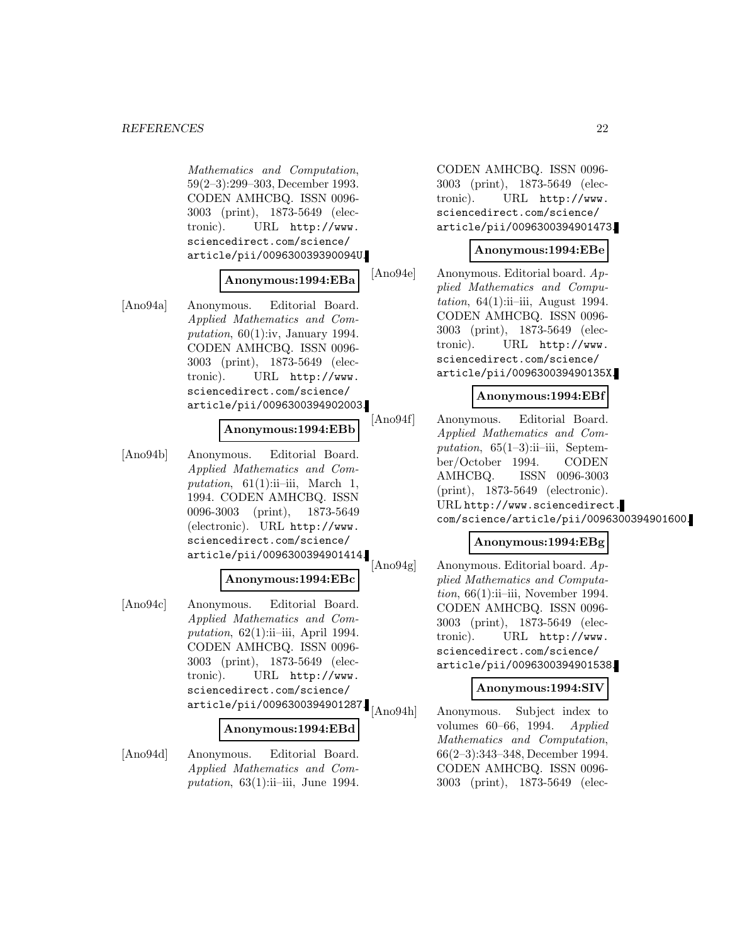#### *REFERENCES* 22

Mathematics and Computation, 59(2–3):299–303, December 1993. CODEN AMHCBQ. ISSN 0096- 3003 (print), 1873-5649 (electronic). URL http://www. sciencedirect.com/science/ article/pii/009630039390094U.

#### **Anonymous:1994:EBa**

[Ano94a] Anonymous. Editorial Board. Applied Mathematics and Computation,  $60(1)$ :iv, January 1994. CODEN AMHCBQ. ISSN 0096- 3003 (print), 1873-5649 (electronic). URL http://www. sciencedirect.com/science/ article/pii/0096300394902003.

#### **Anonymous:1994:EBb**

[Ano94b] Anonymous. Editorial Board. Applied Mathematics and Computation,  $61(1)$ :ii-iii, March 1, 1994. CODEN AMHCBQ. ISSN 0096-3003 (print), 1873-5649 (electronic). URL http://www. sciencedirect.com/science/ article/pii/0096300394901414.

#### **Anonymous:1994:EBc**

[Ano94c] Anonymous. Editorial Board. Applied Mathematics and Computation,  $62(1)$ :ii-iii, April 1994. CODEN AMHCBQ. ISSN 0096- 3003 (print), 1873-5649 (electronic). URL http://www. sciencedirect.com/science/ article/pii/0096300394901287.

#### **Anonymous:1994:EBd**

[Ano94d] Anonymous. Editorial Board. Applied Mathematics and Computation,  $63(1)$ :ii–iii, June 1994. CODEN AMHCBQ. ISSN 0096- 3003 (print), 1873-5649 (electronic). URL http://www. sciencedirect.com/science/ article/pii/0096300394901473.

#### **Anonymous:1994:EBe**

[Ano94e] Anonymous. Editorial board. Applied Mathematics and Computation,  $64(1)$ :ii-iii, August 1994. CODEN AMHCBQ. ISSN 0096- 3003 (print), 1873-5649 (electronic). URL http://www. sciencedirect.com/science/ article/pii/009630039490135X.

#### **Anonymous:1994:EBf**

[Ano94f] Anonymous. Editorial Board. Applied Mathematics and Computation,  $65(1-3)$ :ii-iii, September/October 1994. CODEN AMHCBQ. ISSN 0096-3003 (print), 1873-5649 (electronic). URL http://www.sciencedirect. com/science/article/pii/0096300394901600.

#### **Anonymous:1994:EBg**

Ano94g Anonymous. Editorial board. Applied Mathematics and Computa $tion, 66(1):ii$ -iii, November 1994. CODEN AMHCBQ. ISSN 0096- 3003 (print), 1873-5649 (electronic). URL http://www. sciencedirect.com/science/ article/pii/0096300394901538.

#### **Anonymous:1994:SIV**

[Ano94h] Anonymous. Subject index to volumes 60–66, 1994. Applied Mathematics and Computation, 66(2–3):343–348, December 1994. CODEN AMHCBQ. ISSN 0096- 3003 (print), 1873-5649 (elec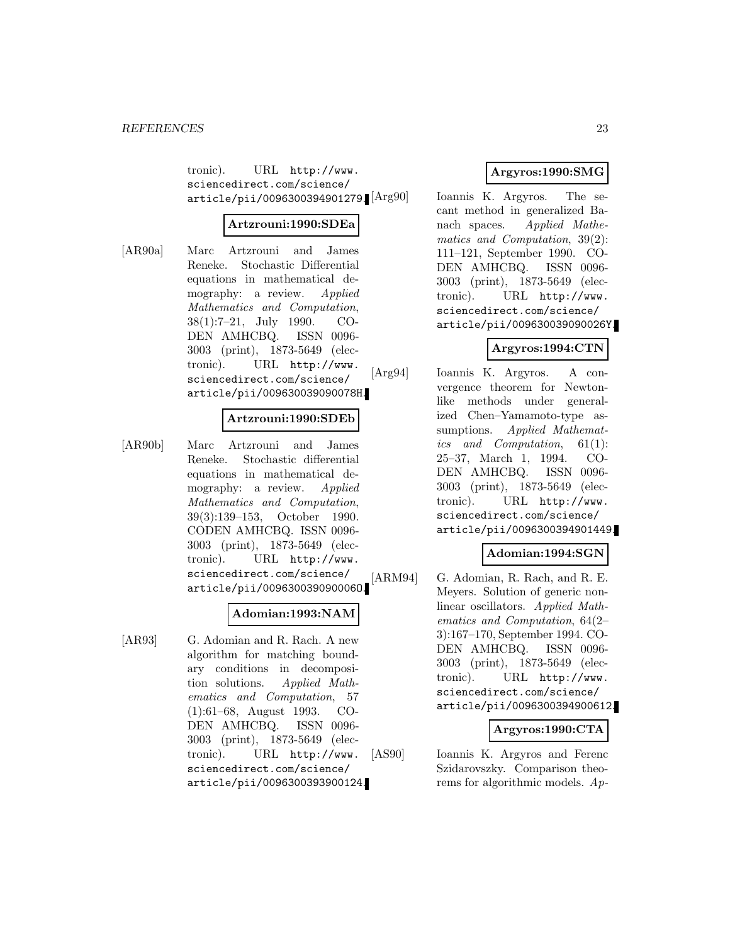tronic). URL http://www. sciencedirect.com/science/ article/pii/0096300394901279. [Arg90]

#### **Artzrouni:1990:SDEa**

[AR90a] Marc Artzrouni and James Reneke. Stochastic Differential equations in mathematical demography: a review. Applied Mathematics and Computation, 38(1):7–21, July 1990. CO-DEN AMHCBQ. ISSN 0096- 3003 (print), 1873-5649 (electronic). URL http://www. sciencedirect.com/science/ article/pii/009630039090078H.

#### **Artzrouni:1990:SDEb**

[AR90b] Marc Artzrouni and James Reneke. Stochastic differential equations in mathematical demography: a review. *Applied* Mathematics and Computation, 39(3):139–153, October 1990. CODEN AMHCBQ. ISSN 0096- 3003 (print), 1873-5649 (electronic). URL http://www. sciencedirect.com/science/ article/pii/009630039090006O.

### **Adomian:1993:NAM**

[AR93] G. Adomian and R. Rach. A new algorithm for matching boundary conditions in decomposition solutions. Applied Mathematics and Computation, 57 (1):61–68, August 1993. CO-DEN AMHCBQ. ISSN 0096- 3003 (print), 1873-5649 (electronic). URL http://www. sciencedirect.com/science/ article/pii/0096300393900124.

# **Argyros:1990:SMG**

Ioannis K. Argyros. The secant method in generalized Banach spaces. Applied Mathematics and Computation, 39(2): 111–121, September 1990. CO-DEN AMHCBQ. ISSN 0096- 3003 (print), 1873-5649 (electronic). URL http://www. sciencedirect.com/science/ article/pii/009630039090026Y.

# **Argyros:1994:CTN**

[Arg94] Ioannis K. Argyros. A convergence theorem for Newtonlike methods under generalized Chen–Yamamoto-type assumptions. Applied Mathematics and Computation, 61(1): 25–37, March 1, 1994. CO-DEN AMHCBQ. ISSN 0096- 3003 (print), 1873-5649 (electronic). URL http://www. sciencedirect.com/science/ article/pii/0096300394901449.

### **Adomian:1994:SGN**

[ARM94] G. Adomian, R. Rach, and R. E. Meyers. Solution of generic nonlinear oscillators. Applied Mathematics and Computation, 64(2– 3):167–170, September 1994. CO-DEN AMHCBQ. ISSN 0096- 3003 (print), 1873-5649 (electronic). URL http://www. sciencedirect.com/science/ article/pii/0096300394900612.

### **Argyros:1990:CTA**

[AS90] Ioannis K. Argyros and Ferenc Szidarovszky. Comparison theorems for algorithmic models. Ap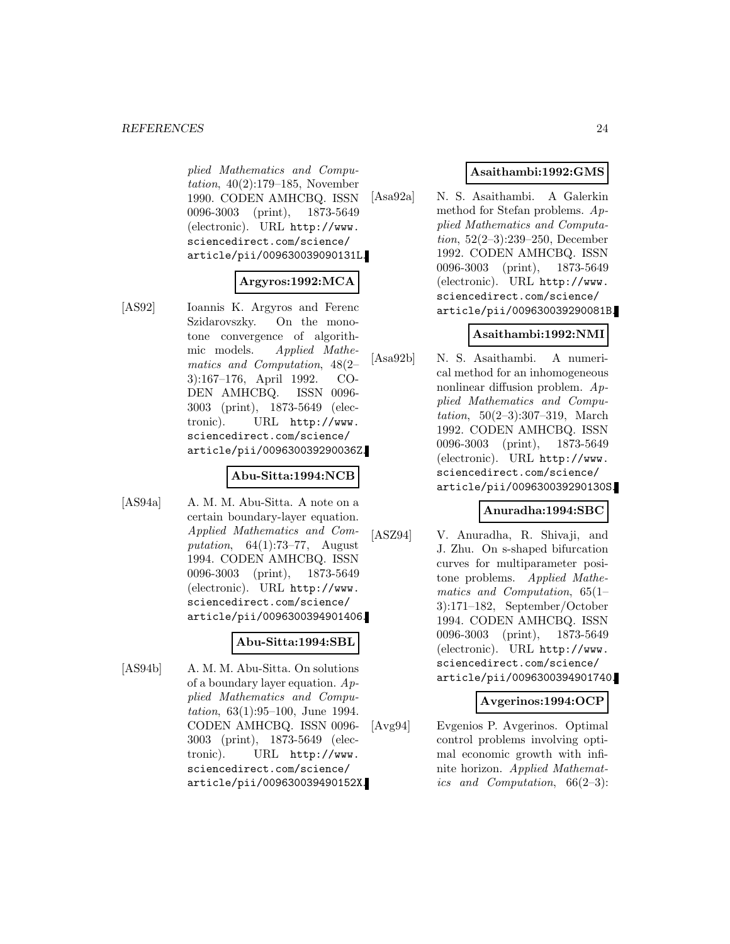plied Mathematics and Computation, 40(2):179–185, November 1990. CODEN AMHCBQ. ISSN 0096-3003 (print), 1873-5649 (electronic). URL http://www. sciencedirect.com/science/ article/pii/009630039090131L.

# **Argyros:1992:MCA**

[AS92] Ioannis K. Argyros and Ferenc Szidarovszky. On the monotone convergence of algorithmic models. Applied Mathematics and Computation, 48(2– 3):167–176, April 1992. CO-DEN AMHCBQ. ISSN 0096- 3003 (print), 1873-5649 (electronic). URL http://www. sciencedirect.com/science/ article/pii/009630039290036Z.

### **Abu-Sitta:1994:NCB**

[AS94a] A. M. M. Abu-Sitta. A note on a certain boundary-layer equation. Applied Mathematics and Computation,  $64(1):73-77$ , August 1994. CODEN AMHCBQ. ISSN 0096-3003 (print), 1873-5649 (electronic). URL http://www. sciencedirect.com/science/ article/pii/0096300394901406.

### **Abu-Sitta:1994:SBL**

[AS94b] A. M. M. Abu-Sitta. On solutions of a boundary layer equation.  $Ap$ plied Mathematics and Computation, 63(1):95–100, June 1994. CODEN AMHCBQ. ISSN 0096- 3003 (print), 1873-5649 (electronic). URL http://www. sciencedirect.com/science/ article/pii/009630039490152X.

### **Asaithambi:1992:GMS**

[Asa92a] N. S. Asaithambi. A Galerkin method for Stefan problems. Applied Mathematics and Computation, 52(2–3):239–250, December 1992. CODEN AMHCBQ. ISSN 0096-3003 (print), 1873-5649 (electronic). URL http://www. sciencedirect.com/science/ article/pii/009630039290081B.

### **Asaithambi:1992:NMI**

[Asa92b] N. S. Asaithambi. A numerical method for an inhomogeneous nonlinear diffusion problem. Applied Mathematics and Computation, 50(2–3):307–319, March 1992. CODEN AMHCBQ. ISSN 0096-3003 (print), 1873-5649 (electronic). URL http://www. sciencedirect.com/science/ article/pii/009630039290130S.

### **Anuradha:1994:SBC**

[ASZ94] V. Anuradha, R. Shivaji, and J. Zhu. On s-shaped bifurcation curves for multiparameter positone problems. Applied Mathematics and Computation, 65(1– 3):171–182, September/October 1994. CODEN AMHCBQ. ISSN 0096-3003 (print), 1873-5649 (electronic). URL http://www. sciencedirect.com/science/ article/pii/0096300394901740.

### **Avgerinos:1994:OCP**

[Avg94] Evgenios P. Avgerinos. Optimal control problems involving optimal economic growth with infinite horizon. Applied Mathematics and Computation, 66(2–3):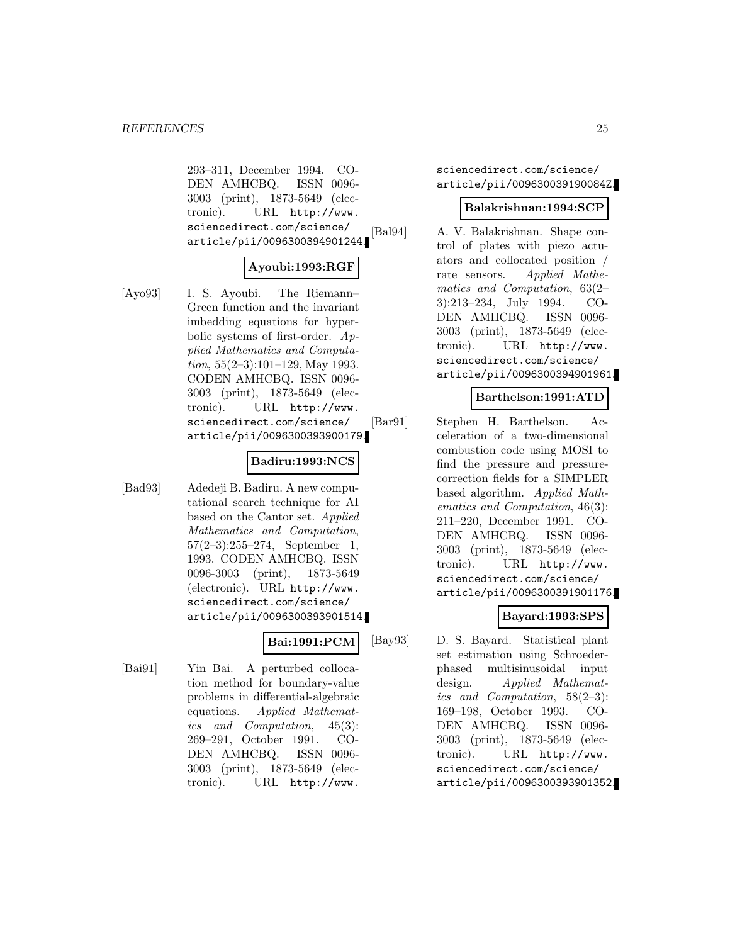293–311, December 1994. CO-DEN AMHCBQ. ISSN 0096- 3003 (print), 1873-5649 (electronic). URL http://www. sciencedirect.com/science/ article/pii/0096300394901244.

### **Ayoubi:1993:RGF**

- 
- [Ayo93] I. S. Ayoubi. The Riemann– Green function and the invariant imbedding equations for hyperbolic systems of first-order. Applied Mathematics and Computation,  $55(2-3):101-129$ , May 1993. CODEN AMHCBQ. ISSN 0096- 3003 (print), 1873-5649 (electronic). URL http://www. sciencedirect.com/science/ article/pii/0096300393900179.

#### **Badiru:1993:NCS**

[Bad93] Adedeji B. Badiru. A new computational search technique for AI based on the Cantor set. Applied Mathematics and Computation, 57(2–3):255–274, September 1, 1993. CODEN AMHCBQ. ISSN 0096-3003 (print), 1873-5649 (electronic). URL http://www. sciencedirect.com/science/ article/pii/0096300393901514.

### **Bai:1991:PCM**

[Bai91] Yin Bai. A perturbed collocation method for boundary-value problems in differential-algebraic equations. Applied Mathematics and Computation, 45(3): 269–291, October 1991. CO-DEN AMHCBQ. ISSN 0096- 3003 (print), 1873-5649 (electronic). URL http://www.

sciencedirect.com/science/ article/pii/009630039190084Z.

#### **Balakrishnan:1994:SCP**

[Bal94] A. V. Balakrishnan. Shape control of plates with piezo actuators and collocated position / rate sensors. Applied Mathematics and Computation, 63(2– 3):213–234, July 1994. CO-DEN AMHCBQ. ISSN 0096- 3003 (print), 1873-5649 (electronic). URL http://www. sciencedirect.com/science/ article/pii/0096300394901961.

### **Barthelson:1991:ATD**

[Bar91] Stephen H. Barthelson. Acceleration of a two-dimensional combustion code using MOSI to find the pressure and pressurecorrection fields for a SIMPLER based algorithm. Applied Mathematics and Computation, 46(3): 211–220, December 1991. CO-DEN AMHCBQ. ISSN 0096- 3003 (print), 1873-5649 (electronic). URL http://www. sciencedirect.com/science/ article/pii/0096300391901176.

### **Bayard:1993:SPS**

[Bay93] D. S. Bayard. Statistical plant set estimation using Schroederphased multisinusoidal input design. Applied Mathematics and Computation, 58(2–3): 169–198, October 1993. CO-DEN AMHCBQ. ISSN 0096- 3003 (print), 1873-5649 (electronic). URL http://www. sciencedirect.com/science/ article/pii/0096300393901352.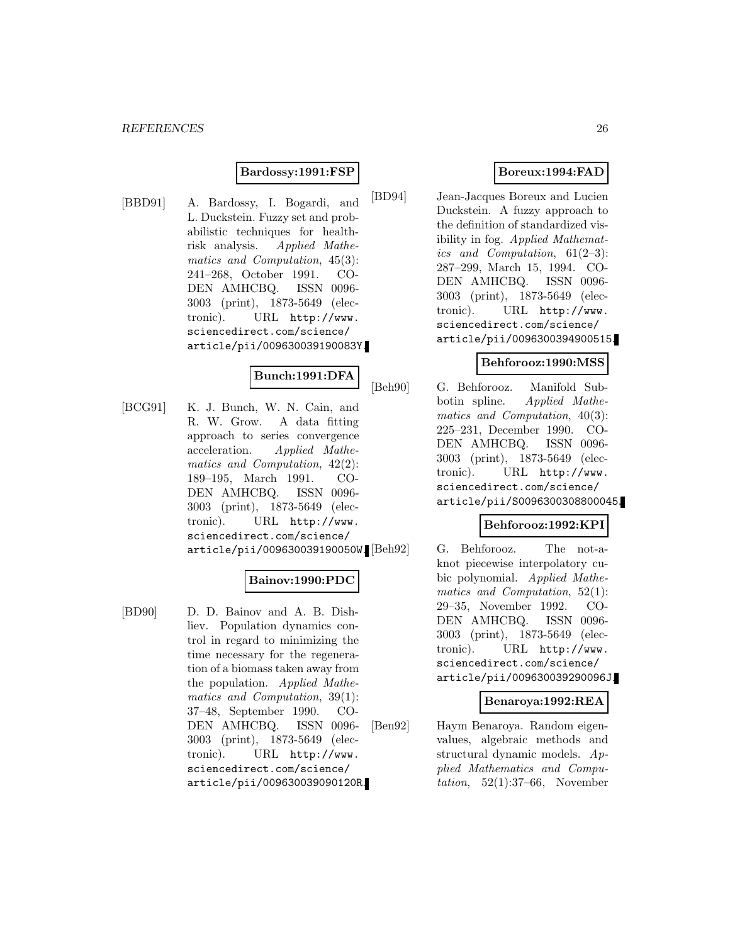#### **Bardossy:1991:FSP**

[BBD91] A. Bardossy, I. Bogardi, and L. Duckstein. Fuzzy set and probabilistic techniques for healthrisk analysis. Applied Mathematics and Computation, 45(3): 241–268, October 1991. CO-DEN AMHCBQ. ISSN 0096- 3003 (print), 1873-5649 (electronic). URL http://www. sciencedirect.com/science/ article/pii/009630039190083Y.

### **Bunch:1991:DFA**

[BCG91] K. J. Bunch, W. N. Cain, and R. W. Grow. A data fitting approach to series convergence acceleration. Applied Mathematics and Computation, 42(2): 189–195, March 1991. CO-DEN AMHCBQ. ISSN 0096- 3003 (print), 1873-5649 (electronic). URL http://www. sciencedirect.com/science/ article/pii/009630039190050W.

#### **Bainov:1990:PDC**

[BD90] D. D. Bainov and A. B. Dishliev. Population dynamics control in regard to minimizing the time necessary for the regeneration of a biomass taken away from the population. Applied Mathematics and Computation, 39(1): 37–48, September 1990. CO-DEN AMHCBQ. ISSN 0096- 3003 (print), 1873-5649 (electronic). URL http://www. sciencedirect.com/science/ article/pii/009630039090120R.

# **Boreux:1994:FAD**

[BD94] Jean-Jacques Boreux and Lucien Duckstein. A fuzzy approach to the definition of standardized visibility in fog. Applied Mathematics and Computation, 61(2–3): 287–299, March 15, 1994. CO-DEN AMHCBQ. ISSN 0096- 3003 (print), 1873-5649 (electronic). URL http://www. sciencedirect.com/science/ article/pii/0096300394900515.

### **Behforooz:1990:MSS**

[Beh90] G. Behforooz. Manifold Subbotin spline. Applied Mathematics and Computation, 40(3): 225–231, December 1990. CO-DEN AMHCBQ. ISSN 0096- 3003 (print), 1873-5649 (electronic). URL http://www. sciencedirect.com/science/ article/pii/S0096300308800045.

### **Behforooz:1992:KPI**

G. Behforooz. The not-aknot piecewise interpolatory cubic polynomial. Applied Mathematics and Computation, 52(1): 29–35, November 1992. CO-DEN AMHCBQ. ISSN 0096- 3003 (print), 1873-5649 (electronic). URL http://www. sciencedirect.com/science/ article/pii/009630039290096J.

### **Benaroya:1992:REA**

[Ben92] Haym Benaroya. Random eigenvalues, algebraic methods and structural dynamic models. Applied Mathematics and Computation,  $52(1):37-66$ , November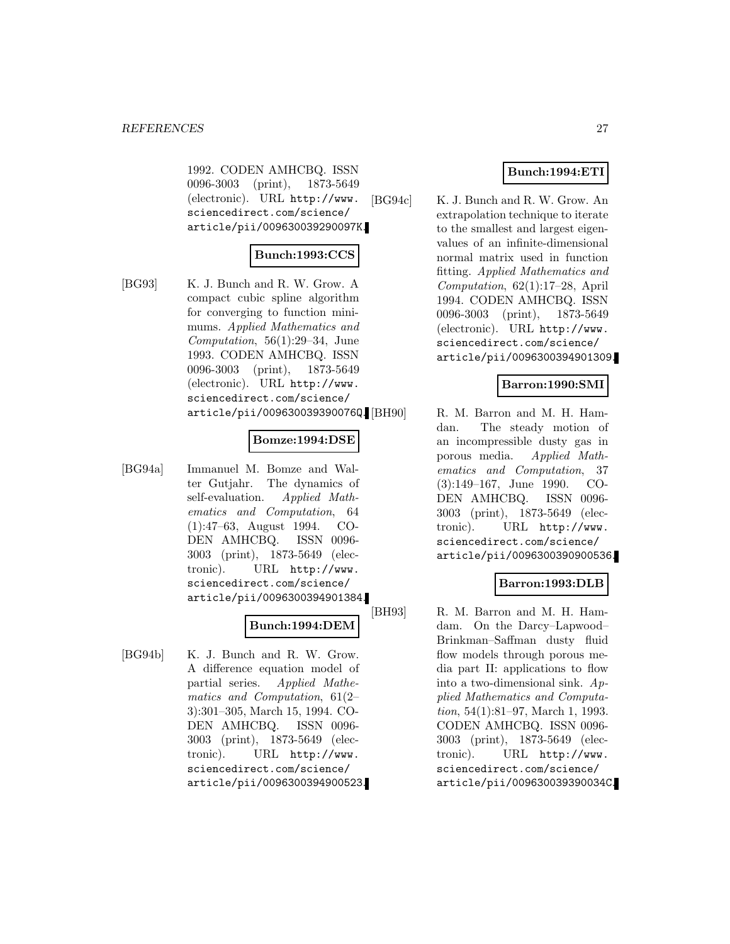1992. CODEN AMHCBQ. ISSN 0096-3003 (print), 1873-5649 (electronic). URL http://www. sciencedirect.com/science/ article/pii/009630039290097K.

### **Bunch:1993:CCS**

[BG93] K. J. Bunch and R. W. Grow. A compact cubic spline algorithm for converging to function minimums. Applied Mathematics and Computation, 56(1):29–34, June 1993. CODEN AMHCBQ. ISSN 0096-3003 (print), 1873-5649 (electronic). URL http://www. sciencedirect.com/science/ article/pii/009630039390076Q.

#### **Bomze:1994:DSE**

[BG94a] Immanuel M. Bomze and Walter Gutjahr. The dynamics of self-evaluation. Applied Mathematics and Computation, 64 (1):47–63, August 1994. CO-DEN AMHCBQ. ISSN 0096- 3003 (print), 1873-5649 (electronic). URL http://www. sciencedirect.com/science/ article/pii/0096300394901384.

#### **Bunch:1994:DEM**

[BG94b] K. J. Bunch and R. W. Grow. A difference equation model of partial series. Applied Mathematics and Computation, 61(2– 3):301–305, March 15, 1994. CO-DEN AMHCBQ. ISSN 0096- 3003 (print), 1873-5649 (electronic). URL http://www. sciencedirect.com/science/ article/pii/0096300394900523.

### **Bunch:1994:ETI**

[BG94c] K. J. Bunch and R. W. Grow. An extrapolation technique to iterate to the smallest and largest eigenvalues of an infinite-dimensional normal matrix used in function fitting. Applied Mathematics and Computation, 62(1):17–28, April 1994. CODEN AMHCBQ. ISSN 0096-3003 (print), 1873-5649 (electronic). URL http://www. sciencedirect.com/science/ article/pii/0096300394901309.

### **Barron:1990:SMI**

R. M. Barron and M. H. Hamdan. The steady motion of an incompressible dusty gas in porous media. Applied Mathematics and Computation, 37 (3):149–167, June 1990. CO-DEN AMHCBQ. ISSN 0096- 3003 (print), 1873-5649 (electronic). URL http://www. sciencedirect.com/science/ article/pii/0096300390900536.

### **Barron:1993:DLB**

[BH93] R. M. Barron and M. H. Hamdam. On the Darcy–Lapwood– Brinkman–Saffman dusty fluid flow models through porous media part II: applications to flow into a two-dimensional sink. Applied Mathematics and Computation, 54(1):81–97, March 1, 1993. CODEN AMHCBQ. ISSN 0096- 3003 (print), 1873-5649 (electronic). URL http://www. sciencedirect.com/science/ article/pii/009630039390034C.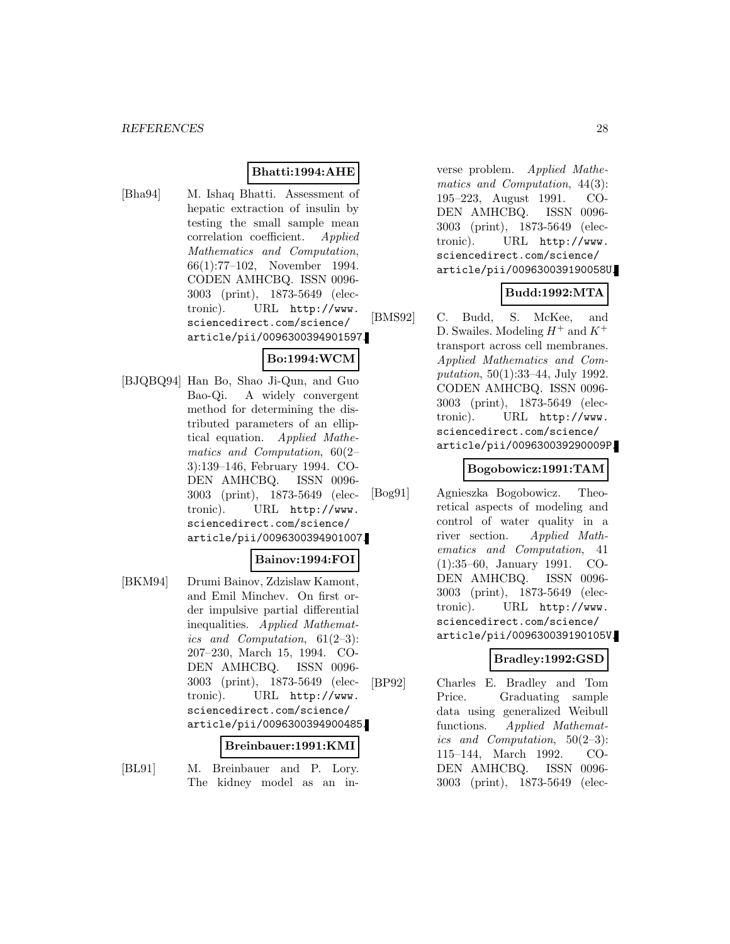### **Bhatti:1994:AHE**

[Bha94] M. Ishaq Bhatti. Assessment of hepatic extraction of insulin by testing the small sample mean correlation coefficient. Applied Mathematics and Computation, 66(1):77–102, November 1994. CODEN AMHCBQ. ISSN 0096- 3003 (print), 1873-5649 (electronic). URL http://www. sciencedirect.com/science/ article/pii/0096300394901597.

# **Bo:1994:WCM**

[BJQBQ94] Han Bo, Shao Ji-Qun, and Guo Bao-Qi. A widely convergent method for determining the distributed parameters of an elliptical equation. Applied Mathematics and Computation, 60(2– 3):139–146, February 1994. CO-DEN AMHCBQ. ISSN 0096- 3003 (print), 1873-5649 (electronic). URL http://www. sciencedirect.com/science/ article/pii/0096300394901007.

#### **Bainov:1994:FOI**

[BKM94] Drumi Bainov, Zdzislaw Kamont, and Emil Minchev. On first order impulsive partial differential inequalities. Applied Mathematics and Computation, 61(2–3): 207–230, March 15, 1994. CO-DEN AMHCBQ. ISSN 0096- 3003 (print), 1873-5649 (electronic). URL http://www. sciencedirect.com/science/ article/pii/0096300394900485.

#### **Breinbauer:1991:KMI**

[BL91] M. Breinbauer and P. Lory. The kidney model as an inverse problem. Applied Mathematics and Computation, 44(3): 195–223, August 1991. CO-DEN AMHCBQ. ISSN 0096- 3003 (print), 1873-5649 (electronic). URL http://www. sciencedirect.com/science/ article/pii/009630039190058U.

# **Budd:1992:MTA**

[BMS92] C. Budd, S. McKee, and D. Swailes. Modeling  $H^+$  and  $K^+$ transport across cell membranes. Applied Mathematics and Computation, 50(1):33–44, July 1992. CODEN AMHCBQ. ISSN 0096- 3003 (print), 1873-5649 (electronic). URL http://www. sciencedirect.com/science/ article/pii/009630039290009P.

### **Bogobowicz:1991:TAM**

[Bog91] Agnieszka Bogobowicz. Theoretical aspects of modeling and control of water quality in a river section. Applied Mathematics and Computation, 41 (1):35–60, January 1991. CO-DEN AMHCBQ. ISSN 0096- 3003 (print), 1873-5649 (electronic). URL http://www. sciencedirect.com/science/ article/pii/009630039190105V.

### **Bradley:1992:GSD**

[BP92] Charles E. Bradley and Tom Price. Graduating sample data using generalized Weibull functions. Applied Mathematics and Computation, 50(2–3): 115–144, March 1992. CO-DEN AMHCBQ. ISSN 0096- 3003 (print), 1873-5649 (elec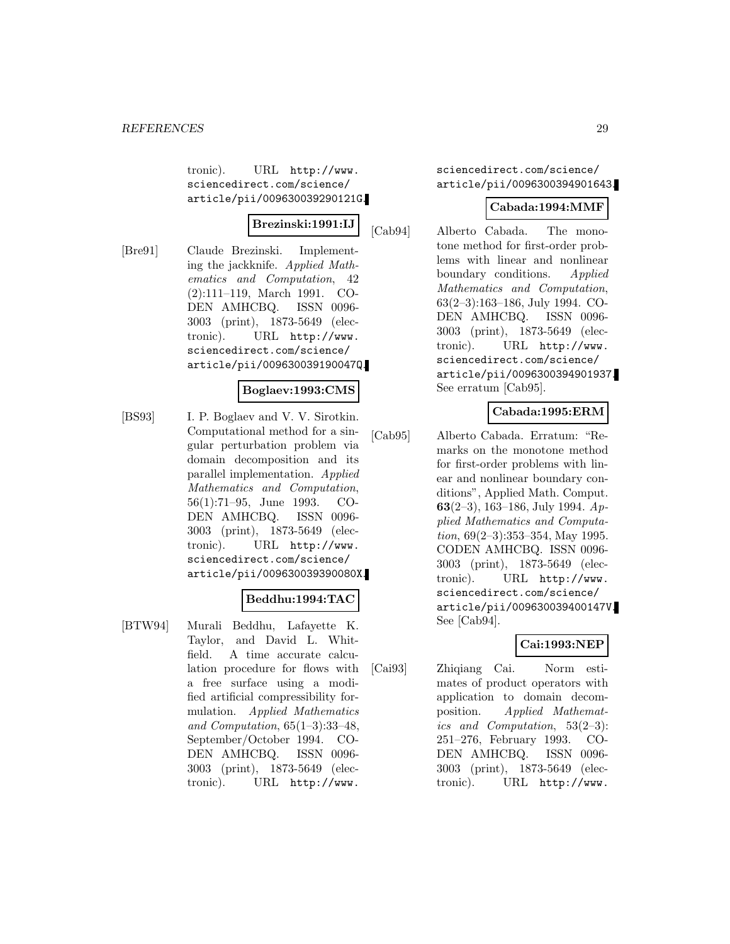tronic). URL http://www. sciencedirect.com/science/ article/pii/009630039290121G.

#### **Brezinski:1991:IJ**

[Bre91] Claude Brezinski. Implementing the jackknife. Applied Mathematics and Computation, 42 (2):111–119, March 1991. CO-DEN AMHCBQ. ISSN 0096- 3003 (print), 1873-5649 (electronic). URL http://www. sciencedirect.com/science/ article/pii/009630039190047Q.

#### **Boglaev:1993:CMS**

[BS93] I. P. Boglaev and V. V. Sirotkin. Computational method for a singular perturbation problem via domain decomposition and its parallel implementation. Applied Mathematics and Computation, 56(1):71–95, June 1993. CO-DEN AMHCBQ. ISSN 0096- 3003 (print), 1873-5649 (electronic). URL http://www. sciencedirect.com/science/ article/pii/009630039390080X.

### **Beddhu:1994:TAC**

[BTW94] Murali Beddhu, Lafayette K. Taylor, and David L. Whitfield. A time accurate calculation procedure for flows with a free surface using a modified artificial compressibility formulation. Applied Mathematics and Computation, 65(1–3):33–48, September/October 1994. CO-DEN AMHCBQ. ISSN 0096- 3003 (print), 1873-5649 (electronic). URL http://www.

sciencedirect.com/science/ article/pii/0096300394901643.

### **Cabada:1994:MMF**

[Cab94] Alberto Cabada. The monotone method for first-order problems with linear and nonlinear boundary conditions. Applied Mathematics and Computation, 63(2–3):163–186, July 1994. CO-DEN AMHCBQ. ISSN 0096- 3003 (print), 1873-5649 (electronic). URL http://www. sciencedirect.com/science/ article/pii/0096300394901937. See erratum [Cab95].

### **Cabada:1995:ERM**

[Cab95] Alberto Cabada. Erratum: "Remarks on the monotone method for first-order problems with linear and nonlinear boundary conditions", Applied Math. Comput. **63**(2–3), 163–186, July 1994. Applied Mathematics and Computation,  $69(2-3):353-354$ , May 1995. CODEN AMHCBQ. ISSN 0096- 3003 (print), 1873-5649 (electronic). URL http://www. sciencedirect.com/science/ article/pii/009630039400147V. See [Cab94].

### **Cai:1993:NEP**

[Cai93] Zhiqiang Cai. Norm estimates of product operators with application to domain decomposition. Applied Mathematics and Computation, 53(2–3): 251–276, February 1993. CO-DEN AMHCBQ. ISSN 0096- 3003 (print), 1873-5649 (electronic). URL http://www.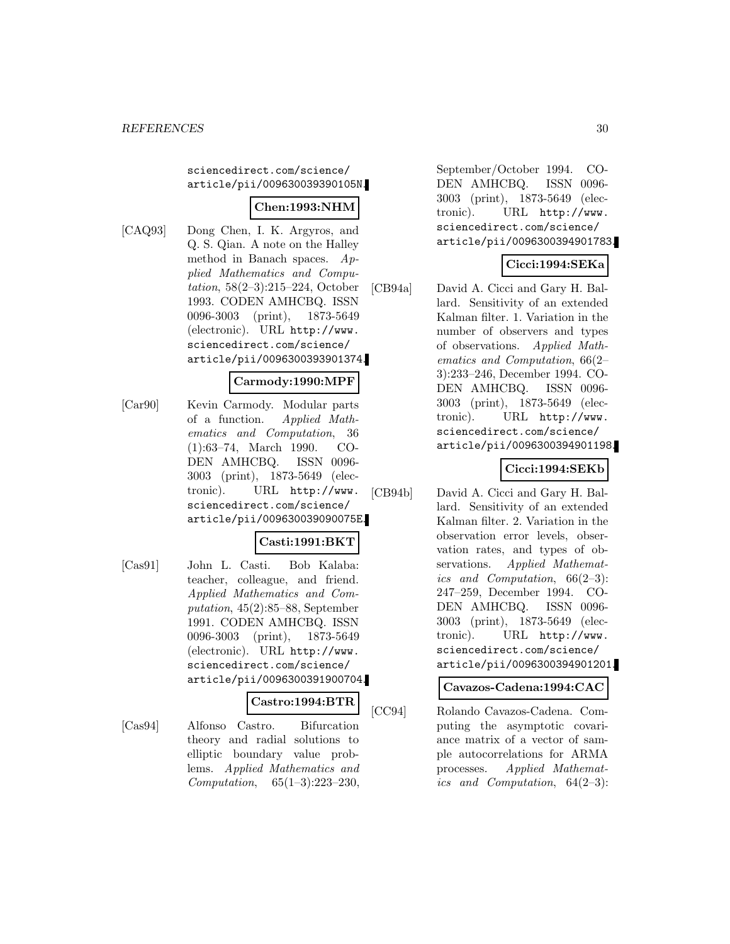#### sciencedirect.com/science/ article/pii/009630039390105N.

### **Chen:1993:NHM**

[CAQ93] Dong Chen, I. K. Argyros, and Q. S. Qian. A note on the Halley method in Banach spaces. Applied Mathematics and Computation, 58(2–3):215–224, October 1993. CODEN AMHCBQ. ISSN 0096-3003 (print), 1873-5649 (electronic). URL http://www. sciencedirect.com/science/ article/pii/0096300393901374.

#### **Carmody:1990:MPF**

[Car90] Kevin Carmody. Modular parts of a function. Applied Mathematics and Computation, 36 (1):63–74, March 1990. CO-DEN AMHCBQ. ISSN 0096- 3003 (print), 1873-5649 (electronic). URL http://www. sciencedirect.com/science/ article/pii/009630039090075E.

#### **Casti:1991:BKT**

[Cas91] John L. Casti. Bob Kalaba: teacher, colleague, and friend. Applied Mathematics and Computation, 45(2):85–88, September 1991. CODEN AMHCBQ. ISSN 0096-3003 (print), 1873-5649 (electronic). URL http://www. sciencedirect.com/science/ article/pii/0096300391900704.

#### **Castro:1994:BTR**

[Cas94] Alfonso Castro. Bifurcation theory and radial solutions to elliptic boundary value problems. Applied Mathematics and Computation, 65(1–3):223–230,

September/October 1994. CO-DEN AMHCBQ. ISSN 0096- 3003 (print), 1873-5649 (electronic). URL http://www. sciencedirect.com/science/ article/pii/0096300394901783.

#### **Cicci:1994:SEKa**

[CB94a] David A. Cicci and Gary H. Ballard. Sensitivity of an extended Kalman filter. 1. Variation in the number of observers and types of observations. Applied Mathematics and Computation, 66(2– 3):233–246, December 1994. CO-DEN AMHCBQ. ISSN 0096- 3003 (print), 1873-5649 (electronic). URL http://www. sciencedirect.com/science/ article/pii/0096300394901198.

### **Cicci:1994:SEKb**

[CB94b] David A. Cicci and Gary H. Ballard. Sensitivity of an extended Kalman filter. 2. Variation in the observation error levels, observation rates, and types of observations. Applied Mathematics and Computation, 66(2–3): 247–259, December 1994. CO-DEN AMHCBQ. ISSN 0096- 3003 (print), 1873-5649 (electronic). URL http://www. sciencedirect.com/science/ article/pii/0096300394901201.

### **Cavazos-Cadena:1994:CAC**

[CC94] Rolando Cavazos-Cadena. Computing the asymptotic covariance matrix of a vector of sample autocorrelations for ARMA processes. Applied Mathematics and Computation, 64(2–3):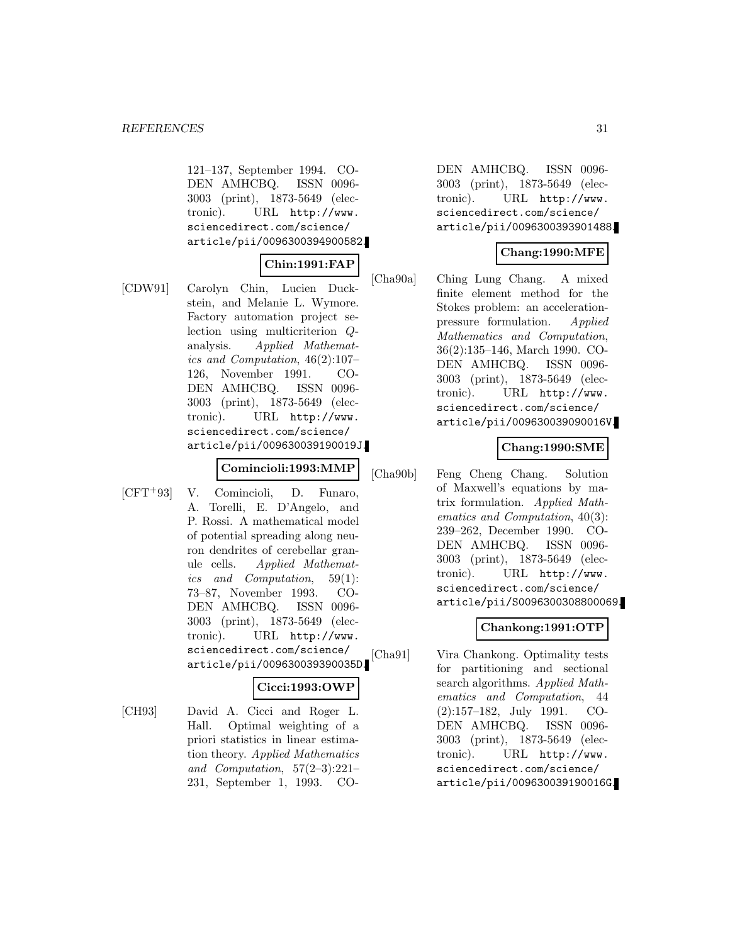121–137, September 1994. CO-DEN AMHCBQ. ISSN 0096- 3003 (print), 1873-5649 (electronic). URL http://www. sciencedirect.com/science/ article/pii/0096300394900582.

### **Chin:1991:FAP**

[CDW91] Carolyn Chin, Lucien Duckstein, and Melanie L. Wymore. Factory automation project selection using multicriterion Qanalysis. Applied Mathematics and Computation, 46(2):107– 126, November 1991. CO-DEN AMHCBQ. ISSN 0096- 3003 (print), 1873-5649 (electronic). URL http://www. sciencedirect.com/science/ article/pii/009630039190019J.

### **Comincioli:1993:MMP**

[CFT<sup>+</sup>93] V. Comincioli, D. Funaro, A. Torelli, E. D'Angelo, and P. Rossi. A mathematical model of potential spreading along neuron dendrites of cerebellar granule cells. Applied Mathematics and Computation, 59(1): 73–87, November 1993. CO-DEN AMHCBQ. ISSN 0096- 3003 (print), 1873-5649 (electronic). URL http://www. sciencedirect.com/science/ article/pii/009630039390035D.

### **Cicci:1993:OWP**

[CH93] David A. Cicci and Roger L. Hall. Optimal weighting of a priori statistics in linear estimation theory. Applied Mathematics and Computation, 57(2–3):221– 231, September 1, 1993. CO-

DEN AMHCBQ. ISSN 0096- 3003 (print), 1873-5649 (electronic). URL http://www. sciencedirect.com/science/ article/pii/0096300393901488.

#### **Chang:1990:MFE**

[Cha90a] Ching Lung Chang. A mixed finite element method for the Stokes problem: an accelerationpressure formulation. Applied Mathematics and Computation, 36(2):135–146, March 1990. CO-DEN AMHCBQ. ISSN 0096- 3003 (print), 1873-5649 (electronic). URL http://www. sciencedirect.com/science/ article/pii/009630039090016V.

#### **Chang:1990:SME**

[Cha90b] Feng Cheng Chang. Solution of Maxwell's equations by matrix formulation. Applied Mathematics and Computation, 40(3): 239–262, December 1990. CO-DEN AMHCBQ. ISSN 0096- 3003 (print), 1873-5649 (electronic). URL http://www. sciencedirect.com/science/ article/pii/S0096300308800069.

# **Chankong:1991:OTP**

[Cha91] Vira Chankong. Optimality tests for partitioning and sectional search algorithms. Applied Mathematics and Computation, 44 (2):157–182, July 1991. CO-DEN AMHCBQ. ISSN 0096- 3003 (print), 1873-5649 (electronic). URL http://www. sciencedirect.com/science/ article/pii/009630039190016G.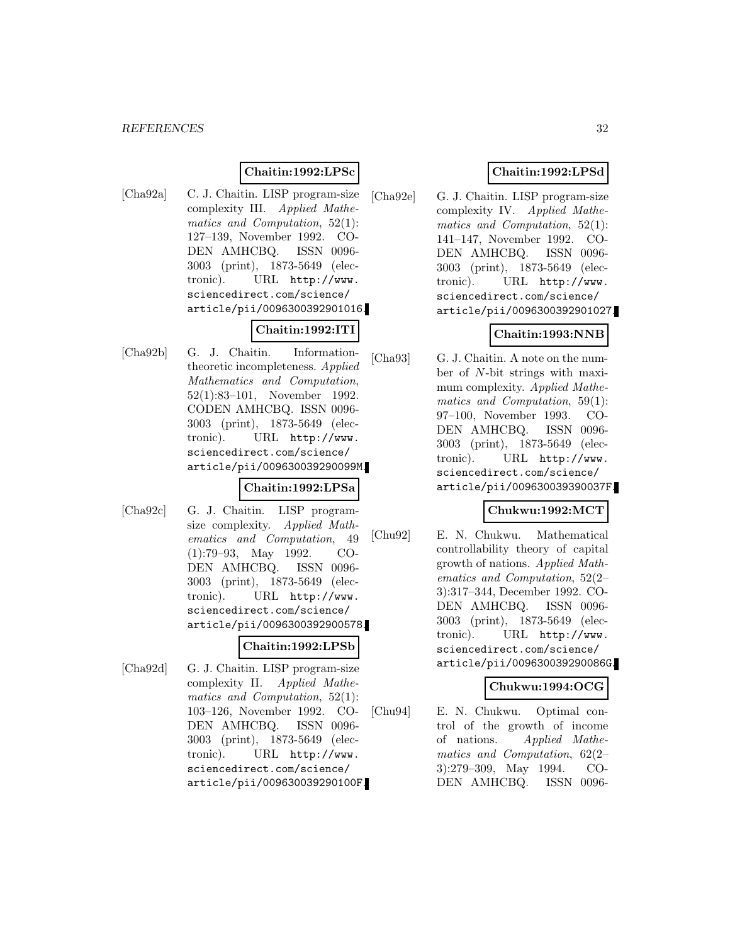#### **Chaitin:1992:LPSc**

[Cha92a] C. J. Chaitin. LISP program-size complexity III. Applied Mathematics and Computation, 52(1): 127–139, November 1992. CO-DEN AMHCBQ. ISSN 0096- 3003 (print), 1873-5649 (electronic). URL http://www. sciencedirect.com/science/ article/pii/0096300392901016.

### **Chaitin:1992:ITI**

[Cha92b] G. J. Chaitin. Informationtheoretic incompleteness. Applied Mathematics and Computation, 52(1):83–101, November 1992. CODEN AMHCBQ. ISSN 0096- 3003 (print), 1873-5649 (electronic). URL http://www. sciencedirect.com/science/ article/pii/009630039290099M.

#### **Chaitin:1992:LPSa**

[Cha92c] G. J. Chaitin. LISP programsize complexity. Applied Mathematics and Computation, 49 (1):79–93, May 1992. CO-DEN AMHCBQ. ISSN 0096- 3003 (print), 1873-5649 (electronic). URL http://www. sciencedirect.com/science/ article/pii/0096300392900578.

#### **Chaitin:1992:LPSb**

[Cha92d] G. J. Chaitin. LISP program-size complexity II. Applied Mathematics and Computation, 52(1): 103–126, November 1992. CO-DEN AMHCBQ. ISSN 0096- 3003 (print), 1873-5649 (electronic). URL http://www. sciencedirect.com/science/ article/pii/009630039290100F.

### **Chaitin:1992:LPSd**

[Cha92e] G. J. Chaitin. LISP program-size complexity IV. Applied Mathematics and Computation, 52(1): 141–147, November 1992. CO-DEN AMHCBQ. ISSN 0096- 3003 (print), 1873-5649 (electronic). URL http://www. sciencedirect.com/science/ article/pii/0096300392901027.

### **Chaitin:1993:NNB**

[Cha93] G. J. Chaitin. A note on the number of N-bit strings with maximum complexity. Applied Mathematics and Computation, 59(1): 97–100, November 1993. CO-DEN AMHCBQ. ISSN 0096- 3003 (print), 1873-5649 (electronic). URL http://www. sciencedirect.com/science/ article/pii/009630039390037F.

### **Chukwu:1992:MCT**

[Chu92] E. N. Chukwu. Mathematical controllability theory of capital growth of nations. Applied Mathematics and Computation, 52(2– 3):317–344, December 1992. CO-DEN AMHCBQ. ISSN 0096- 3003 (print), 1873-5649 (electronic). URL http://www. sciencedirect.com/science/ article/pii/009630039290086G.

### **Chukwu:1994:OCG**

[Chu94] E. N. Chukwu. Optimal control of the growth of income of nations. Applied Mathematics and Computation, 62(2– 3):279–309, May 1994. CO-DEN AMHCBQ. ISSN 0096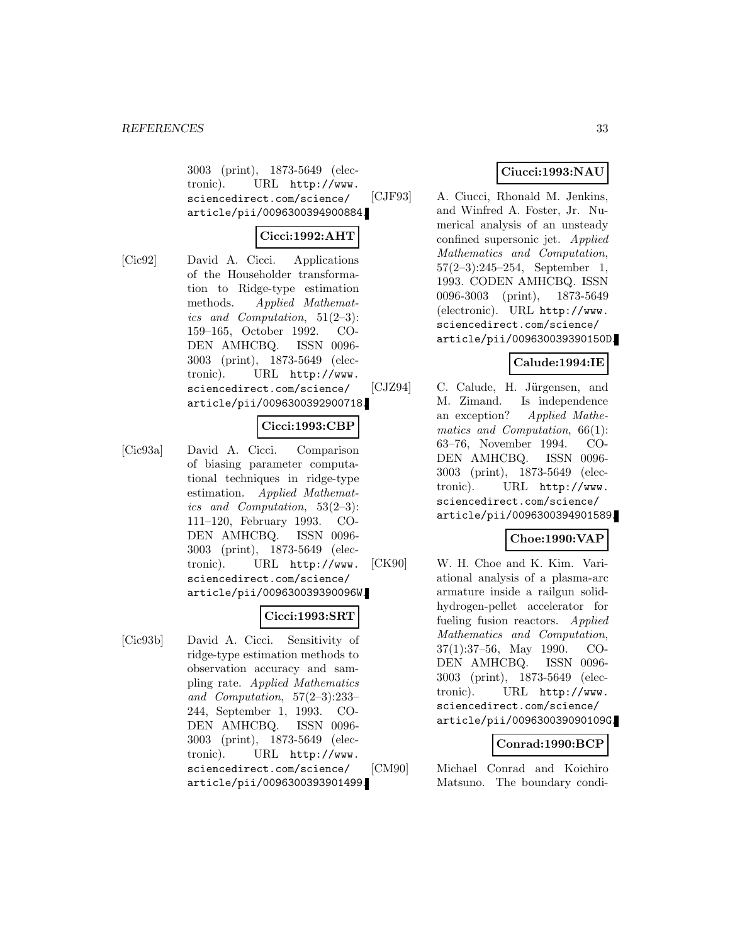3003 (print), 1873-5649 (electronic). URL http://www. sciencedirect.com/science/ article/pii/0096300394900884.

### **Cicci:1992:AHT**

[Cic92] David A. Cicci. Applications of the Householder transformation to Ridge-type estimation methods. Applied Mathematics and Computation,  $51(2-3)$ : 159–165, October 1992. CO-DEN AMHCBQ. ISSN 0096- 3003 (print), 1873-5649 (electronic). URL http://www. sciencedirect.com/science/

#### **Cicci:1993:CBP**

article/pii/0096300392900718.

[Cic93a] David A. Cicci. Comparison of biasing parameter computational techniques in ridge-type estimation. Applied Mathematics and Computation, 53(2–3): 111–120, February 1993. CO-DEN AMHCBQ. ISSN 0096- 3003 (print), 1873-5649 (electronic). URL http://www. sciencedirect.com/science/ article/pii/009630039390096W.

### **Cicci:1993:SRT**

[Cic93b] David A. Cicci. Sensitivity of ridge-type estimation methods to observation accuracy and sampling rate. Applied Mathematics and Computation, 57(2–3):233– 244, September 1, 1993. CO-DEN AMHCBQ. ISSN 0096- 3003 (print), 1873-5649 (electronic). URL http://www. sciencedirect.com/science/ article/pii/0096300393901499.

### **Ciucci:1993:NAU**

[CJF93] A. Ciucci, Rhonald M. Jenkins, and Winfred A. Foster, Jr. Numerical analysis of an unsteady confined supersonic jet. Applied Mathematics and Computation, 57(2–3):245–254, September 1, 1993. CODEN AMHCBQ. ISSN 0096-3003 (print), 1873-5649 (electronic). URL http://www. sciencedirect.com/science/ article/pii/009630039390150D.

#### **Calude:1994:IE**

[CJZ94] C. Calude, H. Jürgensen, and M. Zimand. Is independence an exception? Applied Mathematics and Computation, 66(1): 63–76, November 1994. CO-DEN AMHCBQ. ISSN 0096- 3003 (print), 1873-5649 (electronic). URL http://www. sciencedirect.com/science/ article/pii/0096300394901589.

### **Choe:1990:VAP**

[CK90] W. H. Choe and K. Kim. Variational analysis of a plasma-arc armature inside a railgun solidhydrogen-pellet accelerator for fueling fusion reactors. Applied Mathematics and Computation, 37(1):37–56, May 1990. CO-DEN AMHCBQ. ISSN 0096- 3003 (print), 1873-5649 (electronic). URL http://www. sciencedirect.com/science/ article/pii/009630039090109G.

#### **Conrad:1990:BCP**

[CM90] Michael Conrad and Koichiro Matsuno. The boundary condi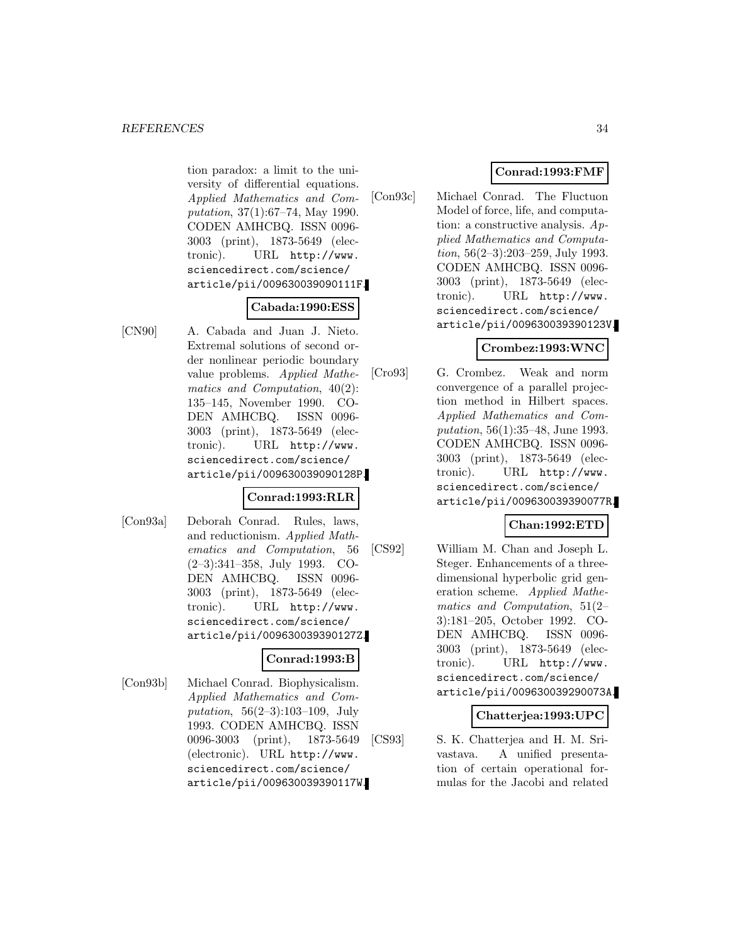tion paradox: a limit to the university of differential equations. Applied Mathematics and Computation, 37(1):67–74, May 1990. CODEN AMHCBQ. ISSN 0096- 3003 (print), 1873-5649 (electronic). URL http://www. sciencedirect.com/science/ article/pii/009630039090111F.

### **Cabada:1990:ESS**

[CN90] A. Cabada and Juan J. Nieto. Extremal solutions of second order nonlinear periodic boundary value problems. Applied Mathematics and Computation, 40(2): 135–145, November 1990. CO-DEN AMHCBQ. ISSN 0096- 3003 (print), 1873-5649 (electronic). URL http://www. sciencedirect.com/science/ article/pii/009630039090128P.

#### **Conrad:1993:RLR**

[Con93a] Deborah Conrad. Rules, laws, and reductionism. Applied Mathematics and Computation, 56 (2–3):341–358, July 1993. CO-DEN AMHCBQ. ISSN 0096- 3003 (print), 1873-5649 (electronic). URL http://www. sciencedirect.com/science/ article/pii/009630039390127Z.

#### **Conrad:1993:B**

[Con93b] Michael Conrad. Biophysicalism. Applied Mathematics and Computation,  $56(2-3):103-109$ , July 1993. CODEN AMHCBQ. ISSN 0096-3003 (print), 1873-5649 (electronic). URL http://www. sciencedirect.com/science/ article/pii/009630039390117W.

# **Conrad:1993:FMF**

[Con93c] Michael Conrad. The Fluctuon Model of force, life, and computation: a constructive analysis. Applied Mathematics and Computation, 56(2–3):203–259, July 1993. CODEN AMHCBQ. ISSN 0096- 3003 (print), 1873-5649 (electronic). URL http://www. sciencedirect.com/science/ article/pii/009630039390123V.

### **Crombez:1993:WNC**

[Cro93] G. Crombez. Weak and norm convergence of a parallel projection method in Hilbert spaces. Applied Mathematics and Computation, 56(1):35–48, June 1993. CODEN AMHCBQ. ISSN 0096- 3003 (print), 1873-5649 (electronic). URL http://www. sciencedirect.com/science/ article/pii/009630039390077R.

# **Chan:1992:ETD**

[CS92] William M. Chan and Joseph L. Steger. Enhancements of a threedimensional hyperbolic grid generation scheme. Applied Mathematics and Computation, 51(2– 3):181–205, October 1992. CO-DEN AMHCBQ. ISSN 0096- 3003 (print), 1873-5649 (electronic). URL http://www. sciencedirect.com/science/ article/pii/009630039290073A.

### **Chatterjea:1993:UPC**

[CS93] S. K. Chatterjea and H. M. Srivastava. A unified presentation of certain operational formulas for the Jacobi and related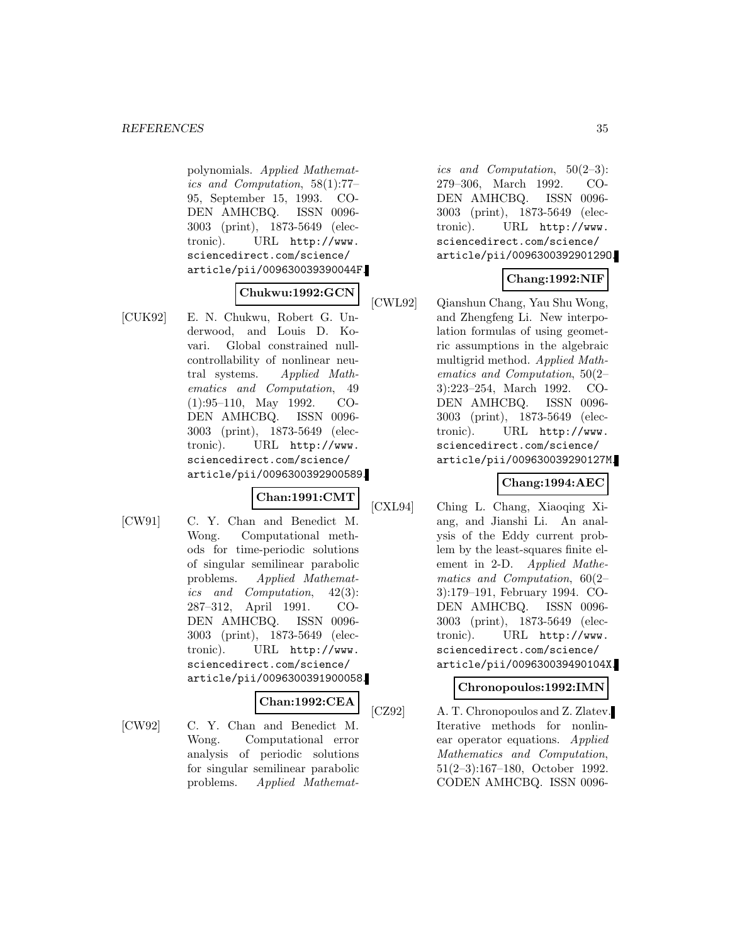polynomials. Applied Mathematics and Computation, 58(1):77– 95, September 15, 1993. CO-DEN AMHCBQ. ISSN 0096- 3003 (print), 1873-5649 (electronic). URL http://www. sciencedirect.com/science/ article/pii/009630039390044F.

#### **Chukwu:1992:GCN**

[CUK92] E. N. Chukwu, Robert G. Underwood, and Louis D. Kovari. Global constrained nullcontrollability of nonlinear neutral systems. Applied Mathematics and Computation, 49 (1):95–110, May 1992. CO-DEN AMHCBQ. ISSN 0096- 3003 (print), 1873-5649 (electronic). URL http://www. sciencedirect.com/science/ article/pii/0096300392900589.

# **Chan:1991:CMT**

[CW91] C. Y. Chan and Benedict M. Wong. Computational methods for time-periodic solutions of singular semilinear parabolic problems. Applied Mathematics and Computation, 42(3): 287–312, April 1991. CO-DEN AMHCBQ. ISSN 0096- 3003 (print), 1873-5649 (electronic). URL http://www. sciencedirect.com/science/ article/pii/0096300391900058.

#### **Chan:1992:CEA**

[CW92] C. Y. Chan and Benedict M. Wong. Computational error analysis of periodic solutions for singular semilinear parabolic problems. Applied Mathemat-

ics and Computation, 50(2–3): 279–306, March 1992. CO-DEN AMHCBQ. ISSN 0096- 3003 (print), 1873-5649 (electronic). URL http://www. sciencedirect.com/science/ article/pii/009630039290129O.

# **Chang:1992:NIF**

[CWL92] Qianshun Chang, Yau Shu Wong, and Zhengfeng Li. New interpolation formulas of using geometric assumptions in the algebraic multigrid method. Applied Mathematics and Computation, 50(2– 3):223–254, March 1992. CO-DEN AMHCBQ. ISSN 0096- 3003 (print), 1873-5649 (electronic). URL http://www. sciencedirect.com/science/ article/pii/009630039290127M.

### **Chang:1994:AEC**

[CXL94] Ching L. Chang, Xiaoqing Xiang, and Jianshi Li. An analysis of the Eddy current problem by the least-squares finite element in 2-D. Applied Mathematics and Computation, 60(2– 3):179–191, February 1994. CO-DEN AMHCBQ. ISSN 0096- 3003 (print), 1873-5649 (electronic). URL http://www. sciencedirect.com/science/ article/pii/009630039490104X.

### **Chronopoulos:1992:IMN**

[CZ92] A. T. Chronopoulos and Z. Zlatev. Iterative methods for nonlinear operator equations. Applied Mathematics and Computation, 51(2–3):167–180, October 1992. CODEN AMHCBQ. ISSN 0096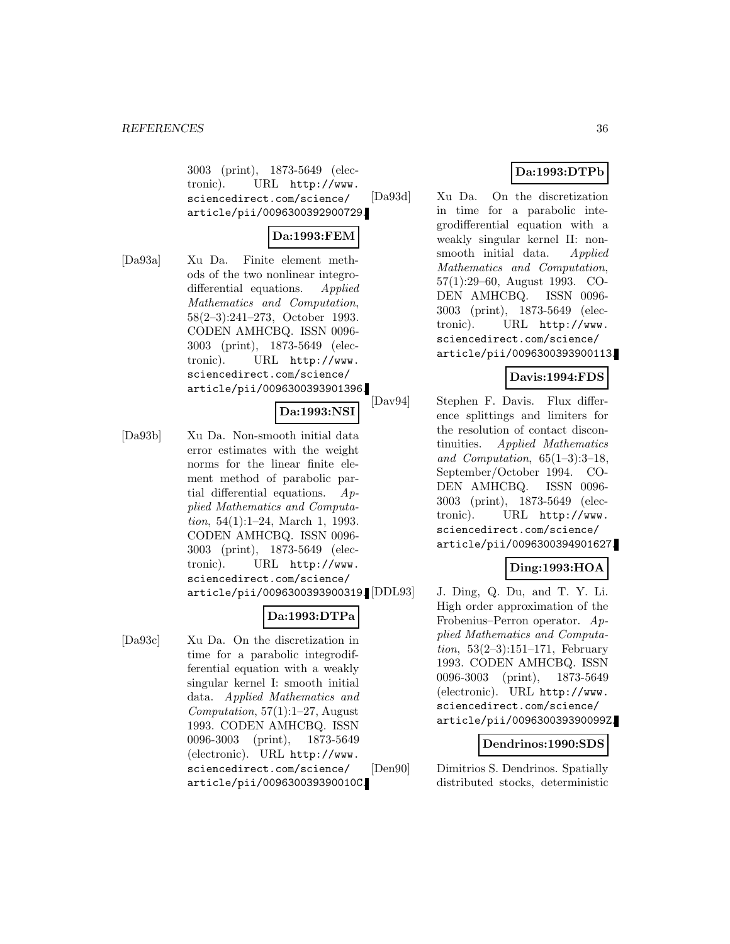3003 (print), 1873-5649 (electronic). URL http://www. sciencedirect.com/science/ article/pii/0096300392900729.

### **Da:1993:FEM**

[Da93a] Xu Da. Finite element methods of the two nonlinear integrodifferential equations. Applied Mathematics and Computation, 58(2–3):241–273, October 1993. CODEN AMHCBQ. ISSN 0096- 3003 (print), 1873-5649 (electronic). URL http://www. sciencedirect.com/science/ article/pii/0096300393901396.

#### **Da:1993:NSI**

[Da93b] Xu Da. Non-smooth initial data error estimates with the weight norms for the linear finite element method of parabolic partial differential equations. Applied Mathematics and Computation, 54(1):1–24, March 1, 1993. CODEN AMHCBQ. ISSN 0096- 3003 (print), 1873-5649 (electronic). URL http://www. sciencedirect.com/science/ article/pii/0096300393900319.

### **Da:1993:DTPa**

[Da93c] Xu Da. On the discretization in time for a parabolic integrodifferential equation with a weakly singular kernel I: smooth initial data. Applied Mathematics and Computation,  $57(1):1-27$ , August 1993. CODEN AMHCBQ. ISSN 0096-3003 (print), 1873-5649 (electronic). URL http://www. sciencedirect.com/science/ article/pii/009630039390010C.

# **Da:1993:DTPb**

[Da93d] Xu Da. On the discretization in time for a parabolic integrodifferential equation with a weakly singular kernel II: nonsmooth initial data. Applied Mathematics and Computation, 57(1):29–60, August 1993. CO-DEN AMHCBQ. ISSN 0096- 3003 (print), 1873-5649 (electronic). URL http://www. sciencedirect.com/science/ article/pii/0096300393900113.

# **Davis:1994:FDS**

[Dav94] Stephen F. Davis. Flux difference splittings and limiters for the resolution of contact discontinuities. Applied Mathematics and Computation, 65(1–3):3–18, September/October 1994. CO-DEN AMHCBQ. ISSN 0096- 3003 (print), 1873-5649 (electronic). URL http://www. sciencedirect.com/science/ article/pii/0096300394901627.

### **Ding:1993:HOA**

J. Ding, Q. Du, and T. Y. Li. High order approximation of the Frobenius–Perron operator. Applied Mathematics and Computation,  $53(2-3):151-171$ , February 1993. CODEN AMHCBQ. ISSN 0096-3003 (print), 1873-5649 (electronic). URL http://www. sciencedirect.com/science/ article/pii/009630039390099Z.

#### **Dendrinos:1990:SDS**

[Den90] Dimitrios S. Dendrinos. Spatially distributed stocks, deterministic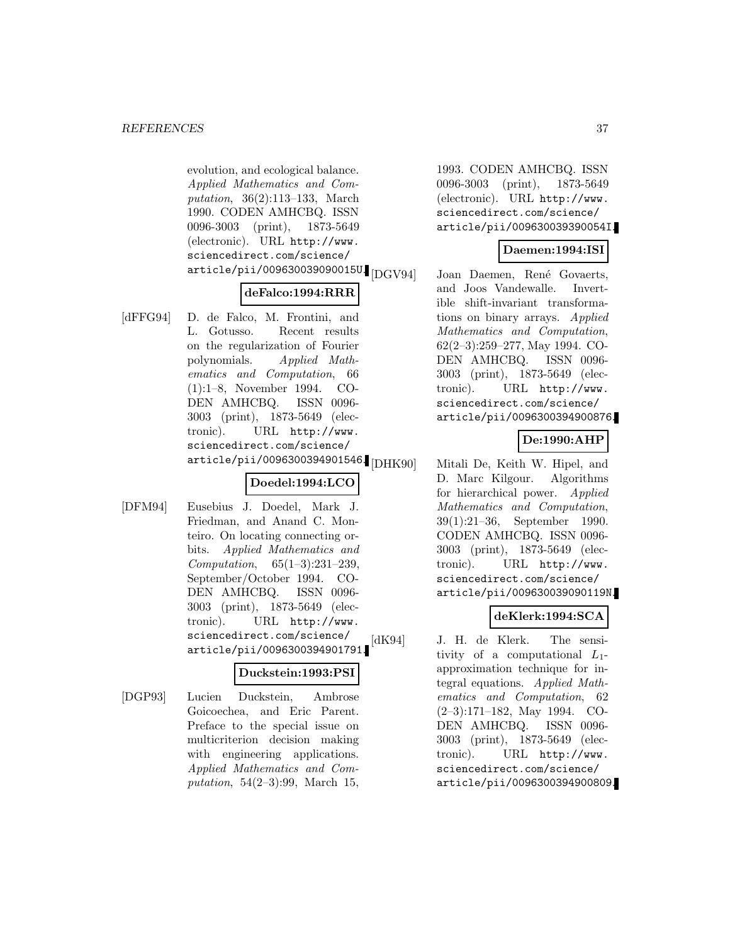evolution, and ecological balance. Applied Mathematics and Computation, 36(2):113–133, March 1990. CODEN AMHCBQ. ISSN 0096-3003 (print), 1873-5649 (electronic). URL http://www. sciencedirect.com/science/  $\artitle/\text{pi}$ i/009630039090015U.

#### **deFalco:1994:RRR**

[dFFG94] D. de Falco, M. Frontini, and L. Gotusso. Recent results on the regularization of Fourier polynomials. Applied Mathematics and Computation, 66 (1):1–8, November 1994. CO-DEN AMHCBQ. ISSN 0096- 3003 (print), 1873-5649 (electronic). URL http://www. sciencedirect.com/science/ article/pii/0096300394901546.<br>[DHK90]

## **Doedel:1994:LCO**

[DFM94] Eusebius J. Doedel, Mark J. Friedman, and Anand C. Monteiro. On locating connecting orbits. Applied Mathematics and Computation, 65(1–3):231–239, September/October 1994. CO-DEN AMHCBQ. ISSN 0096- 3003 (print), 1873-5649 (electronic). URL http://www. sciencedirect.com/science/ article/pii/0096300394901791.

### **Duckstein:1993:PSI**

[DGP93] Lucien Duckstein, Ambrose Goicoechea, and Eric Parent. Preface to the special issue on multicriterion decision making with engineering applications. Applied Mathematics and Computation, 54(2–3):99, March 15,

1993. CODEN AMHCBQ. ISSN 0096-3003 (print), 1873-5649 (electronic). URL http://www. sciencedirect.com/science/ article/pii/009630039390054I.

### **Daemen:1994:ISI**

Joan Daemen, René Govaerts, and Joos Vandewalle. Invertible shift-invariant transformations on binary arrays. Applied Mathematics and Computation, 62(2–3):259–277, May 1994. CO-DEN AMHCBQ. ISSN 0096- 3003 (print), 1873-5649 (electronic). URL http://www. sciencedirect.com/science/ article/pii/0096300394900876.

## **De:1990:AHP**

Mitali De, Keith W. Hipel, and D. Marc Kilgour. Algorithms for hierarchical power. Applied Mathematics and Computation, 39(1):21–36, September 1990. CODEN AMHCBQ. ISSN 0096- 3003 (print), 1873-5649 (electronic). URL http://www. sciencedirect.com/science/ article/pii/009630039090119N.

### **deKlerk:1994:SCA**

[dK94] J. H. de Klerk. The sensitivity of a computational  $L_1$ approximation technique for integral equations. Applied Mathematics and Computation, 62 (2–3):171–182, May 1994. CO-DEN AMHCBQ. ISSN 0096- 3003 (print), 1873-5649 (electronic). URL http://www. sciencedirect.com/science/ article/pii/0096300394900809.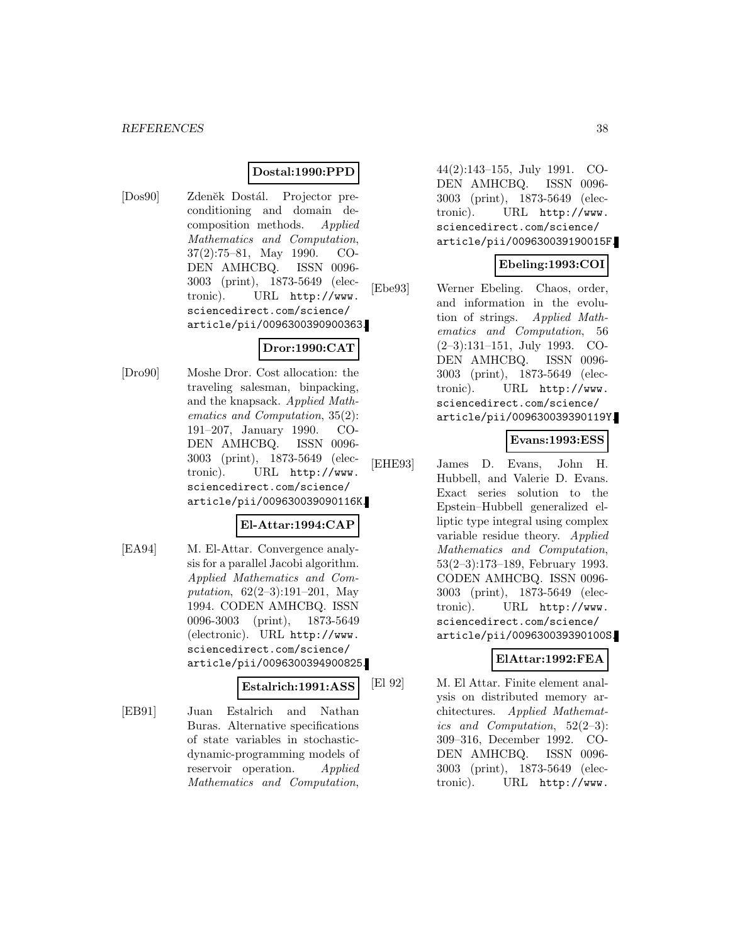### **Dostal:1990:PPD**

[Dos90] Zdeněk Dostál. Projector preconditioning and domain decomposition methods. Applied Mathematics and Computation, 37(2):75–81, May 1990. CO-DEN AMHCBQ. ISSN 0096- 3003 (print), 1873-5649 (electronic). URL http://www. sciencedirect.com/science/ article/pii/0096300390900363.

## **Dror:1990:CAT**

[Dro90] Moshe Dror. Cost allocation: the traveling salesman, binpacking, and the knapsack. Applied Mathematics and Computation, 35(2): 191–207, January 1990. CO-DEN AMHCBQ. ISSN 0096- 3003 (print), 1873-5649 (electronic). URL http://www. sciencedirect.com/science/ article/pii/009630039090116K.

### **El-Attar:1994:CAP**

[EA94] M. El-Attar. Convergence analysis for a parallel Jacobi algorithm. Applied Mathematics and Computation, 62(2–3):191–201, May 1994. CODEN AMHCBQ. ISSN 0096-3003 (print), 1873-5649 (electronic). URL http://www. sciencedirect.com/science/ article/pii/0096300394900825.

#### **Estalrich:1991:ASS**

[EB91] Juan Estalrich and Nathan Buras. Alternative specifications of state variables in stochasticdynamic-programming models of reservoir operation. Applied Mathematics and Computation,

44(2):143–155, July 1991. CO-DEN AMHCBQ. ISSN 0096- 3003 (print), 1873-5649 (electronic). URL http://www. sciencedirect.com/science/ article/pii/009630039190015F.

## **Ebeling:1993:COI**

[Ebe93] Werner Ebeling. Chaos, order, and information in the evolution of strings. Applied Mathematics and Computation, 56 (2–3):131–151, July 1993. CO-DEN AMHCBQ. ISSN 0096- 3003 (print), 1873-5649 (electronic). URL http://www. sciencedirect.com/science/ article/pii/009630039390119Y.

#### **Evans:1993:ESS**

[EHE93] James D. Evans, John H. Hubbell, and Valerie D. Evans. Exact series solution to the Epstein–Hubbell generalized elliptic type integral using complex variable residue theory. Applied Mathematics and Computation, 53(2–3):173–189, February 1993. CODEN AMHCBQ. ISSN 0096- 3003 (print), 1873-5649 (electronic). URL http://www. sciencedirect.com/science/ article/pii/009630039390100S.

### **ElAttar:1992:FEA**

[El 92] M. El Attar. Finite element analysis on distributed memory architectures. Applied Mathematics and Computation, 52(2–3): 309–316, December 1992. CO-DEN AMHCBQ. ISSN 0096- 3003 (print), 1873-5649 (electronic). URL http://www.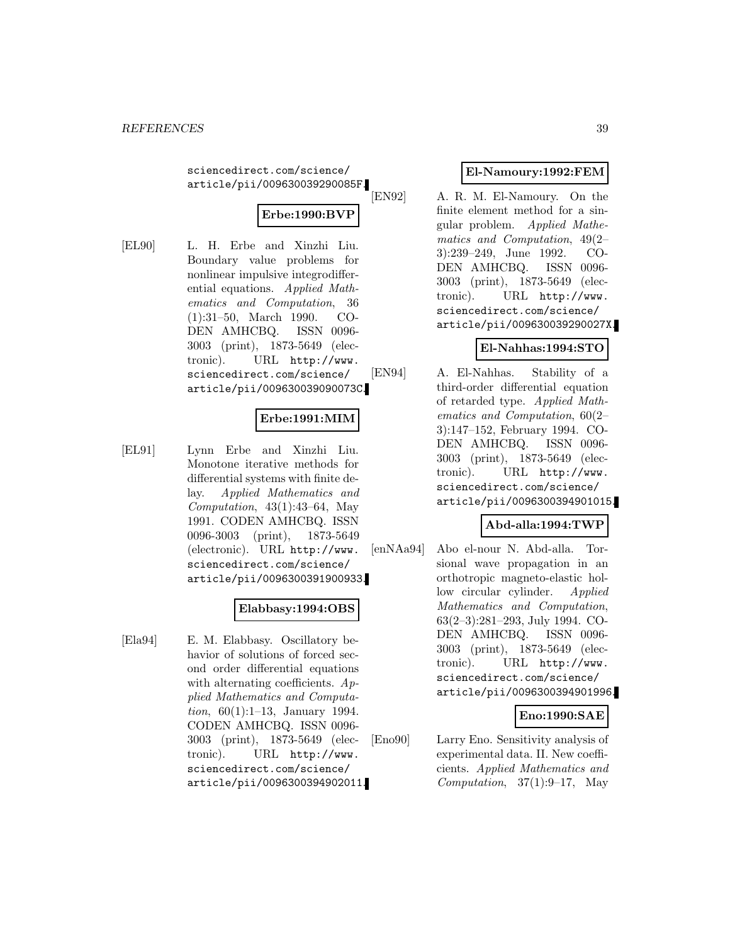sciencedirect.com/science/ article/pii/009630039290085F.

## **Erbe:1990:BVP**

[EL90] L. H. Erbe and Xinzhi Liu. Boundary value problems for nonlinear impulsive integrodifferential equations. Applied Mathematics and Computation, 36 (1):31–50, March 1990. CO-DEN AMHCBQ. ISSN 0096- 3003 (print), 1873-5649 (electronic). URL http://www. sciencedirect.com/science/ article/pii/009630039090073C.

## **Erbe:1991:MIM**

[EL91] Lynn Erbe and Xinzhi Liu. Monotone iterative methods for differential systems with finite delay. Applied Mathematics and Computation,  $43(1):43-64$ , May 1991. CODEN AMHCBQ. ISSN 0096-3003 (print), 1873-5649 (electronic). URL http://www. sciencedirect.com/science/ article/pii/0096300391900933.

### **Elabbasy:1994:OBS**

[Ela94] E. M. Elabbasy. Oscillatory behavior of solutions of forced second order differential equations with alternating coefficients.  $Ap$ plied Mathematics and Computation, 60(1):1–13, January 1994. CODEN AMHCBQ. ISSN 0096- 3003 (print), 1873-5649 (electronic). URL http://www. sciencedirect.com/science/ article/pii/0096300394902011.

## **El-Namoury:1992:FEM**

[EN92] A. R. M. El-Namoury. On the finite element method for a singular problem. Applied Mathematics and Computation, 49(2– 3):239–249, June 1992. CO-DEN AMHCBQ. ISSN 0096- 3003 (print), 1873-5649 (electronic). URL http://www. sciencedirect.com/science/ article/pii/009630039290027X.

## **El-Nahhas:1994:STO**

[EN94] A. El-Nahhas. Stability of a third-order differential equation of retarded type. Applied Mathematics and Computation, 60(2– 3):147–152, February 1994. CO-DEN AMHCBQ. ISSN 0096- 3003 (print), 1873-5649 (electronic). URL http://www. sciencedirect.com/science/ article/pii/0096300394901015.

## **Abd-alla:1994:TWP**

[enNAa94] Abo el-nour N. Abd-alla. Torsional wave propagation in an orthotropic magneto-elastic hollow circular cylinder. Applied Mathematics and Computation, 63(2–3):281–293, July 1994. CO-DEN AMHCBQ. ISSN 0096- 3003 (print), 1873-5649 (electronic). URL http://www. sciencedirect.com/science/ article/pii/0096300394901996.

### **Eno:1990:SAE**

[Eno90] Larry Eno. Sensitivity analysis of experimental data. II. New coefficients. Applied Mathematics and Computation,  $37(1):9-17$ , May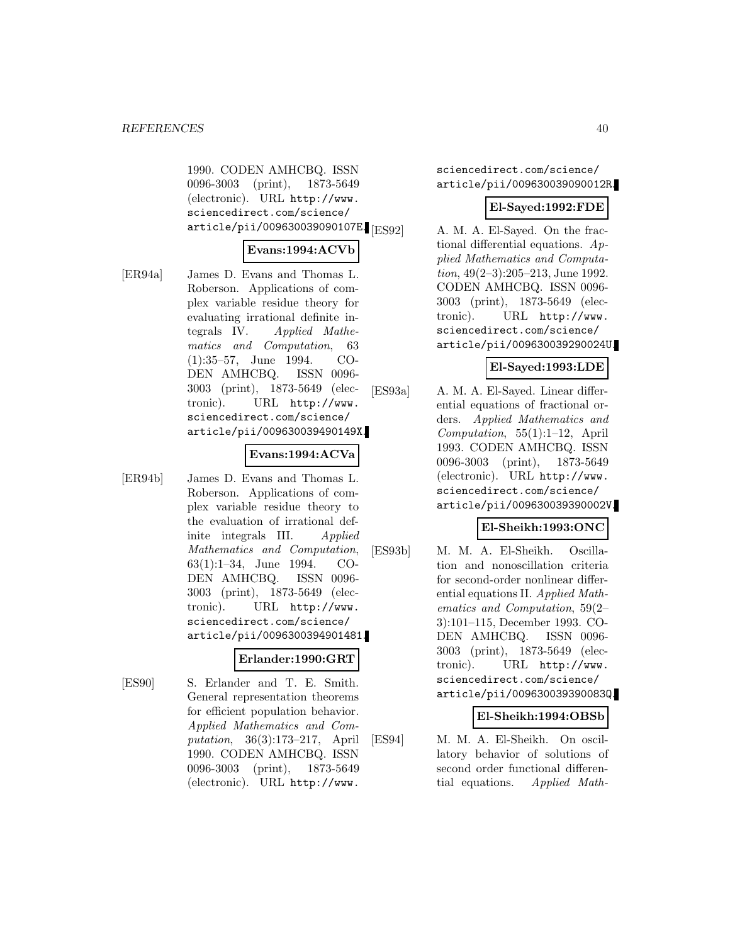1990. CODEN AMHCBQ. ISSN 0096-3003 (print), 1873-5649 (electronic). URL http://www. sciencedirect.com/science/ article/pii/009630039090107E. [ES92]

## **Evans:1994:ACVb**

[ER94a] James D. Evans and Thomas L. Roberson. Applications of complex variable residue theory for evaluating irrational definite integrals IV. Applied Mathematics and Computation, 63 (1):35–57, June 1994. CO-DEN AMHCBQ. ISSN 0096- 3003 (print), 1873-5649 (electronic). URL http://www. sciencedirect.com/science/ article/pii/009630039490149X.

#### **Evans:1994:ACVa**

[ER94b] James D. Evans and Thomas L. Roberson. Applications of complex variable residue theory to the evaluation of irrational definite integrals III. Applied Mathematics and Computation, 63(1):1–34, June 1994. CO-DEN AMHCBQ. ISSN 0096- 3003 (print), 1873-5649 (electronic). URL http://www. sciencedirect.com/science/ article/pii/0096300394901481.

#### **Erlander:1990:GRT**

[ES90] S. Erlander and T. E. Smith. General representation theorems for efficient population behavior. Applied Mathematics and Computation, 36(3):173–217, April 1990. CODEN AMHCBQ. ISSN 0096-3003 (print), 1873-5649 (electronic). URL http://www.

sciencedirect.com/science/ article/pii/009630039090012R.

#### **El-Sayed:1992:FDE**

A. M. A. El-Sayed. On the fractional differential equations. Applied Mathematics and Computation, 49(2–3):205–213, June 1992. CODEN AMHCBQ. ISSN 0096- 3003 (print), 1873-5649 (electronic). URL http://www. sciencedirect.com/science/ article/pii/009630039290024U.

### **El-Sayed:1993:LDE**

[ES93a] A. M. A. El-Sayed. Linear differential equations of fractional orders. Applied Mathematics and Computation, 55(1):1–12, April 1993. CODEN AMHCBQ. ISSN 0096-3003 (print), 1873-5649 (electronic). URL http://www. sciencedirect.com/science/ article/pii/009630039390002V.

#### **El-Sheikh:1993:ONC**

[ES93b] M. M. A. El-Sheikh. Oscillation and nonoscillation criteria for second-order nonlinear differential equations II. Applied Mathematics and Computation, 59(2– 3):101–115, December 1993. CO-DEN AMHCBQ. ISSN 0096- 3003 (print), 1873-5649 (electronic). URL http://www. sciencedirect.com/science/ article/pii/009630039390083Q.

#### **El-Sheikh:1994:OBSb**

[ES94] M. M. A. El-Sheikh. On oscillatory behavior of solutions of second order functional differential equations. Applied Math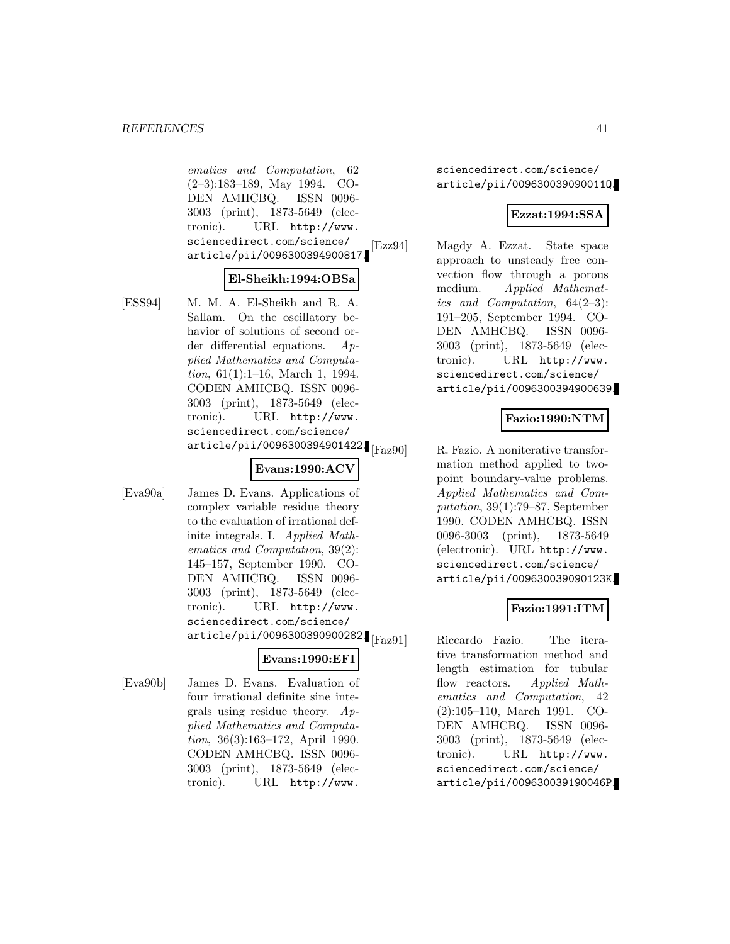ematics and Computation, 62 (2–3):183–189, May 1994. CO-DEN AMHCBQ. ISSN 0096- 3003 (print), 1873-5649 (electronic). URL http://www. sciencedirect.com/science/ article/pii/0096300394900817.

### **El-Sheikh:1994:OBSa**

[ESS94] M. M. A. El-Sheikh and R. A. Sallam. On the oscillatory behavior of solutions of second order differential equations. Applied Mathematics and Computation, 61(1):1–16, March 1, 1994. CODEN AMHCBQ. ISSN 0096- 3003 (print), 1873-5649 (electronic). URL http://www. sciencedirect.com/science/ article/pii/0096300394901422. [Faz90]

## **Evans:1990:ACV**

[Eva90a] James D. Evans. Applications of complex variable residue theory to the evaluation of irrational definite integrals. I. Applied Mathematics and Computation, 39(2): 145–157, September 1990. CO-DEN AMHCBQ. ISSN 0096- 3003 (print), 1873-5649 (electronic). URL http://www. sciencedirect.com/science/  $\arotic le /pii / 0096300390900282.$ <sub>[Faz91]</sub>

#### **Evans:1990:EFI**

[Eva90b] James D. Evans. Evaluation of four irrational definite sine integrals using residue theory.  $Ap$ plied Mathematics and Computation, 36(3):163–172, April 1990. CODEN AMHCBQ. ISSN 0096- 3003 (print), 1873-5649 (electronic). URL http://www.

sciencedirect.com/science/ article/pii/009630039090011Q.

### **Ezzat:1994:SSA**

[Ezz94] Magdy A. Ezzat. State space approach to unsteady free convection flow through a porous medium. Applied Mathematics and Computation, 64(2–3): 191–205, September 1994. CO-DEN AMHCBQ. ISSN 0096- 3003 (print), 1873-5649 (electronic). URL http://www. sciencedirect.com/science/ article/pii/0096300394900639.

## **Fazio:1990:NTM**

R. Fazio. A noniterative transformation method applied to twopoint boundary-value problems. Applied Mathematics and Computation, 39(1):79–87, September 1990. CODEN AMHCBQ. ISSN 0096-3003 (print), 1873-5649 (electronic). URL http://www. sciencedirect.com/science/ article/pii/009630039090123K.

## **Fazio:1991:ITM**

Riccardo Fazio. The iterative transformation method and length estimation for tubular flow reactors. Applied Mathematics and Computation, 42 (2):105–110, March 1991. CO-DEN AMHCBQ. ISSN 0096- 3003 (print), 1873-5649 (electronic). URL http://www. sciencedirect.com/science/ article/pii/009630039190046P.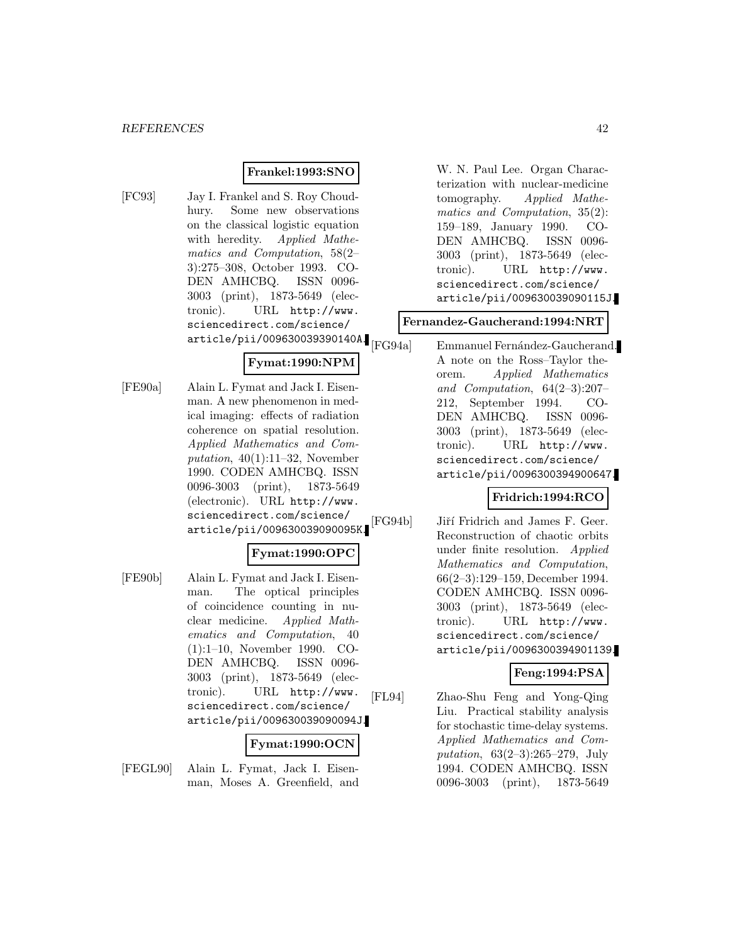### **Frankel:1993:SNO**

[FC93] Jay I. Frankel and S. Roy Choudhury. Some new observations on the classical logistic equation with heredity. Applied Mathematics and Computation, 58(2– 3):275–308, October 1993. CO-DEN AMHCBQ. ISSN 0096- 3003 (print), 1873-5649 (electronic). URL http://www. sciencedirect.com/science/ article/pii/009630039390140A.

## **Fymat:1990:NPM**

[FE90a] Alain L. Fymat and Jack I. Eisenman. A new phenomenon in medical imaging: effects of radiation coherence on spatial resolution. Applied Mathematics and Computation,  $40(1):11-32$ , November 1990. CODEN AMHCBQ. ISSN 0096-3003 (print), 1873-5649 (electronic). URL http://www. sciencedirect.com/science/ article/pii/009630039090095K.

## **Fymat:1990:OPC**

[FE90b] Alain L. Fymat and Jack I. Eisenman. The optical principles of coincidence counting in nuclear medicine. Applied Mathematics and Computation, 40 (1):1–10, November 1990. CO-DEN AMHCBQ. ISSN 0096- 3003 (print), 1873-5649 (electronic). URL http://www. sciencedirect.com/science/ article/pii/009630039090094J.

### **Fymat:1990:OCN**

[FEGL90] Alain L. Fymat, Jack I. Eisenman, Moses A. Greenfield, and W. N. Paul Lee. Organ Characterization with nuclear-medicine tomography. Applied Mathematics and Computation, 35(2): 159–189, January 1990. CO-DEN AMHCBQ. ISSN 0096- 3003 (print), 1873-5649 (electronic). URL http://www. sciencedirect.com/science/ article/pii/009630039090115J.

#### **Fernandez-Gaucherand:1994:NRT**

Emmanuel Fernández-Gaucherand. A note on the Ross–Taylor theorem. Applied Mathematics and Computation, 64(2–3):207– 212, September 1994. CO-DEN AMHCBQ. ISSN 0096- 3003 (print), 1873-5649 (electronic). URL http://www. sciencedirect.com/science/ article/pii/0096300394900647.

### **Fridrich:1994:RCO**

[FG94b] Jiří Fridrich and James F. Geer. Reconstruction of chaotic orbits under finite resolution. Applied Mathematics and Computation, 66(2–3):129–159, December 1994. CODEN AMHCBQ. ISSN 0096- 3003 (print), 1873-5649 (electronic). URL http://www. sciencedirect.com/science/ article/pii/0096300394901139.

### **Feng:1994:PSA**

[FL94] Zhao-Shu Feng and Yong-Qing Liu. Practical stability analysis for stochastic time-delay systems. Applied Mathematics and Computation, 63(2–3):265–279, July 1994. CODEN AMHCBQ. ISSN 0096-3003 (print), 1873-5649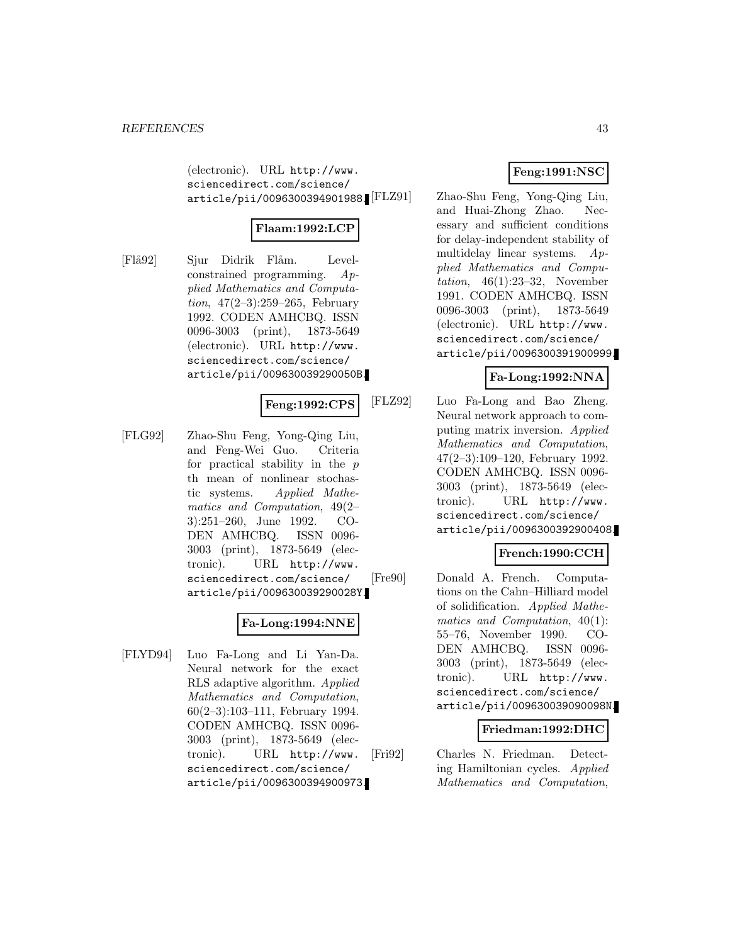(electronic). URL http://www. sciencedirect.com/science/ article/pii/0096300394901988.

## **Flaam:1992:LCP**

[Flå92] Sjur Didrik Flåm. Levelconstrained programming. Applied Mathematics and Computation,  $47(2-3):259-265$ , February 1992. CODEN AMHCBQ. ISSN 0096-3003 (print), 1873-5649 (electronic). URL http://www. sciencedirect.com/science/ article/pii/009630039290050B.

#### **Feng:1992:CPS**

[FLG92] Zhao-Shu Feng, Yong-Qing Liu, and Feng-Wei Guo. Criteria for practical stability in the  $p$ th mean of nonlinear stochastic systems. Applied Mathematics and Computation, 49(2– 3):251–260, June 1992. CO-DEN AMHCBQ. ISSN 0096- 3003 (print), 1873-5649 (electronic). URL http://www. sciencedirect.com/science/ article/pii/009630039290028Y.

## **Fa-Long:1994:NNE**

[FLYD94] Luo Fa-Long and Li Yan-Da. Neural network for the exact RLS adaptive algorithm. Applied Mathematics and Computation, 60(2–3):103–111, February 1994. CODEN AMHCBQ. ISSN 0096- 3003 (print), 1873-5649 (electronic). URL http://www. sciencedirect.com/science/ article/pii/0096300394900973.

## **Feng:1991:NSC**

Zhao-Shu Feng, Yong-Qing Liu, and Huai-Zhong Zhao. Necessary and sufficient conditions for delay-independent stability of multidelay linear systems. Applied Mathematics and Computation,  $46(1):23-32$ , November 1991. CODEN AMHCBQ. ISSN 0096-3003 (print), 1873-5649 (electronic). URL http://www. sciencedirect.com/science/ article/pii/0096300391900999.

### **Fa-Long:1992:NNA**

[FLZ92] Luo Fa-Long and Bao Zheng. Neural network approach to computing matrix inversion. Applied Mathematics and Computation, 47(2–3):109–120, February 1992. CODEN AMHCBQ. ISSN 0096- 3003 (print), 1873-5649 (electronic). URL http://www. sciencedirect.com/science/ article/pii/0096300392900408.

### **French:1990:CCH**

[Fre90] Donald A. French. Computations on the Cahn–Hilliard model of solidification. Applied Mathematics and Computation, 40(1): 55–76, November 1990. CO-DEN AMHCBQ. ISSN 0096- 3003 (print), 1873-5649 (electronic). URL http://www. sciencedirect.com/science/ article/pii/009630039090098N.

#### **Friedman:1992:DHC**

[Fri92] Charles N. Friedman. Detecting Hamiltonian cycles. Applied Mathematics and Computation,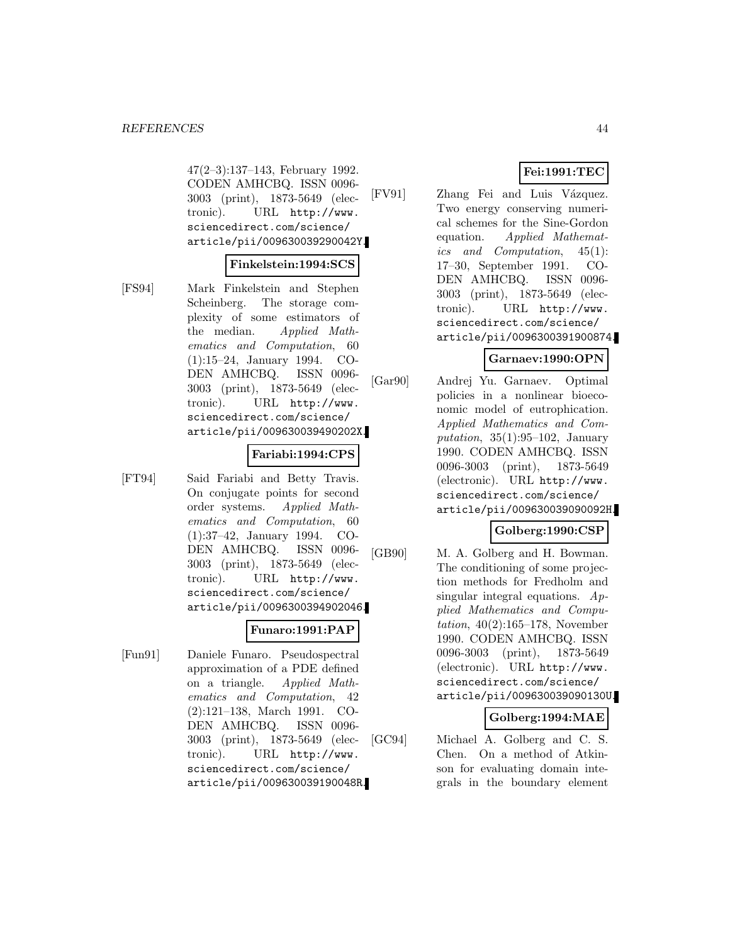47(2–3):137–143, February 1992. CODEN AMHCBQ. ISSN 0096- 3003 (print), 1873-5649 (electronic). URL http://www. sciencedirect.com/science/ article/pii/009630039290042Y.

#### **Finkelstein:1994:SCS**

[FS94] Mark Finkelstein and Stephen Scheinberg. The storage complexity of some estimators of the median. Applied Mathematics and Computation, 60 (1):15–24, January 1994. CO-DEN AMHCBQ. ISSN 0096- 3003 (print), 1873-5649 (electronic). URL http://www. sciencedirect.com/science/ article/pii/009630039490202X.

#### **Fariabi:1994:CPS**

[FT94] Said Fariabi and Betty Travis. On conjugate points for second order systems. Applied Mathematics and Computation, 60 (1):37–42, January 1994. CO-DEN AMHCBQ. ISSN 0096- 3003 (print), 1873-5649 (electronic). URL http://www. sciencedirect.com/science/ article/pii/0096300394902046.

#### **Funaro:1991:PAP**

[Fun91] Daniele Funaro. Pseudospectral approximation of a PDE defined on a triangle. Applied Mathematics and Computation, 42 (2):121–138, March 1991. CO-DEN AMHCBQ. ISSN 0096- 3003 (print), 1873-5649 (electronic). URL http://www. sciencedirect.com/science/ article/pii/009630039190048R.

### **Fei:1991:TEC**

[FV91] Zhang Fei and Luis Vázquez. Two energy conserving numerical schemes for the Sine-Gordon equation. Applied Mathematics and Computation, 45(1): 17–30, September 1991. CO-DEN AMHCBQ. ISSN 0096- 3003 (print), 1873-5649 (electronic). URL http://www. sciencedirect.com/science/ article/pii/0096300391900874.

#### **Garnaev:1990:OPN**

[Gar90] Andrej Yu. Garnaev. Optimal policies in a nonlinear bioeconomic model of eutrophication. Applied Mathematics and Computation,  $35(1):95-102$ , January 1990. CODEN AMHCBQ. ISSN 0096-3003 (print), 1873-5649 (electronic). URL http://www. sciencedirect.com/science/ article/pii/009630039090092H.

## **Golberg:1990:CSP**

[GB90] M. A. Golberg and H. Bowman. The conditioning of some projection methods for Fredholm and singular integral equations.  $Ap$ plied Mathematics and Computation, 40(2):165–178, November 1990. CODEN AMHCBQ. ISSN 0096-3003 (print), 1873-5649 (electronic). URL http://www. sciencedirect.com/science/ article/pii/009630039090130U.

#### **Golberg:1994:MAE**

[GC94] Michael A. Golberg and C. S. Chen. On a method of Atkinson for evaluating domain integrals in the boundary element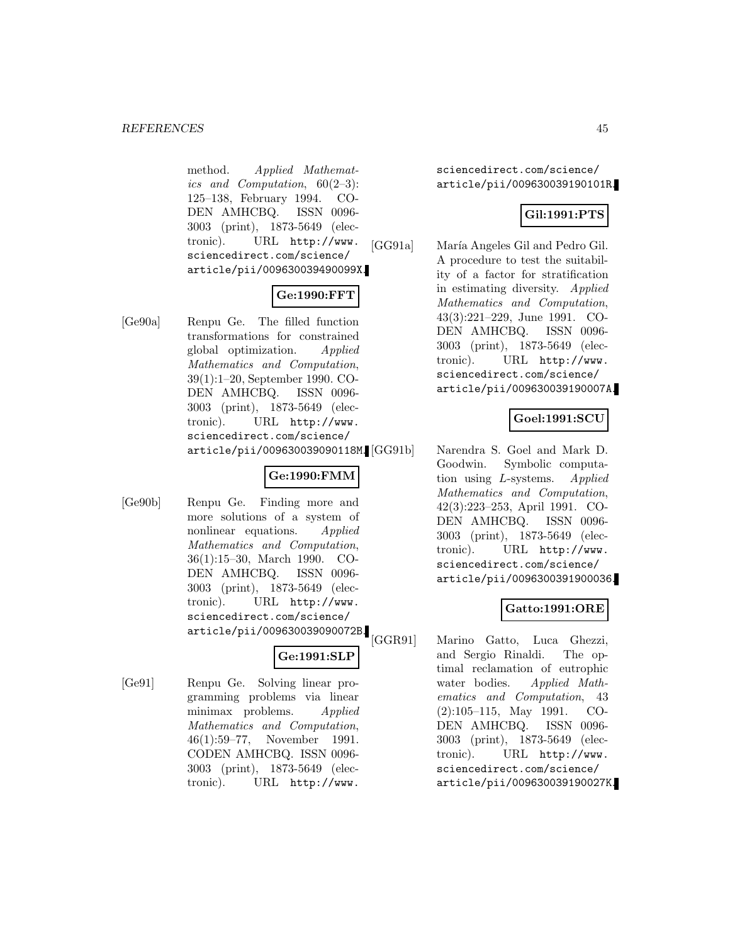method. Applied Mathematics and Computation,  $60(2-3)$ : 125–138, February 1994. CO-DEN AMHCBQ. ISSN 0096- 3003 (print), 1873-5649 (electronic). URL http://www. sciencedirect.com/science/ article/pii/009630039490099X.

## **Ge:1990:FFT**

[Ge90a] Renpu Ge. The filled function transformations for constrained global optimization. Applied Mathematics and Computation, 39(1):1–20, September 1990. CO-DEN AMHCBQ. ISSN 0096- 3003 (print), 1873-5649 (electronic). URL http://www. sciencedirect.com/science/ article/pii/009630039090118M.

## **Ge:1990:FMM**

[Ge90b] Renpu Ge. Finding more and more solutions of a system of nonlinear equations. Applied Mathematics and Computation, 36(1):15–30, March 1990. CO-DEN AMHCBQ. ISSN 0096- 3003 (print), 1873-5649 (electronic). URL http://www. sciencedirect.com/science/ article/pii/009630039090072B.

## **Ge:1991:SLP**

[Ge91] Renpu Ge. Solving linear programming problems via linear minimax problems. Applied Mathematics and Computation, 46(1):59–77, November 1991. CODEN AMHCBQ. ISSN 0096- 3003 (print), 1873-5649 (electronic). URL http://www.

sciencedirect.com/science/ article/pii/009630039190101R.

## **Gil:1991:PTS**

[GG91a] María Angeles Gil and Pedro Gil. A procedure to test the suitability of a factor for stratification in estimating diversity. Applied Mathematics and Computation, 43(3):221–229, June 1991. CO-DEN AMHCBQ. ISSN 0096- 3003 (print), 1873-5649 (electronic). URL http://www. sciencedirect.com/science/ article/pii/009630039190007A.

## **Goel:1991:SCU**

Narendra S. Goel and Mark D. Goodwin. Symbolic computation using L-systems. Applied Mathematics and Computation, 42(3):223–253, April 1991. CO-DEN AMHCBQ. ISSN 0096- 3003 (print), 1873-5649 (electronic). URL http://www. sciencedirect.com/science/ article/pii/0096300391900036.

## **Gatto:1991:ORE**

[GGR91] Marino Gatto, Luca Ghezzi, and Sergio Rinaldi. The optimal reclamation of eutrophic water bodies. Applied Mathematics and Computation, 43 (2):105–115, May 1991. CO-DEN AMHCBQ. ISSN 0096- 3003 (print), 1873-5649 (electronic). URL http://www. sciencedirect.com/science/ article/pii/009630039190027K.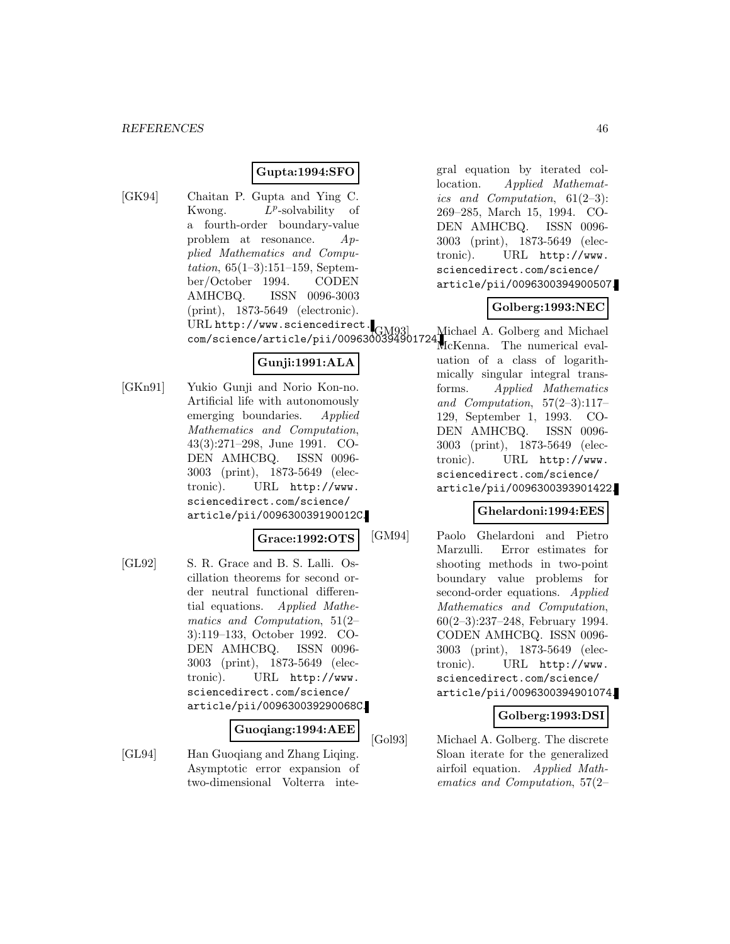## **Gupta:1994:SFO**

[GK94] Chaitan P. Gupta and Ying C. Kwong.  $L^p$ -solvability of a fourth-order boundary-value problem at resonance. Applied Mathematics and Computation, 65(1–3):151–159, September/October 1994. CODEN AMHCBQ. ISSN 0096-3003 (print), 1873-5649 (electronic). URL http://www.sciencedirect. com/science/article/pii/0096300394901724. Michael A. Golberg and Michael

## **Gunji:1991:ALA**

[GKn91] Yukio Gunji and Norio Kon-no. Artificial life with autonomously emerging boundaries. Applied Mathematics and Computation, 43(3):271–298, June 1991. CO-DEN AMHCBQ. ISSN 0096- 3003 (print), 1873-5649 (electronic). URL http://www. sciencedirect.com/science/ article/pii/009630039190012C.

### **Grace:1992:OTS**

[GL92] S. R. Grace and B. S. Lalli. Oscillation theorems for second order neutral functional differential equations. Applied Mathematics and Computation, 51(2– 3):119–133, October 1992. CO-DEN AMHCBQ. ISSN 0096- 3003 (print), 1873-5649 (electronic). URL http://www. sciencedirect.com/science/ article/pii/009630039290068C.

#### **Guoqiang:1994:AEE**

[GL94] Han Guoqiang and Zhang Liqing. Asymptotic error expansion of two-dimensional Volterra integral equation by iterated collocation. Applied Mathematics and Computation, 61(2–3): 269–285, March 15, 1994. CO-DEN AMHCBQ. ISSN 0096- 3003 (print), 1873-5649 (electronic). URL http://www. sciencedirect.com/science/ article/pii/0096300394900507.

## **Golberg:1993:NEC**

McKenna. The numerical evaluation of a class of logarithmically singular integral transforms. Applied Mathematics and Computation, 57(2–3):117– 129, September 1, 1993. CO-DEN AMHCBQ. ISSN 0096- 3003 (print), 1873-5649 (electronic). URL http://www. sciencedirect.com/science/ article/pii/0096300393901422.

### **Ghelardoni:1994:EES**

[GM94] Paolo Ghelardoni and Pietro Marzulli. Error estimates for shooting methods in two-point boundary value problems for second-order equations. Applied Mathematics and Computation, 60(2–3):237–248, February 1994. CODEN AMHCBQ. ISSN 0096- 3003 (print), 1873-5649 (electronic). URL http://www. sciencedirect.com/science/ article/pii/0096300394901074.

### **Golberg:1993:DSI**

[Gol93] Michael A. Golberg. The discrete Sloan iterate for the generalized airfoil equation. Applied Mathematics and Computation, 57(2–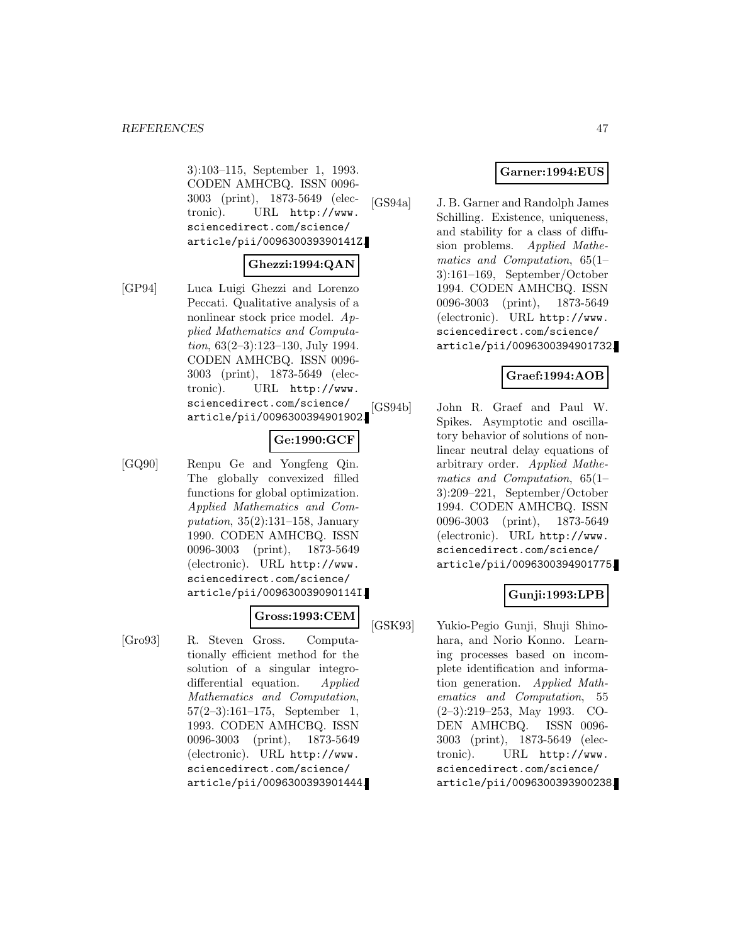3):103–115, September 1, 1993. CODEN AMHCBQ. ISSN 0096- 3003 (print), 1873-5649 (electronic). URL http://www. sciencedirect.com/science/ article/pii/009630039390141Z.

#### **Ghezzi:1994:QAN**

[GP94] Luca Luigi Ghezzi and Lorenzo Peccati. Qualitative analysis of a nonlinear stock price model. Applied Mathematics and Computation, 63(2–3):123–130, July 1994. CODEN AMHCBQ. ISSN 0096- 3003 (print), 1873-5649 (electronic). URL http://www. sciencedirect.com/science/ article/pii/0096300394901902.

### **Ge:1990:GCF**

[GQ90] Renpu Ge and Yongfeng Qin. The globally convexized filled functions for global optimization. Applied Mathematics and Computation,  $35(2):131-158$ , January 1990. CODEN AMHCBQ. ISSN 0096-3003 (print), 1873-5649 (electronic). URL http://www. sciencedirect.com/science/ article/pii/009630039090114I.

### **Gross:1993:CEM**

[Gro93] R. Steven Gross. Computationally efficient method for the solution of a singular integrodifferential equation. Applied Mathematics and Computation, 57(2–3):161–175, September 1, 1993. CODEN AMHCBQ. ISSN 0096-3003 (print), 1873-5649 (electronic). URL http://www. sciencedirect.com/science/ article/pii/0096300393901444.

### **Garner:1994:EUS**

[GS94a] J. B. Garner and Randolph James Schilling. Existence, uniqueness, and stability for a class of diffusion problems. Applied Mathematics and Computation, 65(1– 3):161–169, September/October 1994. CODEN AMHCBQ. ISSN 0096-3003 (print), 1873-5649 (electronic). URL http://www. sciencedirect.com/science/ article/pii/0096300394901732.

### **Graef:1994:AOB**

[GS94b] John R. Graef and Paul W. Spikes. Asymptotic and oscillatory behavior of solutions of nonlinear neutral delay equations of arbitrary order. Applied Mathematics and Computation, 65(1– 3):209–221, September/October 1994. CODEN AMHCBQ. ISSN 0096-3003 (print), 1873-5649 (electronic). URL http://www. sciencedirect.com/science/ article/pii/0096300394901775.

### **Gunji:1993:LPB**

[GSK93] Yukio-Pegio Gunji, Shuji Shinohara, and Norio Konno. Learning processes based on incomplete identification and information generation. Applied Mathematics and Computation, 55 (2–3):219–253, May 1993. CO-DEN AMHCBQ. ISSN 0096- 3003 (print), 1873-5649 (electronic). URL http://www. sciencedirect.com/science/ article/pii/0096300393900238.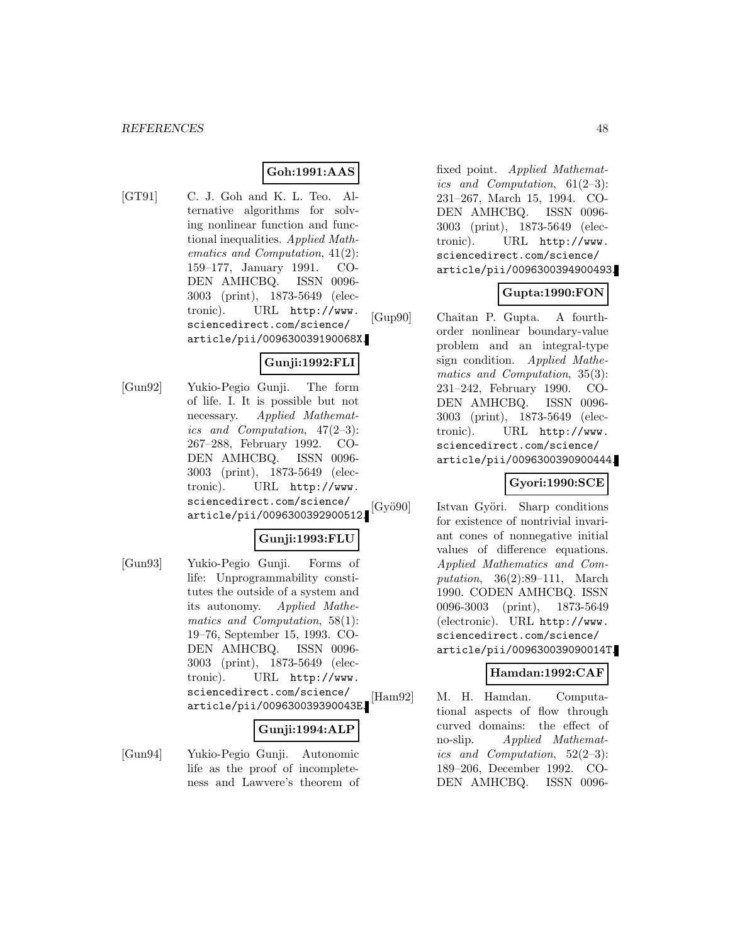## **Goh:1991:AAS**

[GT91] C. J. Goh and K. L. Teo. Alternative algorithms for solving nonlinear function and functional inequalities. Applied Mathematics and Computation, 41(2): 159–177, January 1991. CO-DEN AMHCBQ. ISSN 0096- 3003 (print), 1873-5649 (electronic). URL http://www. sciencedirect.com/science/ article/pii/009630039190068X.

### **Gunji:1992:FLI**

[Gun92] Yukio-Pegio Gunji. The form of life. I. It is possible but not necessary. Applied Mathematics and Computation, 47(2–3): 267–288, February 1992. CO-DEN AMHCBQ. ISSN 0096- 3003 (print), 1873-5649 (electronic). URL http://www. sciencedirect.com/science/ article/pii/0096300392900512.

## **Gunji:1993:FLU**

[Gun93] Yukio-Pegio Gunji. Forms of life: Unprogrammability constitutes the outside of a system and its autonomy. Applied Mathematics and Computation, 58(1): 19–76, September 15, 1993. CO-DEN AMHCBQ. ISSN 0096- 3003 (print), 1873-5649 (electronic). URL http://www. sciencedirect.com/science/ article/pii/009630039390043E.

#### **Gunji:1994:ALP**

[Gun94] Yukio-Pegio Gunji. Autonomic life as the proof of incompleteness and Lawvere's theorem of fixed point. Applied Mathematics and Computation, 61(2–3): 231–267, March 15, 1994. CO-DEN AMHCBQ. ISSN 0096- 3003 (print), 1873-5649 (electronic). URL http://www. sciencedirect.com/science/ article/pii/0096300394900493.

## **Gupta:1990:FON**

[Gup90] Chaitan P. Gupta. A fourthorder nonlinear boundary-value problem and an integral-type sign condition. Applied Mathematics and Computation, 35(3): 231–242, February 1990. CO-DEN AMHCBQ. ISSN 0096- 3003 (print), 1873-5649 (electronic). URL http://www. sciencedirect.com/science/ article/pii/0096300390900444.

### **Gyori:1990:SCE**

[Gyö90] Istvan Györi. Sharp conditions for existence of nontrivial invariant cones of nonnegative initial values of difference equations. Applied Mathematics and Computation, 36(2):89–111, March 1990. CODEN AMHCBQ. ISSN 0096-3003 (print), 1873-5649 (electronic). URL http://www. sciencedirect.com/science/ article/pii/009630039090014T.

### **Hamdan:1992:CAF**

[Ham92] M. H. Hamdan. Computational aspects of flow through curved domains: the effect of no-slip. Applied Mathematics and Computation, 52(2–3): 189–206, December 1992. CO-DEN AMHCBQ. ISSN 0096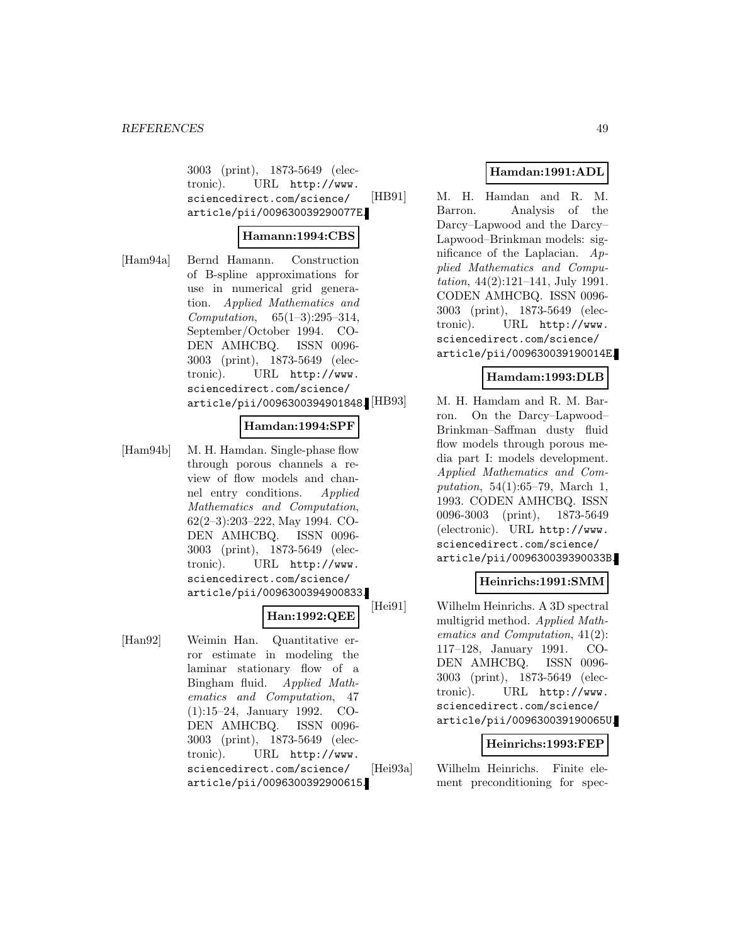3003 (print), 1873-5649 (electronic). URL http://www. sciencedirect.com/science/ article/pii/009630039290077E.

#### **Hamann:1994:CBS**

[Ham94a] Bernd Hamann. Construction of B-spline approximations for use in numerical grid generation. Applied Mathematics and Computation, 65(1–3):295–314, September/October 1994. CO-DEN AMHCBQ. ISSN 0096- 3003 (print), 1873-5649 (electronic). URL http://www. sciencedirect.com/science/ article/pii/0096300394901848.

#### **Hamdan:1994:SPF**

[Ham94b] M. H. Hamdan. Single-phase flow through porous channels a review of flow models and channel entry conditions. Applied Mathematics and Computation, 62(2–3):203–222, May 1994. CO-DEN AMHCBQ. ISSN 0096- 3003 (print), 1873-5649 (electronic). URL http://www. sciencedirect.com/science/ article/pii/0096300394900833.

### **Han:1992:QEE**

[Han92] Weimin Han. Quantitative error estimate in modeling the laminar stationary flow of a Bingham fluid. Applied Mathematics and Computation, 47 (1):15–24, January 1992. CO-DEN AMHCBQ. ISSN 0096- 3003 (print), 1873-5649 (electronic). URL http://www. sciencedirect.com/science/ article/pii/0096300392900615.

## **Hamdan:1991:ADL**

[HB91] M. H. Hamdan and R. M. Barron. Analysis of the Darcy–Lapwood and the Darcy– Lapwood–Brinkman models: significance of the Laplacian. Applied Mathematics and Computation, 44(2):121–141, July 1991. CODEN AMHCBQ. ISSN 0096- 3003 (print), 1873-5649 (electronic). URL http://www. sciencedirect.com/science/ article/pii/009630039190014E.

#### **Hamdam:1993:DLB**

M. H. Hamdam and R. M. Barron. On the Darcy–Lapwood– Brinkman–Saffman dusty fluid flow models through porous media part I: models development. Applied Mathematics and Computation, 54(1):65–79, March 1, 1993. CODEN AMHCBQ. ISSN 0096-3003 (print), 1873-5649 (electronic). URL http://www. sciencedirect.com/science/ article/pii/009630039390033B.

### **Heinrichs:1991:SMM**

[Hei91] Wilhelm Heinrichs. A 3D spectral multigrid method. Applied Mathematics and Computation, 41(2): 117–128, January 1991. CO-DEN AMHCBQ. ISSN 0096- 3003 (print), 1873-5649 (electronic). URL http://www. sciencedirect.com/science/ article/pii/009630039190065U.

#### **Heinrichs:1993:FEP**

[Hei93a] Wilhelm Heinrichs. Finite element preconditioning for spec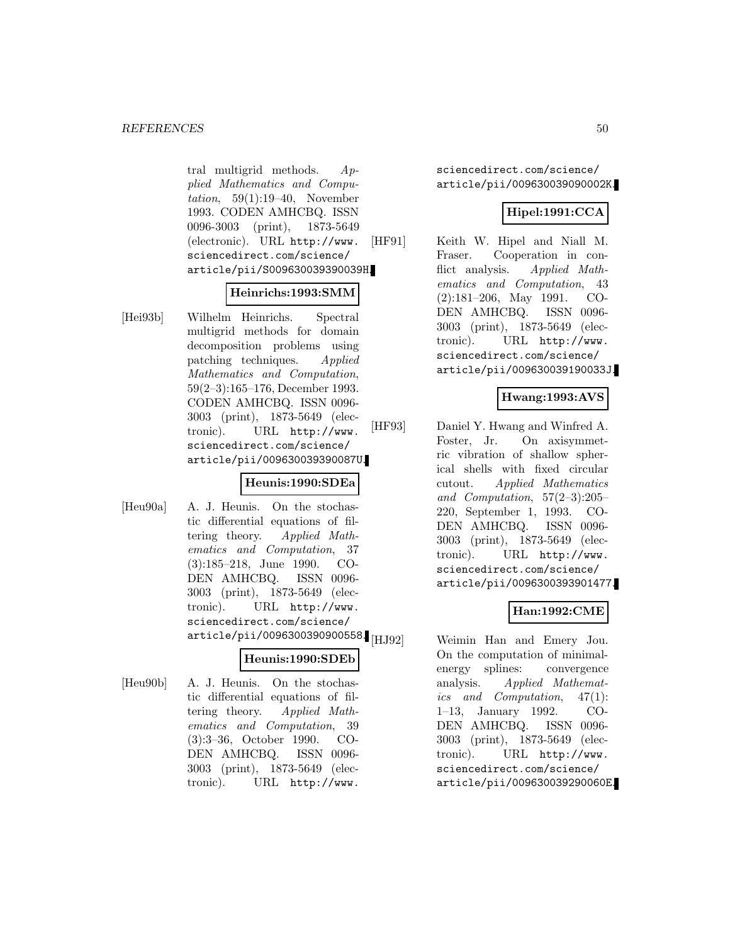tral multigrid methods. Applied Mathematics and Computation, 59(1):19–40, November 1993. CODEN AMHCBQ. ISSN 0096-3003 (print), 1873-5649 (electronic). URL http://www. sciencedirect.com/science/ article/pii/S009630039390039H.

#### **Heinrichs:1993:SMM**

[Hei93b] Wilhelm Heinrichs. Spectral multigrid methods for domain decomposition problems using patching techniques. Applied Mathematics and Computation, 59(2–3):165–176, December 1993. CODEN AMHCBQ. ISSN 0096- 3003 (print), 1873-5649 (electronic). URL http://www. sciencedirect.com/science/ article/pii/009630039390087U.

#### **Heunis:1990:SDEa**

[Heu90a] A. J. Heunis. On the stochastic differential equations of filtering theory. Applied Mathematics and Computation, 37 (3):185–218, June 1990. CO-DEN AMHCBQ. ISSN 0096- 3003 (print), 1873-5649 (electronic). URL http://www. sciencedirect.com/science/  $\ar{ticle/pi1/0096300390900558}$  [HJ92]

#### **Heunis:1990:SDEb**

[Heu90b] A. J. Heunis. On the stochastic differential equations of filtering theory. Applied Mathematics and Computation, 39 (3):3–36, October 1990. CO-DEN AMHCBQ. ISSN 0096- 3003 (print), 1873-5649 (electronic). URL http://www.

sciencedirect.com/science/ article/pii/009630039090002K.

### **Hipel:1991:CCA**

[HF91] Keith W. Hipel and Niall M. Fraser. Cooperation in conflict analysis. Applied Mathematics and Computation, 43 (2):181–206, May 1991. CO-DEN AMHCBQ. ISSN 0096- 3003 (print), 1873-5649 (electronic). URL http://www. sciencedirect.com/science/ article/pii/009630039190033J.

#### **Hwang:1993:AVS**

[HF93] Daniel Y. Hwang and Winfred A. Foster, Jr. On axisymmetric vibration of shallow spherical shells with fixed circular cutout. Applied Mathematics and Computation, 57(2–3):205– 220, September 1, 1993. CO-DEN AMHCBQ. ISSN 0096- 3003 (print), 1873-5649 (electronic). URL http://www. sciencedirect.com/science/ article/pii/0096300393901477.

### **Han:1992:CME**

Weimin Han and Emery Jou. On the computation of minimalenergy splines: convergence analysis. Applied Mathematics and Computation, 47(1): 1–13, January 1992. CO-DEN AMHCBQ. ISSN 0096- 3003 (print), 1873-5649 (electronic). URL http://www. sciencedirect.com/science/ article/pii/009630039290060E.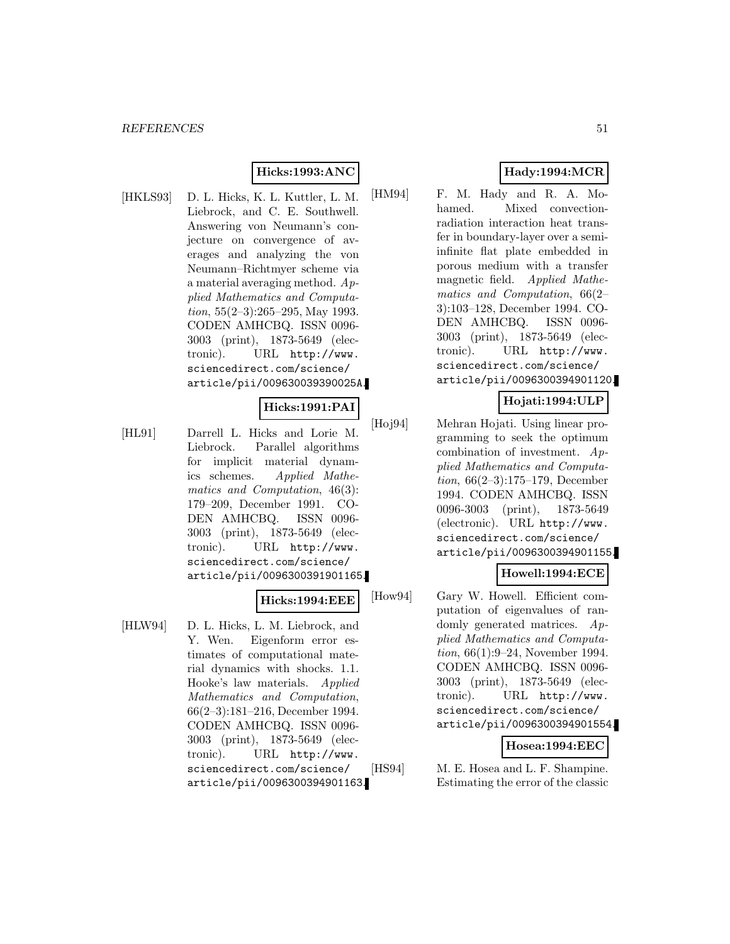## **Hicks:1993:ANC**

[HKLS93] D. L. Hicks, K. L. Kuttler, L. M. Liebrock, and C. E. Southwell. Answering von Neumann's conjecture on convergence of averages and analyzing the von Neumann–Richtmyer scheme via a material averaging method. Applied Mathematics and Computation,  $55(2-3):265-295$ , May 1993. CODEN AMHCBQ. ISSN 0096- 3003 (print), 1873-5649 (electronic). URL http://www. sciencedirect.com/science/ article/pii/009630039390025A.

#### **Hicks:1991:PAI**

[HL91] Darrell L. Hicks and Lorie M. Liebrock. Parallel algorithms for implicit material dynamics schemes. Applied Mathematics and Computation, 46(3): 179–209, December 1991. CO-DEN AMHCBQ. ISSN 0096- 3003 (print), 1873-5649 (electronic). URL http://www. sciencedirect.com/science/ article/pii/0096300391901165.

#### **Hicks:1994:EEE**

[HLW94] D. L. Hicks, L. M. Liebrock, and Y. Wen. Eigenform error estimates of computational material dynamics with shocks. 1.1. Hooke's law materials. Applied Mathematics and Computation, 66(2–3):181–216, December 1994. CODEN AMHCBQ. ISSN 0096- 3003 (print), 1873-5649 (electronic). URL http://www. sciencedirect.com/science/ article/pii/0096300394901163.

## **Hady:1994:MCR**

[HM94] F. M. Hady and R. A. Mohamed. Mixed convectionradiation interaction heat transfer in boundary-layer over a semiinfinite flat plate embedded in porous medium with a transfer magnetic field. Applied Mathematics and Computation, 66(2– 3):103–128, December 1994. CO-DEN AMHCBQ. ISSN 0096- 3003 (print), 1873-5649 (electronic). URL http://www. sciencedirect.com/science/ article/pii/0096300394901120.

#### **Hojati:1994:ULP**

[Hoj94] Mehran Hojati. Using linear programming to seek the optimum combination of investment. Applied Mathematics and Computation, 66(2–3):175–179, December 1994. CODEN AMHCBQ. ISSN 0096-3003 (print), 1873-5649 (electronic). URL http://www. sciencedirect.com/science/ article/pii/0096300394901155.

### **Howell:1994:ECE**

[How94] Gary W. Howell. Efficient computation of eigenvalues of randomly generated matrices. Applied Mathematics and Computation, 66(1):9–24, November 1994. CODEN AMHCBQ. ISSN 0096- 3003 (print), 1873-5649 (electronic). URL http://www. sciencedirect.com/science/ article/pii/0096300394901554.

#### **Hosea:1994:EEC**

[HS94] M. E. Hosea and L. F. Shampine. Estimating the error of the classic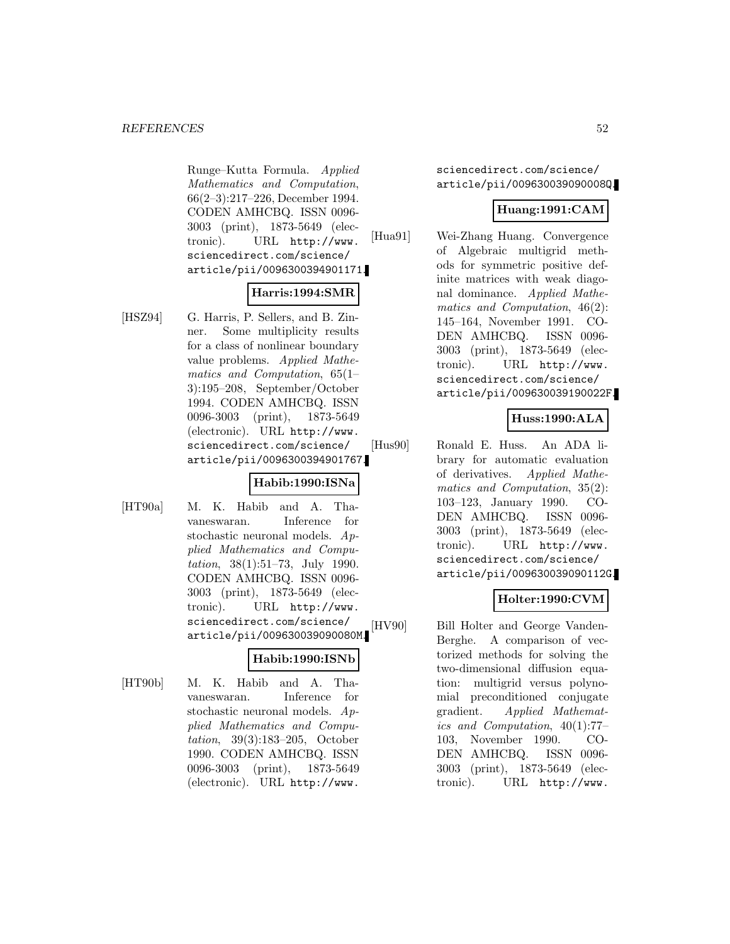Runge–Kutta Formula. Applied Mathematics and Computation, 66(2–3):217–226, December 1994. CODEN AMHCBQ. ISSN 0096- 3003 (print), 1873-5649 (electronic). URL http://www. sciencedirect.com/science/ article/pii/0096300394901171.

### **Harris:1994:SMR**

[HSZ94] G. Harris, P. Sellers, and B. Zinner. Some multiplicity results for a class of nonlinear boundary value problems. Applied Mathematics and Computation, 65(1– 3):195–208, September/October 1994. CODEN AMHCBQ. ISSN 0096-3003 (print), 1873-5649 (electronic). URL http://www. sciencedirect.com/science/ article/pii/0096300394901767.

### **Habib:1990:ISNa**

[HT90a] M. K. Habib and A. Thavaneswaran. Inference for stochastic neuronal models. Applied Mathematics and Computation, 38(1):51–73, July 1990. CODEN AMHCBQ. ISSN 0096- 3003 (print), 1873-5649 (electronic). URL http://www. sciencedirect.com/science/ article/pii/009630039090080M.

#### **Habib:1990:ISNb**

[HT90b] M. K. Habib and A. Thavaneswaran. Inference for stochastic neuronal models. Applied Mathematics and Computation, 39(3):183–205, October 1990. CODEN AMHCBQ. ISSN 0096-3003 (print), 1873-5649 (electronic). URL http://www.

sciencedirect.com/science/ article/pii/009630039090008Q.

### **Huang:1991:CAM**

[Hua91] Wei-Zhang Huang. Convergence of Algebraic multigrid methods for symmetric positive definite matrices with weak diagonal dominance. Applied Mathematics and Computation, 46(2): 145–164, November 1991. CO-DEN AMHCBQ. ISSN 0096- 3003 (print), 1873-5649 (electronic). URL http://www. sciencedirect.com/science/ article/pii/009630039190022F.

## **Huss:1990:ALA**

[Hus90] Ronald E. Huss. An ADA library for automatic evaluation of derivatives. Applied Mathematics and Computation, 35(2): 103–123, January 1990. CO-DEN AMHCBQ. ISSN 0096- 3003 (print), 1873-5649 (electronic). URL http://www. sciencedirect.com/science/ article/pii/009630039090112G.

## **Holter:1990:CVM**

[HV90] Bill Holter and George Vanden-Berghe. A comparison of vectorized methods for solving the two-dimensional diffusion equation: multigrid versus polynomial preconditioned conjugate gradient. Applied Mathematics and Computation, 40(1):77– 103, November 1990. CO-DEN AMHCBQ. ISSN 0096- 3003 (print), 1873-5649 (electronic). URL http://www.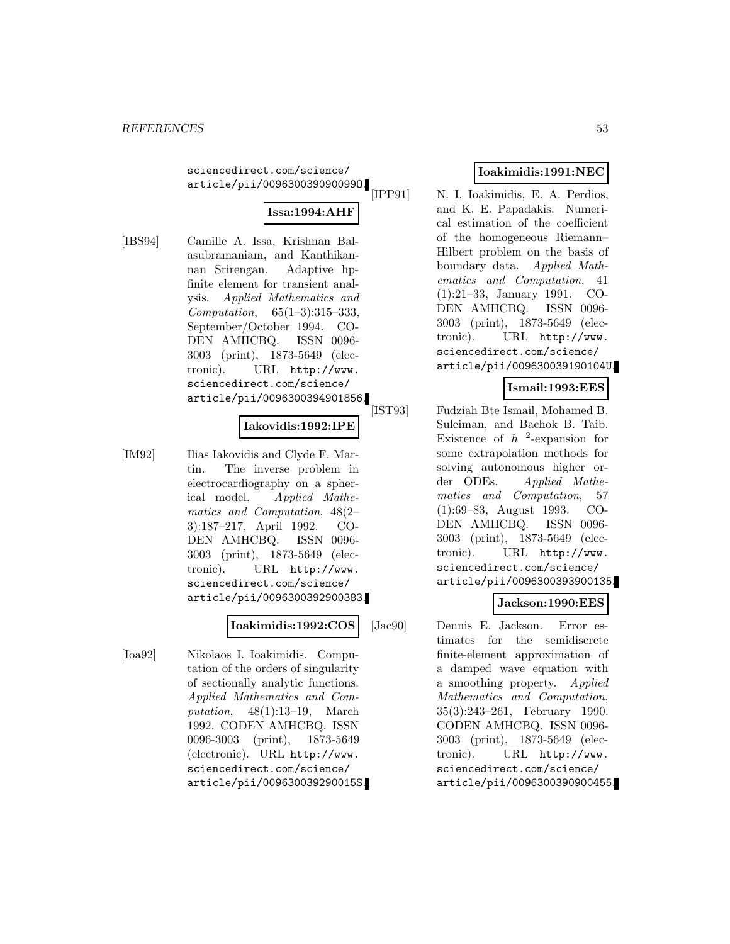sciencedirect.com/science/ article/pii/009630039090099O.

# **Issa:1994:AHF**

[IBS94] Camille A. Issa, Krishnan Balasubramaniam, and Kanthikannan Srirengan. Adaptive hpfinite element for transient analysis. Applied Mathematics and Computation, 65(1–3):315–333, September/October 1994. CO-DEN AMHCBQ. ISSN 0096- 3003 (print), 1873-5649 (electronic). URL http://www. sciencedirect.com/science/ article/pii/0096300394901856.

#### **Iakovidis:1992:IPE**

[IM92] Ilias Iakovidis and Clyde F. Martin. The inverse problem in electrocardiography on a spherical model. Applied Mathematics and Computation, 48(2– 3):187–217, April 1992. CO-DEN AMHCBQ. ISSN 0096- 3003 (print), 1873-5649 (electronic). URL http://www. sciencedirect.com/science/ article/pii/0096300392900383.

#### **Ioakimidis:1992:COS**

[Ioa92] Nikolaos I. Ioakimidis. Computation of the orders of singularity of sectionally analytic functions. Applied Mathematics and Computation, 48(1):13–19, March 1992. CODEN AMHCBQ. ISSN 0096-3003 (print), 1873-5649 (electronic). URL http://www. sciencedirect.com/science/ article/pii/009630039290015S.

## **Ioakimidis:1991:NEC**

[IPP91] N. I. Ioakimidis, E. A. Perdios, and K. E. Papadakis. Numerical estimation of the coefficient of the homogeneous Riemann– Hilbert problem on the basis of boundary data. Applied Mathematics and Computation, 41 (1):21–33, January 1991. CO-DEN AMHCBQ. ISSN 0096- 3003 (print), 1873-5649 (electronic). URL http://www. sciencedirect.com/science/ article/pii/009630039190104U.

### **Ismail:1993:EES**

[IST93] Fudziah Bte Ismail, Mohamed B. Suleiman, and Bachok B. Taib. Existence of  $h^2$ -expansion for some extrapolation methods for solving autonomous higher order ODEs. Applied Mathematics and Computation, 57 (1):69–83, August 1993. CO-DEN AMHCBQ. ISSN 0096- 3003 (print), 1873-5649 (electronic). URL http://www. sciencedirect.com/science/ article/pii/0096300393900135.

## **Jackson:1990:EES**

[Jac90] Dennis E. Jackson. Error estimates for the semidiscrete finite-element approximation of a damped wave equation with a smoothing property. Applied Mathematics and Computation, 35(3):243–261, February 1990. CODEN AMHCBQ. ISSN 0096- 3003 (print), 1873-5649 (electronic). URL http://www. sciencedirect.com/science/ article/pii/0096300390900455.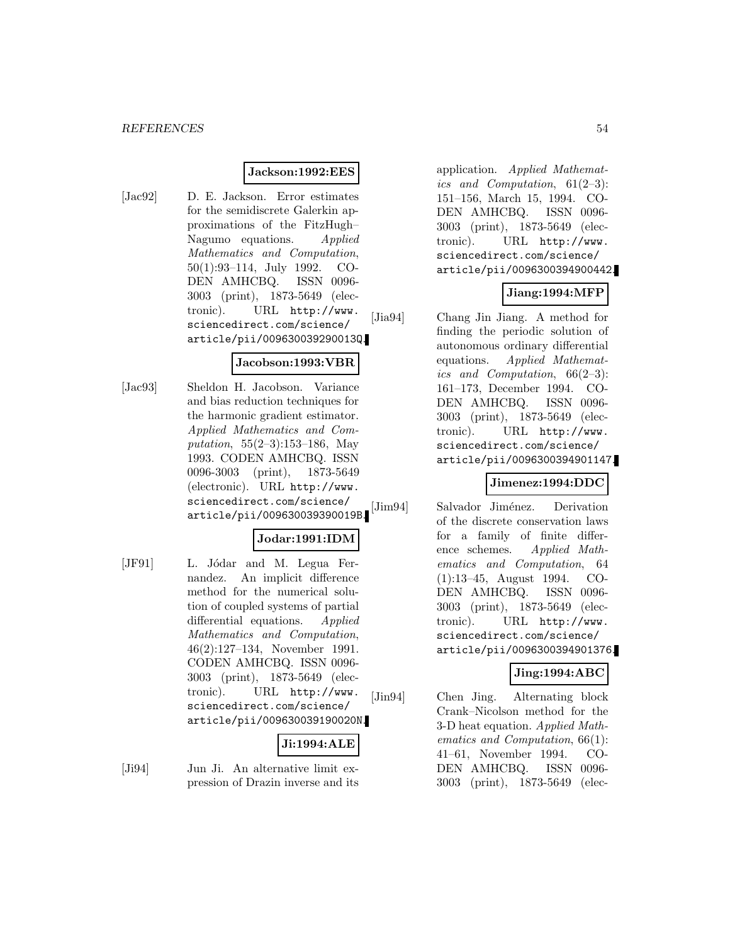### **Jackson:1992:EES**

[Jac92] D. E. Jackson. Error estimates for the semidiscrete Galerkin approximations of the FitzHugh– Nagumo equations. Applied Mathematics and Computation, 50(1):93–114, July 1992. CO-DEN AMHCBQ. ISSN 0096- 3003 (print), 1873-5649 (electronic). URL http://www. sciencedirect.com/science/ article/pii/009630039290013Q.

#### **Jacobson:1993:VBR**

[Jac93] Sheldon H. Jacobson. Variance and bias reduction techniques for the harmonic gradient estimator. Applied Mathematics and Computation, 55(2–3):153–186, May 1993. CODEN AMHCBQ. ISSN 0096-3003 (print), 1873-5649 (electronic). URL http://www. sciencedirect.com/science/ article/pii/009630039390019B.

## **Jodar:1991:IDM**

[JF91] L. Jódar and M. Legua Fernandez. An implicit difference method for the numerical solution of coupled systems of partial differential equations. Applied Mathematics and Computation, 46(2):127–134, November 1991. CODEN AMHCBQ. ISSN 0096- 3003 (print), 1873-5649 (electronic). URL http://www. sciencedirect.com/science/ article/pii/009630039190020N.

# **Ji:1994:ALE**

[Ji94] Jun Ji. An alternative limit expression of Drazin inverse and its application. Applied Mathematics and Computation, 61(2–3): 151–156, March 15, 1994. CO-DEN AMHCBQ. ISSN 0096- 3003 (print), 1873-5649 (electronic). URL http://www. sciencedirect.com/science/ article/pii/0096300394900442.

## **Jiang:1994:MFP**

[Jia94] Chang Jin Jiang. A method for finding the periodic solution of autonomous ordinary differential equations. Applied Mathematics and Computation, 66(2–3): 161–173, December 1994. CO-DEN AMHCBQ. ISSN 0096- 3003 (print), 1873-5649 (electronic). URL http://www. sciencedirect.com/science/ article/pii/0096300394901147.

### **Jimenez:1994:DDC**

[Jim94] Salvador Jiménez. Derivation of the discrete conservation laws for a family of finite difference schemes. Applied Mathematics and Computation, 64 (1):13–45, August 1994. CO-DEN AMHCBQ. ISSN 0096- 3003 (print), 1873-5649 (electronic). URL http://www. sciencedirect.com/science/ article/pii/0096300394901376.

## **Jing:1994:ABC**

[Jin94] Chen Jing. Alternating block Crank–Nicolson method for the 3-D heat equation. Applied Mathematics and Computation, 66(1): 41–61, November 1994. CO-DEN AMHCBQ. ISSN 0096- 3003 (print), 1873-5649 (elec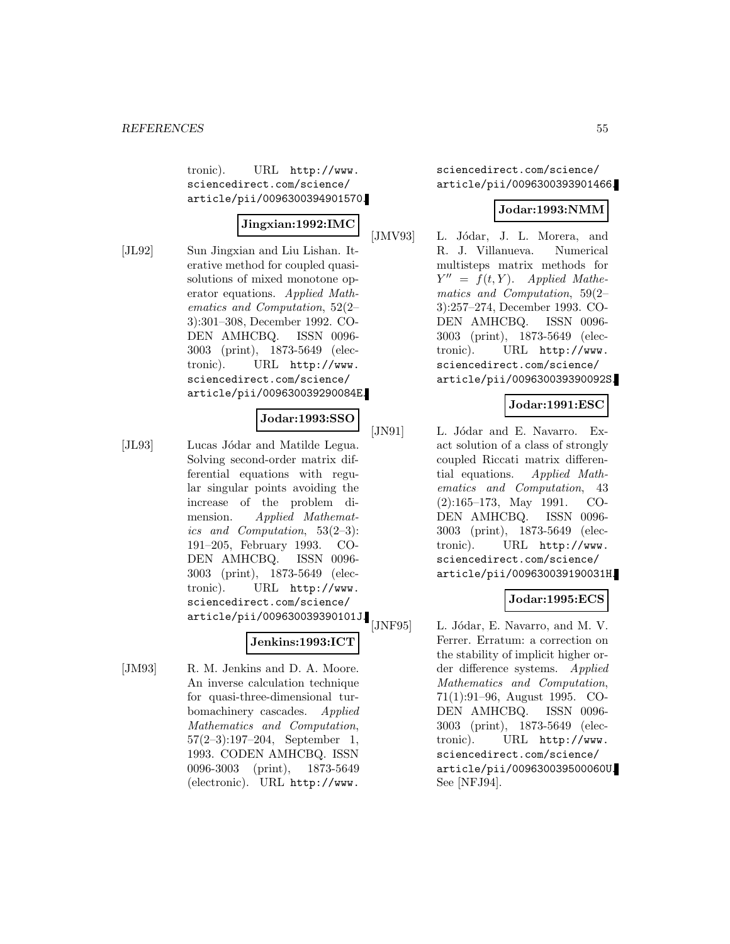tronic). URL http://www. sciencedirect.com/science/ article/pii/0096300394901570.

### **Jingxian:1992:IMC**

[JL92] Sun Jingxian and Liu Lishan. Iterative method for coupled quasisolutions of mixed monotone operator equations. Applied Mathematics and Computation, 52(2– 3):301–308, December 1992. CO-DEN AMHCBQ. ISSN 0096- 3003 (print), 1873-5649 (electronic). URL http://www. sciencedirect.com/science/ article/pii/009630039290084E.

### **Jodar:1993:SSO**

[JL93] Lucas Jódar and Matilde Legua. Solving second-order matrix differential equations with regular singular points avoiding the increase of the problem dimension. Applied Mathematics and Computation, 53(2–3): 191–205, February 1993. CO-DEN AMHCBQ. ISSN 0096- 3003 (print), 1873-5649 (electronic). URL http://www. sciencedirect.com/science/ article/pii/009630039390101J.

## **Jenkins:1993:ICT**

[JM93] R. M. Jenkins and D. A. Moore. An inverse calculation technique for quasi-three-dimensional turbomachinery cascades. Applied Mathematics and Computation, 57(2–3):197–204, September 1, 1993. CODEN AMHCBQ. ISSN 0096-3003 (print), 1873-5649 (electronic). URL http://www.

sciencedirect.com/science/ article/pii/0096300393901466.

## **Jodar:1993:NMM**

[JMV93] L. Jódar, J. L. Morera, and R. J. Villanueva. Numerical multisteps matrix methods for  $Y'' = f(t, Y)$ . Applied Mathematics and Computation, 59(2– 3):257–274, December 1993. CO-DEN AMHCBQ. ISSN 0096- 3003 (print), 1873-5649 (electronic). URL http://www. sciencedirect.com/science/ article/pii/009630039390092S.

## **Jodar:1991:ESC**

[JN91] L. Jódar and E. Navarro. Exact solution of a class of strongly coupled Riccati matrix differential equations. Applied Mathematics and Computation, 43 (2):165–173, May 1991. CO-DEN AMHCBQ. ISSN 0096- 3003 (print), 1873-5649 (electronic). URL http://www. sciencedirect.com/science/ article/pii/009630039190031H.

### **Jodar:1995:ECS**

[JNF95] L. Jódar, E. Navarro, and M. V. Ferrer. Erratum: a correction on the stability of implicit higher order difference systems. Applied Mathematics and Computation, 71(1):91–96, August 1995. CO-DEN AMHCBQ. ISSN 0096- 3003 (print), 1873-5649 (electronic). URL http://www. sciencedirect.com/science/ article/pii/009630039500060U. See [NFJ94].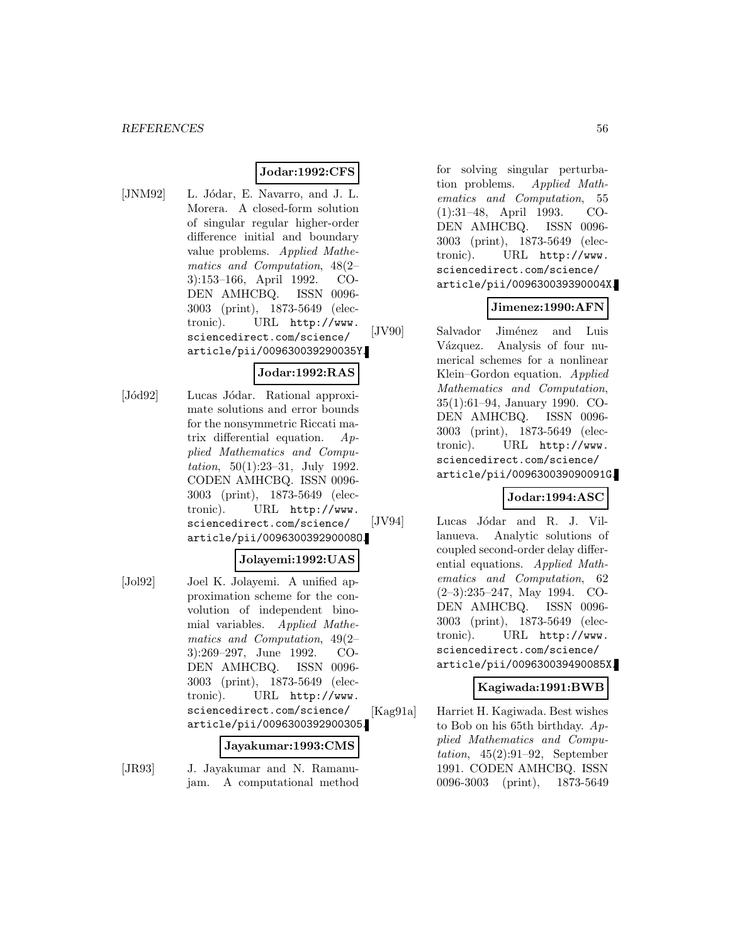### **Jodar:1992:CFS**

[JNM92] L. Jódar, E. Navarro, and J. L. Morera. A closed-form solution of singular regular higher-order difference initial and boundary value problems. Applied Mathematics and Computation, 48(2– 3):153–166, April 1992. CO-DEN AMHCBQ. ISSN 0096- 3003 (print), 1873-5649 (electronic). URL http://www. sciencedirect.com/science/ article/pii/009630039290035Y.

### **Jodar:1992:RAS**

[Jód92] Lucas Jódar. Rational approximate solutions and error bounds for the nonsymmetric Riccati matrix differential equation. Applied Mathematics and Computation, 50(1):23–31, July 1992. CODEN AMHCBQ. ISSN 0096- 3003 (print), 1873-5649 (electronic). URL http://www. sciencedirect.com/science/ article/pii/009630039290008O.

#### **Jolayemi:1992:UAS**

- 
- [Jol92] Joel K. Jolayemi. A unified approximation scheme for the convolution of independent binomial variables. Applied Mathematics and Computation, 49(2– 3):269–297, June 1992. CO-DEN AMHCBQ. ISSN 0096- 3003 (print), 1873-5649 (electronic). URL http://www. sciencedirect.com/science/ article/pii/0096300392900305.

#### **Jayakumar:1993:CMS**

[JR93] J. Jayakumar and N. Ramanujam. A computational method for solving singular perturbation problems. Applied Mathematics and Computation, 55 (1):31–48, April 1993. CO-DEN AMHCBQ. ISSN 0096- 3003 (print), 1873-5649 (electronic). URL http://www. sciencedirect.com/science/ article/pii/009630039390004X.

#### **Jimenez:1990:AFN**

[JV90] Salvador Jiménez and Luis Vázquez. Analysis of four numerical schemes for a nonlinear Klein–Gordon equation. Applied Mathematics and Computation, 35(1):61–94, January 1990. CO-DEN AMHCBQ. ISSN 0096- 3003 (print), 1873-5649 (electronic). URL http://www. sciencedirect.com/science/ article/pii/009630039090091G.

### **Jodar:1994:ASC**

[JV94] Lucas Jódar and R. J. Villanueva. Analytic solutions of coupled second-order delay differential equations. Applied Mathematics and Computation, 62 (2–3):235–247, May 1994. CO-DEN AMHCBQ. ISSN 0096- 3003 (print), 1873-5649 (electronic). URL http://www. sciencedirect.com/science/ article/pii/009630039490085X.

### **Kagiwada:1991:BWB**

[Kag91a] Harriet H. Kagiwada. Best wishes to Bob on his 65th birthday.  $Ap$ plied Mathematics and Computation,  $45(2):91-92$ , September 1991. CODEN AMHCBQ. ISSN 0096-3003 (print), 1873-5649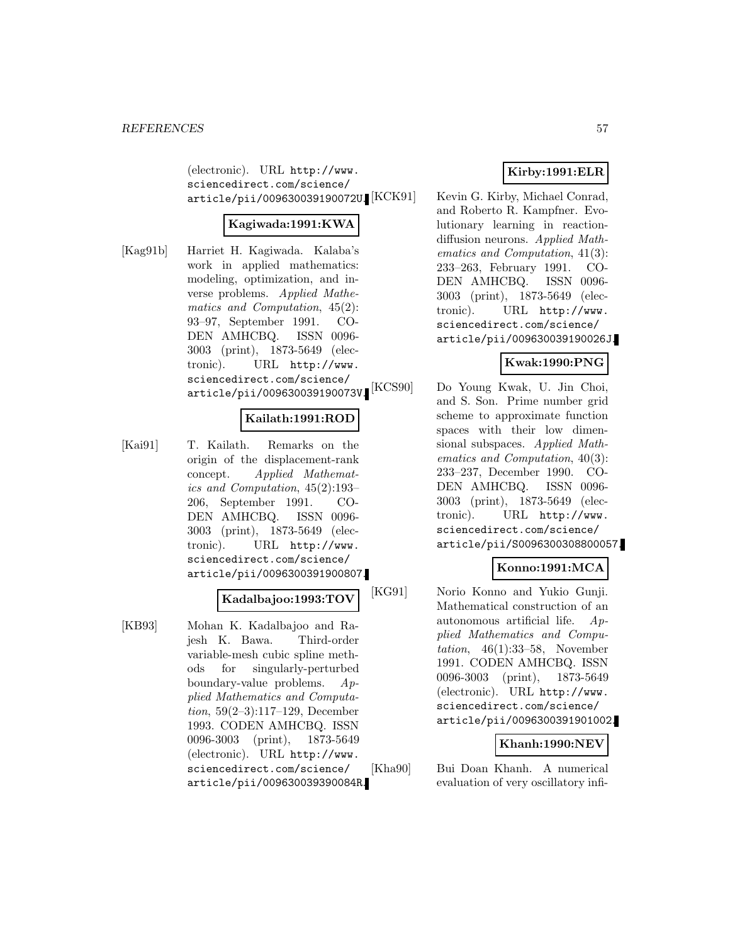(electronic). URL http://www. sciencedirect.com/science/ article/pii/009630039190072U.

## **Kagiwada:1991:KWA**

[Kag91b] Harriet H. Kagiwada. Kalaba's work in applied mathematics: modeling, optimization, and inverse problems. Applied Mathematics and Computation, 45(2): 93–97, September 1991. CO-DEN AMHCBQ. ISSN 0096- 3003 (print), 1873-5649 (electronic). URL http://www. sciencedirect.com/science/ article/pii/009630039190073V.

## **Kailath:1991:ROD**

[Kai91] T. Kailath. Remarks on the origin of the displacement-rank concept. Applied Mathematics and Computation, 45(2):193– 206, September 1991. CO-DEN AMHCBQ. ISSN 0096- 3003 (print), 1873-5649 (electronic). URL http://www. sciencedirect.com/science/ article/pii/0096300391900807.

### **Kadalbajoo:1993:TOV**

[KB93] Mohan K. Kadalbajoo and Rajesh K. Bawa. Third-order variable-mesh cubic spline methods for singularly-perturbed boundary-value problems. Applied Mathematics and Computation, 59(2–3):117–129, December 1993. CODEN AMHCBQ. ISSN 0096-3003 (print), 1873-5649 (electronic). URL http://www. sciencedirect.com/science/ article/pii/009630039390084R.

## **Kirby:1991:ELR**

Kevin G. Kirby, Michael Conrad, and Roberto R. Kampfner. Evolutionary learning in reactiondiffusion neurons. Applied Mathematics and Computation, 41(3): 233–263, February 1991. CO-DEN AMHCBQ. ISSN 0096- 3003 (print), 1873-5649 (electronic). URL http://www. sciencedirect.com/science/ article/pii/009630039190026J.

#### **Kwak:1990:PNG**

[KCS90] Do Young Kwak, U. Jin Choi, and S. Son. Prime number grid scheme to approximate function spaces with their low dimensional subspaces. Applied Mathematics and Computation, 40(3): 233–237, December 1990. CO-DEN AMHCBQ. ISSN 0096- 3003 (print), 1873-5649 (electronic). URL http://www. sciencedirect.com/science/ article/pii/S0096300308800057.

## **Konno:1991:MCA**

[KG91] Norio Konno and Yukio Gunji. Mathematical construction of an autonomous artificial life. Applied Mathematics and Computation,  $46(1):33-58$ , November 1991. CODEN AMHCBQ. ISSN 0096-3003 (print), 1873-5649 (electronic). URL http://www. sciencedirect.com/science/ article/pii/0096300391901002.

#### **Khanh:1990:NEV**

[Kha90] Bui Doan Khanh. A numerical evaluation of very oscillatory infi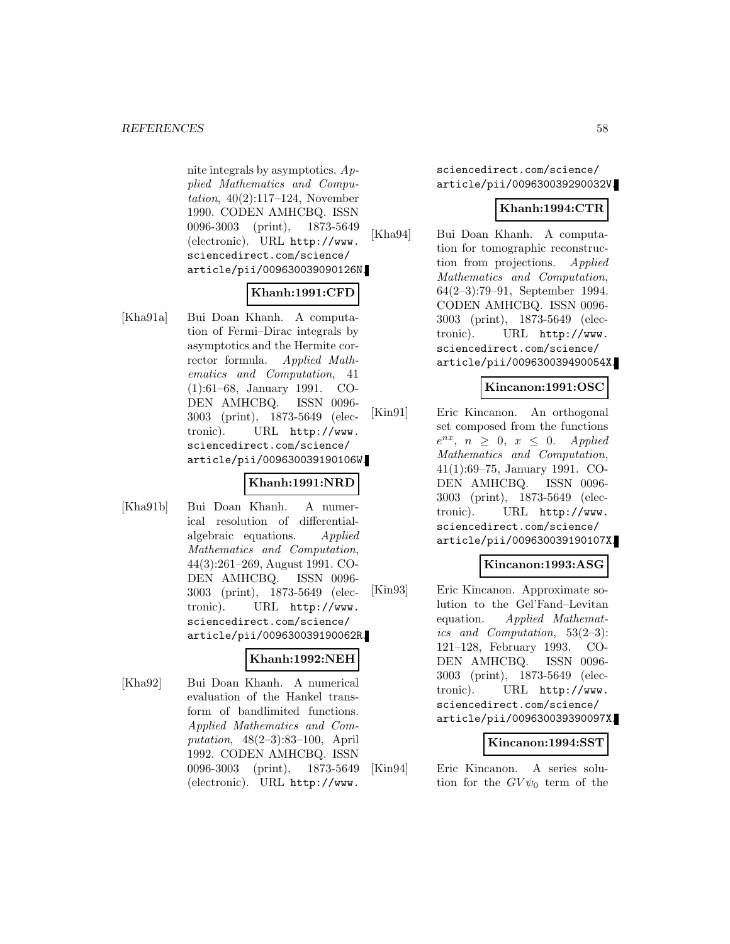nite integrals by asymptotics. Applied Mathematics and Computation, 40(2):117–124, November 1990. CODEN AMHCBQ. ISSN 0096-3003 (print), 1873-5649 (electronic). URL http://www. sciencedirect.com/science/ article/pii/009630039090126N.

## **Khanh:1991:CFD**

[Kha91a] Bui Doan Khanh. A computation of Fermi–Dirac integrals by asymptotics and the Hermite corrector formula. Applied Mathematics and Computation, 41 (1):61–68, January 1991. CO-DEN AMHCBQ. ISSN 0096- 3003 (print), 1873-5649 (electronic). URL http://www. sciencedirect.com/science/ article/pii/009630039190106W.

## **Khanh:1991:NRD**

[Kha91b] Bui Doan Khanh. A numerical resolution of differentialalgebraic equations. Applied Mathematics and Computation, 44(3):261–269, August 1991. CO-DEN AMHCBQ. ISSN 0096- 3003 (print), 1873-5649 (electronic). URL http://www. sciencedirect.com/science/ article/pii/009630039190062R.

#### **Khanh:1992:NEH**

[Kha92] Bui Doan Khanh. A numerical evaluation of the Hankel transform of bandlimited functions. Applied Mathematics and Computation, 48(2–3):83–100, April 1992. CODEN AMHCBQ. ISSN 0096-3003 (print), 1873-5649 (electronic). URL http://www.

sciencedirect.com/science/ article/pii/009630039290032V.

## **Khanh:1994:CTR**

[Kha94] Bui Doan Khanh. A computation for tomographic reconstruction from projections. Applied Mathematics and Computation, 64(2–3):79–91, September 1994. CODEN AMHCBQ. ISSN 0096- 3003 (print), 1873-5649 (electronic). URL http://www. sciencedirect.com/science/ article/pii/009630039490054X.

## **Kincanon:1991:OSC**

[Kin91] Eric Kincanon. An orthogonal set composed from the functions  $e^{nx}$ ,  $n \geq 0$ ,  $x \leq 0$ . Applied Mathematics and Computation, 41(1):69–75, January 1991. CO-DEN AMHCBQ. ISSN 0096- 3003 (print), 1873-5649 (electronic). URL http://www. sciencedirect.com/science/ article/pii/009630039190107X.

## **Kincanon:1993:ASG**

[Kin93] Eric Kincanon. Approximate solution to the Gel'Fand–Levitan equation. Applied Mathematics and Computation, 53(2–3): 121–128, February 1993. CO-DEN AMHCBQ. ISSN 0096- 3003 (print), 1873-5649 (electronic). URL http://www. sciencedirect.com/science/ article/pii/009630039390097X.

### **Kincanon:1994:SST**

[Kin94] Eric Kincanon. A series solution for the  $GV\psi_0$  term of the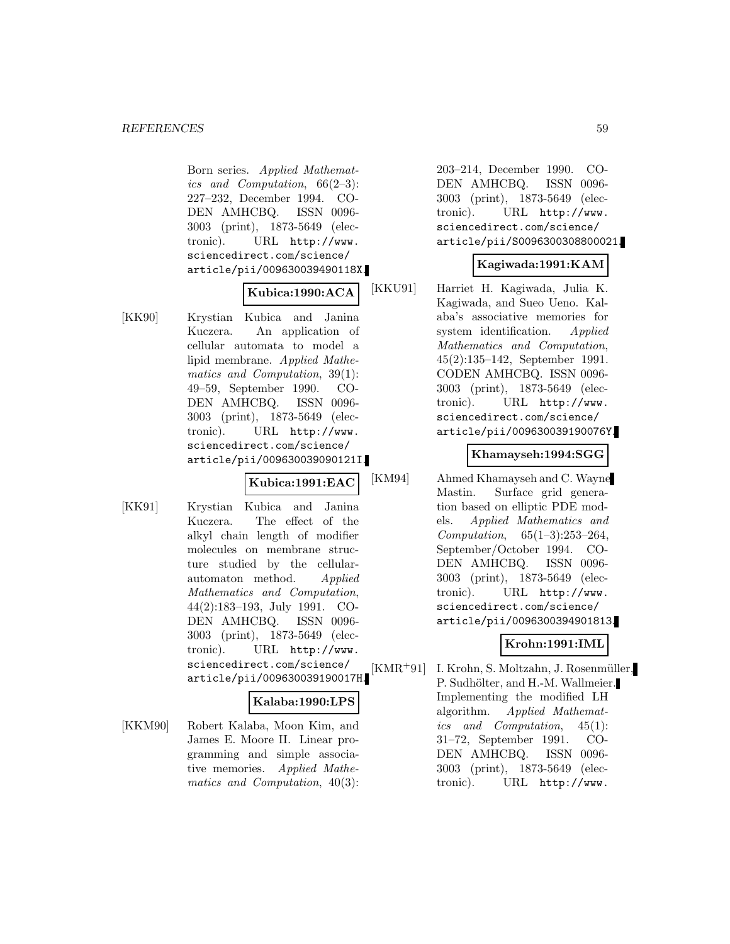Born series. Applied Mathematics and Computation,  $66(2-3)$ : 227–232, December 1994. CO-DEN AMHCBQ. ISSN 0096- 3003 (print), 1873-5649 (electronic). URL http://www. sciencedirect.com/science/ article/pii/009630039490118X.

## **Kubica:1990:ACA**

[KK90] Krystian Kubica and Janina Kuczera. An application of cellular automata to model a lipid membrane. Applied Mathematics and Computation, 39(1): 49–59, September 1990. CO-DEN AMHCBQ. ISSN 0096- 3003 (print), 1873-5649 (electronic). URL http://www. sciencedirect.com/science/ article/pii/009630039090121I.

**Kubica:1991:EAC**

[KK91] Krystian Kubica and Janina Kuczera. The effect of the alkyl chain length of modifier molecules on membrane structure studied by the cellularautomaton method. Applied Mathematics and Computation, 44(2):183–193, July 1991. CO-DEN AMHCBQ. ISSN 0096- 3003 (print), 1873-5649 (electronic). URL http://www. sciencedirect.com/science/ article/pii/009630039190017H.

### **Kalaba:1990:LPS**

[KKM90] Robert Kalaba, Moon Kim, and James E. Moore II. Linear programming and simple associative memories. Applied Mathematics and Computation, 40(3): 203–214, December 1990. CO-DEN AMHCBQ. ISSN 0096- 3003 (print), 1873-5649 (electronic). URL http://www. sciencedirect.com/science/ article/pii/S0096300308800021.

#### **Kagiwada:1991:KAM**

[KKU91] Harriet H. Kagiwada, Julia K. Kagiwada, and Sueo Ueno. Kalaba's associative memories for system identification. Applied Mathematics and Computation, 45(2):135–142, September 1991. CODEN AMHCBQ. ISSN 0096- 3003 (print), 1873-5649 (electronic). URL http://www. sciencedirect.com/science/ article/pii/009630039190076Y.

#### **Khamayseh:1994:SGG**

[KM94] Ahmed Khamayseh and C. Wayne Mastin. Surface grid generation based on elliptic PDE models. Applied Mathematics and Computation, 65(1–3):253–264, September/October 1994. CO-DEN AMHCBQ. ISSN 0096- 3003 (print), 1873-5649 (electronic). URL http://www. sciencedirect.com/science/ article/pii/0096300394901813.

### **Krohn:1991:IML**

[KMR<sup>+</sup>91] I. Krohn, S. Moltzahn, J. Rosenmüller, P. Sudhölter, and H.-M. Wallmeier. Implementing the modified LH algorithm. Applied Mathematics and Computation, 45(1): 31–72, September 1991. CO-DEN AMHCBQ. ISSN 0096- 3003 (print), 1873-5649 (electronic). URL http://www.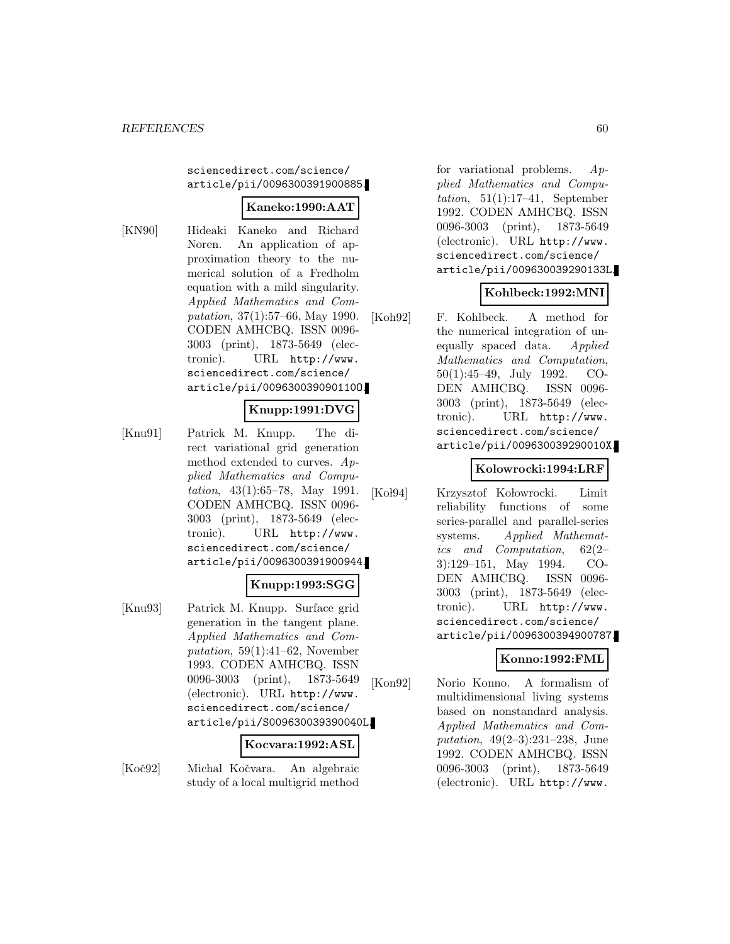sciencedirect.com/science/ article/pii/0096300391900885.

### **Kaneko:1990:AAT**

[KN90] Hideaki Kaneko and Richard Noren. An application of approximation theory to the numerical solution of a Fredholm equation with a mild singularity. Applied Mathematics and Computation, 37(1):57–66, May 1990. CODEN AMHCBQ. ISSN 0096- 3003 (print), 1873-5649 (electronic). URL http://www. sciencedirect.com/science/ article/pii/009630039090110O.

## **Knupp:1991:DVG**

[Knu91] Patrick M. Knupp. The direct variational grid generation method extended to curves. Applied Mathematics and Computation, 43(1):65–78, May 1991. CODEN AMHCBQ. ISSN 0096- 3003 (print), 1873-5649 (electronic). URL http://www. sciencedirect.com/science/ article/pii/0096300391900944.

## **Knupp:1993:SGG**

[Knu93] Patrick M. Knupp. Surface grid generation in the tangent plane. Applied Mathematics and Computation,  $59(1):41-62$ , November 1993. CODEN AMHCBQ. ISSN 0096-3003 (print), 1873-5649 (electronic). URL http://www. sciencedirect.com/science/ article/pii/S009630039390040L.

#### **Kocvara:1992:ASL**

[Koč92] Michal Kočvara. An algebraic study of a local multigrid method

for variational problems. Applied Mathematics and Computation,  $51(1):17-41$ , September 1992. CODEN AMHCBQ. ISSN 0096-3003 (print), 1873-5649 (electronic). URL http://www. sciencedirect.com/science/ article/pii/009630039290133L.

## **Kohlbeck:1992:MNI**

[Koh92] F. Kohlbeck. A method for the numerical integration of unequally spaced data. Applied Mathematics and Computation, 50(1):45–49, July 1992. CO-DEN AMHCBQ. ISSN 0096- 3003 (print), 1873-5649 (electronic). URL http://www. sciencedirect.com/science/ article/pii/009630039290010X.

## **Kolowrocki:1994:LRF**

[Kol94] Krzysztof Kołowrocki. Limit reliability functions of some series-parallel and parallel-series systems. Applied Mathematics and Computation, 62(2– 3):129–151, May 1994. CO-DEN AMHCBQ. ISSN 0096- 3003 (print), 1873-5649 (electronic). URL http://www. sciencedirect.com/science/ article/pii/0096300394900787.

### **Konno:1992:FML**

[Kon92] Norio Konno. A formalism of multidimensional living systems based on nonstandard analysis. Applied Mathematics and Computation, 49(2–3):231–238, June 1992. CODEN AMHCBQ. ISSN 0096-3003 (print), 1873-5649 (electronic). URL http://www.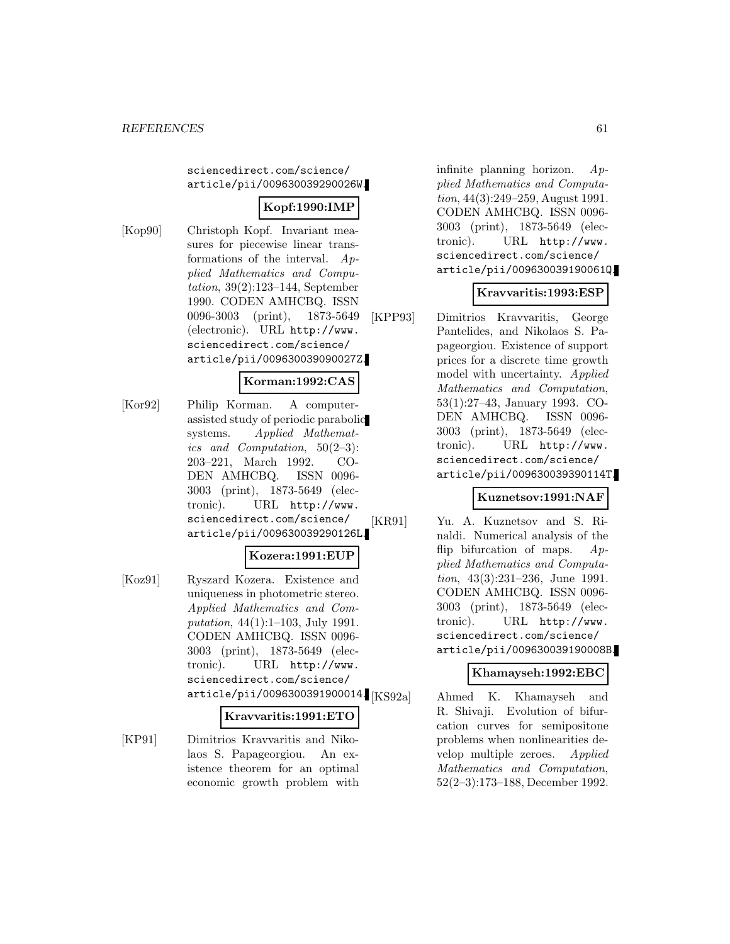sciencedirect.com/science/ article/pii/009630039290026W.

## **Kopf:1990:IMP**

[Kop90] Christoph Kopf. Invariant measures for piecewise linear transformations of the interval. Applied Mathematics and Computation, 39(2):123–144, September 1990. CODEN AMHCBQ. ISSN 0096-3003 (print), 1873-5649 (electronic). URL http://www. sciencedirect.com/science/ article/pii/009630039090027Z.

## **Korman:1992:CAS**

[Kor92] Philip Korman. A computerassisted study of periodic parabolic systems. Applied Mathematics and Computation, 50(2–3): 203–221, March 1992. CO-DEN AMHCBQ. ISSN 0096- 3003 (print), 1873-5649 (electronic). URL http://www. sciencedirect.com/science/ article/pii/009630039290126L.

### **Kozera:1991:EUP**

[Koz91] Ryszard Kozera. Existence and uniqueness in photometric stereo. Applied Mathematics and Computation, 44(1):1–103, July 1991. CODEN AMHCBQ. ISSN 0096- 3003 (print), 1873-5649 (electronic). URL http://www. sciencedirect.com/science/  $\ar{ticle/pii/0096300391900014}$  [KS92a]

#### **Kravvaritis:1991:ETO**

[KP91] Dimitrios Kravvaritis and Nikolaos S. Papageorgiou. An existence theorem for an optimal economic growth problem with infinite planning horizon. Applied Mathematics and Computation, 44(3):249–259, August 1991. CODEN AMHCBQ. ISSN 0096- 3003 (print), 1873-5649 (electronic). URL http://www. sciencedirect.com/science/ article/pii/009630039190061Q.

### **Kravvaritis:1993:ESP**

[KPP93] Dimitrios Kravvaritis, George Pantelides, and Nikolaos S. Papageorgiou. Existence of support prices for a discrete time growth model with uncertainty. Applied Mathematics and Computation, 53(1):27–43, January 1993. CO-DEN AMHCBQ. ISSN 0096- 3003 (print), 1873-5649 (electronic). URL http://www. sciencedirect.com/science/ article/pii/009630039390114T.

### **Kuznetsov:1991:NAF**

[KR91] Yu. A. Kuznetsov and S. Rinaldi. Numerical analysis of the flip bifurcation of maps.  $Ap$ plied Mathematics and Computation, 43(3):231–236, June 1991. CODEN AMHCBQ. ISSN 0096- 3003 (print), 1873-5649 (electronic). URL http://www. sciencedirect.com/science/ article/pii/009630039190008B.

### **Khamayseh:1992:EBC**

Ahmed K. Khamayseh and R. Shivaji. Evolution of bifurcation curves for semipositone problems when nonlinearities develop multiple zeroes. Applied Mathematics and Computation, 52(2–3):173–188, December 1992.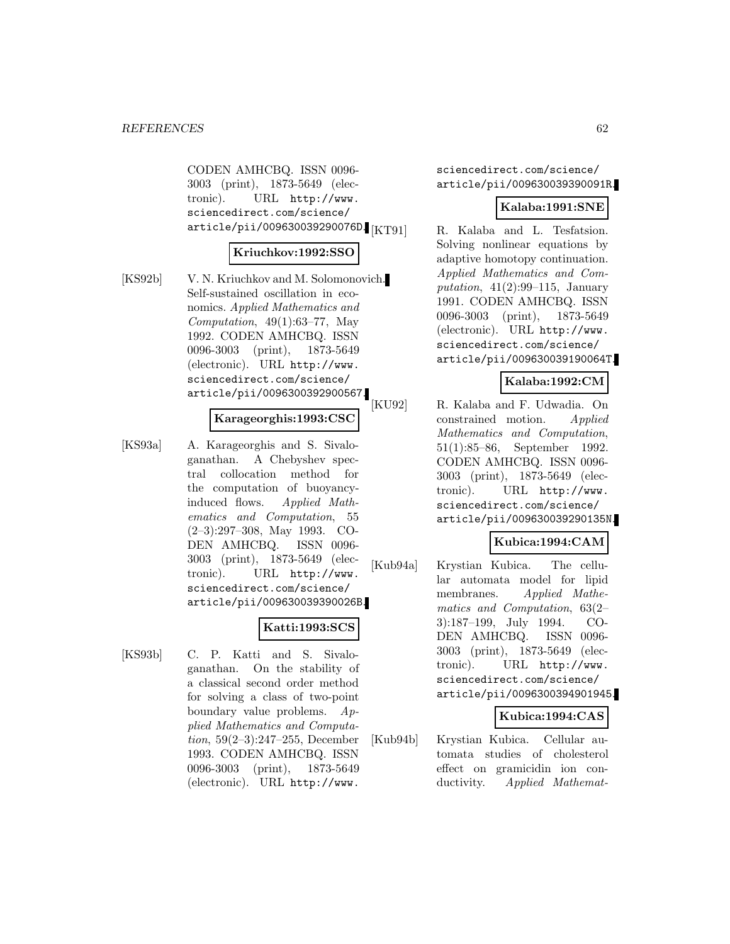CODEN AMHCBQ. ISSN 0096- 3003 (print), 1873-5649 (electronic). URL http://www. sciencedirect.com/science/ article/pii/009630039290076D. [KT91]

#### **Kriuchkov:1992:SSO**

[KS92b] V. N. Kriuchkov and M. Solomonovich. Self-sustained oscillation in economics. Applied Mathematics and Computation,  $49(1):63-77$ , May 1992. CODEN AMHCBQ. ISSN 0096-3003 (print), 1873-5649 (electronic). URL http://www. sciencedirect.com/science/ article/pii/0096300392900567.

### **Karageorghis:1993:CSC**

[KS93a] A. Karageorghis and S. Sivaloganathan. A Chebyshev spectral collocation method for the computation of buoyancyinduced flows. Applied Mathematics and Computation, 55 (2–3):297–308, May 1993. CO-DEN AMHCBQ. ISSN 0096- 3003 (print), 1873-5649 (electronic). URL http://www. sciencedirect.com/science/ article/pii/009630039390026B.

## **Katti:1993:SCS**

[KS93b] C. P. Katti and S. Sivaloganathan. On the stability of a classical second order method for solving a class of two-point boundary value problems. Applied Mathematics and Computation, 59(2–3):247–255, December 1993. CODEN AMHCBQ. ISSN 0096-3003 (print), 1873-5649 (electronic). URL http://www.

sciencedirect.com/science/ article/pii/009630039390091R.

#### **Kalaba:1991:SNE**

R. Kalaba and L. Tesfatsion. Solving nonlinear equations by adaptive homotopy continuation. Applied Mathematics and Computation,  $41(2):99-115$ , January 1991. CODEN AMHCBQ. ISSN 0096-3003 (print), 1873-5649 (electronic). URL http://www. sciencedirect.com/science/ article/pii/009630039190064T.

#### **Kalaba:1992:CM**

[KU92] R. Kalaba and F. Udwadia. On constrained motion. Applied Mathematics and Computation, 51(1):85–86, September 1992. CODEN AMHCBQ. ISSN 0096- 3003 (print), 1873-5649 (electronic). URL http://www. sciencedirect.com/science/ article/pii/009630039290135N.

### **Kubica:1994:CAM**

[Kub94a] Krystian Kubica. The cellular automata model for lipid membranes. Applied Mathematics and Computation, 63(2– 3):187–199, July 1994. CO-DEN AMHCBQ. ISSN 0096- 3003 (print), 1873-5649 (electronic). URL http://www. sciencedirect.com/science/ article/pii/0096300394901945.

#### **Kubica:1994:CAS**

[Kub94b] Krystian Kubica. Cellular automata studies of cholesterol effect on gramicidin ion conductivity. Applied Mathemat-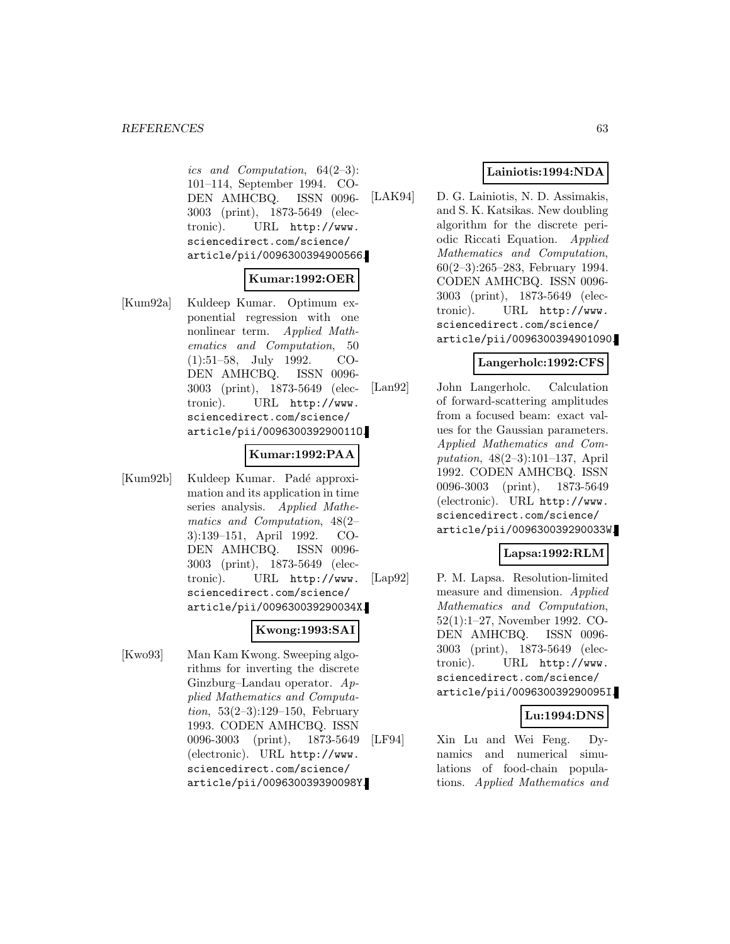#### *REFERENCES* 63

ics and Computation, 64(2–3): 101–114, September 1994. CO-DEN AMHCBQ. ISSN 0096- 3003 (print), 1873-5649 (electronic). URL http://www. sciencedirect.com/science/ article/pii/0096300394900566.

## **Kumar:1992:OER**

[Kum92a] Kuldeep Kumar. Optimum exponential regression with one nonlinear term. Applied Mathematics and Computation, 50 (1):51–58, July 1992. CO-DEN AMHCBQ. ISSN 0096- 3003 (print), 1873-5649 (electronic). URL http://www. sciencedirect.com/science/ article/pii/009630039290011O.

#### **Kumar:1992:PAA**

[Kum92b] Kuldeep Kumar. Padé approximation and its application in time series analysis. Applied Mathematics and Computation, 48(2– 3):139–151, April 1992. CO-DEN AMHCBQ. ISSN 0096- 3003 (print), 1873-5649 (electronic). URL http://www. sciencedirect.com/science/ article/pii/009630039290034X.

## **Kwong:1993:SAI**

[Kwo93] Man Kam Kwong. Sweeping algorithms for inverting the discrete Ginzburg–Landau operator. Applied Mathematics and Computation, 53(2–3):129–150, February 1993. CODEN AMHCBQ. ISSN 0096-3003 (print), 1873-5649 (electronic). URL http://www. sciencedirect.com/science/ article/pii/009630039390098Y.

## **Lainiotis:1994:NDA**

[LAK94] D. G. Lainiotis, N. D. Assimakis, and S. K. Katsikas. New doubling algorithm for the discrete periodic Riccati Equation. Applied Mathematics and Computation, 60(2–3):265–283, February 1994. CODEN AMHCBQ. ISSN 0096- 3003 (print), 1873-5649 (electronic). URL http://www. sciencedirect.com/science/ article/pii/0096300394901090.

#### **Langerholc:1992:CFS**

[Lan92] John Langerholc. Calculation of forward-scattering amplitudes from a focused beam: exact values for the Gaussian parameters. Applied Mathematics and Computation, 48(2–3):101–137, April 1992. CODEN AMHCBQ. ISSN 0096-3003 (print), 1873-5649 (electronic). URL http://www. sciencedirect.com/science/ article/pii/009630039290033W.

### **Lapsa:1992:RLM**

[Lap92] P. M. Lapsa. Resolution-limited measure and dimension. Applied Mathematics and Computation, 52(1):1–27, November 1992. CO-DEN AMHCBQ. ISSN 0096- 3003 (print), 1873-5649 (electronic). URL http://www. sciencedirect.com/science/ article/pii/009630039290095I.

### **Lu:1994:DNS**

[LF94] Xin Lu and Wei Feng. Dynamics and numerical simulations of food-chain populations. Applied Mathematics and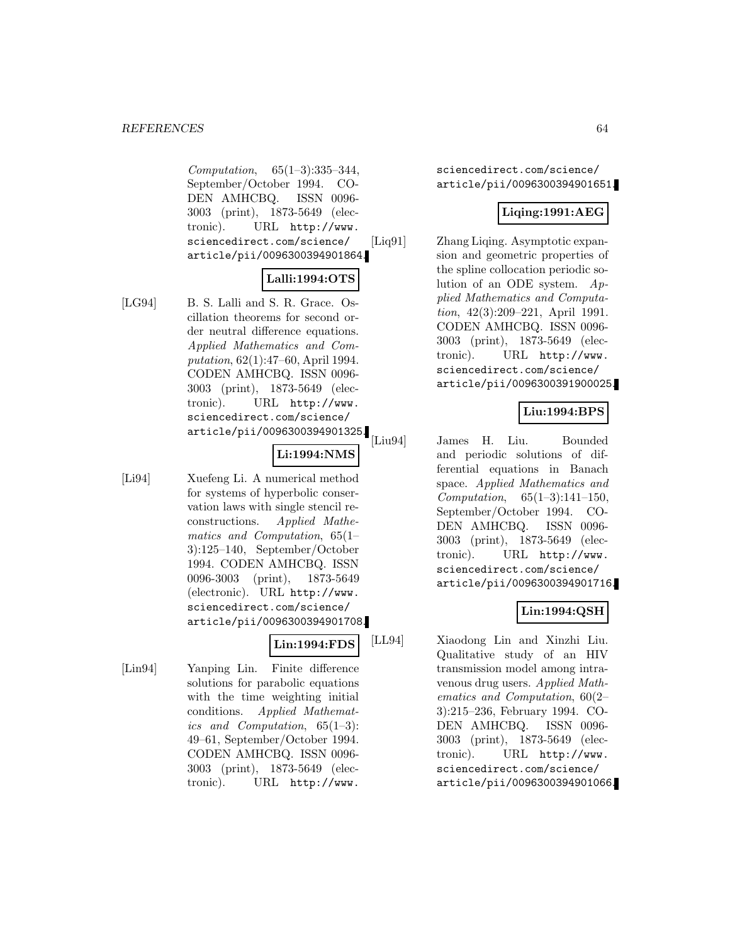Computation, 65(1–3):335–344, September/October 1994. CO-DEN AMHCBQ. ISSN 0096- 3003 (print), 1873-5649 (electronic). URL http://www. sciencedirect.com/science/ article/pii/0096300394901864.

## **Lalli:1994:OTS**

[LG94] B. S. Lalli and S. R. Grace. Oscillation theorems for second order neutral difference equations. Applied Mathematics and Computation, 62(1):47–60, April 1994. CODEN AMHCBQ. ISSN 0096- 3003 (print), 1873-5649 (electronic). URL http://www. sciencedirect.com/science/ article/pii/0096300394901325.

#### **Li:1994:NMS**

[Li94] Xuefeng Li. A numerical method for systems of hyperbolic conservation laws with single stencil reconstructions. Applied Mathematics and Computation, 65(1– 3):125–140, September/October 1994. CODEN AMHCBQ. ISSN 0096-3003 (print), 1873-5649 (electronic). URL http://www. sciencedirect.com/science/ article/pii/0096300394901708.

## **Lin:1994:FDS**

[Lin94] Yanping Lin. Finite difference solutions for parabolic equations with the time weighting initial conditions. Applied Mathematics and Computation, 65(1–3): 49–61, September/October 1994. CODEN AMHCBQ. ISSN 0096- 3003 (print), 1873-5649 (electronic). URL http://www.

sciencedirect.com/science/ article/pii/0096300394901651.

### **Liqing:1991:AEG**

[Liq91] Zhang Liqing. Asymptotic expansion and geometric properties of the spline collocation periodic solution of an ODE system. Applied Mathematics and Computation, 42(3):209–221, April 1991. CODEN AMHCBQ. ISSN 0096- 3003 (print), 1873-5649 (electronic). URL http://www. sciencedirect.com/science/ article/pii/0096300391900025.

## **Liu:1994:BPS**

[Liu94] James H. Liu. Bounded and periodic solutions of differential equations in Banach space. Applied Mathematics and Computation, 65(1–3):141–150, September/October 1994. CO-DEN AMHCBQ. ISSN 0096- 3003 (print), 1873-5649 (electronic). URL http://www. sciencedirect.com/science/ article/pii/0096300394901716.

### **Lin:1994:QSH**

[LL94] Xiaodong Lin and Xinzhi Liu. Qualitative study of an HIV transmission model among intravenous drug users. Applied Mathematics and Computation, 60(2– 3):215–236, February 1994. CO-DEN AMHCBQ. ISSN 0096- 3003 (print), 1873-5649 (electronic). URL http://www. sciencedirect.com/science/ article/pii/0096300394901066.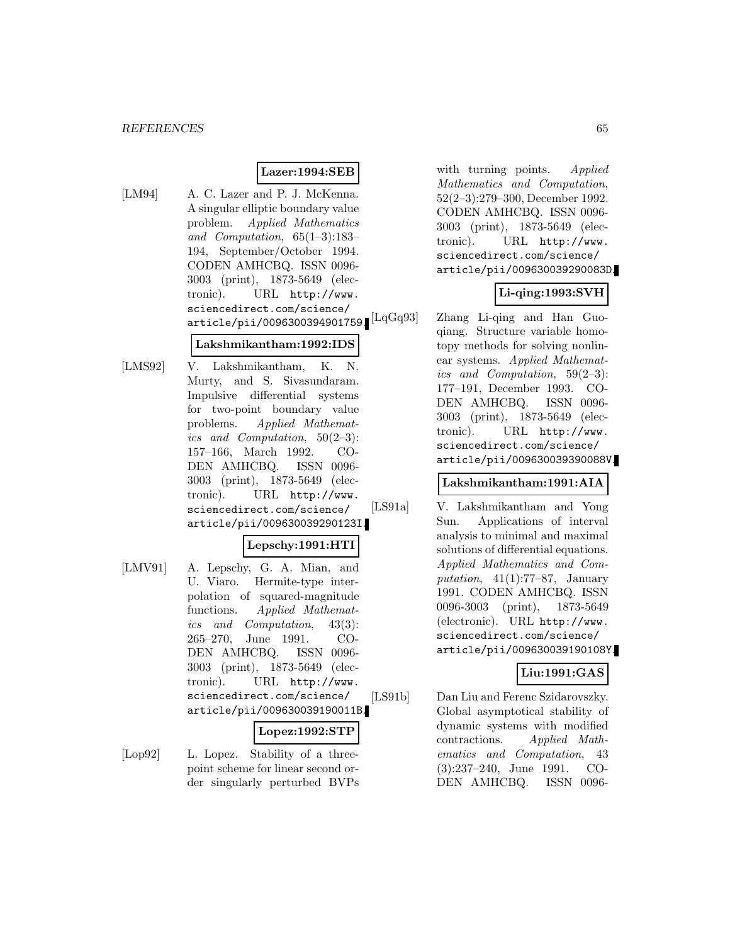#### **Lazer:1994:SEB**

[LM94] A. C. Lazer and P. J. McKenna. A singular elliptic boundary value problem. Applied Mathematics and Computation, 65(1–3):183– 194, September/October 1994. CODEN AMHCBQ. ISSN 0096- 3003 (print), 1873-5649 (electronic). URL http://www. sciencedirect.com/science/ article/pii/0096300394901759.

### **Lakshmikantham:1992:IDS**

[LMS92] V. Lakshmikantham, K. N. Murty, and S. Sivasundaram. Impulsive differential systems for two-point boundary value problems. Applied Mathematics and Computation, 50(2–3): 157–166, March 1992. CO-DEN AMHCBQ. ISSN 0096- 3003 (print), 1873-5649 (electronic). URL http://www. sciencedirect.com/science/ article/pii/009630039290123I.

## **Lepschy:1991:HTI**

[LMV91] A. Lepschy, G. A. Mian, and U. Viaro. Hermite-type interpolation of squared-magnitude functions. Applied Mathematics and Computation, 43(3): 265–270, June 1991. CO-DEN AMHCBQ. ISSN 0096- 3003 (print), 1873-5649 (electronic). URL http://www. sciencedirect.com/science/ article/pii/009630039190011B.

#### **Lopez:1992:STP**

[Lop92] L. Lopez. Stability of a threepoint scheme for linear second order singularly perturbed BVPs with turning points. Applied Mathematics and Computation, 52(2–3):279–300, December 1992. CODEN AMHCBQ. ISSN 0096- 3003 (print), 1873-5649 (electronic). URL http://www. sciencedirect.com/science/ article/pii/009630039290083D.

## **Li-qing:1993:SVH**

[LqGq93] Zhang Li-qing and Han Guoqiang. Structure variable homotopy methods for solving nonlinear systems. Applied Mathematics and Computation, 59(2–3): 177–191, December 1993. CO-DEN AMHCBQ. ISSN 0096- 3003 (print), 1873-5649 (electronic). URL http://www. sciencedirect.com/science/ article/pii/009630039390088V.

#### **Lakshmikantham:1991:AIA**

[LS91a] V. Lakshmikantham and Yong Sun. Applications of interval analysis to minimal and maximal solutions of differential equations. Applied Mathematics and Computation,  $41(1):77-87$ , January 1991. CODEN AMHCBQ. ISSN 0096-3003 (print), 1873-5649 (electronic). URL http://www. sciencedirect.com/science/ article/pii/009630039190108Y.

### **Liu:1991:GAS**

[LS91b] Dan Liu and Ferenc Szidarovszky. Global asymptotical stability of dynamic systems with modified contractions. Applied Mathematics and Computation, 43 (3):237–240, June 1991. CO-DEN AMHCBQ. ISSN 0096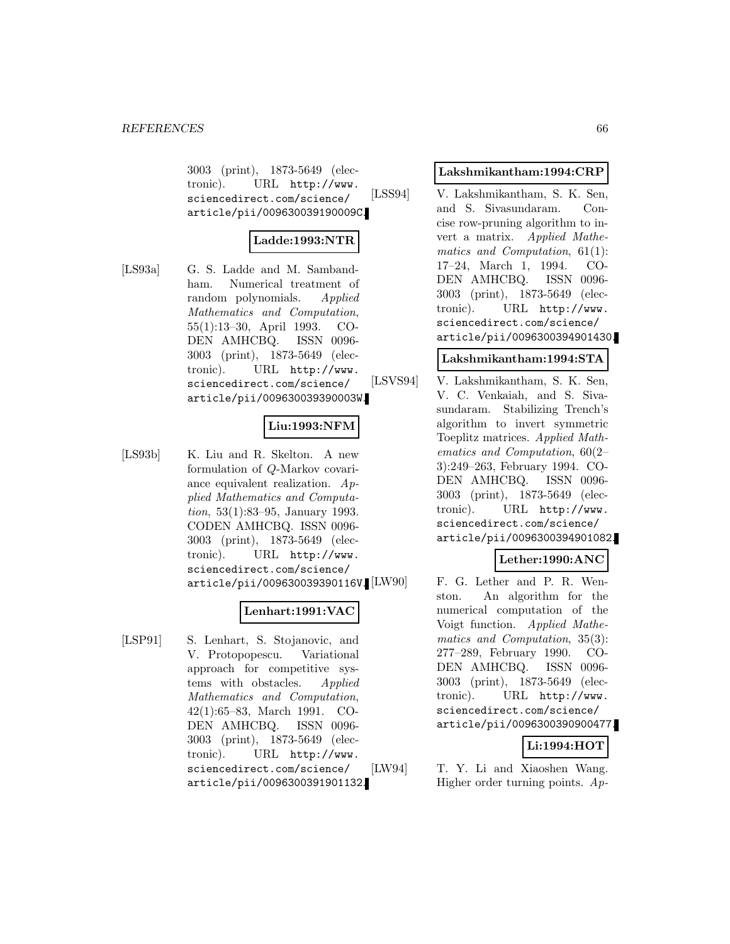3003 (print), 1873-5649 (electronic). URL http://www. sciencedirect.com/science/ article/pii/009630039190009C.

### **Ladde:1993:NTR**

[LS93a] G. S. Ladde and M. Sambandham. Numerical treatment of random polynomials. Applied Mathematics and Computation, 55(1):13–30, April 1993. CO-DEN AMHCBQ. ISSN 0096- 3003 (print), 1873-5649 (electronic). URL http://www. sciencedirect.com/science/ article/pii/009630039390003W.

## **Liu:1993:NFM**

[LS93b] K. Liu and R. Skelton. A new formulation of Q-Markov covariance equivalent realization. Applied Mathematics and Computation, 53(1):83–95, January 1993. CODEN AMHCBQ. ISSN 0096- 3003 (print), 1873-5649 (electronic). URL http://www. sciencedirect.com/science/ article/pii/009630039390116V. [LW90]

### **Lenhart:1991:VAC**

[LSP91] S. Lenhart, S. Stojanovic, and V. Protopopescu. Variational approach for competitive systems with obstacles. Applied Mathematics and Computation, 42(1):65–83, March 1991. CO-DEN AMHCBQ. ISSN 0096- 3003 (print), 1873-5649 (electronic). URL http://www. sciencedirect.com/science/ article/pii/0096300391901132.

#### **Lakshmikantham:1994:CRP**

[LSS94] V. Lakshmikantham, S. K. Sen, and S. Sivasundaram. Concise row-pruning algorithm to invert a matrix. Applied Mathematics and Computation, 61(1): 17–24, March 1, 1994. CO-DEN AMHCBQ. ISSN 0096- 3003 (print), 1873-5649 (electronic). URL http://www. sciencedirect.com/science/ article/pii/0096300394901430.

## **Lakshmikantham:1994:STA**

[LSVS94] V. Lakshmikantham, S. K. Sen, V. C. Venkaiah, and S. Sivasundaram. Stabilizing Trench's algorithm to invert symmetric Toeplitz matrices. Applied Mathematics and Computation, 60(2– 3):249–263, February 1994. CO-DEN AMHCBQ. ISSN 0096- 3003 (print), 1873-5649 (electronic). URL http://www. sciencedirect.com/science/ article/pii/0096300394901082.

### **Lether:1990:ANC**

F. G. Lether and P. R. Wenston. An algorithm for the numerical computation of the Voigt function. Applied Mathematics and Computation, 35(3): 277–289, February 1990. CO-DEN AMHCBQ. ISSN 0096- 3003 (print), 1873-5649 (electronic). URL http://www. sciencedirect.com/science/ article/pii/0096300390900477.

## **Li:1994:HOT**

[LW94] T. Y. Li and Xiaoshen Wang. Higher order turning points. Ap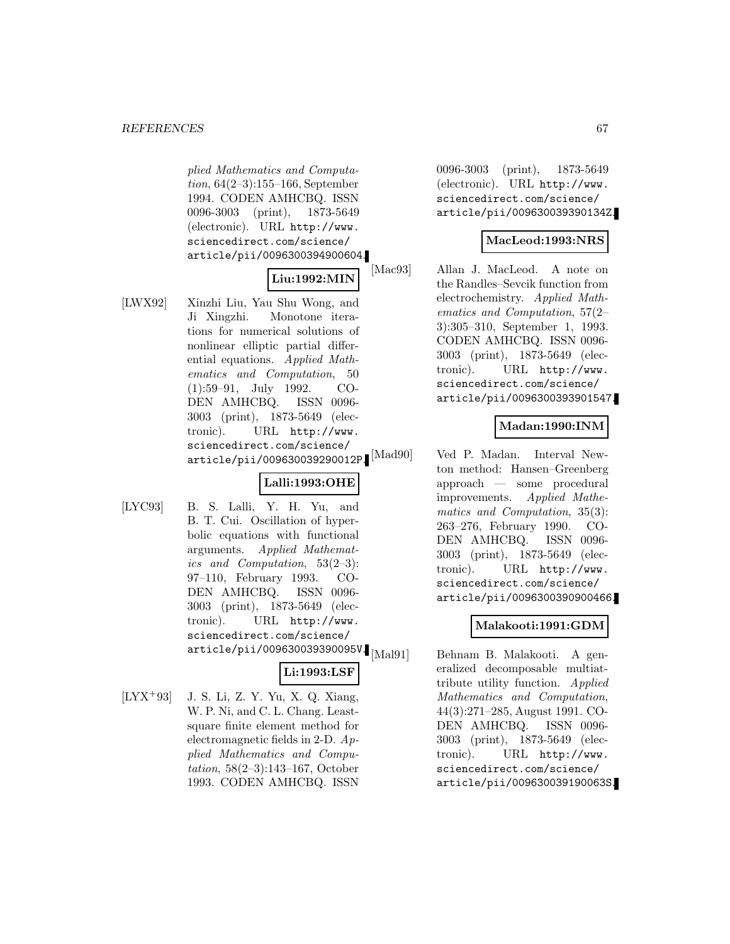plied Mathematics and Computation, 64(2–3):155–166, September 1994. CODEN AMHCBQ. ISSN 0096-3003 (print), 1873-5649 (electronic). URL http://www. sciencedirect.com/science/ article/pii/0096300394900604.

## **Liu:1992:MIN**

[LWX92] Xinzhi Liu, Yau Shu Wong, and Ji Xingzhi. Monotone iterations for numerical solutions of nonlinear elliptic partial differential equations. Applied Mathematics and Computation, 50 (1):59–91, July 1992. CO-DEN AMHCBQ. ISSN 0096- 3003 (print), 1873-5649 (electronic). URL http://www. sciencedirect.com/science/ article/pii/009630039290012P.<sup>[Mad90]</sup>

## **Lalli:1993:OHE**

[LYC93] B. S. Lalli, Y. H. Yu, and B. T. Cui. Oscillation of hyperbolic equations with functional arguments. Applied Mathematics and Computation, 53(2–3): 97–110, February 1993. CO-DEN AMHCBQ. ISSN 0096- 3003 (print), 1873-5649 (electronic). URL http://www. sciencedirect.com/science/ article/pii/009630039390095V.  $\text{[Mal91]}$ 

## **Li:1993:LSF**

[LYX<sup>+</sup>93] J. S. Li, Z. Y. Yu, X. Q. Xiang, W. P. Ni, and C. L. Chang. Leastsquare finite element method for electromagnetic fields in 2-D. Applied Mathematics and Computation, 58(2–3):143–167, October 1993. CODEN AMHCBQ. ISSN

0096-3003 (print), 1873-5649 (electronic). URL http://www. sciencedirect.com/science/ article/pii/009630039390134Z.

### **MacLeod:1993:NRS**

[Mac93] Allan J. MacLeod. A note on the Randles–Sevcik function from electrochemistry. Applied Mathematics and Computation, 57(2– 3):305–310, September 1, 1993. CODEN AMHCBQ. ISSN 0096- 3003 (print), 1873-5649 (electronic). URL http://www. sciencedirect.com/science/ article/pii/0096300393901547.

## **Madan:1990:INM**

Ved P. Madan. Interval Newton method: Hansen–Greenberg approach — some procedural improvements. Applied Mathematics and Computation, 35(3): 263–276, February 1990. CO-DEN AMHCBQ. ISSN 0096- 3003 (print), 1873-5649 (electronic). URL http://www. sciencedirect.com/science/ article/pii/0096300390900466.

## **Malakooti:1991:GDM**

Behnam B. Malakooti. A generalized decomposable multiattribute utility function. Applied Mathematics and Computation, 44(3):271–285, August 1991. CO-DEN AMHCBQ. ISSN 0096- 3003 (print), 1873-5649 (electronic). URL http://www. sciencedirect.com/science/ article/pii/009630039190063S.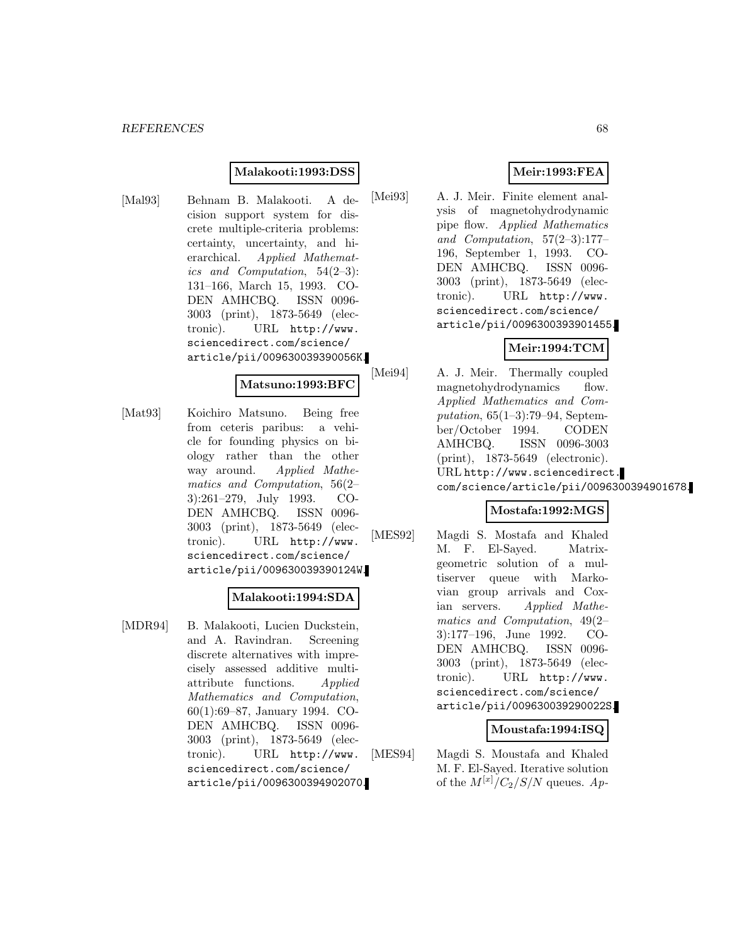#### **Malakooti:1993:DSS**

[Mal93] Behnam B. Malakooti. A decision support system for discrete multiple-criteria problems: certainty, uncertainty, and hierarchical. Applied Mathematics and Computation, 54(2–3): 131–166, March 15, 1993. CO-DEN AMHCBQ. ISSN 0096- 3003 (print), 1873-5649 (electronic). URL http://www. sciencedirect.com/science/ article/pii/009630039390056K.

#### **Matsuno:1993:BFC**

[Mat93] Koichiro Matsuno. Being free from ceteris paribus: a vehicle for founding physics on biology rather than the other way around. Applied Mathematics and Computation, 56(2– 3):261–279, July 1993. CO-DEN AMHCBQ. ISSN 0096- 3003 (print), 1873-5649 (electronic). URL http://www. sciencedirect.com/science/ article/pii/009630039390124W.

### **Malakooti:1994:SDA**

[MDR94] B. Malakooti, Lucien Duckstein, and A. Ravindran. Screening discrete alternatives with imprecisely assessed additive multiattribute functions. Applied Mathematics and Computation, 60(1):69–87, January 1994. CO-DEN AMHCBQ. ISSN 0096- 3003 (print), 1873-5649 (electronic). URL http://www. sciencedirect.com/science/ article/pii/0096300394902070.

### **Meir:1993:FEA**

[Mei93] A. J. Meir. Finite element analysis of magnetohydrodynamic pipe flow. Applied Mathematics and Computation, 57(2–3):177– 196, September 1, 1993. CO-DEN AMHCBQ. ISSN 0096- 3003 (print), 1873-5649 (electronic). URL http://www. sciencedirect.com/science/ article/pii/0096300393901455.

## **Meir:1994:TCM**

[Mei94] A. J. Meir. Thermally coupled magnetohydrodynamics flow. Applied Mathematics and Computation, 65(1–3):79–94, September/October 1994. CODEN AMHCBQ. ISSN 0096-3003 (print), 1873-5649 (electronic). URL http://www.sciencedirect. com/science/article/pii/0096300394901678.

## **Mostafa:1992:MGS**

[MES92] Magdi S. Mostafa and Khaled M. F. El-Sayed. Matrixgeometric solution of a multiserver queue with Markovian group arrivals and Coxian servers. Applied Mathematics and Computation, 49(2– 3):177–196, June 1992. CO-DEN AMHCBQ. ISSN 0096- 3003 (print), 1873-5649 (electronic). URL http://www. sciencedirect.com/science/ article/pii/009630039290022S.

#### **Moustafa:1994:ISQ**

[MES94] Magdi S. Moustafa and Khaled M. F. El-Sayed. Iterative solution of the  $M^{[x]}/C_2/S/N$  queues. Ap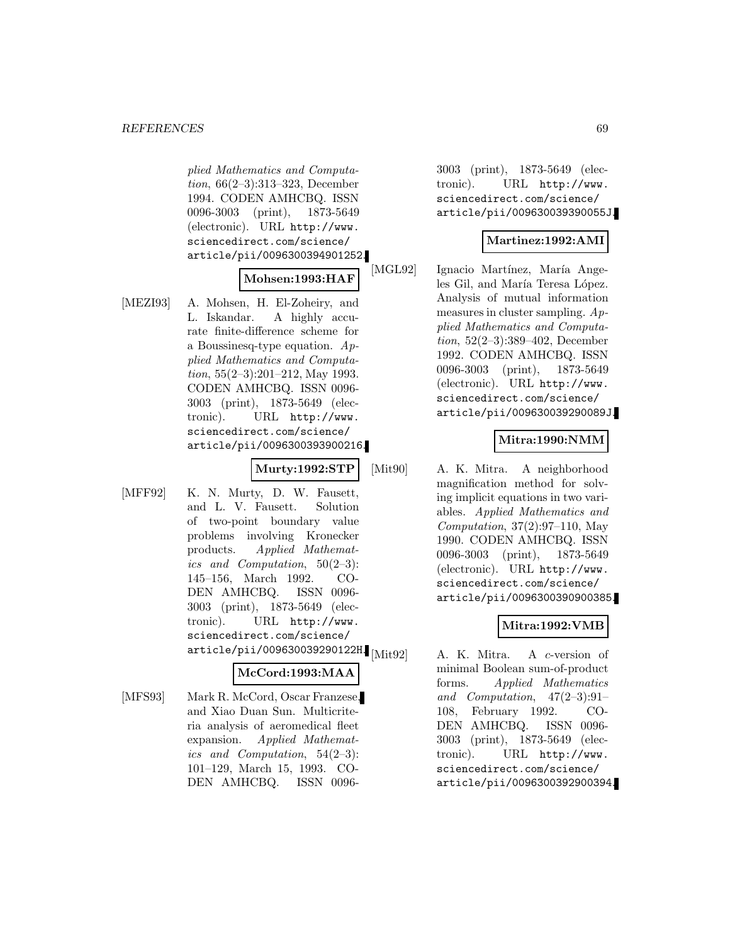plied Mathematics and Computation, 66(2–3):313–323, December 1994. CODEN AMHCBQ. ISSN 0096-3003 (print), 1873-5649 (electronic). URL http://www. sciencedirect.com/science/ article/pii/0096300394901252.

## **Mohsen:1993:HAF**

[MEZI93] A. Mohsen, H. El-Zoheiry, and L. Iskandar. A highly accurate finite-difference scheme for a Boussinesq-type equation. Applied Mathematics and Computation, 55(2–3):201–212, May 1993. CODEN AMHCBQ. ISSN 0096- 3003 (print), 1873-5649 (electronic). URL http://www. sciencedirect.com/science/ article/pii/0096300393900216.

## **Murty:1992:STP**

[MFF92] K. N. Murty, D. W. Fausett, and L. V. Fausett. Solution of two-point boundary value problems involving Kronecker products. Applied Mathematics and Computation, 50(2–3): 145–156, March 1992. CO-DEN AMHCBQ. ISSN 0096- 3003 (print), 1873-5649 (electronic). URL http://www. sciencedirect.com/science/ article/pii/009630039290122H. $\text{[Mit92]}$ 

#### **McCord:1993:MAA**

[MFS93] Mark R. McCord, Oscar Franzese, and Xiao Duan Sun. Multicriteria analysis of aeromedical fleet expansion. Applied Mathematics and Computation, 54(2–3): 101–129, March 15, 1993. CO-DEN AMHCBQ. ISSN 00963003 (print), 1873-5649 (electronic). URL http://www. sciencedirect.com/science/ article/pii/009630039390055J.

#### **Martinez:1992:AMI**

[MGL92] Ignacio Martínez, María Angeles Gil, and María Teresa López. Analysis of mutual information measures in cluster sampling. Applied Mathematics and Computation, 52(2–3):389–402, December 1992. CODEN AMHCBQ. ISSN 0096-3003 (print), 1873-5649 (electronic). URL http://www. sciencedirect.com/science/ article/pii/009630039290089J.

### **Mitra:1990:NMM**

[Mit90] A. K. Mitra. A neighborhood magnification method for solving implicit equations in two variables. Applied Mathematics and Computation, 37(2):97–110, May 1990. CODEN AMHCBQ. ISSN 0096-3003 (print), 1873-5649 (electronic). URL http://www. sciencedirect.com/science/ article/pii/0096300390900385.

### **Mitra:1992:VMB**

A. K. Mitra. A c-version of minimal Boolean sum-of-product forms. Applied Mathematics and Computation, 47(2–3):91– 108, February 1992. CO-DEN AMHCBQ. ISSN 0096- 3003 (print), 1873-5649 (electronic). URL http://www. sciencedirect.com/science/ article/pii/0096300392900394.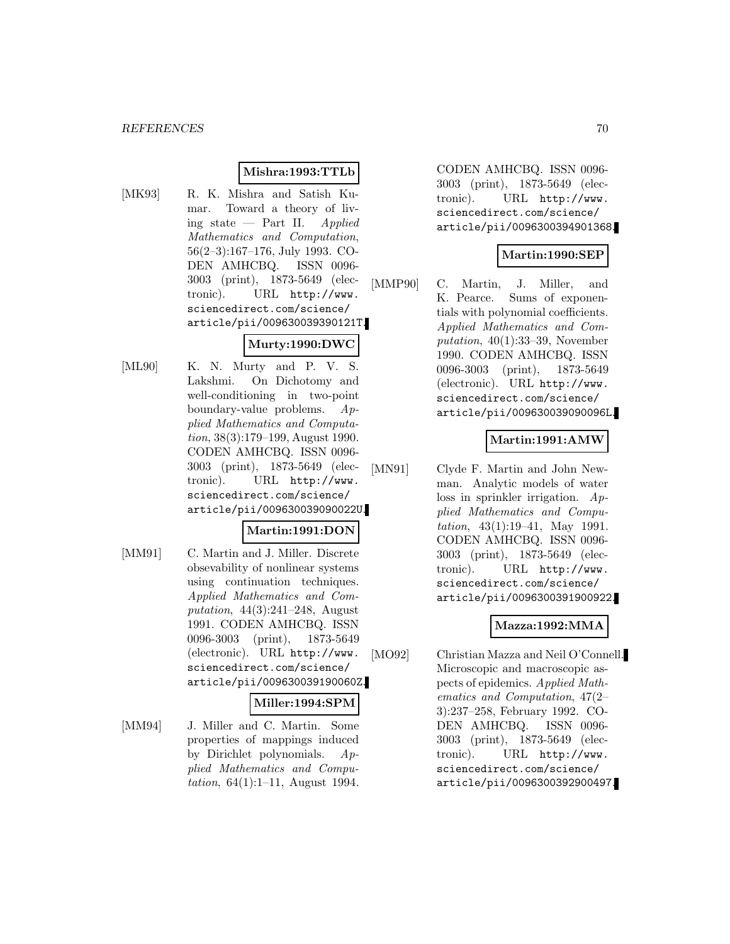#### **Mishra:1993:TTLb**

[MK93] R. K. Mishra and Satish Kumar. Toward a theory of living state — Part II. Applied Mathematics and Computation, 56(2–3):167–176, July 1993. CO-DEN AMHCBQ. ISSN 0096- 3003 (print), 1873-5649 (electronic). URL http://www. sciencedirect.com/science/ article/pii/009630039390121T.

## **Murty:1990:DWC**

[ML90] K. N. Murty and P. V. S. Lakshmi. On Dichotomy and well-conditioning in two-point boundary-value problems. Applied Mathematics and Computation, 38(3):179–199, August 1990. CODEN AMHCBQ. ISSN 0096- 3003 (print), 1873-5649 (electronic). URL http://www. sciencedirect.com/science/ article/pii/009630039090022U.

### **Martin:1991:DON**

[MM91] C. Martin and J. Miller. Discrete obsevability of nonlinear systems using continuation techniques. Applied Mathematics and Computation, 44(3):241–248, August 1991. CODEN AMHCBQ. ISSN 0096-3003 (print), 1873-5649 (electronic). URL http://www. sciencedirect.com/science/ article/pii/009630039190060Z.

#### **Miller:1994:SPM**

[MM94] J. Miller and C. Martin. Some properties of mappings induced by Dirichlet polynomials. Applied Mathematics and Computation,  $64(1):1-11$ , August 1994.

CODEN AMHCBQ. ISSN 0096- 3003 (print), 1873-5649 (electronic). URL http://www. sciencedirect.com/science/ article/pii/0096300394901368.

## **Martin:1990:SEP**

[MMP90] C. Martin, J. Miller, and K. Pearce. Sums of exponentials with polynomial coefficients. Applied Mathematics and Computation,  $40(1):33-39$ , November 1990. CODEN AMHCBQ. ISSN 0096-3003 (print), 1873-5649 (electronic). URL http://www. sciencedirect.com/science/ article/pii/009630039090096L.

### **Martin:1991:AMW**

[MN91] Clyde F. Martin and John Newman. Analytic models of water loss in sprinkler irrigation. Applied Mathematics and Computation, 43(1):19–41, May 1991. CODEN AMHCBQ. ISSN 0096- 3003 (print), 1873-5649 (electronic). URL http://www. sciencedirect.com/science/ article/pii/0096300391900922.

## **Mazza:1992:MMA**

[MO92] Christian Mazza and Neil O'Connell. Microscopic and macroscopic aspects of epidemics. Applied Mathematics and Computation, 47(2– 3):237–258, February 1992. CO-DEN AMHCBQ. ISSN 0096- 3003 (print), 1873-5649 (electronic). URL http://www. sciencedirect.com/science/ article/pii/0096300392900497.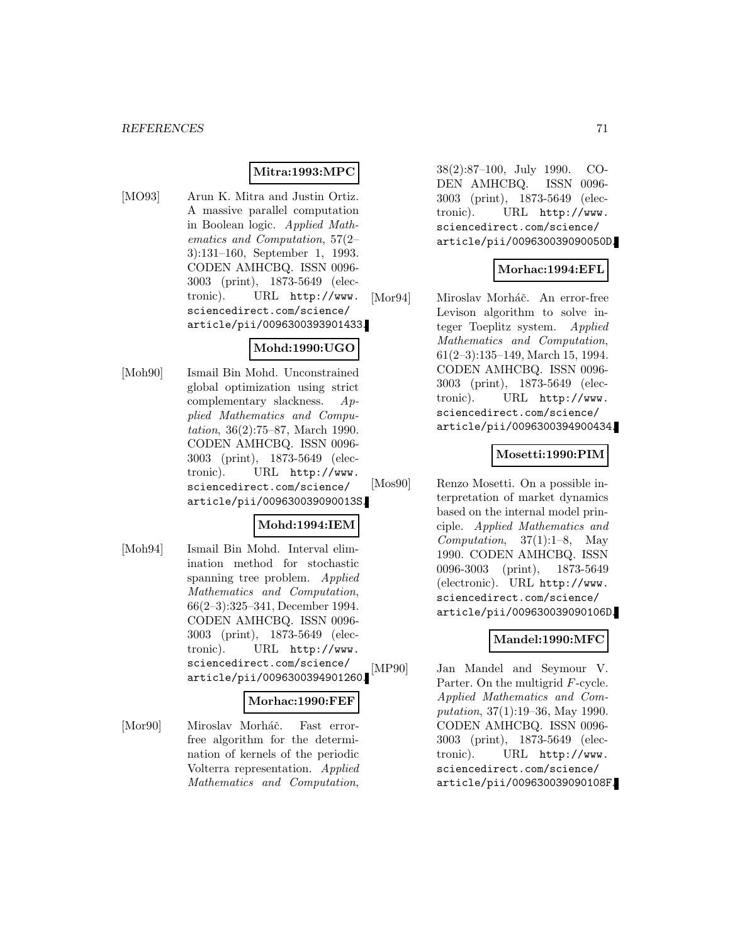### **Mitra:1993:MPC**

[MO93] Arun K. Mitra and Justin Ortiz. A massive parallel computation in Boolean logic. Applied Mathematics and Computation, 57(2– 3):131–160, September 1, 1993. CODEN AMHCBQ. ISSN 0096- 3003 (print), 1873-5649 (electronic). URL http://www. sciencedirect.com/science/ article/pii/0096300393901433.

### **Mohd:1990:UGO**

[Moh90] Ismail Bin Mohd. Unconstrained global optimization using strict complementary slackness. Applied Mathematics and Computation, 36(2):75–87, March 1990. CODEN AMHCBQ. ISSN 0096- 3003 (print), 1873-5649 (electronic). URL http://www. sciencedirect.com/science/ article/pii/009630039090013S.

## **Mohd:1994:IEM**

[Moh94] Ismail Bin Mohd. Interval elimination method for stochastic spanning tree problem. Applied Mathematics and Computation, 66(2–3):325–341, December 1994. CODEN AMHCBQ. ISSN 0096- 3003 (print), 1873-5649 (electronic). URL http://www. sciencedirect.com/science/ article/pii/0096300394901260.

#### **Morhac:1990:FEF**

[Mor90] Miroslav Morháč. Fast errorfree algorithm for the determination of kernels of the periodic Volterra representation. Applied Mathematics and Computation,

38(2):87–100, July 1990. CO-DEN AMHCBQ. ISSN 0096- 3003 (print), 1873-5649 (electronic). URL http://www. sciencedirect.com/science/ article/pii/009630039090050D.

## **Morhac:1994:EFL**

[Mor94] Miroslav Morháč. An error-free Levison algorithm to solve integer Toeplitz system. Applied Mathematics and Computation, 61(2–3):135–149, March 15, 1994. CODEN AMHCBQ. ISSN 0096- 3003 (print), 1873-5649 (electronic). URL http://www. sciencedirect.com/science/ article/pii/0096300394900434.

### **Mosetti:1990:PIM**

[Mos90] Renzo Mosetti. On a possible interpretation of market dynamics based on the internal model principle. Applied Mathematics and Computation,  $37(1):1-8$ , May 1990. CODEN AMHCBQ. ISSN 0096-3003 (print), 1873-5649 (electronic). URL http://www. sciencedirect.com/science/ article/pii/009630039090106D.

### **Mandel:1990:MFC**

[MP90] Jan Mandel and Seymour V. Parter. On the multigrid F-cycle. Applied Mathematics and Computation, 37(1):19–36, May 1990. CODEN AMHCBQ. ISSN 0096- 3003 (print), 1873-5649 (electronic). URL http://www. sciencedirect.com/science/ article/pii/009630039090108F.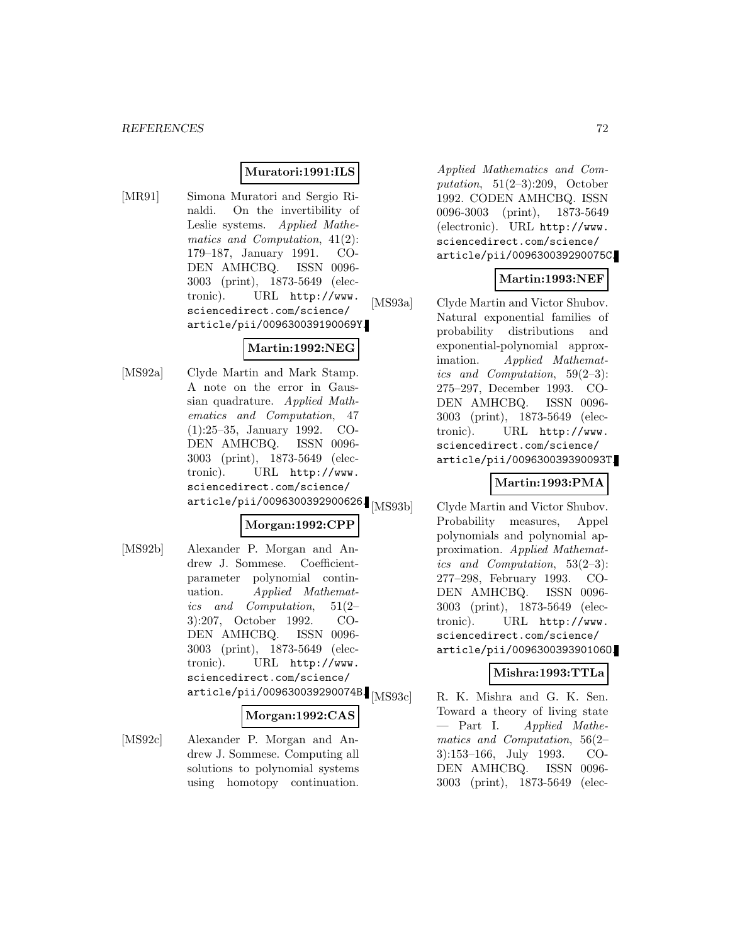#### **Muratori:1991:ILS**

[MR91] Simona Muratori and Sergio Rinaldi. On the invertibility of Leslie systems. Applied Mathematics and Computation, 41(2): 179–187, January 1991. CO-DEN AMHCBQ. ISSN 0096- 3003 (print), 1873-5649 (electronic). URL http://www. sciencedirect.com/science/ article/pii/009630039190069Y.

## **Martin:1992:NEG**

[MS92a] Clyde Martin and Mark Stamp. A note on the error in Gaussian quadrature. Applied Mathematics and Computation, 47 (1):25–35, January 1992. CO-DEN AMHCBQ. ISSN 0096- 3003 (print), 1873-5649 (electronic). URL http://www. sciencedirect.com/science/ article/pii/0096300392900626.

## **Morgan:1992:CPP**

[MS92b] Alexander P. Morgan and Andrew J. Sommese. Coefficientparameter polynomial continuation. Applied Mathematics and Computation, 51(2– 3):207, October 1992. CO-DEN AMHCBQ. ISSN 0096- 3003 (print), 1873-5649 (electronic). URL http://www. sciencedirect.com/science/ article/pii/009630039290074B. [MS93c]

### **Morgan:1992:CAS**

[MS92c] Alexander P. Morgan and Andrew J. Sommese. Computing all solutions to polynomial systems using homotopy continuation.

Applied Mathematics and Computation,  $51(2-3):209$ , October 1992. CODEN AMHCBQ. ISSN 0096-3003 (print), 1873-5649 (electronic). URL http://www. sciencedirect.com/science/ article/pii/009630039290075C.

## **Martin:1993:NEF**

[MS93a] Clyde Martin and Victor Shubov. Natural exponential families of probability distributions and exponential-polynomial approximation. Applied Mathematics and Computation, 59(2–3): 275–297, December 1993. CO-DEN AMHCBQ. ISSN 0096- 3003 (print), 1873-5649 (electronic). URL http://www. sciencedirect.com/science/ article/pii/009630039390093T.

## **Martin:1993:PMA**

[MS93b] Clyde Martin and Victor Shubov. Probability measures, Appel polynomials and polynomial approximation. Applied Mathematics and Computation, 53(2–3): 277–298, February 1993. CO-DEN AMHCBQ. ISSN 0096- 3003 (print), 1873-5649 (electronic). URL http://www. sciencedirect.com/science/ article/pii/009630039390106O.

### **Mishra:1993:TTLa**

R. K. Mishra and G. K. Sen. Toward a theory of living state — Part I. Applied Mathematics and Computation, 56(2– 3):153–166, July 1993. CO-DEN AMHCBQ. ISSN 0096- 3003 (print), 1873-5649 (elec-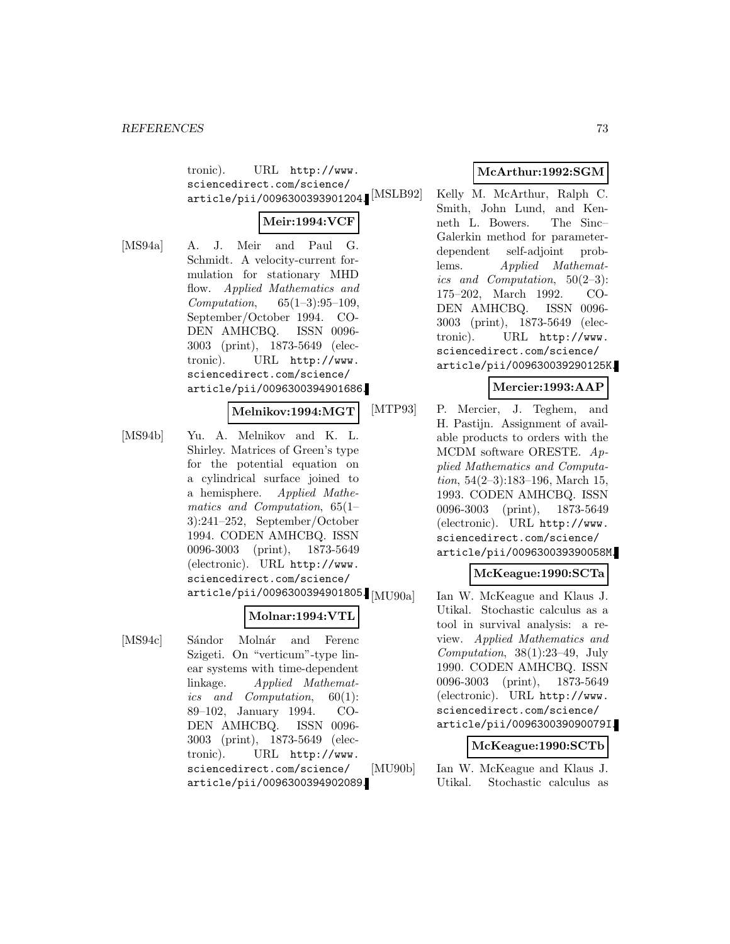tronic). URL http://www. sciencedirect.com/science/ article/pii/0096300393901204.<sup>[MSLB92]</sup>

# **Meir:1994:VCF**

[MS94a] A. J. Meir and Paul G. Schmidt. A velocity-current formulation for stationary MHD flow. Applied Mathematics and Computation, 65(1–3):95–109, September/October 1994. CO-DEN AMHCBQ. ISSN 0096- 3003 (print), 1873-5649 (electronic). URL http://www. sciencedirect.com/science/ article/pii/0096300394901686.

#### **Melnikov:1994:MGT**

[MS94b] Yu. A. Melnikov and K. L. Shirley. Matrices of Green's type for the potential equation on a cylindrical surface joined to a hemisphere. Applied Mathematics and Computation, 65(1– 3):241–252, September/October 1994. CODEN AMHCBQ. ISSN 0096-3003 (print), 1873-5649 (electronic). URL http://www. sciencedirect.com/science/  $\ar{ticle/pii/0096300394901805}$  [MU90a]

#### **Molnar:1994:VTL**

[MS94c] Sándor Molnár and Ferenc Szigeti. On "verticum"-type linear systems with time-dependent linkage. Applied Mathematics and Computation, 60(1): 89–102, January 1994. CO-DEN AMHCBQ. ISSN 0096- 3003 (print), 1873-5649 (electronic). URL http://www. sciencedirect.com/science/ article/pii/0096300394902089.

# **McArthur:1992:SGM**

Kelly M. McArthur, Ralph C. Smith, John Lund, and Kenneth L. Bowers. The Sinc– Galerkin method for parameterdependent self-adjoint problems. Applied Mathematics and Computation, 50(2–3): 175–202, March 1992. CO-DEN AMHCBQ. ISSN 0096- 3003 (print), 1873-5649 (electronic). URL http://www. sciencedirect.com/science/ article/pii/009630039290125K.

### **Mercier:1993:AAP**

[MTP93] P. Mercier, J. Teghem, and H. Pastijn. Assignment of available products to orders with the MCDM software ORESTE. Applied Mathematics and Computa*tion*,  $54(2-3):183-196$ , March 15, 1993. CODEN AMHCBQ. ISSN 0096-3003 (print), 1873-5649 (electronic). URL http://www. sciencedirect.com/science/ article/pii/009630039390058M.

### **McKeague:1990:SCTa**

Ian W. McKeague and Klaus J. Utikal. Stochastic calculus as a tool in survival analysis: a review. Applied Mathematics and Computation, 38(1):23–49, July 1990. CODEN AMHCBQ. ISSN 0096-3003 (print), 1873-5649 (electronic). URL http://www. sciencedirect.com/science/ article/pii/009630039090079I.

#### **McKeague:1990:SCTb**

[MU90b] Ian W. McKeague and Klaus J. Utikal. Stochastic calculus as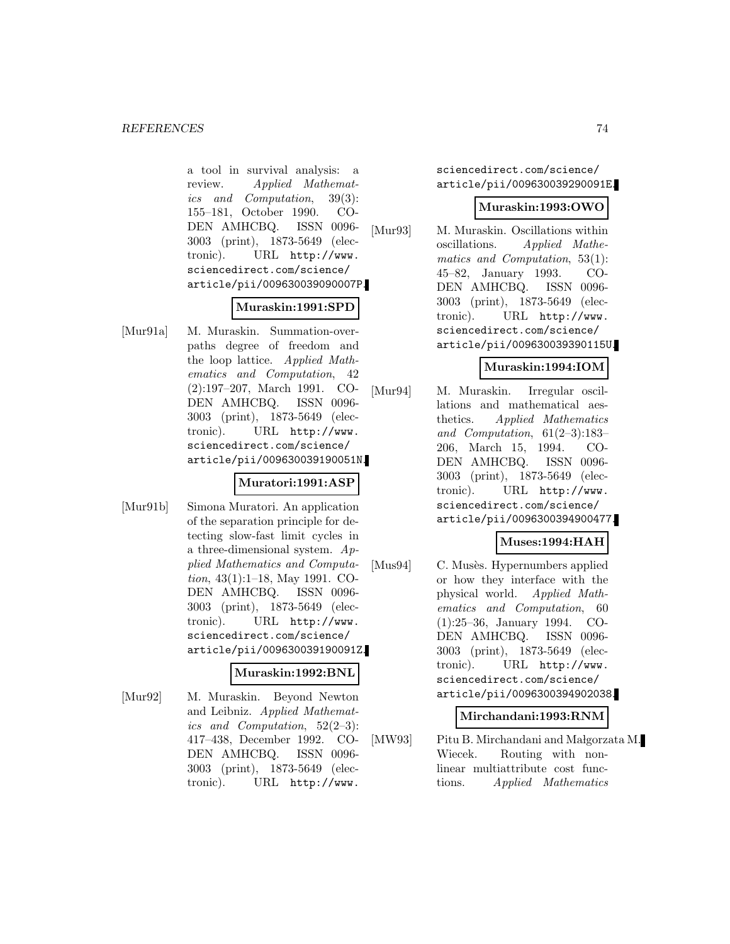a tool in survival analysis: a review. Applied Mathematics and Computation, 39(3): 155–181, October 1990. CO-DEN AMHCBQ. ISSN 0096- 3003 (print), 1873-5649 (electronic). URL http://www. sciencedirect.com/science/ article/pii/009630039090007P.

#### **Muraskin:1991:SPD**

[Mur91a] M. Muraskin. Summation-overpaths degree of freedom and the loop lattice. Applied Mathematics and Computation, 42 (2):197–207, March 1991. CO-DEN AMHCBQ. ISSN 0096- 3003 (print), 1873-5649 (electronic). URL http://www. sciencedirect.com/science/ article/pii/009630039190051N.

### **Muratori:1991:ASP**

[Mur91b] Simona Muratori. An application of the separation principle for detecting slow-fast limit cycles in a three-dimensional system. Applied Mathematics and Computation, 43(1):1–18, May 1991. CO-DEN AMHCBQ. ISSN 0096- 3003 (print), 1873-5649 (electronic). URL http://www. sciencedirect.com/science/ article/pii/009630039190091Z.

#### **Muraskin:1992:BNL**

[Mur92] M. Muraskin. Beyond Newton and Leibniz. Applied Mathematics and Computation, 52(2–3): 417–438, December 1992. CO-DEN AMHCBQ. ISSN 0096- 3003 (print), 1873-5649 (electronic). URL http://www.

sciencedirect.com/science/ article/pii/009630039290091E.

#### **Muraskin:1993:OWO**

[Mur93] M. Muraskin. Oscillations within oscillations. Applied Mathematics and Computation, 53(1): 45–82, January 1993. CO-DEN AMHCBQ. ISSN 0096- 3003 (print), 1873-5649 (electronic). URL http://www. sciencedirect.com/science/ article/pii/009630039390115U.

# **Muraskin:1994:IOM**

[Mur94] M. Muraskin. Irregular oscillations and mathematical aesthetics. Applied Mathematics and Computation, 61(2–3):183– 206, March 15, 1994. CO-DEN AMHCBQ. ISSN 0096- 3003 (print), 1873-5649 (electronic). URL http://www. sciencedirect.com/science/ article/pii/0096300394900477.

### **Muses:1994:HAH**

[Mus94] C. Musès. Hypernumbers applied or how they interface with the physical world. Applied Mathematics and Computation, 60 (1):25–36, January 1994. CO-DEN AMHCBQ. ISSN 0096- 3003 (print), 1873-5649 (electronic). URL http://www. sciencedirect.com/science/ article/pii/0096300394902038.

### **Mirchandani:1993:RNM**

[MW93] Pitu B. Mirchandani and Małgorzata M. Wiecek. Routing with nonlinear multiattribute cost functions. Applied Mathematics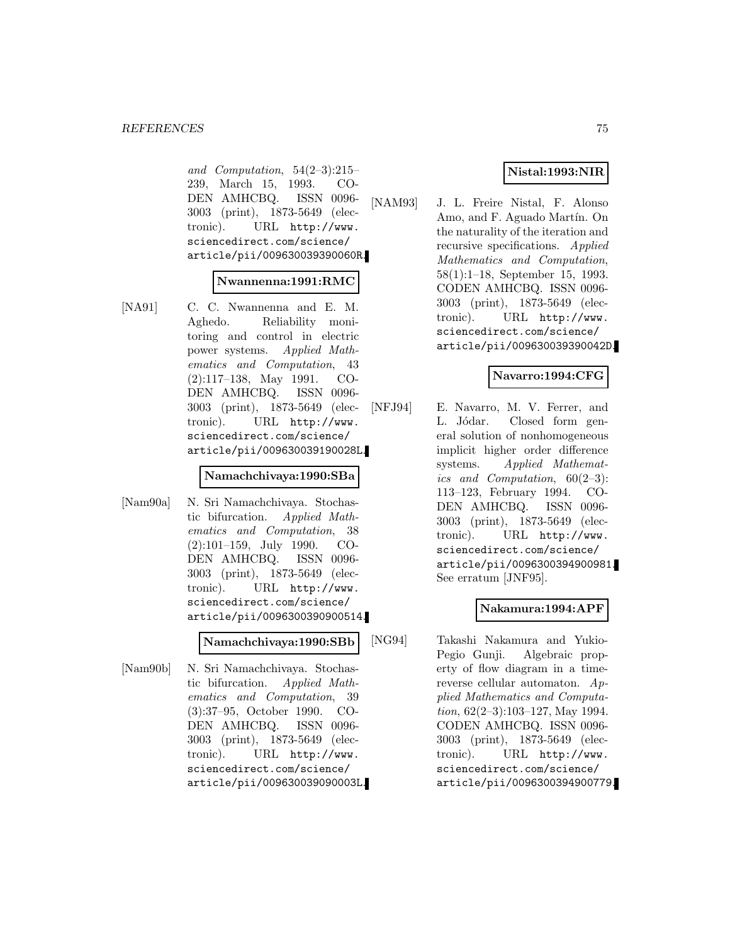and Computation, 54(2–3):215– 239, March 15, 1993. CO-DEN AMHCBQ. ISSN 0096- 3003 (print), 1873-5649 (electronic). URL http://www. sciencedirect.com/science/ article/pii/009630039390060R.

#### **Nwannenna:1991:RMC**

[NA91] C. C. Nwannenna and E. M. Aghedo. Reliability monitoring and control in electric power systems. Applied Mathematics and Computation, 43 (2):117–138, May 1991. CO-DEN AMHCBQ. ISSN 0096- 3003 (print), 1873-5649 (electronic). URL http://www. sciencedirect.com/science/ article/pii/009630039190028L.

#### **Namachchivaya:1990:SBa**

[Nam90a] N. Sri Namachchivaya. Stochastic bifurcation. Applied Mathematics and Computation, 38 (2):101–159, July 1990. CO-DEN AMHCBQ. ISSN 0096- 3003 (print), 1873-5649 (electronic). URL http://www. sciencedirect.com/science/ article/pii/0096300390900514.

#### **Namachchivaya:1990:SBb**

[Nam90b] N. Sri Namachchivaya. Stochastic bifurcation. Applied Mathematics and Computation, 39 (3):37–95, October 1990. CO-DEN AMHCBQ. ISSN 0096- 3003 (print), 1873-5649 (electronic). URL http://www. sciencedirect.com/science/ article/pii/009630039090003L.

# **Nistal:1993:NIR**

[NAM93] J. L. Freire Nistal, F. Alonso Amo, and F. Aguado Martín. On the naturality of the iteration and recursive specifications. Applied Mathematics and Computation, 58(1):1–18, September 15, 1993. CODEN AMHCBQ. ISSN 0096- 3003 (print), 1873-5649 (electronic). URL http://www. sciencedirect.com/science/ article/pii/009630039390042D.

#### **Navarro:1994:CFG**

[NFJ94] E. Navarro, M. V. Ferrer, and L. Jódar. Closed form general solution of nonhomogeneous implicit higher order difference systems. Applied Mathematics and Computation,  $60(2-3)$ : 113–123, February 1994. CO-DEN AMHCBQ. ISSN 0096- 3003 (print), 1873-5649 (electronic). URL http://www. sciencedirect.com/science/ article/pii/0096300394900981. See erratum [JNF95].

### **Nakamura:1994:APF**

[NG94] Takashi Nakamura and Yukio-Pegio Gunji. Algebraic property of flow diagram in a timereverse cellular automaton. Applied Mathematics and Computation, 62(2–3):103–127, May 1994. CODEN AMHCBQ. ISSN 0096- 3003 (print), 1873-5649 (electronic). URL http://www. sciencedirect.com/science/ article/pii/0096300394900779.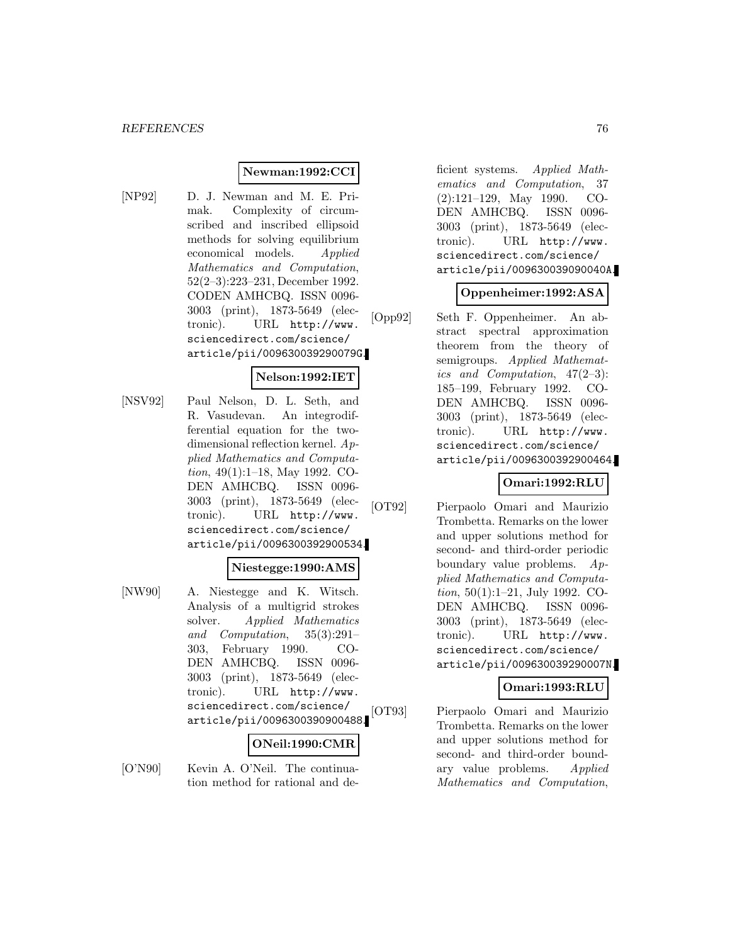#### **Newman:1992:CCI**

[NP92] D. J. Newman and M. E. Primak. Complexity of circumscribed and inscribed ellipsoid methods for solving equilibrium economical models. Applied Mathematics and Computation, 52(2–3):223–231, December 1992. CODEN AMHCBQ. ISSN 0096- 3003 (print), 1873-5649 (electronic). URL http://www. sciencedirect.com/science/ article/pii/009630039290079G.

# **Nelson:1992:IET**

[NSV92] Paul Nelson, D. L. Seth, and R. Vasudevan. An integrodifferential equation for the twodimensional reflection kernel. Applied Mathematics and Computation, 49(1):1–18, May 1992. CO-DEN AMHCBQ. ISSN 0096- 3003 (print), 1873-5649 (electronic). URL http://www. sciencedirect.com/science/ article/pii/0096300392900534.

#### **Niestegge:1990:AMS**

[NW90] A. Niestegge and K. Witsch. Analysis of a multigrid strokes solver. Applied Mathematics and Computation, 35(3):291– 303, February 1990. CO-DEN AMHCBQ. ISSN 0096- 3003 (print), 1873-5649 (electronic). URL http://www. sciencedirect.com/science/ article/pii/0096300390900488.

# **ONeil:1990:CMR**

[O'N90] Kevin A. O'Neil. The continuation method for rational and deficient systems. Applied Mathematics and Computation, 37 (2):121–129, May 1990. CO-DEN AMHCBQ. ISSN 0096- 3003 (print), 1873-5649 (electronic). URL http://www. sciencedirect.com/science/ article/pii/009630039090040A.

#### **Oppenheimer:1992:ASA**

[Opp92] Seth F. Oppenheimer. An abstract spectral approximation theorem from the theory of semigroups. Applied Mathematics and Computation, 47(2–3): 185–199, February 1992. CO-DEN AMHCBQ. ISSN 0096- 3003 (print), 1873-5649 (electronic). URL http://www. sciencedirect.com/science/ article/pii/0096300392900464.

### **Omari:1992:RLU**

[OT92] Pierpaolo Omari and Maurizio Trombetta. Remarks on the lower and upper solutions method for second- and third-order periodic boundary value problems. Applied Mathematics and Computation, 50(1):1–21, July 1992. CO-DEN AMHCBQ. ISSN 0096- 3003 (print), 1873-5649 (electronic). URL http://www. sciencedirect.com/science/ article/pii/009630039290007N.

# **Omari:1993:RLU**

[OT93] Pierpaolo Omari and Maurizio Trombetta. Remarks on the lower and upper solutions method for second- and third-order boundary value problems. Applied Mathematics and Computation,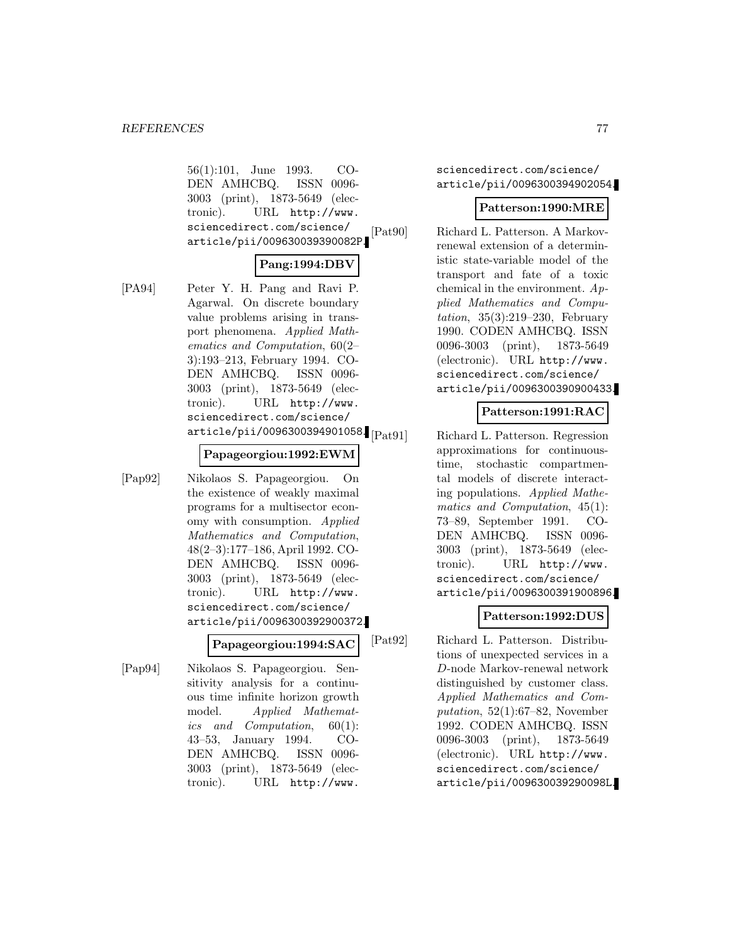56(1):101, June 1993. CO-DEN AMHCBQ. ISSN 0096- 3003 (print), 1873-5649 (electronic). URL http://www. sciencedirect.com/science/ article/pii/009630039390082P.

#### **Pang:1994:DBV**

[PA94] Peter Y. H. Pang and Ravi P. Agarwal. On discrete boundary value problems arising in transport phenomena. Applied Mathematics and Computation, 60(2– 3):193–213, February 1994. CO-DEN AMHCBQ. ISSN 0096- 3003 (print), 1873-5649 (electronic). URL http://www. sciencedirect.com/science/  $\ar{ticle/pii/0096300394901058}$  [Pat91]

#### **Papageorgiou:1992:EWM**

[Pap92] Nikolaos S. Papageorgiou. On the existence of weakly maximal programs for a multisector economy with consumption. Applied Mathematics and Computation, 48(2–3):177–186, April 1992. CO-DEN AMHCBQ. ISSN 0096- 3003 (print), 1873-5649 (electronic). URL http://www. sciencedirect.com/science/ article/pii/0096300392900372.

#### **Papageorgiou:1994:SAC**

[Pap94] Nikolaos S. Papageorgiou. Sensitivity analysis for a continuous time infinite horizon growth model. Applied Mathematics and Computation, 60(1): 43–53, January 1994. CO-DEN AMHCBQ. ISSN 0096- 3003 (print), 1873-5649 (electronic). URL http://www.

sciencedirect.com/science/ article/pii/0096300394902054.

#### **Patterson:1990:MRE**

[Pat90] Richard L. Patterson. A Markovrenewal extension of a deterministic state-variable model of the transport and fate of a toxic chemical in the environment.  $Ap$ plied Mathematics and Computation, 35(3):219–230, February 1990. CODEN AMHCBQ. ISSN 0096-3003 (print), 1873-5649 (electronic). URL http://www. sciencedirect.com/science/ article/pii/0096300390900433.

#### **Patterson:1991:RAC**

Richard L. Patterson. Regression approximations for continuoustime, stochastic compartmental models of discrete interacting populations. Applied Mathematics and Computation, 45(1): 73–89, September 1991. CO-DEN AMHCBQ. ISSN 0096- 3003 (print), 1873-5649 (electronic). URL http://www. sciencedirect.com/science/ article/pii/0096300391900896.

### **Patterson:1992:DUS**

[Pat92] Richard L. Patterson. Distributions of unexpected services in a D-node Markov-renewal network distinguished by customer class. Applied Mathematics and Computation,  $52(1):67-82$ , November 1992. CODEN AMHCBQ. ISSN 0096-3003 (print), 1873-5649 (electronic). URL http://www. sciencedirect.com/science/ article/pii/009630039290098L.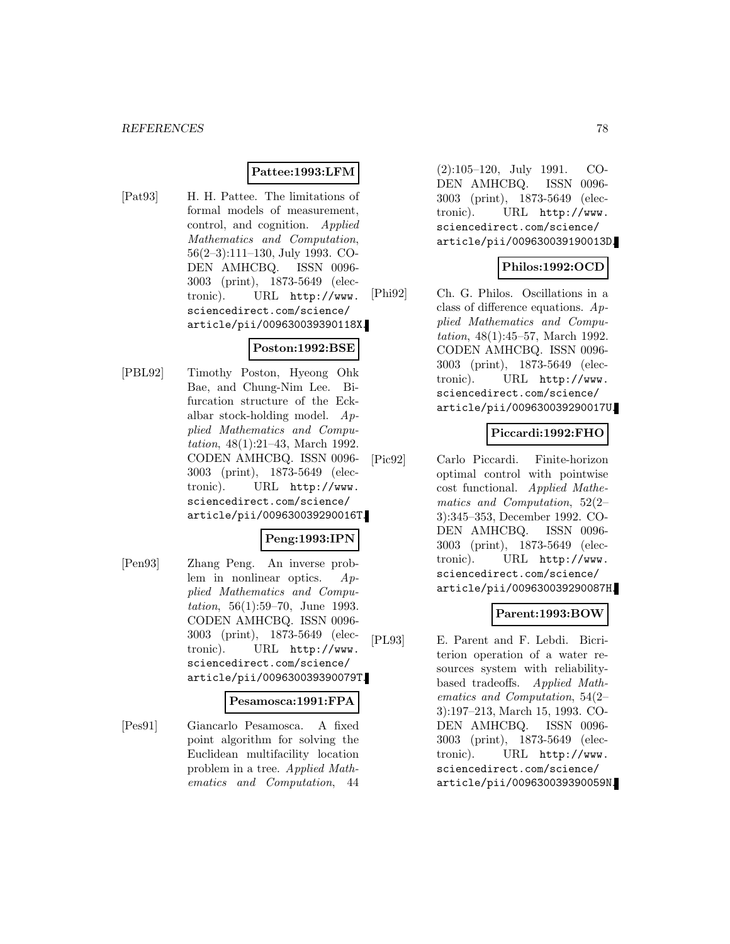## **Pattee:1993:LFM**

[Pat93] H. H. Pattee. The limitations of formal models of measurement, control, and cognition. Applied Mathematics and Computation, 56(2–3):111–130, July 1993. CO-DEN AMHCBQ. ISSN 0096- 3003 (print), 1873-5649 (electronic). URL http://www. sciencedirect.com/science/ article/pii/009630039390118X.

### **Poston:1992:BSE**

[PBL92] Timothy Poston, Hyeong Ohk Bae, and Chung-Nim Lee. Bifurcation structure of the Eckalbar stock-holding model. Applied Mathematics and Computation, 48(1):21–43, March 1992. CODEN AMHCBQ. ISSN 0096- 3003 (print), 1873-5649 (electronic). URL http://www. sciencedirect.com/science/ article/pii/009630039290016T.

### **Peng:1993:IPN**

[Pen93] Zhang Peng. An inverse problem in nonlinear optics. Applied Mathematics and Computation, 56(1):59–70, June 1993. CODEN AMHCBQ. ISSN 0096- 3003 (print), 1873-5649 (electronic). URL http://www. sciencedirect.com/science/ article/pii/009630039390079T.

#### **Pesamosca:1991:FPA**

[Pes91] Giancarlo Pesamosca. A fixed point algorithm for solving the Euclidean multifacility location problem in a tree. Applied Mathematics and Computation, 44

(2):105–120, July 1991. CO-DEN AMHCBQ. ISSN 0096- 3003 (print), 1873-5649 (electronic). URL http://www. sciencedirect.com/science/ article/pii/009630039190013D.

### **Philos:1992:OCD**

[Phi92] Ch. G. Philos. Oscillations in a class of difference equations. Applied Mathematics and Computation, 48(1):45–57, March 1992. CODEN AMHCBQ. ISSN 0096- 3003 (print), 1873-5649 (electronic). URL http://www. sciencedirect.com/science/ article/pii/009630039290017U.

# **Piccardi:1992:FHO**

[Pic92] Carlo Piccardi. Finite-horizon optimal control with pointwise cost functional. Applied Mathematics and Computation, 52(2– 3):345–353, December 1992. CO-DEN AMHCBQ. ISSN 0096- 3003 (print), 1873-5649 (electronic). URL http://www. sciencedirect.com/science/ article/pii/009630039290087H.

### **Parent:1993:BOW**

[PL93] E. Parent and F. Lebdi. Bicriterion operation of a water resources system with reliabilitybased tradeoffs. Applied Mathematics and Computation, 54(2– 3):197–213, March 15, 1993. CO-DEN AMHCBQ. ISSN 0096- 3003 (print), 1873-5649 (electronic). URL http://www. sciencedirect.com/science/ article/pii/009630039390059N.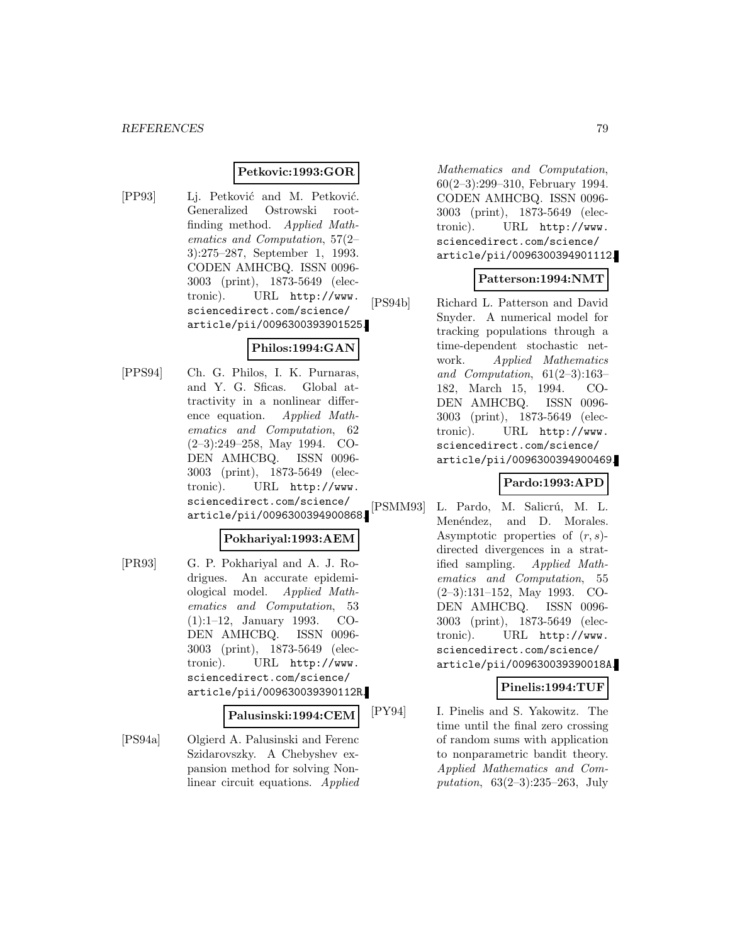## **Petkovic:1993:GOR**

[PP93] Lj. Petković and M. Petković. Generalized Ostrowski rootfinding method. Applied Mathematics and Computation, 57(2– 3):275–287, September 1, 1993. CODEN AMHCBQ. ISSN 0096- 3003 (print), 1873-5649 (electronic). URL http://www. sciencedirect.com/science/ article/pii/0096300393901525.

# **Philos:1994:GAN**

[PPS94] Ch. G. Philos, I. K. Purnaras, and Y. G. Sficas. Global attractivity in a nonlinear difference equation. Applied Mathematics and Computation, 62 (2–3):249–258, May 1994. CO-DEN AMHCBQ. ISSN 0096- 3003 (print), 1873-5649 (electronic). URL http://www. sciencedirect.com/science/ article/pii/0096300394900868.

# **Pokhariyal:1993:AEM**

[PR93] G. P. Pokhariyal and A. J. Rodrigues. An accurate epidemiological model. Applied Mathematics and Computation, 53 (1):1–12, January 1993. CO-DEN AMHCBQ. ISSN 0096- 3003 (print), 1873-5649 (electronic). URL http://www. sciencedirect.com/science/ article/pii/009630039390112R.

#### **Palusinski:1994:CEM**

[PS94a] Olgierd A. Palusinski and Ferenc Szidarovszky. A Chebyshev expansion method for solving Nonlinear circuit equations. Applied

Mathematics and Computation, 60(2–3):299–310, February 1994. CODEN AMHCBQ. ISSN 0096- 3003 (print), 1873-5649 (electronic). URL http://www. sciencedirect.com/science/ article/pii/0096300394901112.

### **Patterson:1994:NMT**

[PS94b] Richard L. Patterson and David Snyder. A numerical model for tracking populations through a time-dependent stochastic network. Applied Mathematics and Computation, 61(2–3):163– 182, March 15, 1994. CO-DEN AMHCBQ. ISSN 0096- 3003 (print), 1873-5649 (electronic). URL http://www. sciencedirect.com/science/ article/pii/0096300394900469.

### **Pardo:1993:APD**

[PSMM93] L. Pardo, M. Salicrú, M. L. Menéndez, and D. Morales. Asymptotic properties of  $(r, s)$ directed divergences in a stratified sampling. Applied Mathematics and Computation, 55 (2–3):131–152, May 1993. CO-DEN AMHCBQ. ISSN 0096- 3003 (print), 1873-5649 (electronic). URL http://www. sciencedirect.com/science/ article/pii/009630039390018A.

### **Pinelis:1994:TUF**

[PY94] I. Pinelis and S. Yakowitz. The time until the final zero crossing of random sums with application to nonparametric bandit theory. Applied Mathematics and Computation, 63(2–3):235–263, July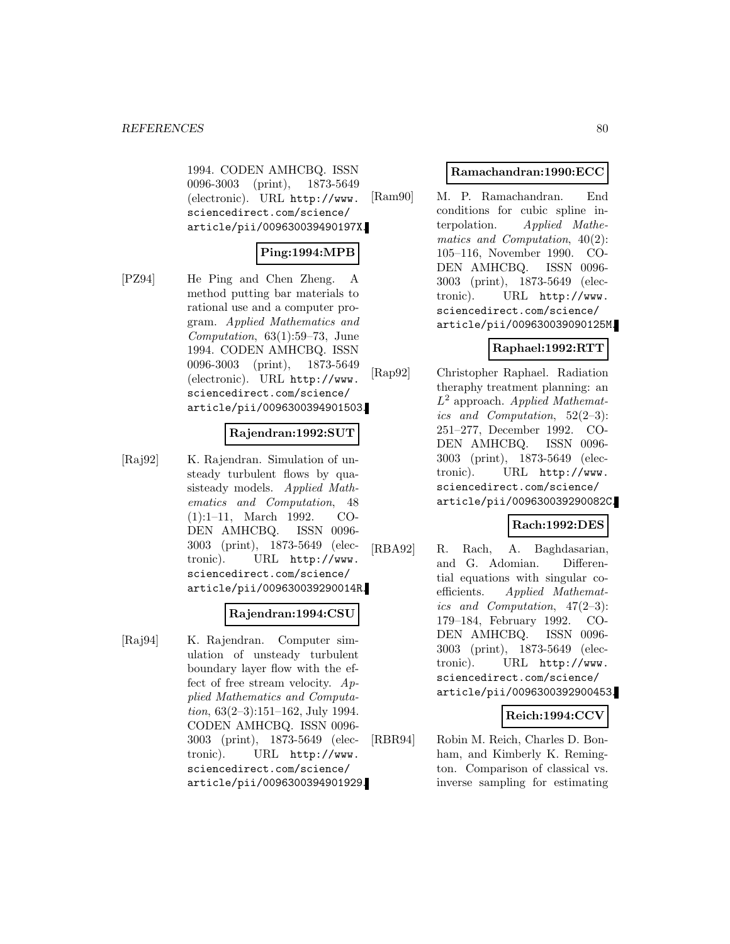1994. CODEN AMHCBQ. ISSN 0096-3003 (print), 1873-5649 (electronic). URL http://www. sciencedirect.com/science/ article/pii/009630039490197X.

# **Ping:1994:MPB**

[PZ94] He Ping and Chen Zheng. A method putting bar materials to rational use and a computer program. Applied Mathematics and Computation, 63(1):59–73, June 1994. CODEN AMHCBQ. ISSN 0096-3003 (print), 1873-5649 (electronic). URL http://www. sciencedirect.com/science/ article/pii/0096300394901503.

### **Rajendran:1992:SUT**

[Raj92] K. Rajendran. Simulation of unsteady turbulent flows by quasisteady models. Applied Mathematics and Computation, 48 (1):1–11, March 1992. CO-DEN AMHCBQ. ISSN 0096- 3003 (print), 1873-5649 (electronic). URL http://www. sciencedirect.com/science/ article/pii/009630039290014R.

#### **Rajendran:1994:CSU**

[Raj94] K. Rajendran. Computer simulation of unsteady turbulent boundary layer flow with the effect of free stream velocity. Applied Mathematics and Computation, 63(2–3):151–162, July 1994. CODEN AMHCBQ. ISSN 0096- 3003 (print), 1873-5649 (electronic). URL http://www. sciencedirect.com/science/ article/pii/0096300394901929.

#### **Ramachandran:1990:ECC**

[Ram90] M. P. Ramachandran. End conditions for cubic spline interpolation. Applied Mathematics and Computation, 40(2): 105–116, November 1990. CO-DEN AMHCBQ. ISSN 0096- 3003 (print), 1873-5649 (electronic). URL http://www. sciencedirect.com/science/ article/pii/009630039090125M.

# **Raphael:1992:RTT**

[Rap92] Christopher Raphael. Radiation theraphy treatment planning: an  $L^2$  approach. Applied Mathematics and Computation, 52(2–3): 251–277, December 1992. CO-DEN AMHCBQ. ISSN 0096- 3003 (print), 1873-5649 (electronic). URL http://www. sciencedirect.com/science/ article/pii/009630039290082C.

# **Rach:1992:DES**

[RBA92] R. Rach, A. Baghdasarian, and G. Adomian. Differential equations with singular coefficients. Applied Mathematics and Computation, 47(2–3): 179–184, February 1992. CO-DEN AMHCBQ. ISSN 0096- 3003 (print), 1873-5649 (electronic). URL http://www. sciencedirect.com/science/ article/pii/0096300392900453.

### **Reich:1994:CCV**

[RBR94] Robin M. Reich, Charles D. Bonham, and Kimberly K. Remington. Comparison of classical vs. inverse sampling for estimating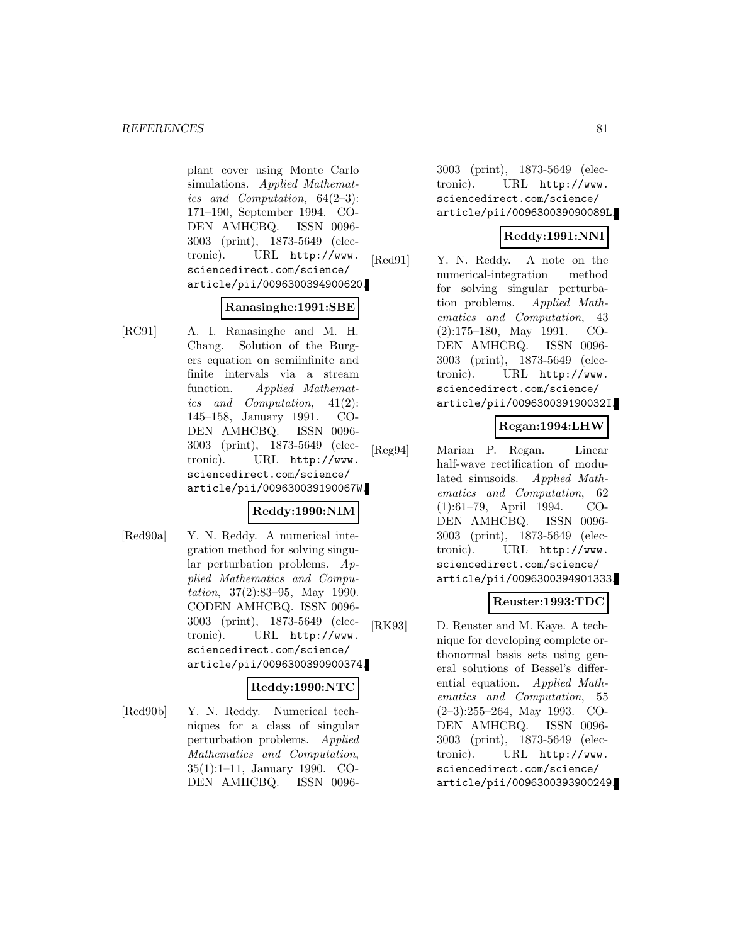plant cover using Monte Carlo simulations. Applied Mathematics and Computation, 64(2–3): 171–190, September 1994. CO-DEN AMHCBQ. ISSN 0096- 3003 (print), 1873-5649 (electronic). URL http://www. sciencedirect.com/science/ article/pii/0096300394900620.

#### **Ranasinghe:1991:SBE**

[RC91] A. I. Ranasinghe and M. H. Chang. Solution of the Burgers equation on semiinfinite and finite intervals via a stream function. Applied Mathematics and Computation, 41(2): 145–158, January 1991. CO-DEN AMHCBQ. ISSN 0096- 3003 (print), 1873-5649 (electronic). URL http://www. sciencedirect.com/science/ article/pii/009630039190067W.

### **Reddy:1990:NIM**

[Red90a] Y. N. Reddy. A numerical integration method for solving singular perturbation problems.  $Ap$ plied Mathematics and Computation, 37(2):83–95, May 1990. CODEN AMHCBQ. ISSN 0096- 3003 (print), 1873-5649 (electronic). URL http://www. sciencedirect.com/science/ article/pii/0096300390900374.

### **Reddy:1990:NTC**

[Red90b] Y. N. Reddy. Numerical techniques for a class of singular perturbation problems. Applied Mathematics and Computation, 35(1):1–11, January 1990. CO-DEN AMHCBQ. ISSN 00963003 (print), 1873-5649 (electronic). URL http://www. sciencedirect.com/science/ article/pii/009630039090089L.

# **Reddy:1991:NNI**

[Red91] Y. N. Reddy. A note on the numerical-integration method for solving singular perturbation problems. Applied Mathematics and Computation, 43 (2):175–180, May 1991. CO-DEN AMHCBQ. ISSN 0096- 3003 (print), 1873-5649 (electronic). URL http://www. sciencedirect.com/science/ article/pii/009630039190032I.

# **Regan:1994:LHW**

[Reg94] Marian P. Regan. Linear half-wave rectification of modulated sinusoids. Applied Mathematics and Computation, 62 (1):61–79, April 1994. CO-DEN AMHCBQ. ISSN 0096- 3003 (print), 1873-5649 (electronic). URL http://www. sciencedirect.com/science/ article/pii/0096300394901333.

### **Reuster:1993:TDC**

[RK93] D. Reuster and M. Kaye. A technique for developing complete orthonormal basis sets using general solutions of Bessel's differential equation. Applied Mathematics and Computation, 55 (2–3):255–264, May 1993. CO-DEN AMHCBQ. ISSN 0096- 3003 (print), 1873-5649 (electronic). URL http://www. sciencedirect.com/science/ article/pii/0096300393900249.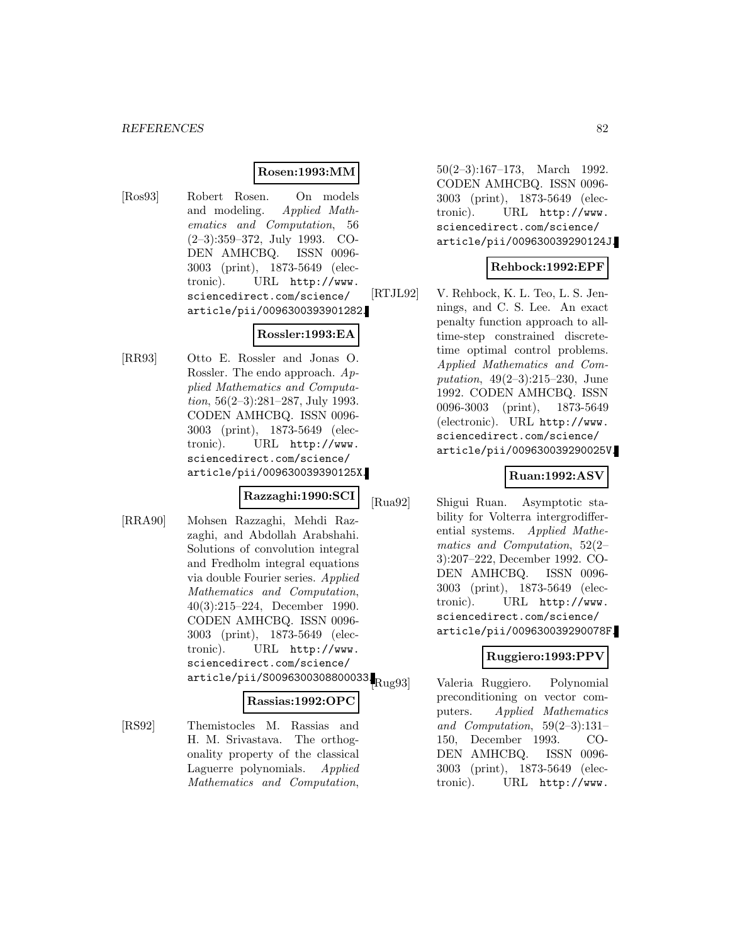#### **Rosen:1993:MM**

[Ros93] Robert Rosen. On models and modeling. Applied Mathematics and Computation, 56 (2–3):359–372, July 1993. CO-DEN AMHCBQ. ISSN 0096- 3003 (print), 1873-5649 (electronic). URL http://www. sciencedirect.com/science/ article/pii/0096300393901282.

#### **Rossler:1993:EA**

[RR93] Otto E. Rossler and Jonas O. Rossler. The endo approach. Applied Mathematics and Computation, 56(2–3):281–287, July 1993. CODEN AMHCBQ. ISSN 0096- 3003 (print), 1873-5649 (electronic). URL http://www. sciencedirect.com/science/ article/pii/009630039390125X.

#### **Razzaghi:1990:SCI**

[RRA90] Mohsen Razzaghi, Mehdi Razzaghi, and Abdollah Arabshahi. Solutions of convolution integral and Fredholm integral equations via double Fourier series. Applied Mathematics and Computation, 40(3):215–224, December 1990. CODEN AMHCBQ. ISSN 0096- 3003 (print), 1873-5649 (electronic). URL http://www. sciencedirect.com/science/  $\frac{1}{2}$ article/pii/S0096300308800033. $R_{\text{u}g93}$ 

#### **Rassias:1992:OPC**

[RS92] Themistocles M. Rassias and H. M. Srivastava. The orthogonality property of the classical Laguerre polynomials. Applied Mathematics and Computation,

50(2–3):167–173, March 1992. CODEN AMHCBQ. ISSN 0096- 3003 (print), 1873-5649 (electronic). URL http://www. sciencedirect.com/science/ article/pii/009630039290124J.

### **Rehbock:1992:EPF**

[RTJL92] V. Rehbock, K. L. Teo, L. S. Jennings, and C. S. Lee. An exact penalty function approach to alltime-step constrained discretetime optimal control problems. Applied Mathematics and Computation, 49(2–3):215–230, June 1992. CODEN AMHCBQ. ISSN 0096-3003 (print), 1873-5649 (electronic). URL http://www. sciencedirect.com/science/ article/pii/009630039290025V.

### **Ruan:1992:ASV**

[Rua92] Shigui Ruan. Asymptotic stability for Volterra intergrodifferential systems. Applied Mathematics and Computation, 52(2– 3):207–222, December 1992. CO-DEN AMHCBQ. ISSN 0096- 3003 (print), 1873-5649 (electronic). URL http://www. sciencedirect.com/science/ article/pii/009630039290078F.

### **Ruggiero:1993:PPV**

Valeria Ruggiero. Polynomial preconditioning on vector computers. Applied Mathematics and Computation, 59(2–3):131– 150, December 1993. CO-DEN AMHCBQ. ISSN 0096- 3003 (print), 1873-5649 (electronic). URL http://www.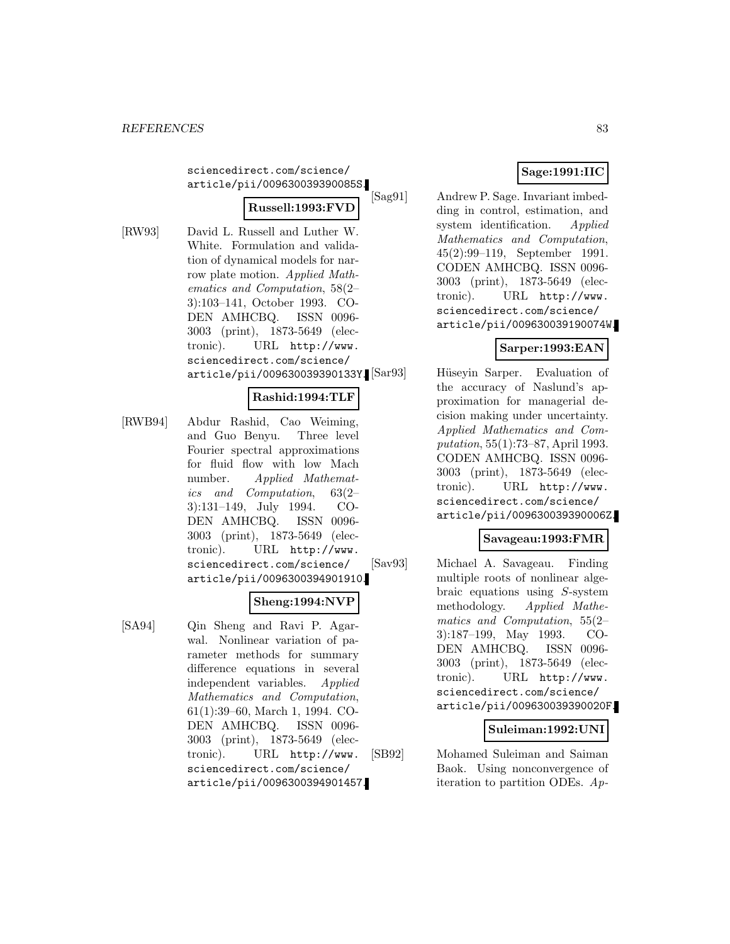sciencedirect.com/science/ article/pii/009630039390085S.

# **Russell:1993:FVD**

- 
- [RW93] David L. Russell and Luther W. White. Formulation and validation of dynamical models for narrow plate motion. Applied Mathematics and Computation, 58(2– 3):103–141, October 1993. CO-DEN AMHCBQ. ISSN 0096- 3003 (print), 1873-5649 (electronic). URL http://www. sciencedirect.com/science/ article/pii/009630039390133Y.

# **Rashid:1994:TLF**

[RWB94] Abdur Rashid, Cao Weiming, and Guo Benyu. Three level Fourier spectral approximations for fluid flow with low Mach number. Applied Mathematics and Computation, 63(2– 3):131–149, July 1994. CO-DEN AMHCBQ. ISSN 0096- 3003 (print), 1873-5649 (electronic). URL http://www. sciencedirect.com/science/ article/pii/0096300394901910.

# **Sheng:1994:NVP**

[SA94] Qin Sheng and Ravi P. Agarwal. Nonlinear variation of parameter methods for summary difference equations in several independent variables. Applied Mathematics and Computation, 61(1):39–60, March 1, 1994. CO-DEN AMHCBQ. ISSN 0096- 3003 (print), 1873-5649 (electronic). URL http://www. sciencedirect.com/science/ article/pii/0096300394901457.

# **Sage:1991:IIC**

[Sag91] Andrew P. Sage. Invariant imbedding in control, estimation, and system identification. Applied Mathematics and Computation, 45(2):99–119, September 1991. CODEN AMHCBQ. ISSN 0096- 3003 (print), 1873-5649 (electronic). URL http://www. sciencedirect.com/science/ article/pii/009630039190074W.

# **Sarper:1993:EAN**

Hüseyin Sarper. Evaluation of the accuracy of Naslund's approximation for managerial decision making under uncertainty. Applied Mathematics and Computation, 55(1):73–87, April 1993. CODEN AMHCBQ. ISSN 0096- 3003 (print), 1873-5649 (electronic). URL http://www. sciencedirect.com/science/ article/pii/009630039390006Z.

### **Savageau:1993:FMR**

[Sav93] Michael A. Savageau. Finding multiple roots of nonlinear algebraic equations using S-system methodology. Applied Mathematics and Computation, 55(2– 3):187–199, May 1993. CO-DEN AMHCBQ. ISSN 0096- 3003 (print), 1873-5649 (electronic). URL http://www. sciencedirect.com/science/ article/pii/009630039390020F.

### **Suleiman:1992:UNI**

[SB92] Mohamed Suleiman and Saiman Baok. Using nonconvergence of iteration to partition ODEs. Ap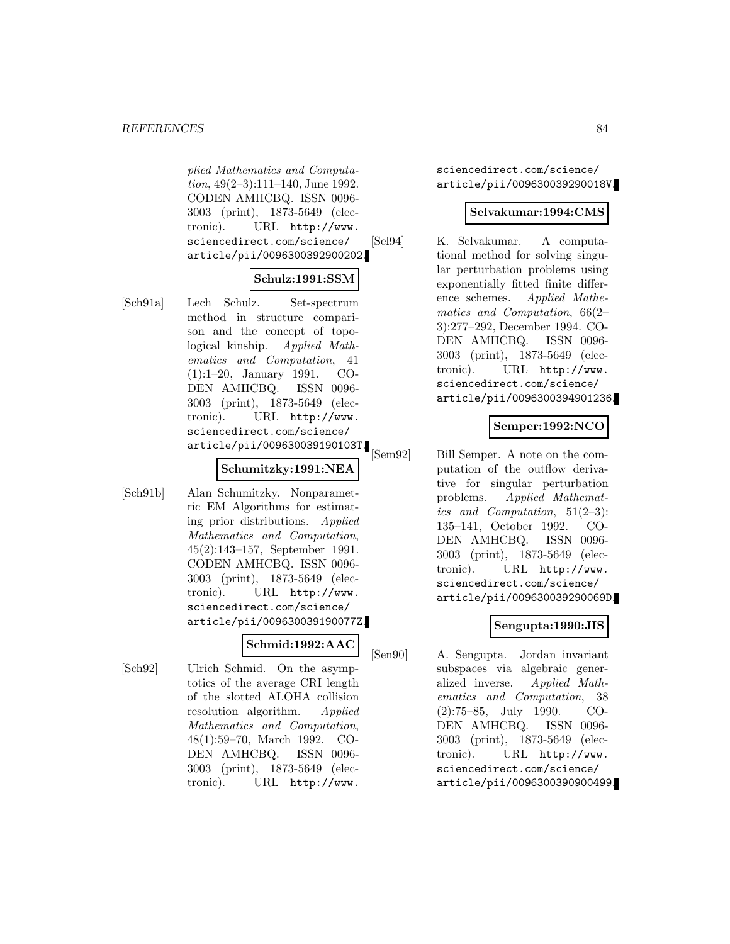plied Mathematics and Computation, 49(2–3):111–140, June 1992. CODEN AMHCBQ. ISSN 0096- 3003 (print), 1873-5649 (electronic). URL http://www. sciencedirect.com/science/ article/pii/0096300392900202.

# **Schulz:1991:SSM**

[Sch91a] Lech Schulz. Set-spectrum method in structure comparison and the concept of topological kinship. Applied Mathematics and Computation, 41 (1):1–20, January 1991. CO-DEN AMHCBQ. ISSN 0096- 3003 (print), 1873-5649 (electronic). URL http://www. sciencedirect.com/science/ article/pii/009630039190103T.

## **Schumitzky:1991:NEA**

[Sch91b] Alan Schumitzky. Nonparametric EM Algorithms for estimating prior distributions. Applied Mathematics and Computation, 45(2):143–157, September 1991. CODEN AMHCBQ. ISSN 0096- 3003 (print), 1873-5649 (electronic). URL http://www. sciencedirect.com/science/ article/pii/009630039190077Z.

# **Schmid:1992:AAC**

[Sch92] Ulrich Schmid. On the asymptotics of the average CRI length of the slotted ALOHA collision resolution algorithm. Applied Mathematics and Computation, 48(1):59–70, March 1992. CO-DEN AMHCBQ. ISSN 0096- 3003 (print), 1873-5649 (electronic). URL http://www.

sciencedirect.com/science/ article/pii/009630039290018V.

### **Selvakumar:1994:CMS**

[Sel94] K. Selvakumar. A computational method for solving singular perturbation problems using exponentially fitted finite difference schemes. Applied Mathematics and Computation, 66(2– 3):277–292, December 1994. CO-DEN AMHCBQ. ISSN 0096- 3003 (print), 1873-5649 (electronic). URL http://www. sciencedirect.com/science/ article/pii/0096300394901236.

# **Semper:1992:NCO**

[Sem92] Bill Semper. A note on the computation of the outflow derivative for singular perturbation problems. Applied Mathematics and Computation,  $51(2-3)$ : 135–141, October 1992. CO-DEN AMHCBQ. ISSN 0096- 3003 (print), 1873-5649 (electronic). URL http://www. sciencedirect.com/science/ article/pii/009630039290069D.

# **Sengupta:1990:JIS**

[Sen90] A. Sengupta. Jordan invariant subspaces via algebraic generalized inverse. Applied Mathematics and Computation, 38 (2):75–85, July 1990. CO-DEN AMHCBQ. ISSN 0096- 3003 (print), 1873-5649 (electronic). URL http://www. sciencedirect.com/science/ article/pii/0096300390900499.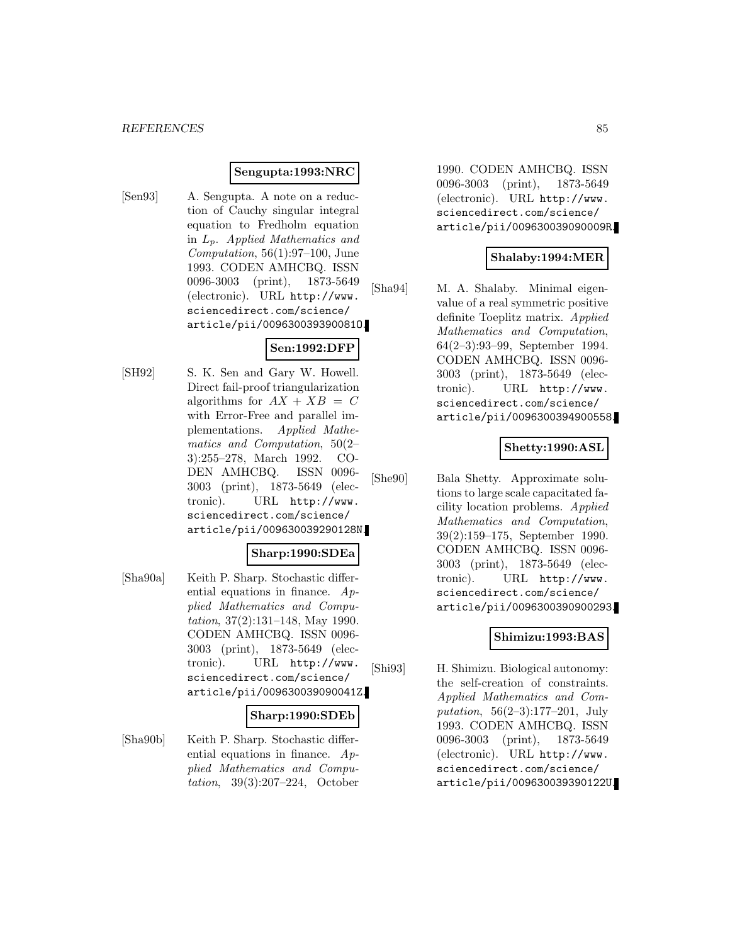#### **Sengupta:1993:NRC**

[Sen93] A. Sengupta. A note on a reduction of Cauchy singular integral equation to Fredholm equation in  $L_p$ . Applied Mathematics and Computation,  $56(1):97-100$ , June 1993. CODEN AMHCBQ. ISSN 0096-3003 (print), 1873-5649 (electronic). URL http://www. sciencedirect.com/science/ article/pii/009630039390081O.

# **Sen:1992:DFP**

[SH92] S. K. Sen and Gary W. Howell. Direct fail-proof triangularization algorithms for  $AX + XB = C$ with Error-Free and parallel implementations. Applied Mathematics and Computation, 50(2– 3):255–278, March 1992. CO-DEN AMHCBQ. ISSN 0096- 3003 (print), 1873-5649 (electronic). URL http://www. sciencedirect.com/science/ article/pii/009630039290128N.

#### **Sharp:1990:SDEa**

[Sha90a] Keith P. Sharp. Stochastic differential equations in finance.  $Ap$ plied Mathematics and Computation, 37(2):131–148, May 1990. CODEN AMHCBQ. ISSN 0096- 3003 (print), 1873-5649 (electronic). URL http://www. sciencedirect.com/science/ article/pii/009630039090041Z.

#### **Sharp:1990:SDEb**

[Sha90b] Keith P. Sharp. Stochastic differential equations in finance. Applied Mathematics and Computation, 39(3):207–224, October

1990. CODEN AMHCBQ. ISSN 0096-3003 (print), 1873-5649 (electronic). URL http://www. sciencedirect.com/science/ article/pii/009630039090009R.

#### **Shalaby:1994:MER**

[Sha94] M. A. Shalaby. Minimal eigenvalue of a real symmetric positive definite Toeplitz matrix. Applied Mathematics and Computation, 64(2–3):93–99, September 1994. CODEN AMHCBQ. ISSN 0096- 3003 (print), 1873-5649 (electronic). URL http://www. sciencedirect.com/science/ article/pii/0096300394900558.

#### **Shetty:1990:ASL**

[She90] Bala Shetty. Approximate solutions to large scale capacitated facility location problems. Applied Mathematics and Computation, 39(2):159–175, September 1990. CODEN AMHCBQ. ISSN 0096- 3003 (print), 1873-5649 (electronic). URL http://www. sciencedirect.com/science/ article/pii/0096300390900293.

#### **Shimizu:1993:BAS**

[Shi93] H. Shimizu. Biological autonomy: the self-creation of constraints. Applied Mathematics and Computation, 56(2–3):177–201, July 1993. CODEN AMHCBQ. ISSN 0096-3003 (print), 1873-5649 (electronic). URL http://www. sciencedirect.com/science/ article/pii/009630039390122U.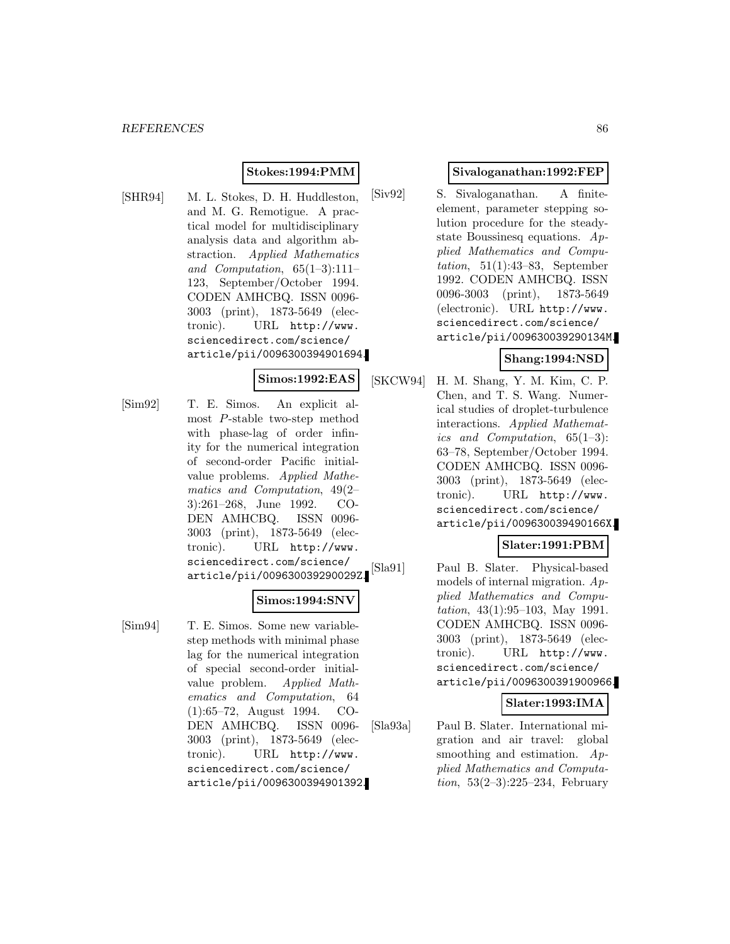#### **Stokes:1994:PMM**

[SHR94] M. L. Stokes, D. H. Huddleston, and M. G. Remotigue. A practical model for multidisciplinary analysis data and algorithm abstraction. Applied Mathematics and Computation, 65(1–3):111– 123, September/October 1994. CODEN AMHCBQ. ISSN 0096- 3003 (print), 1873-5649 (electronic). URL http://www. sciencedirect.com/science/ article/pii/0096300394901694.

#### **Simos:1992:EAS**

[Sim92] T. E. Simos. An explicit almost P-stable two-step method with phase-lag of order infinity for the numerical integration of second-order Pacific initialvalue problems. Applied Mathematics and Computation, 49(2– 3):261–268, June 1992. CO-DEN AMHCBQ. ISSN 0096- 3003 (print), 1873-5649 (electronic). URL http://www. sciencedirect.com/science/ article/pii/009630039290029Z.

#### **Simos:1994:SNV**

[Sim94] T. E. Simos. Some new variablestep methods with minimal phase lag for the numerical integration of special second-order initialvalue problem. Applied Mathematics and Computation, 64 (1):65–72, August 1994. CO-DEN AMHCBQ. ISSN 0096- 3003 (print), 1873-5649 (electronic). URL http://www. sciencedirect.com/science/ article/pii/0096300394901392.

#### **Sivaloganathan:1992:FEP**

[Siv92] S. Sivaloganathan. A finiteelement, parameter stepping solution procedure for the steadystate Boussinesq equations.  $Ap$ plied Mathematics and Computation,  $51(1):43-83$ , September 1992. CODEN AMHCBQ. ISSN 0096-3003 (print), 1873-5649 (electronic). URL http://www. sciencedirect.com/science/ article/pii/009630039290134M.

#### **Shang:1994:NSD**

[SKCW94] H. M. Shang, Y. M. Kim, C. P. Chen, and T. S. Wang. Numerical studies of droplet-turbulence interactions. Applied Mathematics and Computation, 65(1–3): 63–78, September/October 1994. CODEN AMHCBQ. ISSN 0096- 3003 (print), 1873-5649 (electronic). URL http://www. sciencedirect.com/science/ article/pii/009630039490166X.

# **Slater:1991:PBM**

[Sla91] Paul B. Slater. Physical-based models of internal migration. Applied Mathematics and Computation, 43(1):95–103, May 1991. CODEN AMHCBQ. ISSN 0096- 3003 (print), 1873-5649 (electronic). URL http://www. sciencedirect.com/science/ article/pii/0096300391900966.

#### **Slater:1993:IMA**

[Sla93a] Paul B. Slater. International migration and air travel: global smoothing and estimation. Applied Mathematics and Computa*tion*,  $53(2-3):225-234$ , February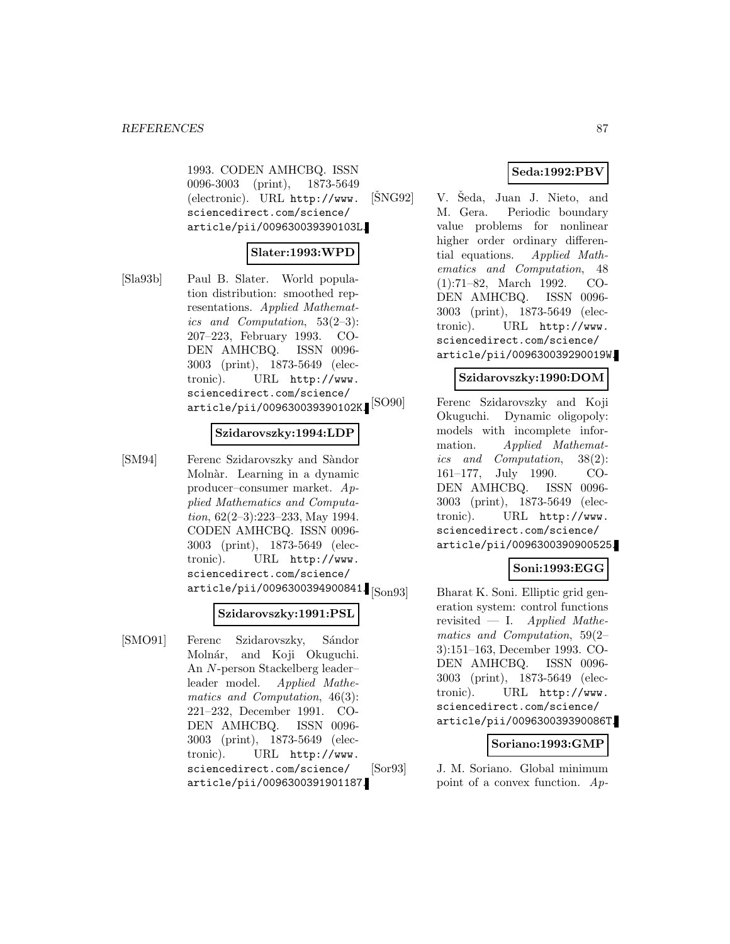1993. CODEN AMHCBQ. ISSN 0096-3003 (print), 1873-5649 (electronic). URL http://www. sciencedirect.com/science/ article/pii/009630039390103L.

# **Slater:1993:WPD**

[Sla93b] Paul B. Slater. World population distribution: smoothed representations. Applied Mathematics and Computation, 53(2–3): 207–223, February 1993. CO-DEN AMHCBQ. ISSN 0096- 3003 (print), 1873-5649 (electronic). URL http://www. sciencedirect.com/science/ article/pii/009630039390102K.

#### **Szidarovszky:1994:LDP**

[SM94] Ferenc Szidarovszky and Sàndor Molnàr. Learning in a dynamic producer–consumer market. Applied Mathematics and Computation, 62(2–3):223–233, May 1994. CODEN AMHCBQ. ISSN 0096- 3003 (print), 1873-5649 (electronic). URL http://www. sciencedirect.com/science/  $\ar{ticle/pii/0096300394900841}$ [Son $93$ ]

#### **Szidarovszky:1991:PSL**

[SMO91] Ferenc Szidarovszky, Sándor Molnár, and Koji Okuguchi. An N-person Stackelberg leader– leader model. Applied Mathematics and Computation, 46(3): 221–232, December 1991. CO-DEN AMHCBQ. ISSN 0096- 3003 (print), 1873-5649 (electronic). URL http://www. sciencedirect.com/science/ article/pii/0096300391901187.

# **Seda:1992:PBV**

 $[\text{SNG92}]$  V. Seda, Juan J. Nieto, and M. Gera. Periodic boundary value problems for nonlinear higher order ordinary differential equations. Applied Mathematics and Computation, 48 (1):71–82, March 1992. CO-DEN AMHCBQ. ISSN 0096- 3003 (print), 1873-5649 (electronic). URL http://www. sciencedirect.com/science/ article/pii/009630039290019W.

#### **Szidarovszky:1990:DOM**

[SO90] Ferenc Szidarovszky and Koji Okuguchi. Dynamic oligopoly: models with incomplete information. Applied Mathematics and Computation, 38(2): 161–177, July 1990. CO-DEN AMHCBQ. ISSN 0096- 3003 (print), 1873-5649 (electronic). URL http://www. sciencedirect.com/science/ article/pii/0096300390900525.

# **Soni:1993:EGG**

Bharat K. Soni. Elliptic grid generation system: control functions revisited — I. Applied Mathematics and Computation, 59(2– 3):151–163, December 1993. CO-DEN AMHCBQ. ISSN 0096- 3003 (print), 1873-5649 (electronic). URL http://www. sciencedirect.com/science/ article/pii/009630039390086T.

### **Soriano:1993:GMP**

[Sor93] J. M. Soriano. Global minimum point of a convex function. Ap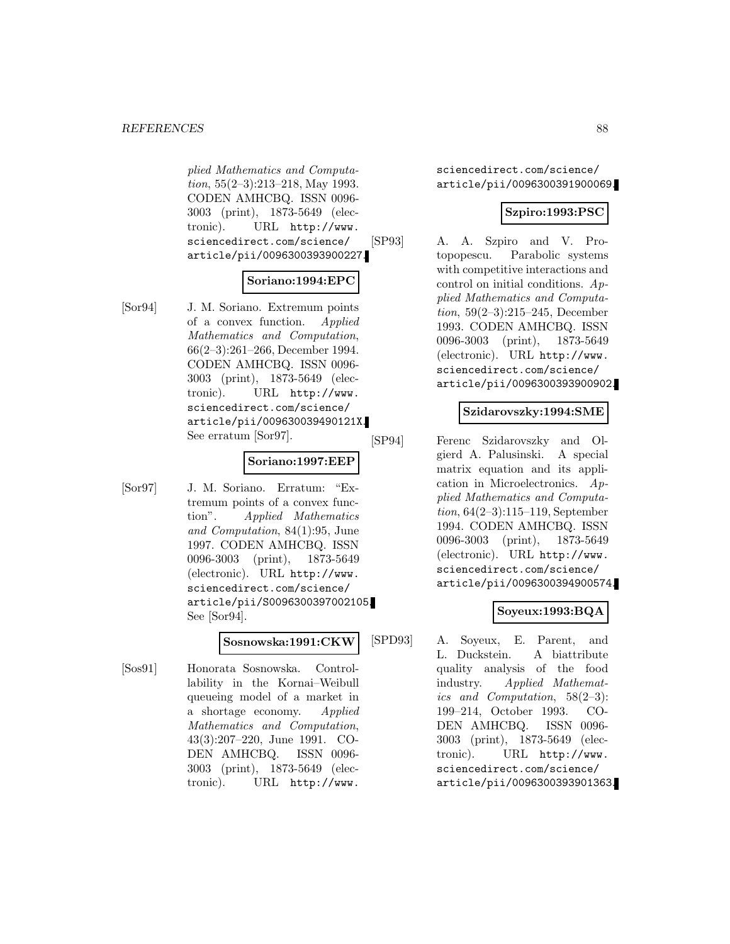plied Mathematics and Computation, 55(2–3):213–218, May 1993. CODEN AMHCBQ. ISSN 0096- 3003 (print), 1873-5649 (electronic). URL http://www. sciencedirect.com/science/ article/pii/0096300393900227.

# **Soriano:1994:EPC**

[Sor94] J. M. Soriano. Extremum points of a convex function. Applied Mathematics and Computation, 66(2–3):261–266, December 1994. CODEN AMHCBQ. ISSN 0096- 3003 (print), 1873-5649 (electronic). URL http://www. sciencedirect.com/science/ article/pii/009630039490121X. See erratum [Sor97].

#### **Soriano:1997:EEP**

[Sor97] J. M. Soriano. Erratum: "Extremum points of a convex function". Applied Mathematics and Computation, 84(1):95, June 1997. CODEN AMHCBQ. ISSN 0096-3003 (print), 1873-5649 (electronic). URL http://www. sciencedirect.com/science/ article/pii/S0096300397002105. See [Sor94].

#### **Sosnowska:1991:CKW**

[Sos91] Honorata Sosnowska. Controllability in the Kornai–Weibull queueing model of a market in a shortage economy. Applied Mathematics and Computation, 43(3):207–220, June 1991. CO-DEN AMHCBQ. ISSN 0096- 3003 (print), 1873-5649 (electronic). URL http://www.

sciencedirect.com/science/ article/pii/0096300391900069.

### **Szpiro:1993:PSC**

[SP93] A. A. Szpiro and V. Protopopescu. Parabolic systems with competitive interactions and control on initial conditions. Applied Mathematics and Computation, 59(2–3):215–245, December 1993. CODEN AMHCBQ. ISSN 0096-3003 (print), 1873-5649 (electronic). URL http://www. sciencedirect.com/science/ article/pii/0096300393900902.

#### **Szidarovszky:1994:SME**

[SP94] Ferenc Szidarovszky and Olgierd A. Palusinski. A special matrix equation and its application in Microelectronics. Applied Mathematics and Computation, 64(2–3):115–119, September 1994. CODEN AMHCBQ. ISSN 0096-3003 (print), 1873-5649 (electronic). URL http://www. sciencedirect.com/science/ article/pii/0096300394900574.

# **Soyeux:1993:BQA**

[SPD93] A. Soyeux, E. Parent, and L. Duckstein. A biattribute quality analysis of the food industry. Applied Mathematics and Computation, 58(2–3): 199–214, October 1993. CO-DEN AMHCBQ. ISSN 0096- 3003 (print), 1873-5649 (electronic). URL http://www. sciencedirect.com/science/ article/pii/0096300393901363.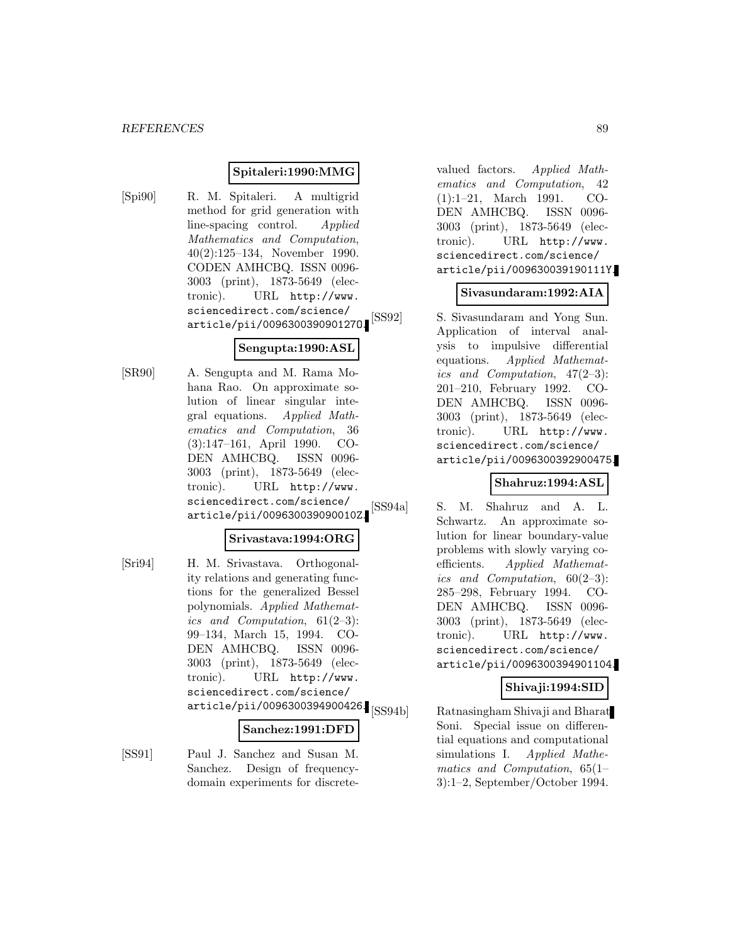#### **Spitaleri:1990:MMG**

[Spi90] R. M. Spitaleri. A multigrid method for grid generation with line-spacing control. Applied Mathematics and Computation, 40(2):125–134, November 1990. CODEN AMHCBQ. ISSN 0096- 3003 (print), 1873-5649 (electronic). URL http://www. sciencedirect.com/science/ article/pii/009630039090127O.

#### **Sengupta:1990:ASL**

[SR90] A. Sengupta and M. Rama Mohana Rao. On approximate solution of linear singular integral equations. Applied Mathematics and Computation, 36 (3):147–161, April 1990. CO-DEN AMHCBQ. ISSN 0096- 3003 (print), 1873-5649 (electronic). URL http://www. sciencedirect.com/science/ article/pii/009630039090010Z.

### **Srivastava:1994:ORG**

[Sri94] H. M. Srivastava. Orthogonality relations and generating functions for the generalized Bessel polynomials. Applied Mathematics and Computation,  $61(2-3)$ : 99–134, March 15, 1994. CO-DEN AMHCBQ. ISSN 0096- 3003 (print), 1873-5649 (electronic). URL http://www. sciencedirect.com/science/ article/pii/0096300394900426.<br>
[SS94b]

#### **Sanchez:1991:DFD**

[SS91] Paul J. Sanchez and Susan M. Sanchez. Design of frequencydomain experiments for discretevalued factors. Applied Mathematics and Computation, 42 (1):1–21, March 1991. CO-DEN AMHCBQ. ISSN 0096- 3003 (print), 1873-5649 (electronic). URL http://www. sciencedirect.com/science/ article/pii/009630039190111Y.

#### **Sivasundaram:1992:AIA**

[SS92] S. Sivasundaram and Yong Sun. Application of interval analysis to impulsive differential equations. Applied Mathematics and Computation, 47(2–3): 201–210, February 1992. CO-DEN AMHCBQ. ISSN 0096- 3003 (print), 1873-5649 (electronic). URL http://www. sciencedirect.com/science/ article/pii/0096300392900475.

### **Shahruz:1994:ASL**

[SS94a] S. M. Shahruz and A. L. Schwartz. An approximate solution for linear boundary-value problems with slowly varying coefficients. Applied Mathematics and Computation, 60(2–3): 285–298, February 1994. CO-DEN AMHCBQ. ISSN 0096- 3003 (print), 1873-5649 (electronic). URL http://www. sciencedirect.com/science/ article/pii/0096300394901104.

# **Shivaji:1994:SID**

Ratnasingham Shivaji and Bharat Soni. Special issue on differential equations and computational simulations I. Applied Mathematics and Computation, 65(1– 3):1–2, September/October 1994.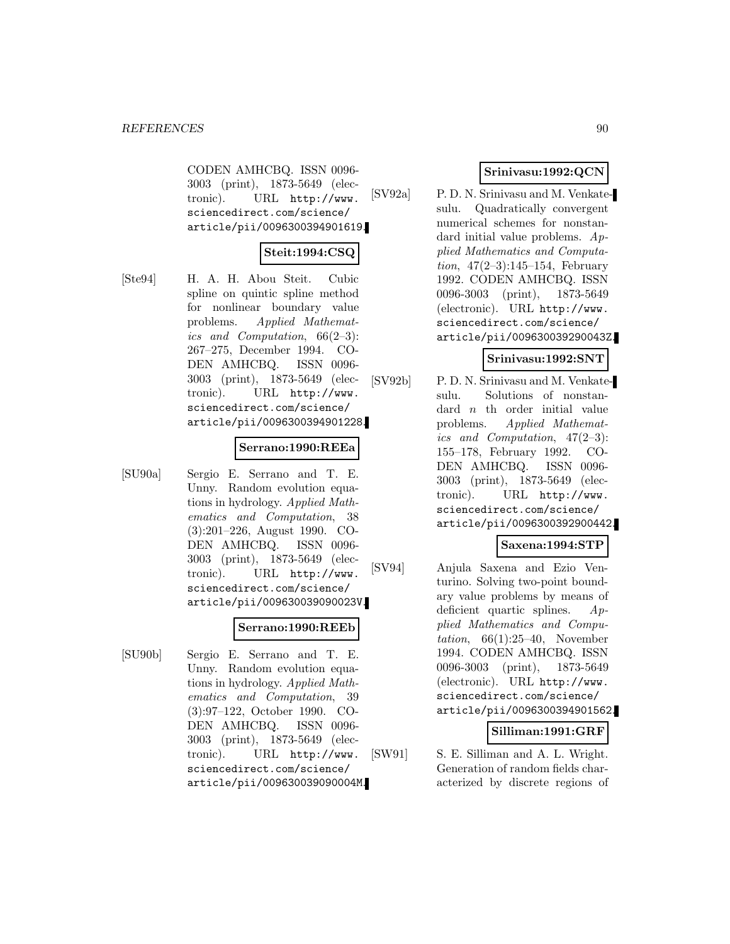CODEN AMHCBQ. ISSN 0096- 3003 (print), 1873-5649 (electronic). URL http://www. sciencedirect.com/science/ article/pii/0096300394901619.

# **Steit:1994:CSQ**

[Ste94] H. A. H. Abou Steit. Cubic spline on quintic spline method for nonlinear boundary value problems. Applied Mathematics and Computation,  $66(2-3)$ : 267–275, December 1994. CO-DEN AMHCBQ. ISSN 0096- 3003 (print), 1873-5649 (electronic). URL http://www. sciencedirect.com/science/ article/pii/0096300394901228.

#### **Serrano:1990:REEa**

[SU90a] Sergio E. Serrano and T. E. Unny. Random evolution equations in hydrology. Applied Mathematics and Computation, 38 (3):201–226, August 1990. CO-DEN AMHCBQ. ISSN 0096- 3003 (print), 1873-5649 (electronic). URL http://www. sciencedirect.com/science/ article/pii/009630039090023V.

### **Serrano:1990:REEb**

[SU90b] Sergio E. Serrano and T. E. Unny. Random evolution equations in hydrology. Applied Mathematics and Computation, 39 (3):97–122, October 1990. CO-DEN AMHCBQ. ISSN 0096- 3003 (print), 1873-5649 (electronic). URL http://www. sciencedirect.com/science/ article/pii/009630039090004M.

# **Srinivasu:1992:QCN**

[SV92a] P. D. N. Srinivasu and M. Venkatesulu. Quadratically convergent numerical schemes for nonstandard initial value problems. Applied Mathematics and Computation,  $47(2-3):145-154$ , February 1992. CODEN AMHCBQ. ISSN 0096-3003 (print), 1873-5649 (electronic). URL http://www. sciencedirect.com/science/ article/pii/009630039290043Z.

#### **Srinivasu:1992:SNT**

[SV92b] P. D. N. Srinivasu and M. Venkatesulu. Solutions of nonstandard  $n$  th order initial value problems. Applied Mathematics and Computation, 47(2–3): 155–178, February 1992. CO-DEN AMHCBQ. ISSN 0096- 3003 (print), 1873-5649 (electronic). URL http://www. sciencedirect.com/science/ article/pii/0096300392900442.

## **Saxena:1994:STP**

[SV94] Anjula Saxena and Ezio Venturino. Solving two-point boundary value problems by means of deficient quartic splines. Applied Mathematics and Computation,  $66(1):25-40$ , November 1994. CODEN AMHCBQ. ISSN 0096-3003 (print), 1873-5649 (electronic). URL http://www. sciencedirect.com/science/ article/pii/0096300394901562.

### **Silliman:1991:GRF**

[SW91] S. E. Silliman and A. L. Wright. Generation of random fields characterized by discrete regions of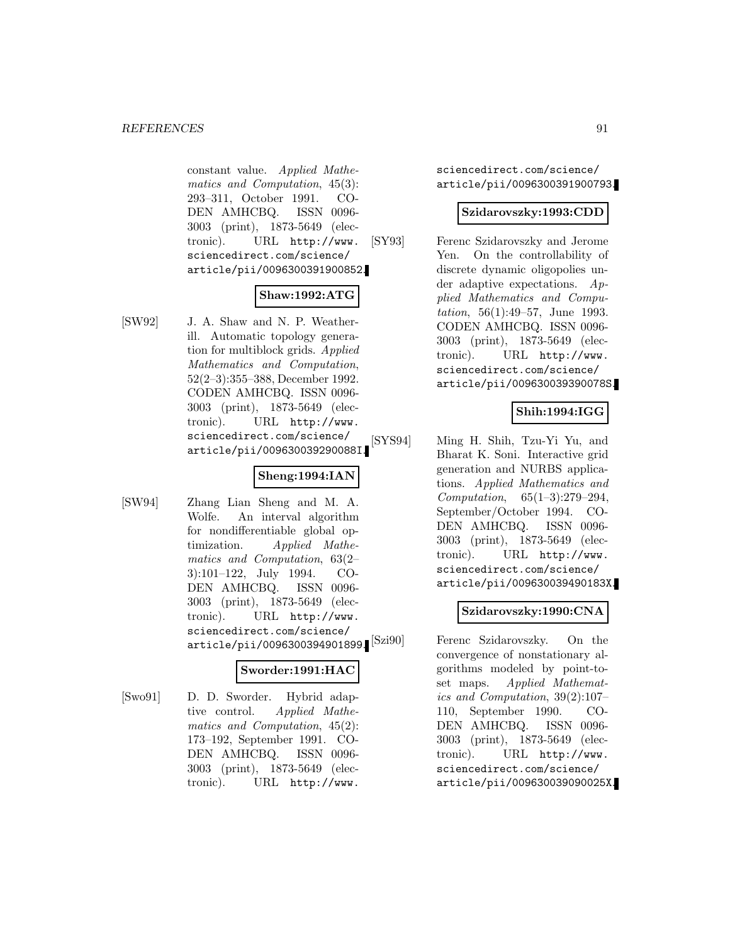constant value. Applied Mathematics and Computation, 45(3): 293–311, October 1991. CO-DEN AMHCBQ. ISSN 0096- 3003 (print), 1873-5649 (electronic). URL http://www. sciencedirect.com/science/ article/pii/0096300391900852.

## **Shaw:1992:ATG**

[SW92] J. A. Shaw and N. P. Weatherill. Automatic topology generation for multiblock grids. Applied Mathematics and Computation, 52(2–3):355–388, December 1992. CODEN AMHCBQ. ISSN 0096- 3003 (print), 1873-5649 (electronic). URL http://www. sciencedirect.com/science/ article/pii/009630039290088I.

# **Sheng:1994:IAN**

[SW94] Zhang Lian Sheng and M. A. Wolfe. An interval algorithm for nondifferentiable global optimization. Applied Mathematics and Computation, 63(2– 3):101–122, July 1994. CO-DEN AMHCBQ. ISSN 0096- 3003 (print), 1873-5649 (electronic). URL http://www. sciencedirect.com/science/ article/pii/0096300394901899. [Szi90]

### **Sworder:1991:HAC**

[Swo91] D. D. Sworder. Hybrid adaptive control. Applied Mathematics and Computation, 45(2): 173–192, September 1991. CO-DEN AMHCBQ. ISSN 0096- 3003 (print), 1873-5649 (electronic). URL http://www.

sciencedirect.com/science/ article/pii/0096300391900793.

#### **Szidarovszky:1993:CDD**

[SY93] Ferenc Szidarovszky and Jerome Yen. On the controllability of discrete dynamic oligopolies under adaptive expectations. Applied Mathematics and Computation, 56(1):49–57, June 1993. CODEN AMHCBQ. ISSN 0096- 3003 (print), 1873-5649 (electronic). URL http://www. sciencedirect.com/science/ article/pii/009630039390078S.

# **Shih:1994:IGG**

[SYS94] Ming H. Shih, Tzu-Yi Yu, and Bharat K. Soni. Interactive grid generation and NURBS applications. Applied Mathematics and Computation, 65(1–3):279–294, September/October 1994. CO-DEN AMHCBQ. ISSN 0096- 3003 (print), 1873-5649 (electronic). URL http://www. sciencedirect.com/science/ article/pii/009630039490183X.

### **Szidarovszky:1990:CNA**

Ferenc Szidarovszky. On the convergence of nonstationary algorithms modeled by point-toset maps. Applied Mathematics and Computation, 39(2):107– 110, September 1990. CO-DEN AMHCBQ. ISSN 0096- 3003 (print), 1873-5649 (electronic). URL http://www. sciencedirect.com/science/ article/pii/009630039090025X.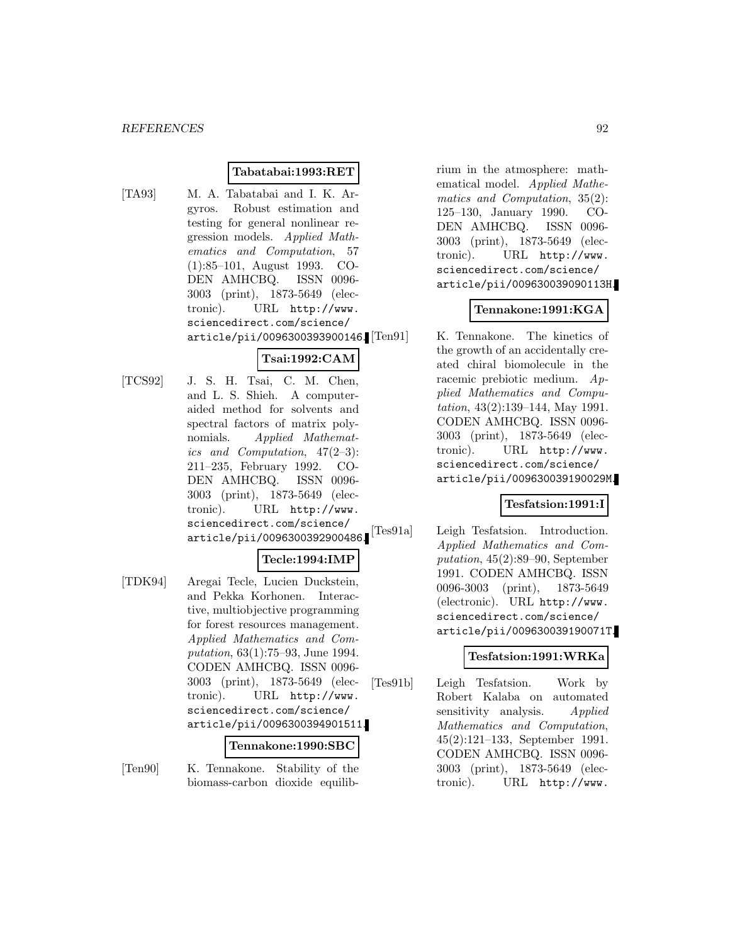#### **Tabatabai:1993:RET**

[TA93] M. A. Tabatabai and I. K. Argyros. Robust estimation and testing for general nonlinear regression models. Applied Mathematics and Computation, 57 (1):85–101, August 1993. CO-DEN AMHCBQ. ISSN 0096- 3003 (print), 1873-5649 (electronic). URL http://www. sciencedirect.com/science/ article/pii/0096300393900146.

# **Tsai:1992:CAM**

[TCS92] J. S. H. Tsai, C. M. Chen, and L. S. Shieh. A computeraided method for solvents and spectral factors of matrix polynomials. Applied Mathematics and Computation, 47(2–3): 211–235, February 1992. CO-DEN AMHCBQ. ISSN 0096- 3003 (print), 1873-5649 (electronic). URL http://www. sciencedirect.com/science/ article/pii/0096300392900486.

#### **Tecle:1994:IMP**

[TDK94] Aregai Tecle, Lucien Duckstein, and Pekka Korhonen. Interactive, multiobjective programming for forest resources management. Applied Mathematics and Computation, 63(1):75–93, June 1994. CODEN AMHCBQ. ISSN 0096- 3003 (print), 1873-5649 (electronic). URL http://www. sciencedirect.com/science/ article/pii/0096300394901511.

#### **Tennakone:1990:SBC**

[Ten90] K. Tennakone. Stability of the biomass-carbon dioxide equilibrium in the atmosphere: mathematical model. Applied Mathematics and Computation, 35(2): 125–130, January 1990. CO-DEN AMHCBQ. ISSN 0096- 3003 (print), 1873-5649 (electronic). URL http://www. sciencedirect.com/science/ article/pii/009630039090113H.

### **Tennakone:1991:KGA**

K. Tennakone. The kinetics of the growth of an accidentally created chiral biomolecule in the racemic prebiotic medium. Applied Mathematics and Computation, 43(2):139–144, May 1991. CODEN AMHCBQ. ISSN 0096- 3003 (print), 1873-5649 (electronic). URL http://www. sciencedirect.com/science/ article/pii/009630039190029M.

#### **Tesfatsion:1991:I**

[Tes91a] Leigh Tesfatsion. Introduction. Applied Mathematics and Computation, 45(2):89–90, September 1991. CODEN AMHCBQ. ISSN 0096-3003 (print), 1873-5649 (electronic). URL http://www. sciencedirect.com/science/ article/pii/009630039190071T.

#### **Tesfatsion:1991:WRKa**

[Tes91b] Leigh Tesfatsion. Work by Robert Kalaba on automated sensitivity analysis. Applied Mathematics and Computation, 45(2):121–133, September 1991. CODEN AMHCBQ. ISSN 0096- 3003 (print), 1873-5649 (electronic). URL http://www.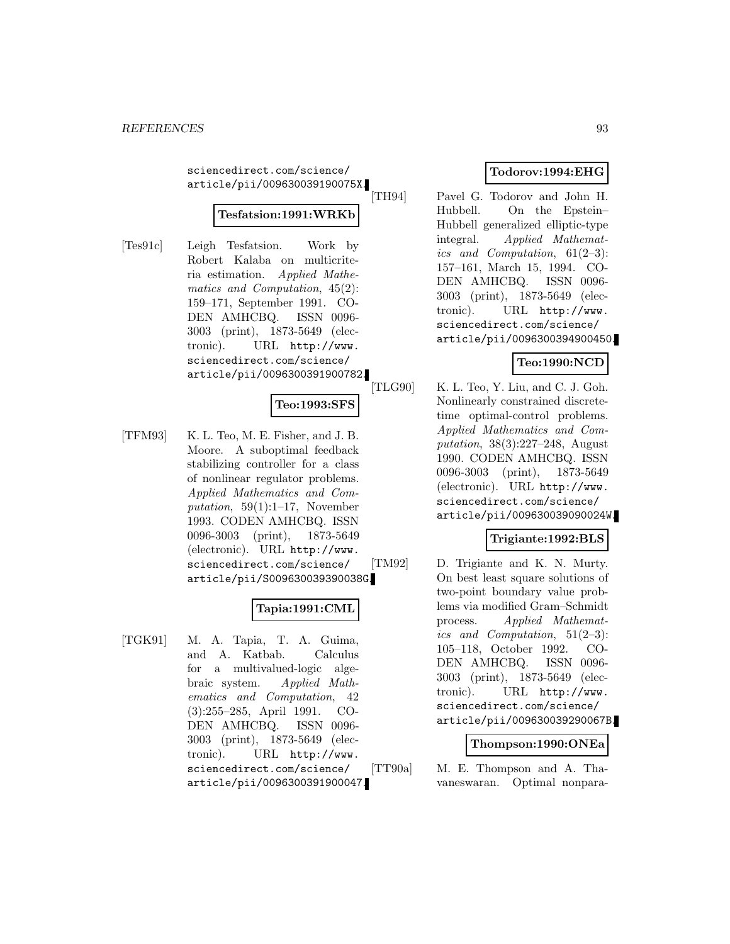sciencedirect.com/science/ article/pii/009630039190075X.

# **Tesfatsion:1991:WRKb**

[Tes91c] Leigh Tesfatsion. Work by Robert Kalaba on multicriteria estimation. Applied Mathematics and Computation, 45(2): 159–171, September 1991. CO-DEN AMHCBQ. ISSN 0096- 3003 (print), 1873-5649 (electronic). URL http://www. sciencedirect.com/science/ article/pii/0096300391900782.

### **Teo:1993:SFS**

[TFM93] K. L. Teo, M. E. Fisher, and J. B. Moore. A suboptimal feedback stabilizing controller for a class of nonlinear regulator problems. Applied Mathematics and Computation,  $59(1):1-17$ , November 1993. CODEN AMHCBQ. ISSN 0096-3003 (print), 1873-5649 (electronic). URL http://www. sciencedirect.com/science/ article/pii/S009630039390038G.

# **Tapia:1991:CML**

[TGK91] M. A. Tapia, T. A. Guima, and A. Katbab. Calculus for a multivalued-logic algebraic system. Applied Mathematics and Computation, 42 (3):255–285, April 1991. CO-DEN AMHCBQ. ISSN 0096- 3003 (print), 1873-5649 (electronic). URL http://www. sciencedirect.com/science/ article/pii/0096300391900047.

## **Todorov:1994:EHG**

[TH94] Pavel G. Todorov and John H. Hubbell. On the Epstein– Hubbell generalized elliptic-type integral. Applied Mathematics and Computation, 61(2–3): 157–161, March 15, 1994. CO-DEN AMHCBQ. ISSN 0096- 3003 (print), 1873-5649 (electronic). URL http://www. sciencedirect.com/science/ article/pii/0096300394900450.

# **Teo:1990:NCD**

[TLG90] K. L. Teo, Y. Liu, and C. J. Goh. Nonlinearly constrained discretetime optimal-control problems. Applied Mathematics and Computation, 38(3):227–248, August 1990. CODEN AMHCBQ. ISSN 0096-3003 (print), 1873-5649 (electronic). URL http://www. sciencedirect.com/science/ article/pii/009630039090024W.

### **Trigiante:1992:BLS**

[TM92] D. Trigiante and K. N. Murty. On best least square solutions of two-point boundary value problems via modified Gram–Schmidt process. Applied Mathematics and Computation, 51(2–3): 105–118, October 1992. CO-DEN AMHCBQ. ISSN 0096- 3003 (print), 1873-5649 (electronic). URL http://www. sciencedirect.com/science/ article/pii/009630039290067B.

#### **Thompson:1990:ONEa**

[TT90a] M. E. Thompson and A. Thavaneswaran. Optimal nonpara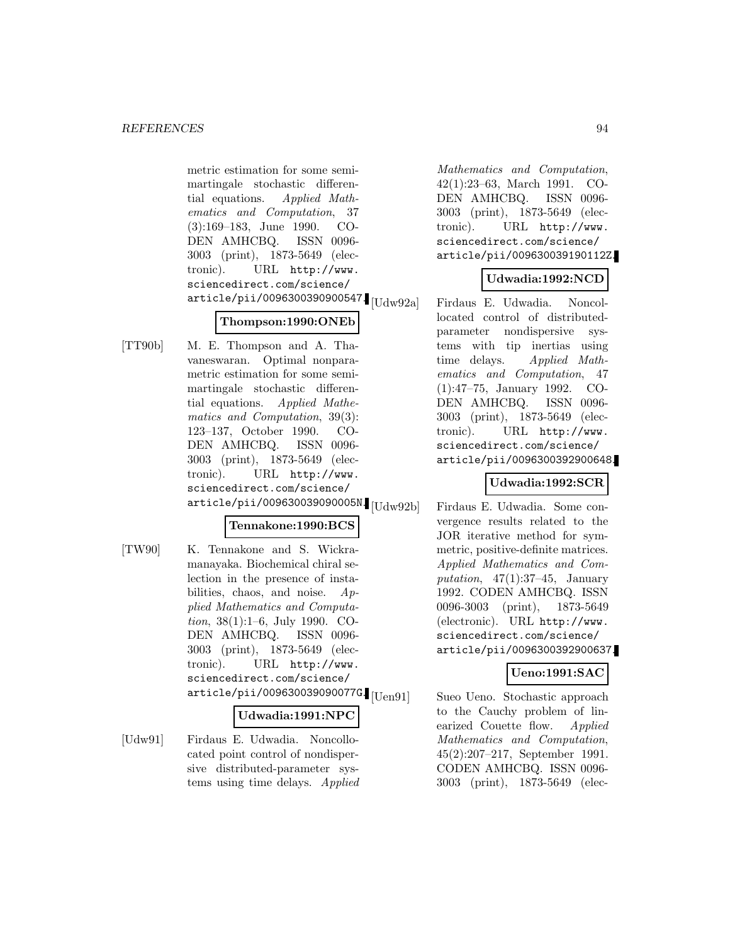metric estimation for some semimartingale stochastic differential equations. Applied Mathematics and Computation, 37 (3):169–183, June 1990. CO-DEN AMHCBQ. ISSN 0096- 3003 (print), 1873-5649 (electronic). URL http://www. sciencedirect.com/science/  $\ar{ticle/pii/0096300390900547}$ [Udw $92a$ ]

# **Thompson:1990:ONEb**

[TT90b] M. E. Thompson and A. Thavaneswaran. Optimal nonparametric estimation for some semimartingale stochastic differential equations. Applied Mathematics and Computation, 39(3): 123–137, October 1990. CO-DEN AMHCBQ. ISSN 0096- 3003 (print), 1873-5649 (electronic). URL http://www. sciencedirect.com/science/ article/pii/009630039090005N. [Udw92b]

### **Tennakone:1990:BCS**

[TW90] K. Tennakone and S. Wickramanayaka. Biochemical chiral selection in the presence of instabilities, chaos, and noise.  $Ap$ plied Mathematics and Computation, 38(1):1–6, July 1990. CO-DEN AMHCBQ. ISSN 0096- 3003 (print), 1873-5649 (electronic). URL http://www. sciencedirect.com/science/  $\ar{ticle/pi1/009630039090077}$ G.  $[$ Uen $91]$ 

### **Udwadia:1991:NPC**

[Udw91] Firdaus E. Udwadia. Noncollocated point control of nondispersive distributed-parameter systems using time delays. Applied

Mathematics and Computation, 42(1):23–63, March 1991. CO-DEN AMHCBQ. ISSN 0096- 3003 (print), 1873-5649 (electronic). URL http://www. sciencedirect.com/science/ article/pii/009630039190112Z.

# **Udwadia:1992:NCD**

Firdaus E. Udwadia. Noncollocated control of distributedparameter nondispersive systems with tip inertias using time delays. Applied Mathematics and Computation, 47 (1):47–75, January 1992. CO-DEN AMHCBQ. ISSN 0096- 3003 (print), 1873-5649 (electronic). URL http://www. sciencedirect.com/science/ article/pii/0096300392900648.

### **Udwadia:1992:SCR**

Firdaus E. Udwadia. Some convergence results related to the JOR iterative method for symmetric, positive-definite matrices. Applied Mathematics and Computation,  $47(1):37-45$ , January 1992. CODEN AMHCBQ. ISSN 0096-3003 (print), 1873-5649 (electronic). URL http://www. sciencedirect.com/science/ article/pii/0096300392900637.

## **Ueno:1991:SAC**

Sueo Ueno. Stochastic approach to the Cauchy problem of linearized Couette flow. Applied Mathematics and Computation, 45(2):207–217, September 1991. CODEN AMHCBQ. ISSN 0096- 3003 (print), 1873-5649 (elec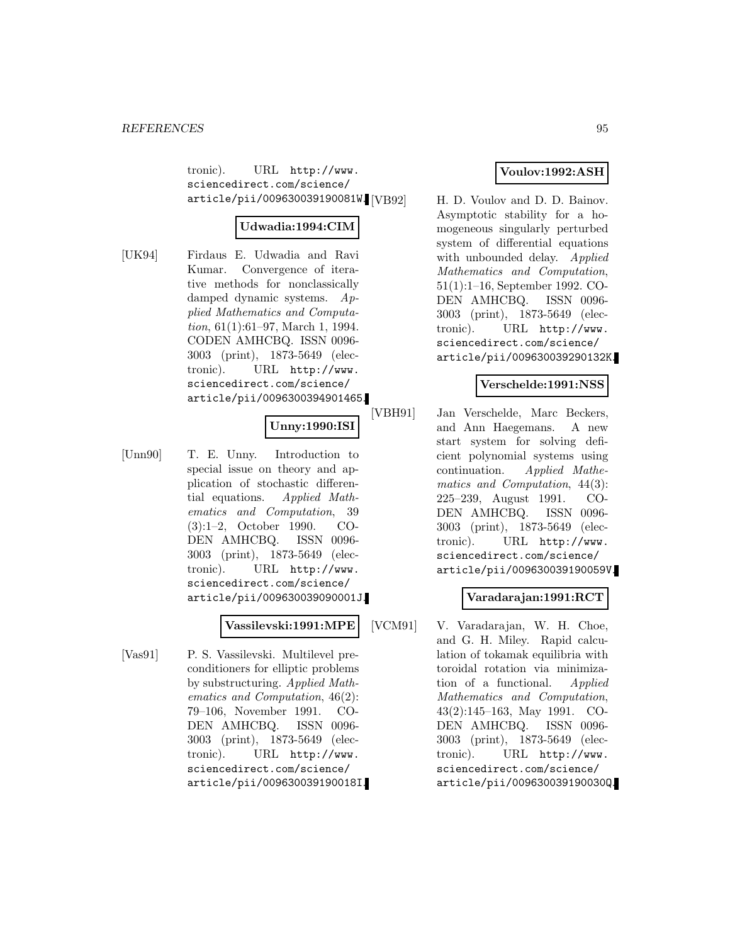tronic). URL http://www. sciencedirect.com/science/ article/pii/009630039190081W. [VB92]

### **Udwadia:1994:CIM**

[UK94] Firdaus E. Udwadia and Ravi Kumar. Convergence of iterative methods for nonclassically damped dynamic systems. Applied Mathematics and Computation, 61(1):61–97, March 1, 1994. CODEN AMHCBQ. ISSN 0096- 3003 (print), 1873-5649 (electronic). URL http://www. sciencedirect.com/science/ article/pii/0096300394901465.

# **Unny:1990:ISI**

[Unn90] T. E. Unny. Introduction to special issue on theory and application of stochastic differential equations. Applied Mathematics and Computation, 39 (3):1–2, October 1990. CO-DEN AMHCBQ. ISSN 0096- 3003 (print), 1873-5649 (electronic). URL http://www. sciencedirect.com/science/ article/pii/009630039090001J.

### **Vassilevski:1991:MPE**

[Vas91] P. S. Vassilevski. Multilevel preconditioners for elliptic problems by substructuring. Applied Mathematics and Computation, 46(2): 79–106, November 1991. CO-DEN AMHCBQ. ISSN 0096- 3003 (print), 1873-5649 (electronic). URL http://www. sciencedirect.com/science/ article/pii/009630039190018I.

# **Voulov:1992:ASH**

H. D. Voulov and D. D. Bainov. Asymptotic stability for a homogeneous singularly perturbed system of differential equations with unbounded delay. Applied Mathematics and Computation, 51(1):1–16, September 1992. CO-DEN AMHCBQ. ISSN 0096- 3003 (print), 1873-5649 (electronic). URL http://www. sciencedirect.com/science/ article/pii/009630039290132K.

# **Verschelde:1991:NSS**

[VBH91] Jan Verschelde, Marc Beckers, and Ann Haegemans. A new start system for solving deficient polynomial systems using continuation. Applied Mathematics and Computation, 44(3): 225–239, August 1991. CO-DEN AMHCBQ. ISSN 0096- 3003 (print), 1873-5649 (electronic). URL http://www. sciencedirect.com/science/ article/pii/009630039190059V.

### **Varadarajan:1991:RCT**

[VCM91] V. Varadarajan, W. H. Choe, and G. H. Miley. Rapid calculation of tokamak equilibria with toroidal rotation via minimization of a functional. Applied Mathematics and Computation, 43(2):145–163, May 1991. CO-DEN AMHCBQ. ISSN 0096- 3003 (print), 1873-5649 (electronic). URL http://www. sciencedirect.com/science/ article/pii/009630039190030Q.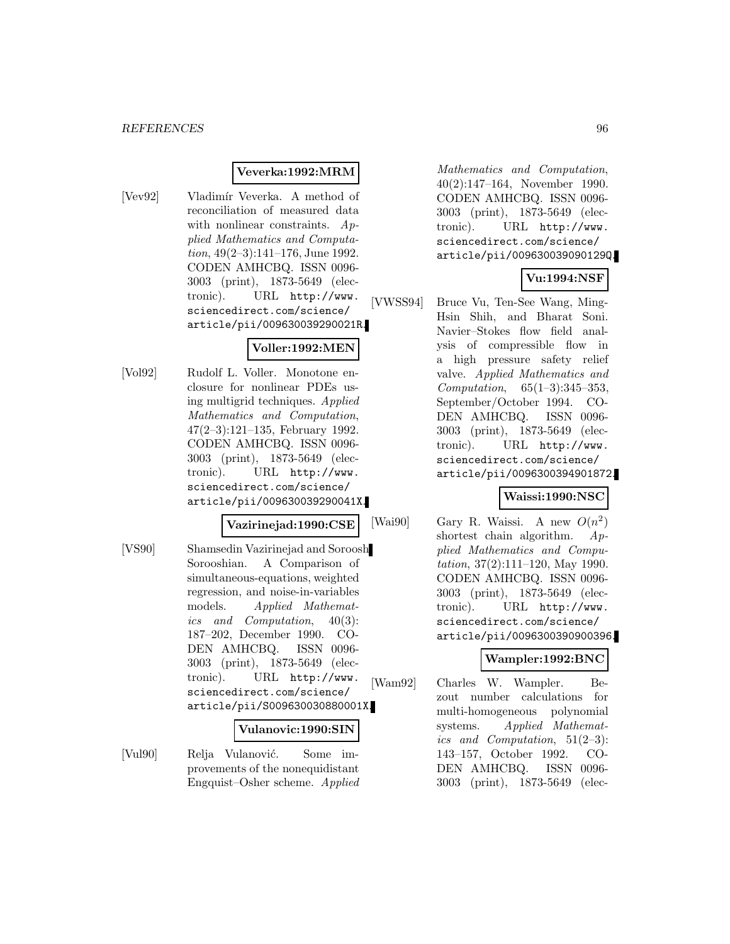#### **Veverka:1992:MRM**

[Vev92] Vladimír Veverka. A method of reconciliation of measured data with nonlinear constraints. Applied Mathematics and Computation, 49(2–3):141–176, June 1992. CODEN AMHCBQ. ISSN 0096- 3003 (print), 1873-5649 (electronic). URL http://www. sciencedirect.com/science/ article/pii/009630039290021R.

### **Voller:1992:MEN**

[Vol92] Rudolf L. Voller. Monotone enclosure for nonlinear PDEs using multigrid techniques. Applied Mathematics and Computation, 47(2–3):121–135, February 1992. CODEN AMHCBQ. ISSN 0096- 3003 (print), 1873-5649 (electronic). URL http://www. sciencedirect.com/science/ article/pii/009630039290041X.

#### **Vazirinejad:1990:CSE**

[VS90] Shamsedin Vazirinejad and Soroosh Sorooshian. A Comparison of simultaneous-equations, weighted regression, and noise-in-variables models. Applied Mathematics and Computation, 40(3): 187–202, December 1990. CO-DEN AMHCBQ. ISSN 0096- 3003 (print), 1873-5649 (electronic). URL http://www. sciencedirect.com/science/ article/pii/S009630030880001X.

#### **Vulanovic:1990:SIN**

[Vul90] Relja Vulanović. Some improvements of the nonequidistant Engquist–Osher scheme. Applied

Mathematics and Computation, 40(2):147–164, November 1990. CODEN AMHCBQ. ISSN 0096- 3003 (print), 1873-5649 (electronic). URL http://www. sciencedirect.com/science/ article/pii/009630039090129Q.

# **Vu:1994:NSF**

[VWSS94] Bruce Vu, Ten-See Wang, Ming-Hsin Shih, and Bharat Soni. Navier–Stokes flow field analysis of compressible flow in a high pressure safety relief valve. Applied Mathematics and Computation, 65(1–3):345–353, September/October 1994. CO-DEN AMHCBQ. ISSN 0096- 3003 (print), 1873-5649 (electronic). URL http://www. sciencedirect.com/science/ article/pii/0096300394901872.

#### **Waissi:1990:NSC**

[Wai90] Gary R. Waissi. A new  $O(n^2)$ shortest chain algorithm. Applied Mathematics and Computation, 37(2):111–120, May 1990. CODEN AMHCBQ. ISSN 0096- 3003 (print), 1873-5649 (electronic). URL http://www. sciencedirect.com/science/ article/pii/0096300390900396.

### **Wampler:1992:BNC**

[Wam92] Charles W. Wampler. Bezout number calculations for multi-homogeneous polynomial systems. Applied Mathematics and Computation,  $51(2-3)$ : 143–157, October 1992. CO-DEN AMHCBQ. ISSN 0096- 3003 (print), 1873-5649 (elec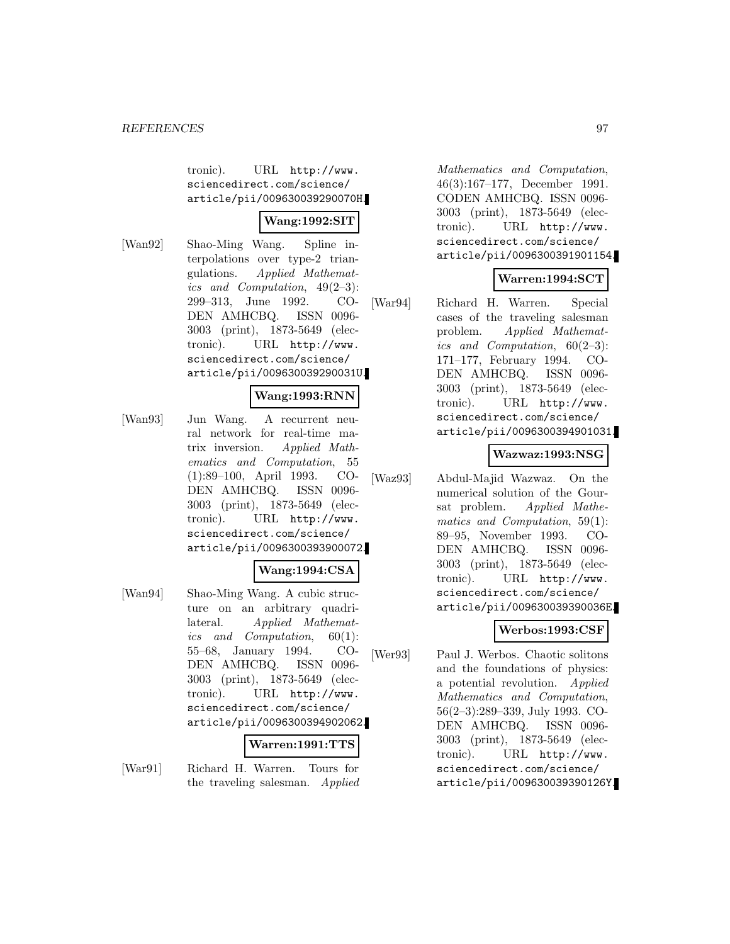tronic). URL http://www. sciencedirect.com/science/ article/pii/009630039290070H.

# **Wang:1992:SIT**

[Wan92] Shao-Ming Wang. Spline interpolations over type-2 triangulations. Applied Mathematics and Computation, 49(2–3): 299–313, June 1992. CO-DEN AMHCBQ. ISSN 0096- 3003 (print), 1873-5649 (electronic). URL http://www. sciencedirect.com/science/ article/pii/009630039290031U.

### **Wang:1993:RNN**

[Wan93] Jun Wang. A recurrent neural network for real-time matrix inversion. Applied Mathematics and Computation, 55 (1):89–100, April 1993. CO-DEN AMHCBQ. ISSN 0096- 3003 (print), 1873-5649 (electronic). URL http://www. sciencedirect.com/science/ article/pii/0096300393900072.

#### **Wang:1994:CSA**

[Wan94] Shao-Ming Wang. A cubic structure on an arbitrary quadrilateral. Applied Mathematics and Computation, 60(1): 55–68, January 1994. CO-DEN AMHCBQ. ISSN 0096- 3003 (print), 1873-5649 (electronic). URL http://www. sciencedirect.com/science/ article/pii/0096300394902062.

### **Warren:1991:TTS**

[War91] Richard H. Warren. Tours for the traveling salesman. Applied

Mathematics and Computation, 46(3):167–177, December 1991. CODEN AMHCBQ. ISSN 0096- 3003 (print), 1873-5649 (electronic). URL http://www. sciencedirect.com/science/ article/pii/0096300391901154.

# **Warren:1994:SCT**

[War94] Richard H. Warren. Special cases of the traveling salesman problem. Applied Mathematics and Computation,  $60(2-3)$ : 171–177, February 1994. CO-DEN AMHCBQ. ISSN 0096- 3003 (print), 1873-5649 (electronic). URL http://www. sciencedirect.com/science/ article/pii/0096300394901031.

### **Wazwaz:1993:NSG**

[Waz93] Abdul-Majid Wazwaz. On the numerical solution of the Goursat problem. Applied Mathematics and Computation, 59(1): 89–95, November 1993. CO-DEN AMHCBQ. ISSN 0096- 3003 (print), 1873-5649 (electronic). URL http://www. sciencedirect.com/science/ article/pii/009630039390036E.

# **Werbos:1993:CSF**

[Wer93] Paul J. Werbos. Chaotic solitons and the foundations of physics: a potential revolution. Applied Mathematics and Computation, 56(2–3):289–339, July 1993. CO-DEN AMHCBQ. ISSN 0096- 3003 (print), 1873-5649 (electronic). URL http://www. sciencedirect.com/science/ article/pii/009630039390126Y.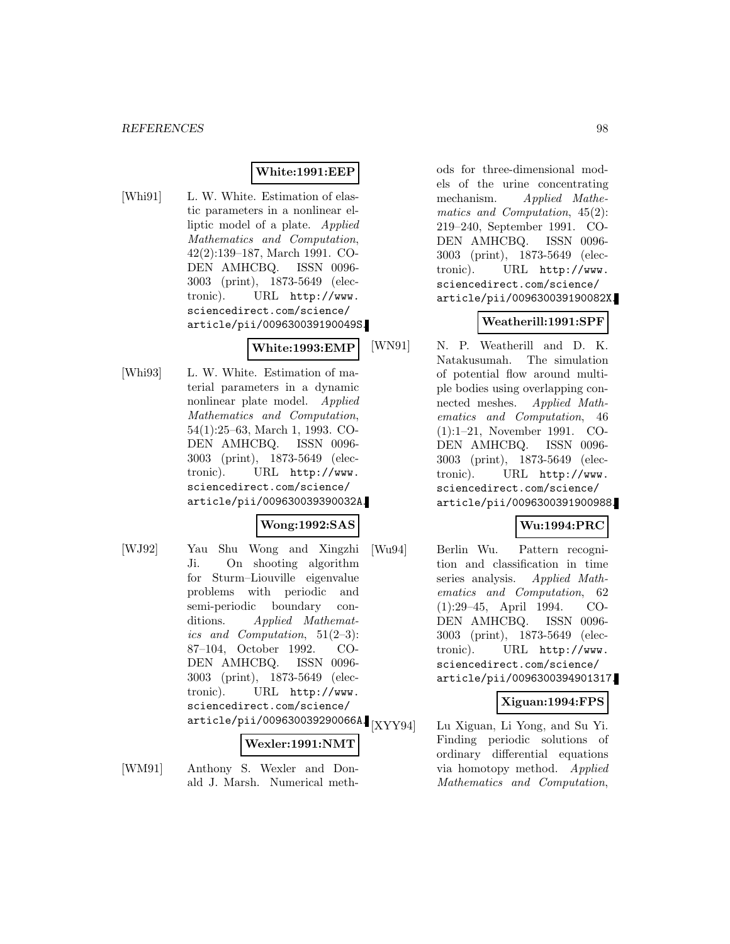# **White:1991:EEP**

[Whi91] L. W. White. Estimation of elastic parameters in a nonlinear elliptic model of a plate. Applied Mathematics and Computation, 42(2):139–187, March 1991. CO-DEN AMHCBQ. ISSN 0096- 3003 (print), 1873-5649 (electronic). URL http://www. sciencedirect.com/science/ article/pii/009630039190049S.

# **White:1993:EMP**

[Whi93] L. W. White. Estimation of material parameters in a dynamic nonlinear plate model. Applied Mathematics and Computation, 54(1):25–63, March 1, 1993. CO-DEN AMHCBQ. ISSN 0096- 3003 (print), 1873-5649 (electronic). URL http://www. sciencedirect.com/science/ article/pii/009630039390032A.

### **Wong:1992:SAS**

[WJ92] Yau Shu Wong and Xingzhi Ji. On shooting algorithm for Sturm–Liouville eigenvalue problems with periodic and semi-periodic boundary conditions. Applied Mathematics and Computation, 51(2–3): 87–104, October 1992. CO-DEN AMHCBQ. ISSN 0096- 3003 (print), 1873-5649 (electronic). URL http://www. sciencedirect.com/science/  $\frac{1}{\text{article/pi}i/009630039290066}$   $\frac{1}{\text{[XYY94]}}$ 

#### **Wexler:1991:NMT**

[WM91] Anthony S. Wexler and Donald J. Marsh. Numerical methods for three-dimensional models of the urine concentrating mechanism. Applied Mathematics and Computation, 45(2): 219–240, September 1991. CO-DEN AMHCBQ. ISSN 0096- 3003 (print), 1873-5649 (electronic). URL http://www. sciencedirect.com/science/ article/pii/009630039190082X.

### **Weatherill:1991:SPF**

[WN91] N. P. Weatherill and D. K. Natakusumah. The simulation of potential flow around multiple bodies using overlapping connected meshes. Applied Mathematics and Computation, 46 (1):1–21, November 1991. CO-DEN AMHCBQ. ISSN 0096- 3003 (print), 1873-5649 (electronic). URL http://www. sciencedirect.com/science/ article/pii/0096300391900988.

## **Wu:1994:PRC**

[Wu94] Berlin Wu. Pattern recognition and classification in time series analysis. Applied Mathematics and Computation, 62 (1):29–45, April 1994. CO-DEN AMHCBQ. ISSN 0096- 3003 (print), 1873-5649 (electronic). URL http://www. sciencedirect.com/science/ article/pii/0096300394901317.

### **Xiguan:1994:FPS**

Lu Xiguan, Li Yong, and Su Yi. Finding periodic solutions of ordinary differential equations via homotopy method. Applied Mathematics and Computation,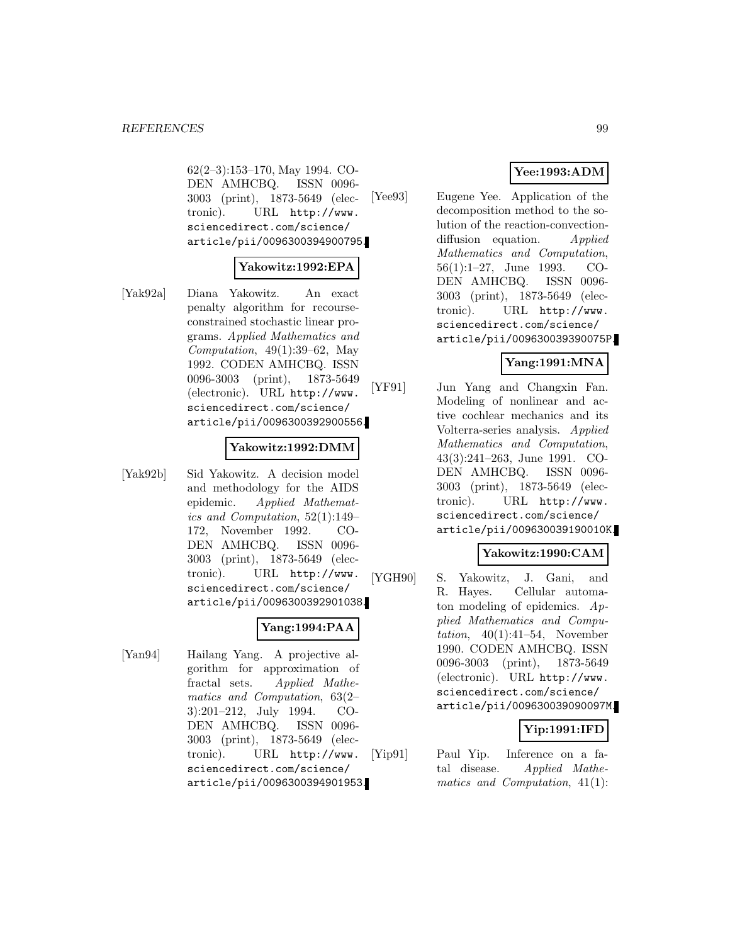62(2–3):153–170, May 1994. CO-DEN AMHCBQ. ISSN 0096- 3003 (print), 1873-5649 (electronic). URL http://www. sciencedirect.com/science/ article/pii/0096300394900795.

#### **Yakowitz:1992:EPA**

[Yak92a] Diana Yakowitz. An exact penalty algorithm for recourseconstrained stochastic linear programs. Applied Mathematics and Computation,  $49(1):39-62$ , May 1992. CODEN AMHCBQ. ISSN 0096-3003 (print), 1873-5649 (electronic). URL http://www. sciencedirect.com/science/ article/pii/0096300392900556.

#### **Yakowitz:1992:DMM**

[Yak92b] Sid Yakowitz. A decision model and methodology for the AIDS epidemic. Applied Mathematics and Computation, 52(1):149– 172, November 1992. CO-DEN AMHCBQ. ISSN 0096- 3003 (print), 1873-5649 (electronic). URL http://www. sciencedirect.com/science/ article/pii/0096300392901038.

### **Yang:1994:PAA**

[Yan94] Hailang Yang. A projective algorithm for approximation of fractal sets. Applied Mathematics and Computation, 63(2– 3):201–212, July 1994. CO-DEN AMHCBQ. ISSN 0096- 3003 (print), 1873-5649 (electronic). URL http://www. sciencedirect.com/science/ article/pii/0096300394901953.

# **Yee:1993:ADM**

[Yee93] Eugene Yee. Application of the decomposition method to the solution of the reaction-convectiondiffusion equation. Applied Mathematics and Computation, 56(1):1–27, June 1993. CO-DEN AMHCBQ. ISSN 0096- 3003 (print), 1873-5649 (electronic). URL http://www. sciencedirect.com/science/ article/pii/009630039390075P.

### **Yang:1991:MNA**

[YF91] Jun Yang and Changxin Fan. Modeling of nonlinear and active cochlear mechanics and its Volterra-series analysis. Applied Mathematics and Computation, 43(3):241–263, June 1991. CO-DEN AMHCBQ. ISSN 0096- 3003 (print), 1873-5649 (electronic). URL http://www. sciencedirect.com/science/ article/pii/009630039190010K.

# **Yakowitz:1990:CAM**

[YGH90] S. Yakowitz, J. Gani, and R. Hayes. Cellular automaton modeling of epidemics. Applied Mathematics and Computation,  $40(1):41-54$ , November 1990. CODEN AMHCBQ. ISSN 0096-3003 (print), 1873-5649 (electronic). URL http://www. sciencedirect.com/science/ article/pii/009630039090097M.

# **Yip:1991:IFD**

[Yip91] Paul Yip. Inference on a fatal disease. Applied Mathematics and Computation, 41(1):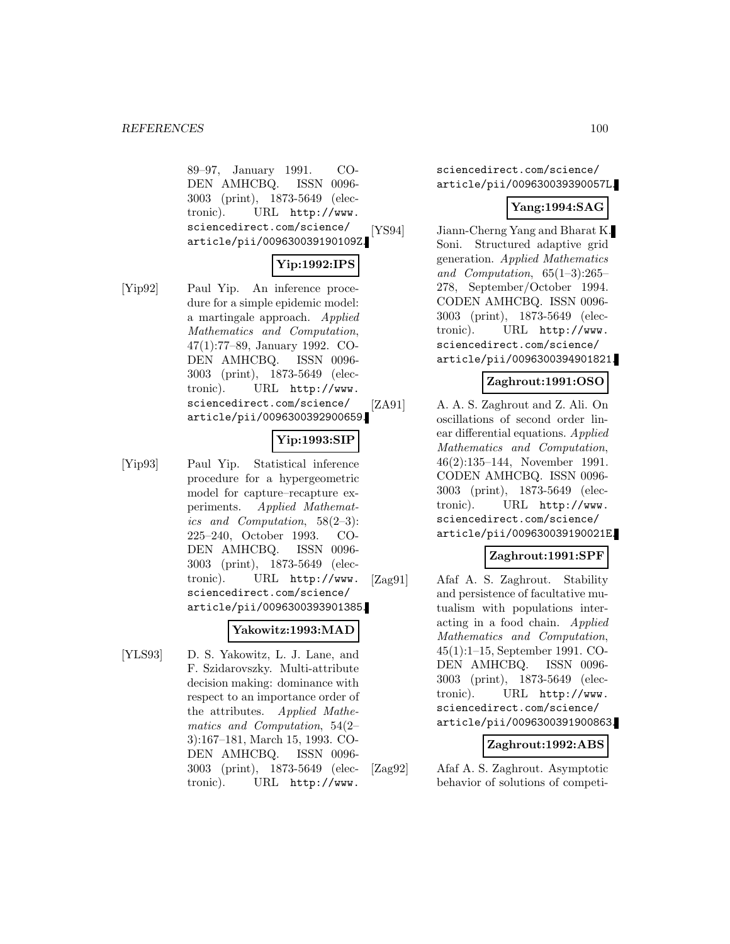89–97, January 1991. CO-DEN AMHCBQ. ISSN 0096- 3003 (print), 1873-5649 (electronic). URL http://www. sciencedirect.com/science/ article/pii/009630039190109Z.

# **Yip:1992:IPS**

[Yip92] Paul Yip. An inference procedure for a simple epidemic model: a martingale approach. Applied Mathematics and Computation, 47(1):77–89, January 1992. CO-DEN AMHCBQ. ISSN 0096- 3003 (print), 1873-5649 (electronic). URL http://www. sciencedirect.com/science/ article/pii/0096300392900659.

# **Yip:1993:SIP**

[Yip93] Paul Yip. Statistical inference procedure for a hypergeometric model for capture–recapture experiments. Applied Mathematics and Computation, 58(2–3): 225–240, October 1993. CO-DEN AMHCBQ. ISSN 0096- 3003 (print), 1873-5649 (electronic). URL http://www. sciencedirect.com/science/ article/pii/0096300393901385.

### **Yakowitz:1993:MAD**

[YLS93] D. S. Yakowitz, L. J. Lane, and F. Szidarovszky. Multi-attribute decision making: dominance with respect to an importance order of the attributes. Applied Mathematics and Computation, 54(2– 3):167–181, March 15, 1993. CO-DEN AMHCBQ. ISSN 0096- 3003 (print), 1873-5649 (electronic). URL http://www.

sciencedirect.com/science/ article/pii/009630039390057L.

# **Yang:1994:SAG**

[YS94] Jiann-Cherng Yang and Bharat K. Soni. Structured adaptive grid generation. Applied Mathematics and Computation, 65(1–3):265– 278, September/October 1994. CODEN AMHCBQ. ISSN 0096- 3003 (print), 1873-5649 (electronic). URL http://www. sciencedirect.com/science/ article/pii/0096300394901821.

# **Zaghrout:1991:OSO**

[ZA91] A. A. S. Zaghrout and Z. Ali. On oscillations of second order linear differential equations. Applied Mathematics and Computation, 46(2):135–144, November 1991. CODEN AMHCBQ. ISSN 0096- 3003 (print), 1873-5649 (electronic). URL http://www. sciencedirect.com/science/ article/pii/009630039190021E.

### **Zaghrout:1991:SPF**

[Zag91] Afaf A. S. Zaghrout. Stability and persistence of facultative mutualism with populations interacting in a food chain. Applied Mathematics and Computation, 45(1):1–15, September 1991. CO-DEN AMHCBQ. ISSN 0096- 3003 (print), 1873-5649 (electronic). URL http://www. sciencedirect.com/science/ article/pii/0096300391900863.

### **Zaghrout:1992:ABS**

[Zag92] Afaf A. S. Zaghrout. Asymptotic behavior of solutions of competi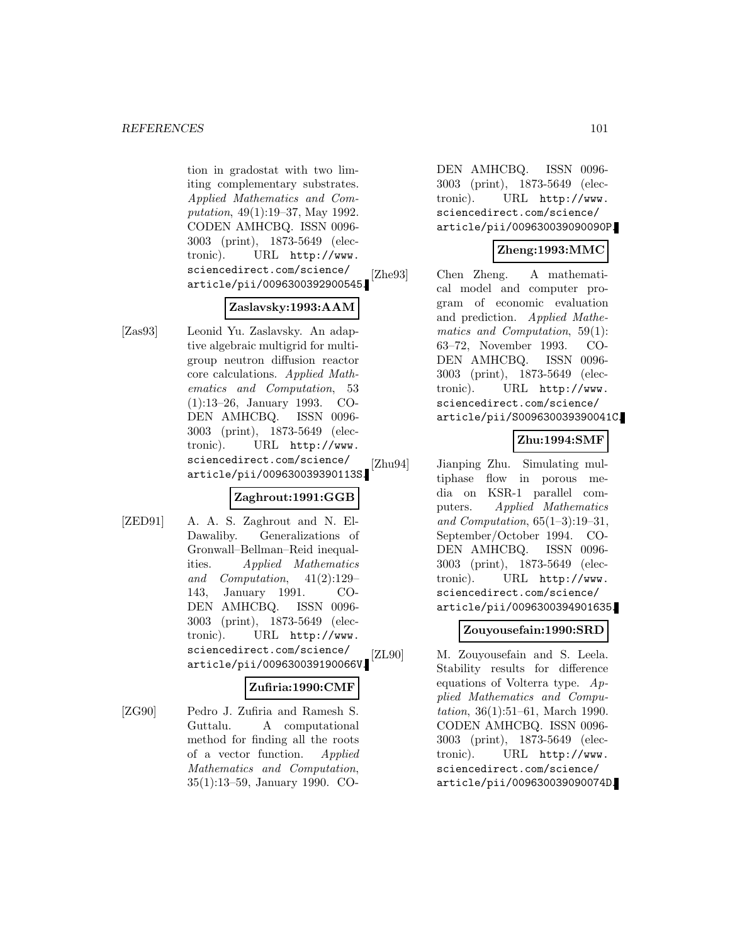tion in gradostat with two limiting complementary substrates. Applied Mathematics and Computation, 49(1):19–37, May 1992. CODEN AMHCBQ. ISSN 0096- 3003 (print), 1873-5649 (electronic). URL http://www. sciencedirect.com/science/ article/pii/0096300392900545.

#### **Zaslavsky:1993:AAM**

[Zas93] Leonid Yu. Zaslavsky. An adaptive algebraic multigrid for multigroup neutron diffusion reactor core calculations. Applied Mathematics and Computation, 53 (1):13–26, January 1993. CO-DEN AMHCBQ. ISSN 0096- 3003 (print), 1873-5649 (electronic). URL http://www. sciencedirect.com/science/ article/pii/009630039390113S.

# **Zaghrout:1991:GGB**

[ZED91] A. A. S. Zaghrout and N. El-Dawaliby. Generalizations of Gronwall–Bellman–Reid inequalities. Applied Mathematics and Computation, 41(2):129– 143, January 1991. CO-DEN AMHCBQ. ISSN 0096- 3003 (print), 1873-5649 (electronic). URL http://www. sciencedirect.com/science/ article/pii/009630039190066V.

#### **Zufiria:1990:CMF**

[ZG90] Pedro J. Zufiria and Ramesh S. Guttalu. A computational method for finding all the roots of a vector function. Applied Mathematics and Computation, 35(1):13–59, January 1990. CO-

DEN AMHCBQ. ISSN 0096- 3003 (print), 1873-5649 (electronic). URL http://www. sciencedirect.com/science/ article/pii/009630039090090P.

# **Zheng:1993:MMC**

[Zhe93] Chen Zheng. A mathematical model and computer program of economic evaluation and prediction. Applied Mathematics and Computation, 59(1): 63–72, November 1993. CO-DEN AMHCBQ. ISSN 0096- 3003 (print), 1873-5649 (electronic). URL http://www. sciencedirect.com/science/ article/pii/S009630039390041C.

# **Zhu:1994:SMF**

[Zhu94] Jianping Zhu. Simulating multiphase flow in porous media on KSR-1 parallel computers. Applied Mathematics and Computation,  $65(1-3):19-31$ , September/October 1994. CO-DEN AMHCBQ. ISSN 0096- 3003 (print), 1873-5649 (electronic). URL http://www. sciencedirect.com/science/ article/pii/0096300394901635.

### **Zouyousefain:1990:SRD**

[ZL90] M. Zouyousefain and S. Leela. Stability results for difference equations of Volterra type. Applied Mathematics and Computation, 36(1):51–61, March 1990. CODEN AMHCBQ. ISSN 0096- 3003 (print), 1873-5649 (electronic). URL http://www. sciencedirect.com/science/ article/pii/009630039090074D.